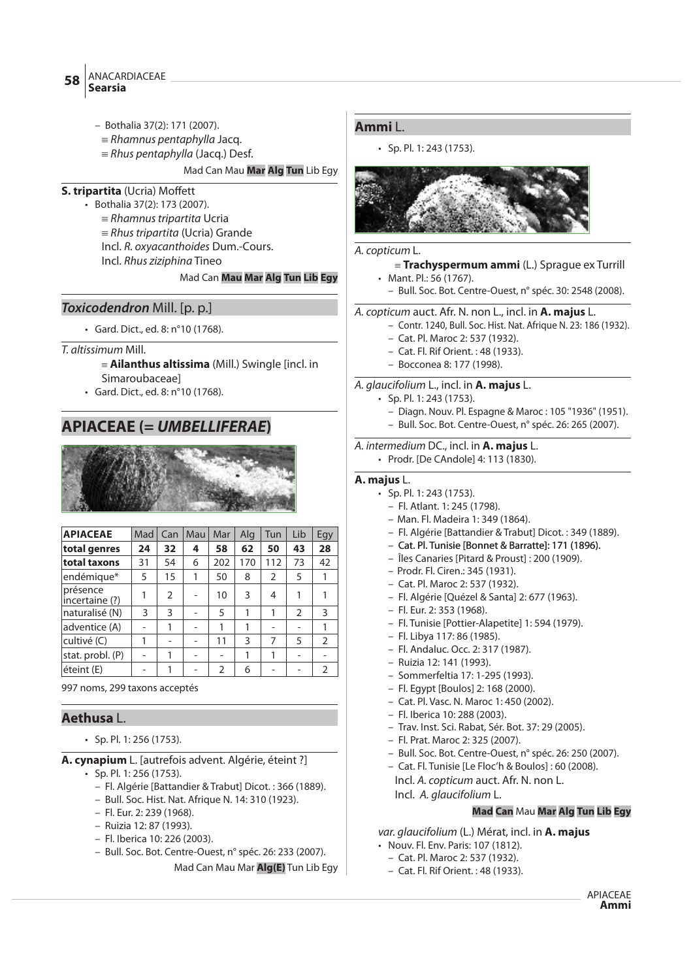ANACARDIACEAE **Searsia <sup>58</sup>**

- Bothalia 37(2): 171 (2007).
- $=$  Rhamnus pentaphylla Jacq.
- $=$  Rhus pentaphylla (Jacq.) Desf.

Mad Can Mau **Mar Alg Tun** Lib Egy

- **S. tripartita** (Ucria) Moffett
	- Bothalia 37(2): 173 (2007).
		- $=$  Rhamnus tripartita Ucria
		- $=$  Rhus tripartita (Ucria) Grande
		- Incl. R. oxyacanthoides Dum.-Cours.
		- Incl. Rhus ziziphina Tineo

# Mad Can **Mau Mar Alg Tun Lib Egy**

# **Toxicodendron** Mill. [p. p.]

- Gard. Dict., ed. 8: n°10 (1768).
- T. altissimum Mill.
	- { **Ailanthus altissima** (Mill.) Swingle [incl. in Simaroubaceae]
	- Gard. Dict., ed. 8: n°10 (1768).

# **APIACEAE (= UMBELLIFERAE)**



| <b>APIACEAE</b>            | Mad | Can | Mau | Mar | Alg | Tun | Lib           | Egy           |
|----------------------------|-----|-----|-----|-----|-----|-----|---------------|---------------|
| total genres               | 24  | 32  | 4   | 58  | 62  | 50  | 43            | 28            |
| total taxons               | 31  | 54  | 6   | 202 | 170 | 112 | 73            | 42            |
| endémique*                 | 5   | 15  | 1   | 50  | 8   | 2   | 5             | 1             |
| présence<br>incertaine (?) | 1   | 2   |     | 10  | 3   | 4   | 1             |               |
| naturalisé (N)             | 3   | 3   |     | 5   | 1   | 1   | $\mathcal{P}$ | 3             |
| adventice (A)              |     | 1   |     | 1   | 1   |     |               | 1             |
| cultivé (C)                | 1   |     |     | 11  | 3   | 7   | 5             | $\mathcal{P}$ |
| stat. probl. (P)           |     |     |     |     | 1   |     |               |               |
| éteint (E)                 |     |     |     | 2   | 6   |     |               | 2             |

997 noms, 299 taxons acceptés

# **Aethusa** L.

• Sp. Pl. 1: 256 (1753).

**A. cynapium** L. [autrefois advent. Algérie, éteint ?]

- Sp. Pl. 1: 256 (1753).
	- Fl. Algérie [Battandier & Trabut] Dicot. : 366 (1889).
	- Bull. Soc. Hist. Nat. Afrique N. 14: 310 (1923).
	- Fl. Eur. 2: 239 (1968).
	- Ruizia 12: 87 (1993).
	- Fl. Iberica 10: 226 (2003).
	- Bull. Soc. Bot. Centre-Ouest, n° spéc. 26: 233 (2007).

Mad Can Mau Mar **Alg(E)** Tun Lib Egy

# **Ammi** L.

• Sp. Pl. 1: 243 (1753).



# A. copticum L.

- { **Trachyspermum ammi** (L.) Sprague ex Turrill • Mant. Pl.: 56 (1767).
	- Bull. Soc. Bot. Centre-Ouest, n° spéc. 30: 2548 (2008).

# A. copticum auct. Afr. N. non L., incl. in **A. majus** L.

- Contr. 1240, Bull. Soc. Hist. Nat. Afrique N. 23: 186 (1932).
- Cat. Pl. Maroc 2: 537 (1932).
- Cat. Fl. Rif Orient. : 48 (1933).
- Bocconea 8: 177 (1998).

# A. glaucifolium L., incl. in **A. majus** L.

- Sp. Pl. 1: 243 (1753).
	- Diagn. Nouv. Pl. Espagne & Maroc : 105 "1936" (1951).
	- Bull. Soc. Bot. Centre-Ouest, n° spéc. 26: 265 (2007).

A. intermedium DC., incl. in **A. majus** L.

• Prodr. [De CAndole] 4: 113 (1830).

# **A. majus** L.

- Sp. Pl. 1: 243 (1753).
	- Fl. Atlant. 1: 245 (1798).
	- Man. Fl. Madeira 1: 349 (1864).
	- Fl. Algérie [Battandier & Trabut] Dicot. : 349 (1889).
	- Cat. Pl. Tunisie [Bonnet & Barratte]: 171 (1896).
	- Îles Canaries [Pitard & Proust] : 200 (1909).
	- Prodr. Fl. Ciren.: 345 (1931).
	- Cat. Pl. Maroc 2: 537 (1932).
	- Fl. Algérie [Quézel & Santa] 2: 677 (1963).
	- Fl. Eur. 2: 353 (1968).
	- Fl. Tunisie [Pottier-Alapetite] 1: 594 (1979).
	- Fl. Libya 117: 86 (1985).
	- Fl. Andaluc. Occ. 2: 317 (1987).
	- Ruizia 12: 141 (1993).
	- Sommerfeltia 17: 1-295 (1993).
	- Fl. Egypt [Boulos] 2: 168 (2000).
	- Cat. Pl. Vasc. N. Maroc 1: 450 (2002).
	- Fl. Iberica 10: 288 (2003).
	- Trav. Inst. Sci. Rabat, Sér. Bot. 37: 29 (2005).
	- Fl. Prat. Maroc 2: 325 (2007).
	- Bull. Soc. Bot. Centre-Ouest, n° spéc. 26: 250 (2007).
	- Cat. Fl. Tunisie [Le Floc'h & Boulos] : 60 (2008).
	- Incl. A. copticum auct. Afr. N. non L. Incl. A. glaucifolium L.

# **Mad Can** Mau **Mar Alg Tun Lib Egy**

var. glaucifolium (L.) Mérat, incl. in **A. majus**

- Nouv. Fl. Env. Paris: 107 (1812).
	- Cat. Pl. Maroc 2: 537 (1932).
	- Cat. Fl. Rif Orient. : 48 (1933).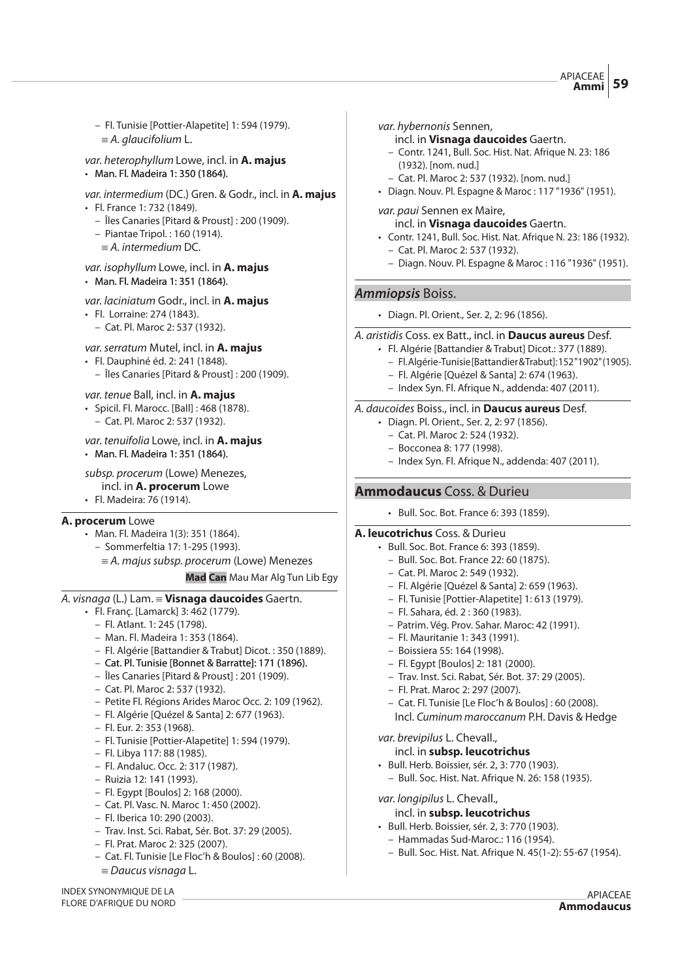APIACEAE **Ammi 59**

- Fl. Tunisie [Pottier-Alapetite] 1: 594 (1979).  $\equiv$  A. glaucifolium L.
- var. heterophyllum Lowe, incl. in **A. majus** • Man. Fl. Madeira 1: 350 (1864).

var. intermedium (DC.) Gren. & Godr., incl. in **A. majus**

- Fl. France 1: 732 (1849).
	- Îles Canaries [Pitard & Proust] : 200 (1909).
	- Piantae Tripol. : 160 (1914).
	- $\equiv$  A. intermedium DC.

#### var. isophyllum Lowe, incl. in **A. majus** • Man. Fl. Madeira 1: 351 (1864).

# var. laciniatum Godr., incl. in **A. majus**

- Fl. Lorraine: 274 (1843).
	- Cat. Pl. Maroc 2: 537 (1932).

# var.serratum Mutel, incl. in **A. majus**

- Fl. Dauphiné éd. 2: 241 (1848).
	- Îles Canaries [Pitard & Proust] : 200 (1909).

# var. tenue Ball, incl. in **A. majus**

- Spicil. Fl. Marocc. [Ball] : 468 (1878).
- Cat. Pl. Maroc 2: 537 (1932).

# var. tenuifolia Lowe, incl. in **A. majus**

• Man. Fl. Madeira 1: 351 (1864).

# subsp. procerum (Lowe) Menezes,

- incl. in **A. procerum** Lowe
- Fl. Madeira: 76 (1914).

# **A. procerum** Lowe

- Man. Fl. Madeira 1(3): 351 (1864).
- Sommerfeltia 17: 1-295 (1993).

# ${} \equiv A$ . majus subsp. procerum (Lowe) Menezes

# **Mad Can** Mau Mar Alg Tun Lib Egy

# A. visnaga (L.) Lam. { **Visnaga daucoides** Gaertn.

- Fl. Franç. [Lamarck] 3: 462 (1779).
	- Fl. Atlant. 1: 245 (1798).
	- Man. Fl. Madeira 1: 353 (1864).
	- Fl. Algérie [Battandier & Trabut] Dicot. : 350 (1889).
	- Cat. Pl. Tunisie [Bonnet & Barratte]: 171 (1896).
	- Îles Canaries [Pitard & Proust] : 201 (1909).
	- Cat. Pl. Maroc 2: 537 (1932).
	- Petite Fl. Régions Arides Maroc Occ. 2: 109 (1962).
	- Fl. Algérie [Quézel & Santa] 2: 677 (1963).
	- Fl. Eur. 2: 353 (1968).
	- Fl. Tunisie [Pottier-Alapetite] 1: 594 (1979).
	- Fl. Libya 117: 88 (1985).
	- Fl. Andaluc. Occ. 2: 317 (1987).
	- Ruizia 12: 141 (1993).
	- Fl. Egypt [Boulos] 2: 168 (2000).
	- Cat. Pl. Vasc. N. Maroc 1: 450 (2002).
	- Fl. Iberica 10: 290 (2003).
	- Trav. Inst. Sci. Rabat, Sér. Bot. 37: 29 (2005).
	- Fl. Prat. Maroc 2: 325 (2007).
	- Cat. Fl. Tunisie [Le Floc'h & Boulos] : 60 (2008).  $\equiv$  Daucus visnaga L.

var. hybernonis Sennen,

- incl. in **Visnaga daucoides** Gaertn.
- Contr. 1241, Bull. Soc. Hist. Nat. Afrique N. 23: 186 (1932). [nom. nud.]
- Cat. Pl. Maroc 2: 537 (1932). [nom. nud.]
- Diagn. Nouv. Pl. Espagne & Maroc : 117 "1936" (1951).

#### var. paui Sennen ex Maire,

- incl. in **Visnaga daucoides** Gaertn.
- Contr. 1241, Bull. Soc. Hist. Nat. Afrique N. 23: 186 (1932).
	- Cat. Pl. Maroc 2: 537 (1932).
	- Diagn. Nouv. Pl. Espagne & Maroc : 116 "1936" (1951).

# **Ammiopsis** Boiss.

• Diagn. Pl. Orient., Ser. 2, 2: 96 (1856).

#### A. aristidis Coss. ex Batt., incl. in **Daucus aureus** Desf.

- Fl. Algérie [Battandier & Trabut] Dicot.: 377 (1889). – Fl. Algérie-Tunisie [Battandier & Trabut]: 152 "1902" (1905).
	- Fl. Algérie [Quézel & Santa] 2: 674 (1963).
	- Index Syn. Fl. Afrique N., addenda: 407 (2011).

#### A. daucoides Boiss., incl. in **Daucus aureus** Desf.

- Diagn. Pl. Orient., Ser. 2, 2: 97 (1856).
- Cat. Pl. Maroc 2: 524 (1932).
- Bocconea 8: 177 (1998).
- Index Syn. Fl. Afrique N., addenda: 407 (2011).

# **Ammodaucus** Coss. & Durieu

• Bull. Soc. Bot. France 6: 393 (1859).

#### **A. leucotrichus** Coss. & Durieu

- Bull. Soc. Bot. France 6: 393 (1859).
	- Bull. Soc. Bot. France 22: 60 (1875).
	- Cat. Pl. Maroc 2: 549 (1932).
	- Fl. Algérie [Quézel & Santa] 2: 659 (1963).
	- Fl. Tunisie [Pottier-Alapetite] 1: 613 (1979).
	- Fl. Sahara, éd. 2 : 360 (1983).
	- Patrim. Vég. Prov. Sahar. Maroc: 42 (1991).
	- Fl. Mauritanie 1: 343 (1991).
	- Boissiera 55: 164 (1998).
	- Fl. Egypt [Boulos] 2: 181 (2000).
	- Trav. Inst. Sci. Rabat, Sér. Bot. 37: 29 (2005).
	- Fl. Prat. Maroc 2: 297 (2007).
	- Cat. Fl. Tunisie [Le Floc'h & Boulos] : 60 (2008).

Incl. Cuminum maroccanum P.H. Davis & Hedge

var. brevipilus L. Chevall.,

- incl. in **subsp. leucotrichus**
- Bull. Herb. Boissier, sér. 2, 3: 770 (1903).
	- Bull. Soc. Hist. Nat. Afrique N. 26: 158 (1935).
- var. longipilus L. Chevall.,
	- incl. in **subsp. leucotrichus**
- Bull. Herb. Boissier, sér. 2, 3: 770 (1903).
	- Hammadas Sud-Maroc.: 116 (1954).
	- Bull. Soc. Hist. Nat. Afrique N. 45(1-2): 55-67 (1954).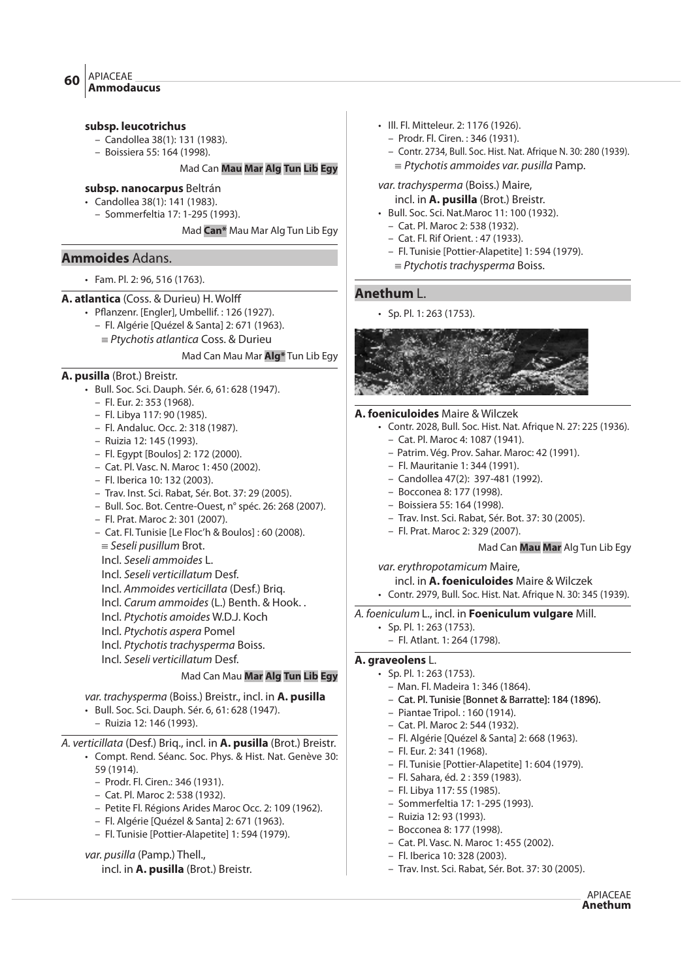#### **subsp. leucotrichus**

- Candollea 38(1): 131 (1983).
- Boissiera 55: 164 (1998).

# Mad Can **Mau Mar Alg Tun Lib Egy**

- **subsp. nanocarpus** Beltrán
- Candollea 38(1): 141 (1983).
	- Sommerfeltia 17: 1-295 (1993).

Mad **Can\*** Mau Mar Alg Tun Lib Egy

# **Ammoides** Adans.

• Fam. Pl. 2: 96, 516 (1763).

# **A. atlantica** (Coss. & Durieu) H. Wolff

- $\cdot$  Pflanzenr. [Engler], Umbellif.: 126 (1927).
	- Fl. Algérie [Quézel & Santa] 2: 671 (1963).
		- $=$  Ptychotis atlantica Coss. & Durieu

#### Mad Can Mau Mar **Alg\*** Tun Lib Egy

# **A. pusilla** (Brot.) Breistr.

- Bull. Soc. Sci. Dauph. Sér. 6, 61: 628 (1947).
	- Fl. Eur. 2: 353 (1968).
	- Fl. Libya 117: 90 (1985).
	- Fl. Andaluc. Occ. 2: 318 (1987).
	- Ruizia 12: 145 (1993).
	- Fl. Egypt [Boulos] 2: 172 (2000).
	- Cat. Pl. Vasc. N. Maroc 1: 450 (2002).
	- Fl. Iberica 10: 132 (2003).
	- Trav. Inst. Sci. Rabat, Sér. Bot. 37: 29 (2005).
	- Bull. Soc. Bot. Centre-Ouest, n° spéc. 26: 268 (2007).
	- Fl. Prat. Maroc 2: 301 (2007).
	- Cat. Fl. Tunisie [Le Floc'h & Boulos] : 60 (2008).
	- $=$  Seseli pusillum Brot.
	- Incl. Seseli ammoides L.
	- Incl. Seseli verticillatum Desf.
	- Incl. Ammoides verticillata (Desf.) Briq.
	- Incl. Carum ammoides (L.) Benth. & Hook. .
	- Incl. Ptychotis amoides W.D.J. Koch
	- Incl. Ptychotis aspera Pomel
	- Incl. Ptychotis trachysperma Boiss.
	- Incl. Seseli verticillatum Desf.

# Mad Can Mau **Mar Alg Tun Lib Egy**

- var. trachysperma (Boiss.) Breistr., incl. in **A. pusilla**
- Bull. Soc. Sci. Dauph. Sér. 6, 61: 628 (1947).
	- Ruizia 12: 146 (1993).

# A. verticillata (Desf.) Briq., incl. in **A. pusilla** (Brot.) Breistr.

- Compt. Rend. Séanc. Soc. Phys. & Hist. Nat. Genève 30: 59 (1914).
	- Prodr. Fl. Ciren.: 346 (1931).
	- Cat. Pl. Maroc 2: 538 (1932).
	- Petite Fl. Régions Arides Maroc Occ. 2: 109 (1962).
	- Fl. Algérie [Quézel & Santa] 2: 671 (1963).
	- Fl. Tunisie [Pottier-Alapetite] 1: 594 (1979).

# var. pusilla (Pamp.) Thell.,

# incl. in **A. pusilla** (Brot.) Breistr.

- Ill. Fl. Mitteleur. 2: 1176 (1926).
	- Prodr. Fl. Ciren. : 346 (1931).
	- Contr. 2734, Bull. Soc. Hist. Nat. Afrique N. 30: 280 (1939).
		- $=$  Ptychotis ammoides var. pusilla Pamp.

#### var. trachysperma (Boiss.) Maire, incl. in **A. pusilla** (Brot.) Breistr.

- Bull. Soc. Sci. Nat.Maroc 11: 100 (1932).
- Cat. Pl. Maroc 2: 538 (1932).
- Cat. Fl. Rif Orient. : 47 (1933).
- Fl. Tunisie [Pottier-Alapetite] 1: 594 (1979).
- $\equiv$  Ptychotis trachysperma Boiss.

# **Anethum** L.

• Sp. Pl. 1: 263 (1753).



#### **A. foeniculoides** Maire & Wilczek

- Contr. 2028, Bull. Soc. Hist. Nat. Afrique N. 27: 225 (1936).
	- Cat. Pl. Maroc 4: 1087 (1941).
	- Patrim. Vég. Prov. Sahar. Maroc: 42 (1991).
	- Fl. Mauritanie 1: 344 (1991).
	- Candollea 47(2): 397-481 (1992).
	- Bocconea 8: 177 (1998).
	- Boissiera 55: 164 (1998).
	- Trav. Inst. Sci. Rabat, Sér. Bot. 37: 30 (2005).
	- Fl. Prat. Maroc 2: 329 (2007).

#### Mad Can **Mau Mar** Alg Tun Lib Egy

# var. erythropotamicum Maire,

#### incl. in **A. foeniculoides** Maire & Wilczek

• Contr. 2979, Bull. Soc. Hist. Nat. Afrique N. 30: 345 (1939).

#### A. foeniculum L., incl. in **Foeniculum vulgare** Mill.

- Sp. Pl. 1: 263 (1753).
- Fl. Atlant. 1: 264 (1798).

# **A. graveolens** L.

- Sp. Pl. 1: 263 (1753).
	- Man. Fl. Madeira 1: 346 (1864).
	- Cat. Pl. Tunisie [Bonnet & Barratte]: 184 (1896).
	- Piantae Tripol. : 160 (1914).
	- Cat. Pl. Maroc 2: 544 (1932).
	- Fl. Algérie [Quézel & Santa] 2: 668 (1963).
	- Fl. Eur. 2: 341 (1968).
	- Fl. Tunisie [Pottier-Alapetite] 1: 604 (1979).
	- Fl. Sahara, éd. 2 : 359 (1983).
	- Fl. Libya 117: 55 (1985).
	- Sommerfeltia 17: 1-295 (1993).
- Ruizia 12: 93 (1993).
- Bocconea 8: 177 (1998).
- Cat. Pl. Vasc. N. Maroc 1: 455 (2002).
- Fl. Iberica 10: 328 (2003).
- Trav. Inst. Sci. Rabat, Sér. Bot. 37: 30 (2005).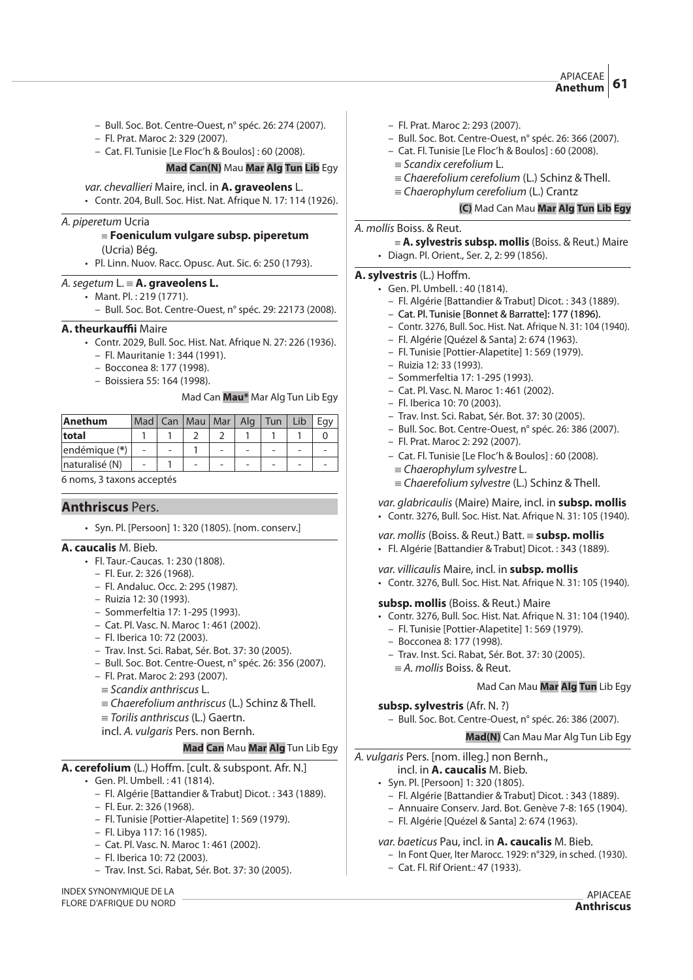- Bull. Soc. Bot. Centre-Ouest, n° spéc. 26: 274 (2007).
- Fl. Prat. Maroc 2: 329 (2007).
- Cat. Fl. Tunisie [Le Floc'h & Boulos] : 60 (2008).

#### **Mad Can(N)** Mau **Mar Alg Tun Lib** Egy

var. chevallieri Maire, incl. in **A. graveolens** L. • Contr. 204, Bull. Soc. Hist. Nat. Afrique N. 17: 114 (1926).

#### A. piperetum Ucria

# {**Foeniculum vulgare subsp. piperetum**

- (Ucria) Bég.
- Pl. Linn. Nuov. Racc. Opusc. Aut. Sic. 6: 250 (1793).

# A. segetum L.  $\equiv$  **A. graveolens L.**

- Mant. Pl. : 219 (1771).
	- Bull. Soc. Bot. Centre-Ouest, n° spéc. 29: 22173 (2008).

#### **A. theurkau!i** Maire

- Contr. 2029, Bull. Soc. Hist. Nat. Afrique N. 27: 226 (1936).
	- Fl. Mauritanie 1: 344 (1991).
	- Bocconea 8: 177 (1998).
	- Boissiera 55: 164 (1998).

#### Mad Can **Mau\*** Mar Alg Tun Lib Egy

| Anethum        | Mad <sup>1</sup> | Can | $ $ Mau $ $ | Mar I | Ala | Tun |  |
|----------------|------------------|-----|-------------|-------|-----|-----|--|
| total          |                  |     |             |       |     |     |  |
| endémique (*)  |                  |     |             |       |     |     |  |
| naturalisé (N) |                  |     | -           |       |     |     |  |

#### 6 noms, 3 taxons acceptés

# **Anthriscus** Pers.

• Syn. Pl. [Persoon] 1: 320 (1805). [nom. conserv.]

#### **A. caucalis** M. Bieb.

- Fl. Taur.-Caucas. 1: 230 (1808).
	- Fl. Eur. 2: 326 (1968).
	- Fl. Andaluc. Occ. 2: 295 (1987).
	- Ruizia 12: 30 (1993).
	- Sommerfeltia 17: 1-295 (1993).
	- Cat. Pl. Vasc. N. Maroc 1: 461 (2002).
	- Fl. Iberica 10: 72 (2003).
	- Trav. Inst. Sci. Rabat, Sér. Bot. 37: 30 (2005).
	- Bull. Soc. Bot. Centre-Ouest, n° spéc. 26: 356 (2007).
	- Fl. Prat. Maroc 2: 293 (2007).
	- $=$  Scandix anthriscus L.
	- ${\equiv}$  Chaerefolium anthriscus (L.) Schinz & Thell.
	- $=$  Torilis anthriscus (L.) Gaertn.

# incl. A. vulgaris Pers. non Bernh.

#### **Mad Can** Mau **Mar Alg** Tun Lib Egy

#### **A. cerefolium** (L.) Hoffm. [cult. & subspont. Afr. N.]

- Gen. Pl. Umbell. : 41 (1814).
	- Fl. Algérie [Battandier & Trabut] Dicot. : 343 (1889).
	- Fl. Eur. 2: 326 (1968).
	- Fl. Tunisie [Pottier-Alapetite] 1: 569 (1979).
	- Fl. Libya 117: 16 (1985).
	- Cat. Pl. Vasc. N. Maroc 1: 461 (2002).
	- Fl. Iberica 10: 72 (2003).
	- Trav. Inst. Sci. Rabat, Sér. Bot. 37: 30 (2005).

#### INDEX SYNONYMIQUE DE LA FLORE D'AFRIQUE DU NORD

- Fl. Prat. Maroc 2: 293 (2007).
- Bull. Soc. Bot. Centre-Ouest, n° spéc. 26: 366 (2007).
- Cat. Fl. Tunisie [Le Floc'h & Boulos] : 60 (2008).
	- $=$  Scandix cerefolium L.
	- ${\equiv}$  Chaerefolium cerefolium (L.) Schinz & Thell.
- ${\equiv}$  Chaerophylum cerefolium (L.) Crantz

### **(C)** Mad Can Mau **Mar Alg Tun Lib Egy**

# A. mollis Boiss. & Reut.

- { **A. sylvestris subsp. mollis** (Boiss. & Reut.) Maire
- Diagn. Pl. Orient., Ser. 2, 2: 99 (1856).

#### **A. sylvestris** (L.) Hoffm.

- Gen. Pl. Umbell. : 40 (1814).
	- Fl. Algérie [Battandier & Trabut] Dicot. : 343 (1889).
	- Cat. Pl. Tunisie [Bonnet & Barratte]: 177 (1896).
	- Contr. 3276, Bull. Soc. Hist. Nat. Afrique N. 31: 104 (1940).
	- Fl. Algérie [Quézel & Santa] 2: 674 (1963).
	- Fl. Tunisie [Pottier-Alapetite] 1: 569 (1979).
	- Ruizia 12: 33 (1993).
	- Sommerfeltia 17: 1-295 (1993).
	- Cat. Pl. Vasc. N. Maroc 1: 461 (2002).
	- Fl. Iberica 10: 70 (2003).
	- Trav. Inst. Sci. Rabat, Sér. Bot. 37: 30 (2005).
	- Bull. Soc. Bot. Centre-Ouest, n° spéc. 26: 386 (2007).
	- Fl. Prat. Maroc 2: 292 (2007).
	- Cat. Fl. Tunisie [Le Floc'h & Boulos] : 60 (2008).
		- $\equiv$  Chaerophylum sylvestre L.
		- $\equiv$  Chaerefolium sylvestre (L.) Schinz & Thell.

var. glabricaulis (Maire) Maire, incl. in **subsp. mollis**

- Contr. 3276, Bull. Soc. Hist. Nat. Afrique N. 31: 105 (1940).
- var. mollis (Boiss. & Reut.) Batt.  $\equiv$  **subsp. mollis**
- Fl. Algérie [Battandier & Trabut] Dicot. : 343 (1889).

# var. villicaulis Maire, incl. in **subsp. mollis**

• Contr. 3276, Bull. Soc. Hist. Nat. Afrique N. 31: 105 (1940).

#### **subsp. mollis** (Boiss. & Reut.) Maire

- Contr. 3276, Bull. Soc. Hist. Nat. Afrique N. 31: 104 (1940).
	- Fl. Tunisie [Pottier-Alapetite] 1: 569 (1979).
	- Bocconea 8: 177 (1998).
	- Trav. Inst. Sci. Rabat, Sér. Bot. 37: 30 (2005).
	- $\equiv$  A. mollis Boiss. & Reut.

#### Mad Can Mau **Mar Alg Tun** Lib Egy

#### **subsp. sylvestris** (Afr. N. ?)

– Bull. Soc. Bot. Centre-Ouest, n° spéc. 26: 386 (2007).

# **Mad(N)** Can Mau Mar Alg Tun Lib Egy

APIACEAE **Anthriscus**

# A. vulgaris Pers. [nom. illeg.] non Bernh.,

- incl. in **A. caucalis** M. Bieb. • Syn. Pl. [Persoon] 1: 320 (1805).
	-
	- Fl. Algérie [Battandier & Trabut] Dicot. : 343 (1889).
	- Annuaire Conserv. Jard. Bot. Genève 7-8: 165 (1904). – Fl. Algérie [Quézel & Santa] 2: 674 (1963).
- var. baeticus Pau, incl. in **A. caucalis** M. Bieb.
	- In Font Quer, Iter Marocc. 1929: n°329, in sched. (1930).
	- Cat. Fl. Rif Orient.: 47 (1933).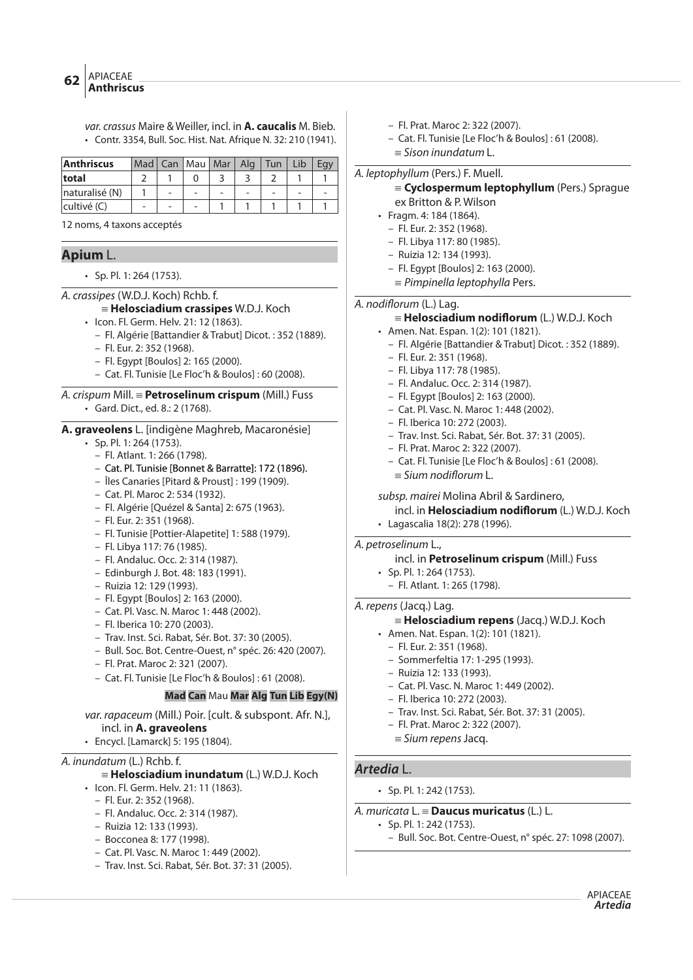var. crassus Maire & Weiller, incl. in **A. caucalis** M. Bieb. • Contr. 3354, Bull. Soc. Hist. Nat. Afrique N. 32: 210 (1941).

| Anthriscus     |  | Mad   Can   Mau   Mar | Alg | $\vert$ Tun | I ib |  |
|----------------|--|-----------------------|-----|-------------|------|--|
| total          |  |                       |     |             |      |  |
| naturalisé (N) |  |                       |     |             |      |  |
| cultivé (C)    |  |                       |     |             |      |  |

12 noms, 4 taxons acceptés

# **Apium** L.

• Sp. Pl. 1: 264 (1753).

A. crassipes (W.D.J. Koch) Rchb. f.

# { **Helosciadium crassipes** W.D.J. Koch

- Icon. Fl. Germ. Helv. 21: 12 (1863).
	- Fl. Algérie [Battandier & Trabut] Dicot. : 352 (1889).
	- Fl. Eur. 2: 352 (1968).
	- Fl. Egypt [Boulos] 2: 165 (2000).
	- Cat. Fl. Tunisie [Le Floc'h & Boulos] : 60 (2008).

# A. crispum Mill. { **Petroselinum crispum** (Mill.) Fuss • Gard. Dict., ed. 8.: 2 (1768).

**A. graveolens** L. [indigène Maghreb, Macaronésie]

- Sp. Pl. 1: 264 (1753).
	- Fl. Atlant. 1: 266 (1798).
	- Cat. Pl. Tunisie [Bonnet & Barratte]: 172 (1896).
	- Îles Canaries [Pitard & Proust] : 199 (1909).
	- Cat. Pl. Maroc 2: 534 (1932).
	- Fl. Algérie [Quézel & Santa] 2: 675 (1963).
	- Fl. Eur. 2: 351 (1968).
	- Fl. Tunisie [Pottier-Alapetite] 1: 588 (1979).
	- Fl. Libya 117: 76 (1985).
	- Fl. Andaluc. Occ. 2: 314 (1987).
	- Edinburgh J. Bot. 48: 183 (1991).
	- Ruizia 12: 129 (1993).
	- Fl. Egypt [Boulos] 2: 163 (2000).
	- Cat. Pl. Vasc. N. Maroc 1: 448 (2002).
	- Fl. Iberica 10: 270 (2003).
	- Trav. Inst. Sci. Rabat, Sér. Bot. 37: 30 (2005).
	- Bull. Soc. Bot. Centre-Ouest, n° spéc. 26: 420 (2007).
	- Fl. Prat. Maroc 2: 321 (2007).
	- Cat. Fl. Tunisie [Le Floc'h & Boulos] : 61 (2008).

# **Mad Can** Mau **Mar Alg Tun Lib Egy(N)**

- var. rapaceum (Mill.) Poir. [cult. & subspont. Afr. N.], incl. in **A. graveolens**
- Encycl. [Lamarck] 5: 195 (1804).

# A. inundatum (L.) Rchb. f.

# { **Helosciadium inundatum** (L.) W.D.J. Koch

- Icon. Fl. Germ. Helv. 21: 11 (1863).
	- Fl. Eur. 2: 352 (1968).
	- Fl. Andaluc. Occ. 2: 314 (1987). – Ruizia 12: 133 (1993).
	- Bocconea 8: 177 (1998).
	- Cat. Pl. Vasc. N. Maroc 1: 449 (2002).
	- Trav. Inst. Sci. Rabat, Sér. Bot. 37: 31 (2005).
- Fl. Prat. Maroc 2: 322 (2007).
- Cat. Fl. Tunisie [Le Floc'h & Boulos] : 61 (2008).
- $\equiv$  Sison inundatum L.

A. leptophyllum (Pers.) F. Muell.

# {**Cyclospermum leptophyllum** (Pers.) Sprague ex Britton & P. Wilson

- Fragm. 4: 184 (1864).
	- Fl. Eur. 2: 352 (1968).
	- Fl. Libya 117: 80 (1985).
	- Ruizia 12: 134 (1993).
	- Fl. Egypt [Boulos] 2: 163 (2000).
	- $\equiv$  Pimpinella leptophylla Pers.

# A. nodiflorum (L.) Lag.

- { **Helosciadium nodi"orum** (L.) W.D.J. Koch
- Amen. Nat. Espan. 1(2): 101 (1821).
	- Fl. Algérie [Battandier & Trabut] Dicot. : 352 (1889).
	- Fl. Eur. 2: 351 (1968).
	- Fl. Libya 117: 78 (1985).
	- Fl. Andaluc. Occ. 2: 314 (1987).
	- Fl. Egypt [Boulos] 2: 163 (2000).
	- Cat. Pl. Vasc. N. Maroc 1: 448 (2002).
	- Fl. Iberica 10: 272 (2003).
	- Trav. Inst. Sci. Rabat, Sér. Bot. 37: 31 (2005).
	- Fl. Prat. Maroc 2: 322 (2007).
	- Cat. Fl. Tunisie [Le Floc'h & Boulos] : 61 (2008).  $\equiv$  Sium nodiflorum L.

# subsp. mairei Molina Abril & Sardinero,

- incl. in **Helosciadium nodi"orum** (L.) W.D.J. Koch
- Lagascalia 18(2): 278 (1996).

#### A. petroselinum L.,

# incl. in **Petroselinum crispum** (Mill.) Fuss

- Sp. Pl. 1: 264 (1753). – Fl. Atlant. 1: 265 (1798).
- 

# A. repens (Jacq.) Lag.

# { **Helosciadium repens** (Jacq.) W.D.J. Koch

- Amen. Nat. Espan. 1(2): 101 (1821).
- Fl. Eur. 2: 351 (1968).
- Sommerfeltia 17: 1-295 (1993).
- Ruizia 12: 133 (1993).
- Cat. Pl. Vasc. N. Maroc 1: 449 (2002).
- Fl. Iberica 10: 272 (2003).
- Trav. Inst. Sci. Rabat, Sér. Bot. 37: 31 (2005).
- Fl. Prat. Maroc 2: 322 (2007).
- $=$  Sium repens Jacq.

# **Artedia** L.

• Sp. Pl. 1: 242 (1753).

# A. muricata L. { **Daucus muricatus** (L.) L.

- Sp. Pl. 1: 242 (1753).
	- Bull. Soc. Bot. Centre-Ouest, n° spéc. 27: 1098 (2007).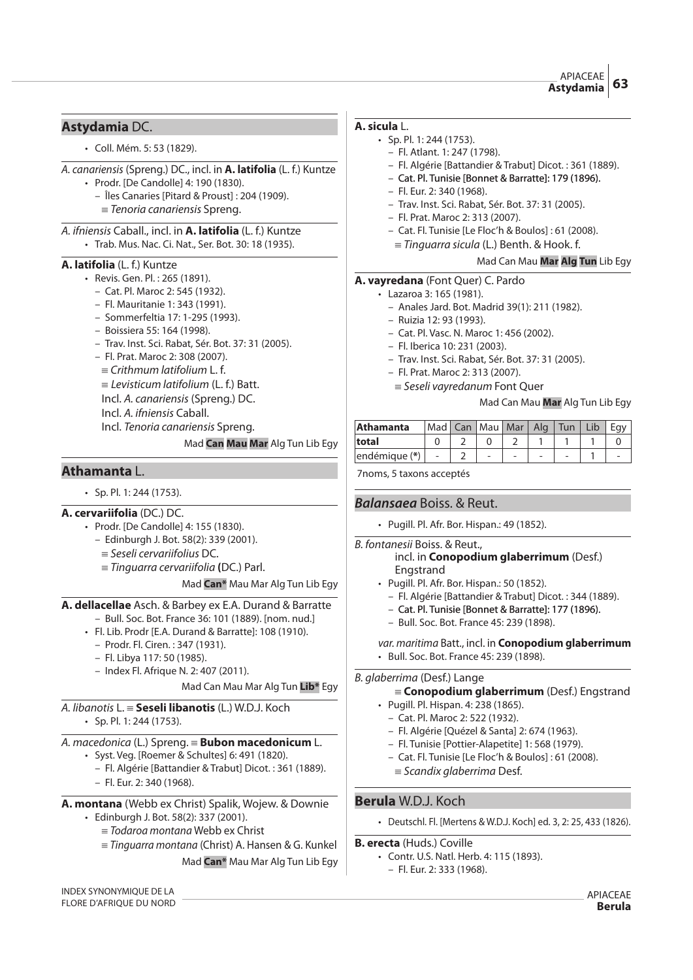#### APIACEAE **Astydamia 63**

# **Astydamia** DC.

• Coll. Mém. 5: 53 (1829).

A. canariensis (Spreng.) DC., incl. in **A. latifolia** (L. f.) Kuntze

- Prodr. [De Candolle] 4: 190 (1830).
	- Îles Canaries [Pitard & Proust] : 204 (1909).
	- $=$  Tenoria canariensis Spreng.

#### A. ifniensis Caball., incl. in **A. latifolia** (L. f.) Kuntze • Trab. Mus. Nac. Ci. Nat., Ser. Bot. 30: 18 (1935).

# **A. latifolia** (L. f.) Kuntze

- Revis. Gen. Pl. : 265 (1891).
	- Cat. Pl. Maroc 2: 545 (1932).
	- Fl. Mauritanie 1: 343 (1991).
	- Sommerfeltia 17: 1-295 (1993).
	- Boissiera 55: 164 (1998).
	- Trav. Inst. Sci. Rabat, Sér. Bot. 37: 31 (2005).
	- Fl. Prat. Maroc 2: 308 (2007).
	- $\equiv$  Crithmum latifolium L. f.
	- $\equiv$  Levisticum latifolium (L. f.) Batt.
	- Incl. A. canariensis (Spreng.) DC.
	- Incl. A. ifniensis Caball.
	- Incl. Tenoria canariensis Spreng.

Mad **Can Mau Mar** Alg Tun Lib Egy

# **Athamanta** L.

 $\cdot$  Sp. Pl. 1: 244 (1753).

# **A. cervariifolia** (DC.) DC.

- Prodr. [De Candolle] 4: 155 (1830).
	- Edinburgh J. Bot. 58(2): 339 (2001).
		- $=$  Seseli cervariifolius DC.
		- { Tinguarra cervariifolia **(**DC.) Parl.

Mad **Can\*** Mau Mar Alg Tun Lib Egy

# **A. dellacellae** Asch. & Barbey ex E.A. Durand & Barratte

- Bull. Soc. Bot. France 36: 101 (1889). [nom. nud.]
- Fl. Lib. Prodr [E.A. Durand & Barratte]: 108 (1910).
	- Prodr. Fl. Ciren. : 347 (1931).
	- Fl. Libya 117: 50 (1985).
	- Index Fl. Afrique N. 2: 407 (2011).

Mad Can Mau Mar Alg Tun **Lib\*** Egy

# A. libanotis L. { **Seseli libanotis** (L.) W.D.J. Koch

• Sp. Pl. 1: 244 (1753).

# A. macedonica (L.) Spreng. { **Bubon macedonicum** L.

- Syst. Veg. [Roemer & Schultes] 6: 491 (1820).
	- Fl. Algérie [Battandier & Trabut] Dicot. : 361 (1889). – Fl. Eur. 2: 340 (1968).
- **A. montana** (Webb ex Christ) Spalik, Wojew. & Downie • Edinburgh J. Bot. 58(2): 337 (2001).
	- $=$  Todaroa montana Webb ex Christ
	- ${\equiv}$  Tinguarra montana (Christ) A. Hansen & G. Kunkel Mad **Can\*** Mau Mar Alg Tun Lib Egy

# **A. sicula** L.

- Sp. Pl. 1: 244 (1753).
	- Fl. Atlant. 1: 247 (1798).
	- Fl. Algérie [Battandier & Trabut] Dicot. : 361 (1889).
	- Cat. Pl. Tunisie [Bonnet & Barratte]: 179 (1896).
	- Fl. Eur. 2: 340 (1968).
	- Trav. Inst. Sci. Rabat, Sér. Bot. 37: 31 (2005).
	- Fl. Prat. Maroc 2: 313 (2007).
	- Cat. Fl. Tunisie [Le Floc'h & Boulos] : 61 (2008).
		- ${\equiv}$  Tinguarra sicula (L.) Benth. & Hook. f.

# Mad Can Mau **Mar Alg Tun** Lib Egy

# **A. vayredana** (Font Quer) C. Pardo

- Lazaroa 3: 165 (1981).
	- Anales Jard. Bot. Madrid 39(1): 211 (1982).
	- Ruizia 12: 93 (1993).
	- Cat. Pl. Vasc. N. Maroc 1: 456 (2002).
	- Fl. Iberica 10: 231 (2003).
	- Trav. Inst. Sci. Rabat, Sér. Bot. 37: 31 (2005).
	- Fl. Prat. Maroc 2: 313 (2007).
	- $\equiv$  Seseli vayredanum Font Quer

# Mad Can Mau **Mar** Alg Tun Lib Egy

| Athamanta      | Mad   Can   Mau   Mar   Alg   Tun |  |   | Lib | Fav |
|----------------|-----------------------------------|--|---|-----|-----|
| total          |                                   |  |   |     |     |
| lendémique (*) |                                   |  | - |     |     |

7noms, 5 taxons acceptés

# **Balansaea** Boiss. & Reut.

- Pugill. Pl. Afr. Bor. Hispan.: 49 (1852).
- B. fontanesii Boiss. & Reut.,

# incl. in **Conopodium glaberrimum** (Desf.) Engstrand

- Pugill. Pl. Afr. Bor. Hispan.: 50 (1852).
	- Fl. Algérie [Battandier & Trabut] Dicot. : 344 (1889).
	- Cat. Pl. Tunisie [Bonnet & Barratte]: 177 (1896).
	- Bull. Soc. Bot. France 45: 239 (1898).

var. maritima Batt., incl. in **Conopodium glaberrimum** • Bull. Soc. Bot. France 45: 239 (1898).

# B. glaberrima (Desf.) Lange

- { **Conopodium glaberrimum** (Desf.) Engstrand
- Pugill. Pl. Hispan. 4: 238 (1865).
	- Cat. Pl. Maroc 2: 522 (1932).
	- Fl. Algérie [Quézel & Santa] 2: 674 (1963).
	- Fl. Tunisie [Pottier-Alapetite] 1: 568 (1979).
	- Cat. Fl. Tunisie [Le Floc'h & Boulos] : 61 (2008).
	- $\equiv$  Scandix glaberrima Desf.

# **Berula** W.D.J. Koch

• Deutschl. Fl. [Mertens & W.D.J. Koch] ed. 3, 2: 25, 433 (1826).

# **B. erecta** (Huds.) Coville

• Contr. U.S. Natl. Herb. 4: 115 (1893). – Fl. Eur. 2: 333 (1968).

INDEX SYNONYMIQUE DE LA FLORE D'AFRIQUE DU NORD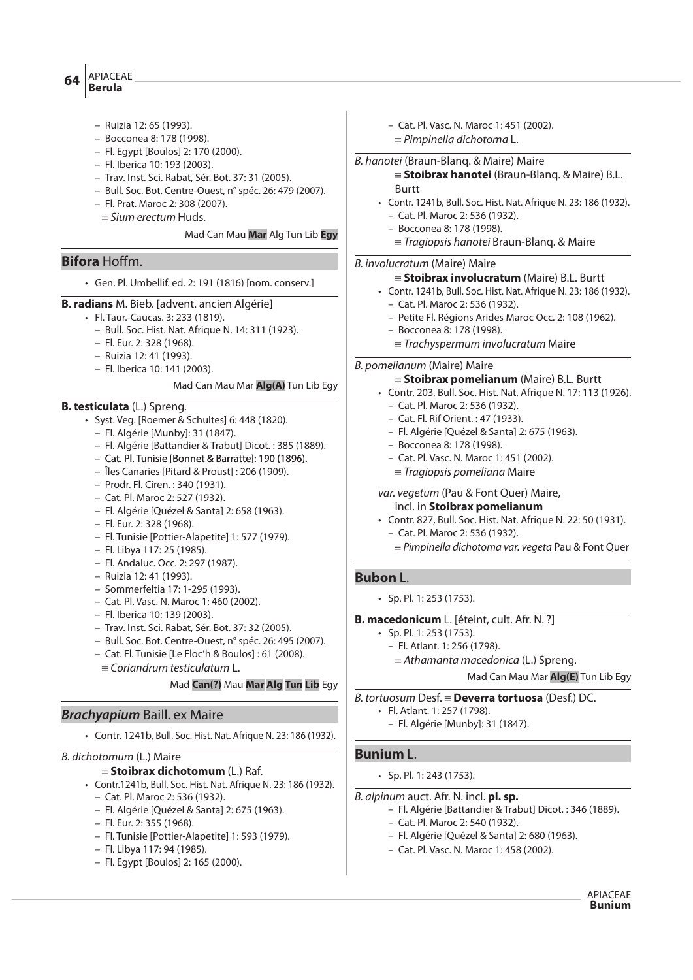#### APIACEAE **Berula <sup>64</sup>**

- Ruizia 12: 65 (1993).
- Bocconea 8: 178 (1998).
- Fl. Egypt [Boulos] 2: 170 (2000).
- Fl. Iberica 10: 193 (2003).
- Trav. Inst. Sci. Rabat, Sér. Bot. 37: 31 (2005).
- Bull. Soc. Bot. Centre-Ouest, n° spéc. 26: 479 (2007).
- Fl. Prat. Maroc 2: 308 (2007).
- $\equiv$  Sium erectum Huds.

#### Mad Can Mau **Mar** Alg Tun Lib **Egy**

# **Bifora** Hoffm.

- Gen. Pl. Umbellif. ed. 2: 191 (1816) [nom. conserv.]
- **B. radians** M. Bieb. [advent. ancien Algérie]
	- Fl. Taur.-Caucas. 3: 233 (1819).
		- Bull. Soc. Hist. Nat. Afrique N. 14: 311 (1923).
		- Fl. Eur. 2: 328 (1968).
		- Ruizia 12: 41 (1993).
		- Fl. Iberica 10: 141 (2003).

# Mad Can Mau Mar **Alg(A)** Tun Lib Egy

# **B. testiculata** (L.) Spreng.

- Syst. Veg. [Roemer & Schultes] 6: 448 (1820).
	- Fl. Algérie [Munby]: 31 (1847).
	- Fl. Algérie [Battandier & Trabut] Dicot. : 385 (1889).
	- Cat. Pl. Tunisie [Bonnet & Barratte]: 190 (1896).
	- Îles Canaries [Pitard & Proust] : 206 (1909).
	- Prodr. Fl. Ciren. : 340 (1931).
	- Cat. Pl. Maroc 2: 527 (1932).
	- Fl. Algérie [Quézel & Santa] 2: 658 (1963).
	- Fl. Eur. 2: 328 (1968).
	- Fl. Tunisie [Pottier-Alapetite] 1: 577 (1979).
	- Fl. Libya 117: 25 (1985).
	- Fl. Andaluc. Occ. 2: 297 (1987).
	- Ruizia 12: 41 (1993).
	- Sommerfeltia 17: 1-295 (1993).
	- Cat. Pl. Vasc. N. Maroc 1: 460 (2002).
	- Fl. Iberica 10: 139 (2003).
	- Trav. Inst. Sci. Rabat, Sér. Bot. 37: 32 (2005).
	- Bull. Soc. Bot. Centre-Ouest, n° spéc. 26: 495 (2007).
	- Cat. Fl. Tunisie [Le Floc'h & Boulos] : 61 (2008).
	- $=$  Coriandrum testiculatum L.

# Mad **Can(?)** Mau **Mar Alg Tun Lib** Egy

# **Brachyapium** Baill. ex Maire

• Contr. 1241b, Bull. Soc. Hist. Nat. Afrique N. 23: 186 (1932).

# B. dichotomum (L.) Maire

- { **Stoibrax dichotomum** (L.) Raf.
- Contr.1241b, Bull. Soc. Hist. Nat. Afrique N. 23: 186 (1932).
	- Cat. Pl. Maroc 2: 536 (1932).
	- Fl. Algérie [Quézel & Santa] 2: 675 (1963).
	- Fl. Eur. 2: 355 (1968).
	- Fl. Tunisie [Pottier-Alapetite] 1: 593 (1979).
	- Fl. Libya 117: 94 (1985).
	- Fl. Egypt [Boulos] 2: 165 (2000).

– Cat. Pl. Vasc. N. Maroc 1: 451 (2002).  $\equiv$  Pimpinella dichotoma L.

#### B. hanotei (Braun-Blanq. & Maire) Maire

- { **Stoibrax hanotei** (Braun-Blanq. & Maire) B.L. Burtt
- Contr. 1241b, Bull. Soc. Hist. Nat. Afrique N. 23: 186 (1932). – Cat. Pl. Maroc 2: 536 (1932).
	- Bocconea 8: 178 (1998).
	- ${\equiv}$  Tragiopsis hanotei Braun-Blanq. & Maire

# B. involucratum (Maire) Maire

#### { **Stoibrax involucratum** (Maire) B.L. Burtt

- Contr. 1241b, Bull. Soc. Hist. Nat. Afrique N. 23: 186 (1932). – Cat. Pl. Maroc 2: 536 (1932).
	- Petite Fl. Régions Arides Maroc Occ. 2: 108 (1962).
	- Bocconea 8: 178 (1998).
	- $=$  Trachyspermum involucratum Maire

# B. pomelianum (Maire) Maire

#### { **Stoibrax pomelianum** (Maire) B.L. Burtt

- Contr. 203, Bull. Soc. Hist. Nat. Afrique N. 17: 113 (1926).
	- Cat. Pl. Maroc 2: 536 (1932).
	- Cat. Fl. Rif Orient. : 47 (1933).
	- Fl. Algérie [Quézel & Santa] 2: 675 (1963).
	- Bocconea 8: 178 (1998).
	- Cat. Pl. Vasc. N. Maroc 1: 451 (2002).
	- $=$  Tragiopsis pomeliana Maire

# var. vegetum (Pau & Font Quer) Maire,

- incl. in **Stoibrax pomelianum**
- Contr. 827, Bull. Soc. Hist. Nat. Afrique N. 22: 50 (1931). – Cat. Pl. Maroc 2: 536 (1932).
	- $=$  Pimpinella dichotoma var. vegeta Pau & Font Quer

# **Bubon** L.

• Sp. Pl. 1: 253 (1753).

#### **B. macedonicum** L. [éteint, cult. Afr. N. ?]

- Sp. Pl. 1: 253 (1753).
	- Fl. Atlant. 1: 256 (1798).
		- ${\equiv}$  Athamanta macedonica (L.) Spreng.

Mad Can Mau Mar **Alg(E)** Tun Lib Egy

B. tortuosum Desf. { **Deverra tortuosa** (Desf.) DC.

- Fl. Atlant. 1: 257 (1798).
	- Fl. Algérie [Munby]: 31 (1847).

# **Bunium** L.

- Sp. Pl. 1: 243 (1753).
- B. alpinum auct. Afr. N. incl. **pl. sp.**
	- Fl. Algérie [Battandier & Trabut] Dicot. : 346 (1889).
		- Cat. Pl. Maroc 2: 540 (1932).
		- Fl. Algérie [Quézel & Santa] 2: 680 (1963).
		- Cat. Pl. Vasc. N. Maroc 1: 458 (2002).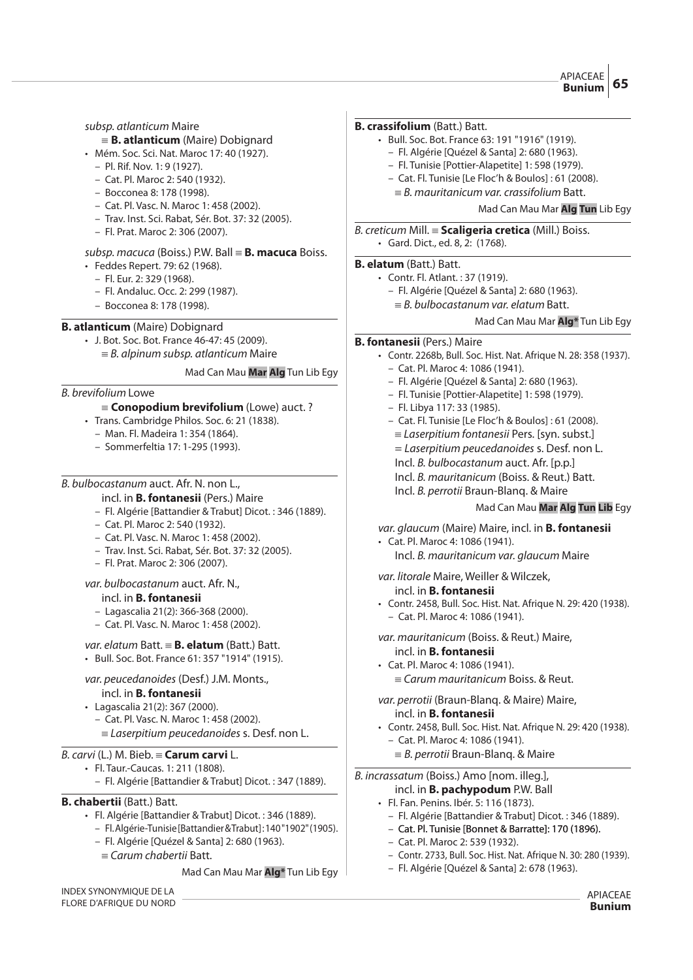#### APIACEAE **Bunium**

# subsp. atlanticum Maire

- {**B. atlanticum** (Maire) Dobignard
- Mém. Soc. Sci. Nat. Maroc 17: 40 (1927).
	- Pl. Rif. Nov. 1: 9 (1927).
	- Cat. Pl. Maroc 2: 540 (1932).
	- Bocconea 8: 178 (1998).
	- Cat. Pl. Vasc. N. Maroc 1: 458 (2002).
	- Trav. Inst. Sci. Rabat, Sér. Bot. 37: 32 (2005).
	- Fl. Prat. Maroc 2: 306 (2007).

# subsp. macuca (Boiss.) P.W. Ball { **B. macuca** Boiss.

- Feddes Repert. 79: 62 (1968).
	- Fl. Eur. 2: 329 (1968).
	- Fl. Andaluc. Occ. 2: 299 (1987).
	- Bocconea 8: 178 (1998).

# **B. atlanticum** (Maire) Dobignard

• J. Bot. Soc. Bot. France 46-47: 45 (2009).  ${}_{50}$  = B. alpinum subsp. atlanticum Maire

#### Mad Can Mau **Mar Alg** Tun Lib Egy

#### B. brevifolium Lowe

# {**Conopodium brevifolium** (Lowe) auct. ?

- Trans. Cambridge Philos. Soc. 6: 21 (1838).
	- Man. Fl. Madeira 1: 354 (1864).
	- Sommerfeltia 17: 1-295 (1993).

#### B. bulbocastanum auct. Afr. N. non L.,

#### incl. in **B. fontanesii** (Pers.) Maire

- Fl. Algérie [Battandier & Trabut] Dicot. : 346 (1889).
- Cat. Pl. Maroc 2: 540 (1932).
- Cat. Pl. Vasc. N. Maroc 1: 458 (2002).
- Trav. Inst. Sci. Rabat, Sér. Bot. 37: 32 (2005).
- Fl. Prat. Maroc 2: 306 (2007).

#### var. bulbocastanum auct. Afr. N., incl. in **B. fontanesii**

- Lagascalia 21(2): 366-368 (2000).
- Cat. Pl. Vasc. N. Maroc 1: 458 (2002).

#### var. elatum Batt.  $\equiv$  **B. elatum** (Batt.) Batt.

• Bull. Soc. Bot. France 61: 357 "1914" (1915).

#### var. peucedanoides (Desf.) J.M. Monts., incl. in **B. fontanesii**

- Lagascalia 21(2): 367 (2000).
	- Cat. Pl. Vasc. N. Maroc 1: 458 (2002).  $=$  Laserpitium peucedanoides s. Desf. non L.

# B. carvi (L.) M. Bieb. { **Carum carvi** L.

- Fl. Taur.-Caucas. 1: 211 (1808).
	- Fl. Algérie [Battandier & Trabut] Dicot. : 347 (1889).

# **B. chabertii** (Batt.) Batt.

- Fl. Algérie [Battandier & Trabut] Dicot. : 346 (1889).
	- Fl. Algérie-Tunisie [Battandier & Trabut] : 140 "1902" (1905).
	- Fl. Algérie [Quézel & Santa] 2: 680 (1963).
	- ${ }$   $\equiv$  Carum chabertii Batt.

#### Mad Can Mau Mar **Alg\*** Tun Lib Egy

INDEX SYNONYMIQUE DE LA FLORE D'AFRIQUE DU NORD

# **B. crassifolium** (Batt.) Batt.

- Bull. Soc. Bot. France 63: 191 "1916" (1919).
	- Fl. Algérie [Quézel & Santa] 2: 680 (1963).
	- Fl. Tunisie [Pottier-Alapetite] 1: 598 (1979).
	- Cat. Fl. Tunisie [Le Floc'h & Boulos] : 61 (2008).
	- $=$  B. mauritanicum var. crassifolium Batt.

# Mad Can Mau Mar **Alg Tun** Lib Egy

B. creticum Mill. { **Scaligeria cretica** (Mill.) Boiss. • Gard. Dict., ed. 8, 2: (1768).

#### **B. elatum** (Batt.) Batt.

- Contr. Fl. Atlant. : 37 (1919).
	- Fl. Algérie [Quézel & Santa] 2: 680 (1963).
		- $=$  B. bulbocastanum var. elatum Batt.

#### Mad Can Mau Mar **Alg\*** Tun Lib Egy

# **B. fontanesii** (Pers.) Maire

- Contr. 2268b, Bull. Soc. Hist. Nat. Afrique N. 28: 358 (1937).
	- Cat. Pl. Maroc 4: 1086 (1941).
	- Fl. Algérie [Quézel & Santa] 2: 680 (1963).
	- Fl. Tunisie [Pottier-Alapetite] 1: 598 (1979).
	- Fl. Libya 117: 33 (1985).
	- Cat. Fl. Tunisie [Le Floc'h & Boulos] : 61 (2008).  $=$  Laserpitium fontanesii Pers. [syn. subst.] = Laserpitium peucedanoides s. Desf. non L. Incl. B. bulbocastanum auct. Afr. [p.p.] Incl. B. mauritanicum (Boiss. & Reut.) Batt.
		- Incl. B. perrotii Braun-Blanq. & Maire

# Mad Can Mau **Mar Alg Tun Lib** Egy

# var. glaucum (Maire) Maire, incl. in **B. fontanesii**

- Cat. Pl. Maroc 4: 1086 (1941).
	- Incl. B. mauritanicum var. glaucum Maire

# var. litorale Maire, Weiller & Wilczek, incl. in **B. fontanesii**

- Contr. 2458, Bull. Soc. Hist. Nat. Afrique N. 29: 420 (1938).
- Cat. Pl. Maroc 4: 1086 (1941).

var. mauritanicum (Boiss. & Reut.) Maire, incl. in **B. fontanesii**

- Cat. Pl. Maroc 4: 1086 (1941).
	- ${\equiv}$  Carum mauritanicum Boiss. & Reut.

# var. perrotii (Braun-Blanq. & Maire) Maire,

#### incl. in **B. fontanesii**

- Contr. 2458, Bull. Soc. Hist. Nat. Afrique N. 29: 420 (1938).
	- Cat. Pl. Maroc 4: 1086 (1941).
	- $\equiv$  *B. perrotii* Braun-Blang. & Maire

#### B. incrassatum (Boiss.) Amo [nom. illeg.], incl. in **B. pachypodum** P.W. Ball

- Fl. Fan. Penins. Ibér. 5: 116 (1873).
	- Fl. Algérie [Battandier & Trabut] Dicot. : 346 (1889).
	- Cat. Pl. Tunisie [Bonnet & Barratte]: 170 (1896).
	- Cat. Pl. Maroc 2: 539 (1932).
	- Contr. 2733, Bull. Soc. Hist. Nat. Afrique N. 30: 280 (1939).
	- Fl. Algérie [Quézel & Santa] 2: 678 (1963).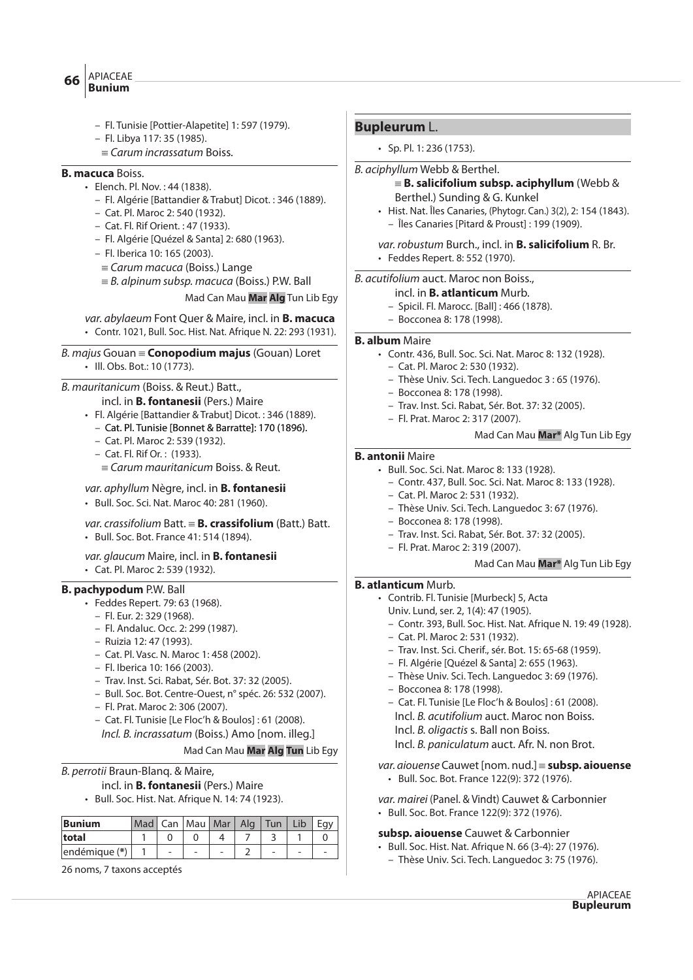- APIACEAE  $\overline{\text{B}}$  **Bunium** 
	- - Fl. Tunisie [Pottier-Alapetite] 1: 597 (1979).
		- Fl. Libya 117: 35 (1985).
		- ${ }$   $=$  Carum incrassatum Boiss.

# **B. macuca** Boiss.

- Elench. Pl. Nov. : 44 (1838).
	- Fl. Algérie [Battandier & Trabut] Dicot. : 346 (1889).
	- Cat. Pl. Maroc 2: 540 (1932).
	- Cat. Fl. Rif Orient. : 47 (1933).
	- Fl. Algérie [Quézel & Santa] 2: 680 (1963).
	- Fl. Iberica 10: 165 (2003).
	- $=$  Carum macuca (Boiss.) Lange
	- $\equiv$  B. alpinum subsp. macuca (Boiss.) P.W. Ball

Mad Can Mau **Mar Alg** Tun Lib Egy

var. abylaeum Font Quer & Maire, incl. in **B. macuca** • Contr. 1021, Bull. Soc. Hist. Nat. Afrique N. 22: 293 (1931).

B. majus Gouan { **Conopodium majus** (Gouan) Loret • Ill. Obs. Bot.: 10 (1773).

# B. mauritanicum (Boiss. & Reut.) Batt.,

- incl. in **B. fontanesii** (Pers.) Maire
- Fl. Algérie [Battandier & Trabut] Dicot. : 346 (1889).
	- Cat. Pl. Tunisie [Bonnet & Barratte]: 170 (1896).
	- Cat. Pl. Maroc 2: 539 (1932).
	- Cat. Fl. Rif Or. : (1933).

 ${\equiv}$  Carum mauritanicum Boiss. & Reut.

var. aphyllum Nègre, incl. in **B. fontanesii**

• Bull. Soc. Sci. Nat. Maroc 40: 281 (1960).

#### var. crassifolium Batt. { **B. crassifolium** (Batt.) Batt. • Bull. Soc. Bot. France 41: 514 (1894).

var. glaucum Maire, incl. in **B. fontanesii** • Cat. Pl. Maroc 2: 539 (1932).

# **B. pachypodum** P.W. Ball

- Feddes Repert. 79: 63 (1968).
	- Fl. Eur. 2: 329 (1968).
	- Fl. Andaluc. Occ. 2: 299 (1987).
	- Ruizia 12: 47 (1993).
	- Cat. Pl. Vasc. N. Maroc 1: 458 (2002).
	- Fl. Iberica 10: 166 (2003).
	- Trav. Inst. Sci. Rabat, Sér. Bot. 37: 32 (2005).
	- Bull. Soc. Bot. Centre-Ouest, n° spéc. 26: 532 (2007).
	- Fl. Prat. Maroc 2: 306 (2007).
	- Cat. Fl. Tunisie [Le Floc'h & Boulos] : 61 (2008). Incl. B. incrassatum (Boiss.) Amo [nom. illeg.]

Mad Can Mau **Mar Alg Tun** Lib Egy

# B. perrotii Braun-Blanq. & Maire,

- incl. in **B. fontanesii** (Pers.) Maire
- Bull. Soc. Hist. Nat. Afrique N. 14: 74 (1923).

| Bunium        |   | Mad   Can   Mau   Mar   Alg |  | Tun |   |  |
|---------------|---|-----------------------------|--|-----|---|--|
| total         |   |                             |  |     |   |  |
| endémique (*) | ۰ | $\overline{\phantom{0}}$    |  |     | - |  |

26 noms, 7 taxons acceptés

# **Bupleurum** L.

• Sp. Pl. 1: 236 (1753).

# B. aciphyllum Webb & Berthel.

# { **B. salicifolium subsp. aciphyllum** (Webb & Berthel.) Sunding & G. Kunkel

- Hist. Nat. Îles Canaries, (Phytogr. Can.) 3(2), 2: 154 (1843). – Îles Canaries [Pitard & Proust] : 199 (1909).
- var. robustum Burch., incl. in **B. salicifolium** R. Br. • Feddes Repert. 8: 552 (1970).
- B. acutifolium auct. Maroc non Boiss.,

# incl. in **B. atlanticum** Murb.

- Spicil. Fl. Marocc. [Ball] : 466 (1878).
- Bocconea 8: 178 (1998).

# **B. album** Maire

- Contr. 436, Bull. Soc. Sci. Nat. Maroc 8: 132 (1928).
	- Cat. Pl. Maroc 2: 530 (1932).
	- Thèse Univ. Sci. Tech. Languedoc 3 : 65 (1976).
	- Bocconea 8: 178 (1998).
	- Trav. Inst. Sci. Rabat, Sér. Bot. 37: 32 (2005).
	- Fl. Prat. Maroc 2: 317 (2007).

# Mad Can Mau **Mar\*** Alg Tun Lib Egy

# **B. antonii** Maire

- Bull. Soc. Sci. Nat. Maroc 8: 133 (1928).
	- Contr. 437, Bull. Soc. Sci. Nat. Maroc 8: 133 (1928).
	- Cat. Pl. Maroc 2: 531 (1932).
	- Thèse Univ. Sci. Tech. Languedoc 3: 67 (1976).
	- Bocconea 8: 178 (1998).
	- Trav. Inst. Sci. Rabat, Sér. Bot. 37: 32 (2005).
	- Fl. Prat. Maroc 2: 319 (2007).
		- Mad Can Mau **Mar\*** Alg Tun Lib Egy

# **B. atlanticum** Murb.

- Contrib. Fl. Tunisie [Murbeck] 5, Acta
- Univ. Lund, ser. 2, 1(4): 47 (1905).
	- Contr. 393, Bull. Soc. Hist. Nat. Afrique N. 19: 49 (1928).
	- Cat. Pl. Maroc 2: 531 (1932).
	- Trav. Inst. Sci. Cherif., sér. Bot. 15: 65-68 (1959).
- Fl. Algérie [Quézel & Santa] 2: 655 (1963).
- Thèse Univ. Sci. Tech. Languedoc 3: 69 (1976).
- Bocconea 8: 178 (1998).
- Cat. Fl. Tunisie [Le Floc'h & Boulos] : 61 (2008). Incl. B. acutifolium auct. Maroc non Boiss. Incl. B. oligactis s. Ball non Boiss. Incl. B. paniculatum auct. Afr. N. non Brot.

var. aiouense Cauwet [nom. nud.] {**subsp. aiouense** • Bull. Soc. Bot. France 122(9): 372 (1976).

var. mairei (Panel. & Vindt) Cauwet & Carbonnier • Bull. Soc. Bot. France 122(9): 372 (1976).

# **subsp. aiouense** Cauwet & Carbonnier

- Bull. Soc. Hist. Nat. Afrique N. 66 (3-4): 27 (1976).
	- Thèse Univ. Sci. Tech. Languedoc 3: 75 (1976).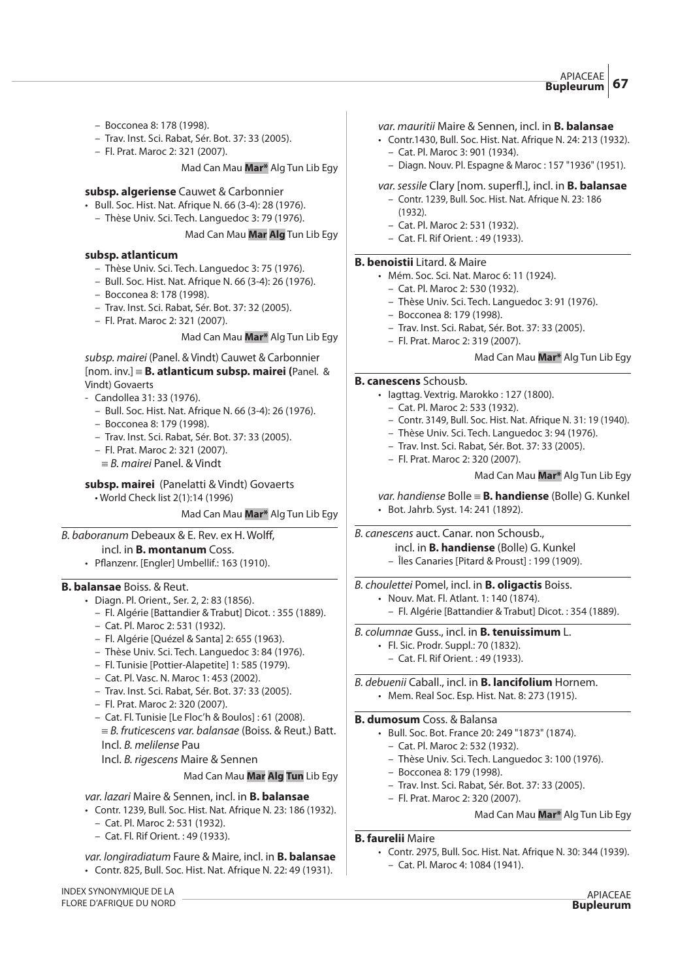- Bocconea 8: 178 (1998).
- Trav. Inst. Sci. Rabat, Sér. Bot. 37: 33 (2005).
- Fl. Prat. Maroc 2: 321 (2007).

Mad Can Mau **Mar\*** Alg Tun Lib Egy

#### **subsp. algeriense** Cauwet & Carbonnier

- Bull. Soc. Hist. Nat. Afrique N. 66 (3-4): 28 (1976).
	- Thèse Univ. Sci. Tech. Languedoc 3: 79 (1976).

#### Mad Can Mau **Mar Alg** Tun Lib Egy

#### **subsp. atlanticum**

- Thèse Univ. Sci. Tech. Languedoc 3: 75 (1976).
- Bull. Soc. Hist. Nat. Afrique N. 66 (3-4): 26 (1976).
- Bocconea 8: 178 (1998).
- Trav. Inst. Sci. Rabat, Sér. Bot. 37: 32 (2005).
- Fl. Prat. Maroc 2: 321 (2007).

# Mad Can Mau **Mar\*** Alg Tun Lib Egy

### subsp. mairei (Panel. & Vindt) Cauwet & Carbonnier [nom. inv.] { **B. atlanticum subsp. mairei (**Panel. & Vindt) Govaerts

- Candollea 31: 33 (1976).
	- Bull. Soc. Hist. Nat. Afrique N. 66 (3-4): 26 (1976).
	- Bocconea 8: 179 (1998).
	- Trav. Inst. Sci. Rabat, Sér. Bot. 37: 33 (2005).
	- Fl. Prat. Maroc 2: 321 (2007).
	- $\equiv$  B. mairei Panel. & Vindt

**subsp. mairei** (Panelatti & Vindt) Govaerts

• World Check list 2(1):14 (1996)

Mad Can Mau **Mar\*** Alg Tun Lib Egy

# B. baboranum Debeaux & E. Rev. ex H. Wolff,

# incl. in **B. montanum** Coss.

• Pflanzenr. [Engler] Umbellif.: 163 (1910).

# **B. balansae** Boiss. & Reut.

- Diagn. Pl. Orient., Ser. 2, 2: 83 (1856).
	- Fl. Algérie [Battandier & Trabut] Dicot. : 355 (1889).
	- Cat. Pl. Maroc 2: 531 (1932).
	- Fl. Algérie [Quézel & Santa] 2: 655 (1963).
	- Thèse Univ. Sci. Tech. Languedoc 3: 84 (1976).
	- Fl. Tunisie [Pottier-Alapetite] 1: 585 (1979).
	- Cat. Pl. Vasc. N. Maroc 1: 453 (2002).
	- Trav. Inst. Sci. Rabat, Sér. Bot. 37: 33 (2005).
	- Fl. Prat. Maroc 2: 320 (2007).
	- Cat. Fl. Tunisie [Le Floc'h & Boulos] : 61 (2008).  $E \equiv B$ . fruticescens var. balansae (Boiss. & Reut.) Batt. Incl. B. melilense Pau

Incl. B. rigescens Maire & Sennen

# Mad Can Mau **Mar Alg Tun** Lib Egy

- var. lazari Maire & Sennen, incl. in **B. balansae**
- Contr. 1239, Bull. Soc. Hist. Nat. Afrique N. 23: 186 (1932).
	- Cat. Pl. Maroc 2: 531 (1932).
	- Cat. Fl. Rif Orient. : 49 (1933).
- var. longiradiatum Faure & Maire, incl. in **B. balansae**
- Contr. 825, Bull. Soc. Hist. Nat. Afrique N. 22: 49 (1931).

#### var. mauritii Maire & Sennen, incl. in **B. balansae**

- Contr.1430, Bull. Soc. Hist. Nat. Afrique N. 24: 213 (1932). – Cat. Pl. Maroc 3: 901 (1934).
	- Diagn. Nouv. Pl. Espagne & Maroc : 157 "1936" (1951).

# var.sessile Clary [nom. superfl.], incl. in **B. balansae**

- Contr. 1239, Bull. Soc. Hist. Nat. Afrique N. 23: 186 (1932).
- Cat. Pl. Maroc 2: 531 (1932).
- Cat. Fl. Rif Orient. : 49 (1933).

#### **B. benoistii** Litard. & Maire

- Mém. Soc. Sci. Nat. Maroc 6: 11 (1924).
	- Cat. Pl. Maroc 2: 530 (1932).
	- Thèse Univ. Sci. Tech. Languedoc 3: 91 (1976).
	- Bocconea 8: 179 (1998).
	- Trav. Inst. Sci. Rabat, Sér. Bot. 37: 33 (2005).
	- Fl. Prat. Maroc 2: 319 (2007).

#### Mad Can Mau **Mar\*** Alg Tun Lib Egy

#### **B. canescens** Schousb.

- Iagttag. Vextrig. Marokko : 127 (1800).
	- Cat. Pl. Maroc 2: 533 (1932).
	- Contr. 3149, Bull. Soc. Hist. Nat. Afrique N. 31: 19 (1940).
	- Thèse Univ. Sci. Tech. Languedoc 3: 94 (1976).
	- Trav. Inst. Sci. Rabat, Sér. Bot. 37: 33 (2005).
	- Fl. Prat. Maroc 2: 320 (2007).

#### Mad Can Mau **Mar\*** Alg Tun Lib Egy

var. handiense Bolle { **B. handiense** (Bolle) G. Kunkel • Bot. Jahrb. Syst. 14: 241 (1892).

B. canescens auct. Canar. non Schousb.,

- incl. in **B. handiense** (Bolle) G. Kunkel
- Îles Canaries [Pitard & Proust] : 199 (1909).

#### B. choulettei Pomel, incl. in **B. oligactis** Boiss.

- Nouv. Mat. Fl. Atlant. 1: 140 (1874).
	- Fl. Algérie [Battandier & Trabut] Dicot. : 354 (1889).
- B. columnae Guss., incl. in **B. tenuissimum** L.
	- Fl. Sic. Prodr. Suppl.: 70 (1832).
	- Cat. Fl. Rif Orient. : 49 (1933).

B. debuenii Caball., incl. in **B. lancifolium** Hornem. • Mem. Real Soc. Esp. Hist. Nat. 8: 273 (1915).

# **B. dumosum** Coss. & Balansa

- Bull. Soc. Bot. France 20: 249 "1873" (1874).
	- Cat. Pl. Maroc 2: 532 (1932).
	- Thèse Univ. Sci. Tech. Languedoc 3: 100 (1976).
	- Bocconea 8: 179 (1998).
	- Trav. Inst. Sci. Rabat, Sér. Bot. 37: 33 (2005).
	- Fl. Prat. Maroc 2: 320 (2007).

#### Mad Can Mau **Mar\*** Alg Tun Lib Egy

# **B. faurelii** Maire

- Contr. 2975, Bull. Soc. Hist. Nat. Afrique N. 30: 344 (1939).
	- Cat. Pl. Maroc 4: 1084 (1941).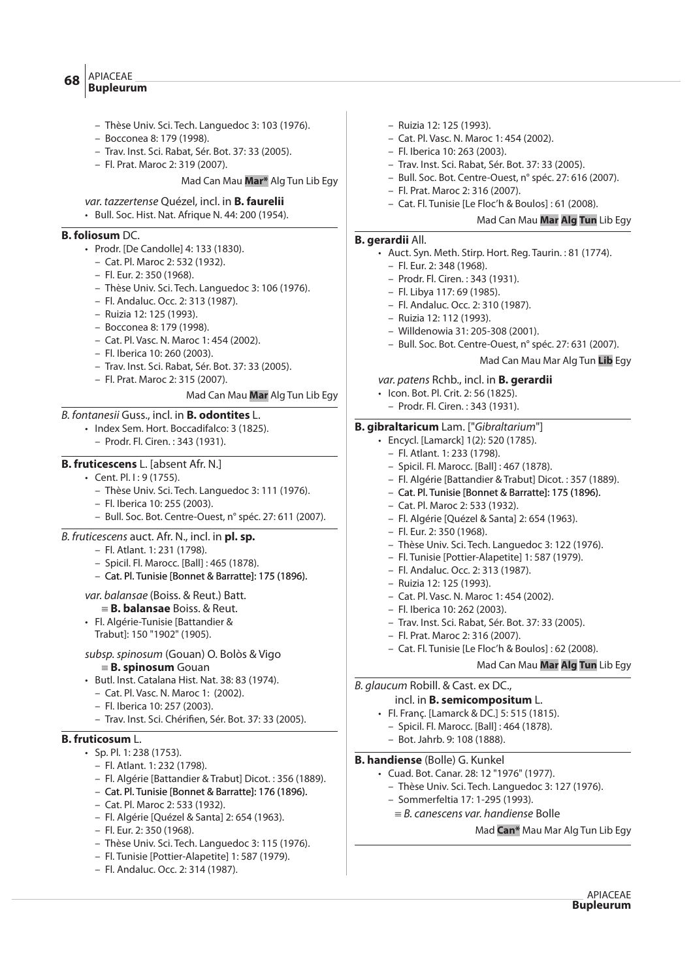#### APIACEAE **Bupleurum <sup>68</sup>**

- Thèse Univ. Sci. Tech. Languedoc 3: 103 (1976).
- Bocconea 8: 179 (1998).
- Trav. Inst. Sci. Rabat, Sér. Bot. 37: 33 (2005).
- Fl. Prat. Maroc 2: 319 (2007).

Mad Can Mau **Mar\*** Alg Tun Lib Egy

- var. tazzertense Quézel, incl. in **B. faurelii**
- Bull. Soc. Hist. Nat. Afrique N. 44: 200 (1954).

# **B. foliosum** DC.

- Prodr. [De Candolle] 4: 133 (1830).
	- Cat. Pl. Maroc 2: 532 (1932).
	- Fl. Eur. 2: 350 (1968).
	- Thèse Univ. Sci. Tech. Languedoc 3: 106 (1976).
	- Fl. Andaluc. Occ. 2: 313 (1987).
	- Ruizia 12: 125 (1993).
	- Bocconea 8: 179 (1998).
	- Cat. Pl. Vasc. N. Maroc 1: 454 (2002).
	- Fl. Iberica 10: 260 (2003).
	- Trav. Inst. Sci. Rabat, Sér. Bot. 37: 33 (2005).
	- Fl. Prat. Maroc 2: 315 (2007).

#### Mad Can Mau **Mar** Alg Tun Lib Egy

# B. fontanesii Guss., incl. in **B. odontites** L.

- Index Sem. Hort. Boccadifalco: 3 (1825).
	- Prodr. Fl. Ciren. : 343 (1931).

# **B. fruticescens** L. [absent Afr. N.]

- Cent. Pl. I : 9 (1755).
	- Thèse Univ. Sci. Tech. Languedoc 3: 111 (1976).
	- Fl. Iberica 10: 255 (2003).
	- Bull. Soc. Bot. Centre-Ouest, n° spéc. 27: 611 (2007).
- B. fruticescens auct. Afr. N., incl. in **pl. sp.**
	- Fl. Atlant. 1: 231 (1798).
	- Spicil. Fl. Marocc. [Ball] : 465 (1878).
	- Cat. Pl. Tunisie [Bonnet & Barratte]: 175 (1896).

#### var. balansae (Boiss. & Reut.) Batt.

- { **B. balansae** Boiss. & Reut.
- Fl. Algérie-Tunisie [Battandier & Trabut]: 150 "1902" (1905).
- subsp.spinosum (Gouan) O. Bolòs & Vigo { **B. spinosum** Gouan
- Butl. Inst. Catalana Hist. Nat. 38: 83 (1974).
	- Cat. Pl. Vasc. N. Maroc 1: (2002).
	- Fl. Iberica 10: 257 (2003).
	- Trav. Inst. Sci. Chérifien, Sér. Bot. 37: 33 (2005).

# **B. fruticosum** L.

- Sp. Pl. 1: 238 (1753).
	- Fl. Atlant. 1: 232 (1798).
	- Fl. Algérie [Battandier & Trabut] Dicot. : 356 (1889).
	- Cat. Pl. Tunisie [Bonnet & Barratte]: 176 (1896).
	- Cat. Pl. Maroc 2: 533 (1932).
	- Fl. Algérie [Quézel & Santa] 2: 654 (1963).
	- Fl. Eur. 2: 350 (1968).
	- Thèse Univ. Sci. Tech. Languedoc 3: 115 (1976).
	- Fl. Tunisie [Pottier-Alapetite] 1: 587 (1979).
	- Fl. Andaluc. Occ. 2: 314 (1987).
- Ruizia 12: 125 (1993).
- Cat. Pl. Vasc. N. Maroc 1: 454 (2002).
- Fl. Iberica 10: 263 (2003).
- Trav. Inst. Sci. Rabat, Sér. Bot. 37: 33 (2005).
- Bull. Soc. Bot. Centre-Ouest, n° spéc. 27: 616 (2007).
- Fl. Prat. Maroc 2: 316 (2007).
- Cat. Fl. Tunisie [Le Floc'h & Boulos] : 61 (2008).

#### Mad Can Mau **Mar Alg Tun** Lib Egy

#### **B. gerardii** All.

- Auct. Syn. Meth. Stirp. Hort. Reg. Taurin. : 81 (1774).
	- Fl. Eur. 2: 348 (1968).
	- Prodr. Fl. Ciren. : 343 (1931).
	- Fl. Libya 117: 69 (1985).
	- Fl. Andaluc. Occ. 2: 310 (1987).
	- Ruizia 12: 112 (1993).
	- Willdenowia 31: 205-308 (2001).
	- Bull. Soc. Bot. Centre-Ouest, n° spéc. 27: 631 (2007).

Mad Can Mau Mar Alg Tun **Lib** Egy

#### var. patens Rchb., incl. in **B. gerardii**

- Icon. Bot. Pl. Crit. 2: 56 (1825).
- Prodr. Fl. Ciren. : 343 (1931).

### **B. gibraltaricum** Lam. ["Gibraltarium"]

- Encycl. [Lamarck] 1(2): 520 (1785).
	- Fl. Atlant. 1: 233 (1798).
	- Spicil. Fl. Marocc. [Ball] : 467 (1878).
	- Fl. Algérie [Battandier & Trabut] Dicot. : 357 (1889).
	- Cat. Pl. Tunisie [Bonnet & Barratte]: 175 (1896).
	- Cat. Pl. Maroc 2: 533 (1932).
	- Fl. Algérie [Quézel & Santa] 2: 654 (1963).
	- Fl. Eur. 2: 350 (1968).
	- Thèse Univ. Sci. Tech. Languedoc 3: 122 (1976).
	- Fl. Tunisie [Pottier-Alapetite] 1: 587 (1979).
	- Fl. Andaluc. Occ. 2: 313 (1987).
	- Ruizia 12: 125 (1993).
	- Cat. Pl. Vasc. N. Maroc 1: 454 (2002).
- Fl. Iberica 10: 262 (2003).
- Trav. Inst. Sci. Rabat, Sér. Bot. 37: 33 (2005).
- Fl. Prat. Maroc 2: 316 (2007).
- Cat. Fl. Tunisie [Le Floc'h & Boulos] : 62 (2008).

Mad Can Mau **Mar Alg Tun** Lib Egy

Mad **Can\*** Mau Mar Alg Tun Lib Egy

APIACEAE **Bupleurum**

B. glaucum Robill. & Cast. ex DC.,

- incl. in **B. semicompositum** L.
	- Fl. Franç. [Lamarck & DC.] 5: 515 (1815). – Spicil. Fl. Marocc. [Ball] : 464 (1878).
	- Bot. Jahrb. 9: 108 (1888).

#### **B. handiense** (Bolle) G. Kunkel

• Cuad. Bot. Canar. 28: 12 "1976" (1977).

– Sommerfeltia 17: 1-295 (1993).  $=$  B. canescens var. handiense Bolle

– Thèse Univ. Sci. Tech. Languedoc 3: 127 (1976).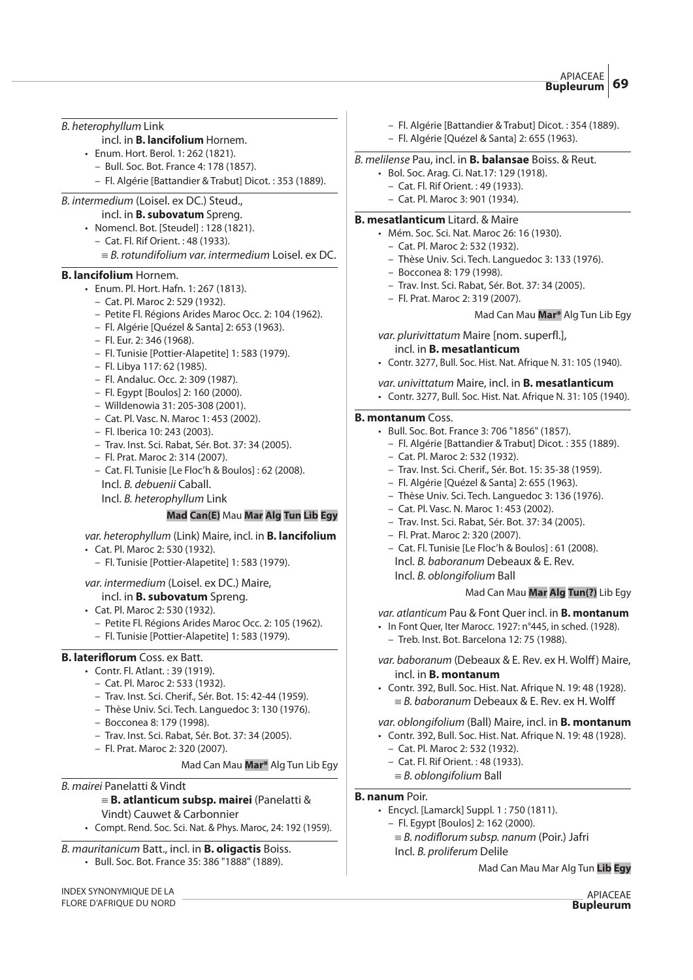B. heterophyllum Link

- incl. in **B. lancifolium** Hornem.
- Enum. Hort. Berol. 1: 262 (1821).
	- Bull. Soc. Bot. France 4: 178 (1857).
	- Fl. Algérie [Battandier & Trabut] Dicot. : 353 (1889).

# B. intermedium (Loisel. ex DC.) Steud.,

incl. in **B. subovatum** Spreng.

- Nomencl. Bot. [Steudel] : 128 (1821).
- Cat. Fl. Rif Orient. : 48 (1933).
	- $\equiv$  B. rotundifolium var. intermedium Loisel. ex DC.

# **B. lancifolium** Hornem.

- Enum. Pl. Hort. Hafn. 1: 267 (1813).
	- Cat. Pl. Maroc 2: 529 (1932).
	- Petite Fl. Régions Arides Maroc Occ. 2: 104 (1962).
	- Fl. Algérie [Quézel & Santa] 2: 653 (1963).
	- Fl. Eur. 2: 346 (1968).
	- Fl. Tunisie [Pottier-Alapetite] 1: 583 (1979).
	- Fl. Libya 117: 62 (1985).
	- Fl. Andaluc. Occ. 2: 309 (1987).
	- Fl. Egypt [Boulos] 2: 160 (2000).
	- Willdenowia 31: 205-308 (2001).
	- Cat. Pl. Vasc. N. Maroc 1: 453 (2002).
	- Fl. Iberica 10: 243 (2003).
	- Trav. Inst. Sci. Rabat, Sér. Bot. 37: 34 (2005).
	- Fl. Prat. Maroc 2: 314 (2007).
	- Cat. Fl. Tunisie [Le Floc'h & Boulos] : 62 (2008). Incl. B. debuenii Caball.
	- Incl. B. heterophyllum Link

# **Mad Can(E)** Mau **Mar Alg Tun Lib Egy**

var. heterophyllum (Link) Maire, incl. in **B. lancifolium**

- Cat. Pl. Maroc 2: 530 (1932).
	- Fl. Tunisie [Pottier-Alapetite] 1: 583 (1979).

#### var. intermedium (Loisel. ex DC.) Maire,

# incl. in **B. subovatum** Spreng.

- Cat. Pl. Maroc 2: 530 (1932).
	- Petite Fl. Régions Arides Maroc Occ. 2: 105 (1962).
	- Fl. Tunisie [Pottier-Alapetite] 1: 583 (1979).

# **B. lateriflorum** Coss. ex Batt.

- Contr. Fl. Atlant. : 39 (1919).
	- Cat. Pl. Maroc 2: 533 (1932).
	- Trav. Inst. Sci. Cherif., Sér. Bot. 15: 42-44 (1959).
	- Thèse Univ. Sci. Tech. Languedoc 3: 130 (1976).
	- Bocconea 8: 179 (1998).
	- Trav. Inst. Sci. Rabat, Sér. Bot. 37: 34 (2005).
	- Fl. Prat. Maroc 2: 320 (2007).

#### Mad Can Mau **Mar\*** Alg Tun Lib Egy

# B. mairei Panelatti & Vindt

# { **B. atlanticum subsp. mairei** (Panelatti &

- Vindt) Cauwet & Carbonnier
- Compt. Rend. Soc. Sci. Nat. & Phys. Maroc, 24: 192 (1959).

#### B. mauritanicum Batt., incl. in **B. oligactis** Boiss.

• Bull. Soc. Bot. France 35: 386 "1888" (1889).

INDEX SYNONYMIQUE DE LA FLORE D'AFRIQUE DU NORD

- Fl. Algérie [Battandier & Trabut] Dicot. : 354 (1889).
- Fl. Algérie [Quézel & Santa] 2: 655 (1963).

# B. melilense Pau, incl. in **B. balansae** Boiss. & Reut.

- Bol. Soc. Arag. Ci. Nat.17: 129 (1918).
	- Cat. Fl. Rif Orient. : 49 (1933).
	- Cat. Pl. Maroc 3: 901 (1934).

#### **B. mesatlanticum** Litard. & Maire

- Mém. Soc. Sci. Nat. Maroc 26: 16 (1930).
- Cat. Pl. Maroc 2: 532 (1932).
- Thèse Univ. Sci. Tech. Languedoc 3: 133 (1976).
- Bocconea 8: 179 (1998).
- Trav. Inst. Sci. Rabat, Sér. Bot. 37: 34 (2005).
- Fl. Prat. Maroc 2: 319 (2007).
	- Mad Can Mau **Mar\*** Alg Tun Lib Egy
- var. plurivittatum Maire [nom. superfl.],
	- incl. in **B. mesatlanticum**
- Contr. 3277, Bull. Soc. Hist. Nat. Afrique N. 31: 105 (1940).
- var. univittatum Maire, incl. in **B. mesatlanticum**
- Contr. 3277, Bull. Soc. Hist. Nat. Afrique N. 31: 105 (1940).

#### **B. montanum** Coss.

- Bull. Soc. Bot. France 3: 706 "1856" (1857).
	- Fl. Algérie [Battandier & Trabut] Dicot. : 355 (1889).
	- Cat. Pl. Maroc 2: 532 (1932).
	- Trav. Inst. Sci. Cherif., Sér. Bot. 15: 35-38 (1959).
	- Fl. Algérie [Quézel & Santa] 2: 655 (1963).
	- Thèse Univ. Sci. Tech. Languedoc 3: 136 (1976).
	- Cat. Pl. Vasc. N. Maroc 1: 453 (2002).
	- Trav. Inst. Sci. Rabat, Sér. Bot. 37: 34 (2005).
	- Fl. Prat. Maroc 2: 320 (2007).
	- Cat. Fl. Tunisie [Le Floc'h & Boulos] : 61 (2008). Incl. B. baboranum Debeaux & E. Rev.
	- Incl. B. oblongifolium Ball

#### Mad Can Mau **Mar Alg Tun(?)** Lib Egy

var. atlanticum Pau & Font Quer incl. in **B. montanum**

- In Font Quer, Iter Marocc. 1927: n°445, in sched. (1928).
- Treb. Inst. Bot. Barcelona 12: 75 (1988).
- var. baboranum (Debeaux & E. Rev. ex H. Wolff) Maire, incl. in **B. montanum**
- Contr. 392, Bull. Soc. Hist. Nat. Afrique N. 19: 48 (1928).  $=$  B. baboranum Debeaux & E. Rev. ex H. Wolff

# var. oblongifolium (Ball) Maire, incl. in **B. montanum**

- Contr. 392, Bull. Soc. Hist. Nat. Afrique N. 19: 48 (1928).
	- Cat. Pl. Maroc 2: 532 (1932).
	- Cat. Fl. Rif Orient. : 48 (1933).
- $\equiv$  B. oblongifolium Ball

# **B. nanum** Poir.

- Encycl. [Lamarck] Suppl. 1 : 750 (1811).
	- Fl. Egypt [Boulos] 2: 162 (2000).
	- $=$  B. nodiflorum subsp. nanum (Poir.) Jafri Incl. B. proliferum Delile

Mad Can Mau Mar Alg Tun **Lib Egy**

APIACEAE **Bupleurum**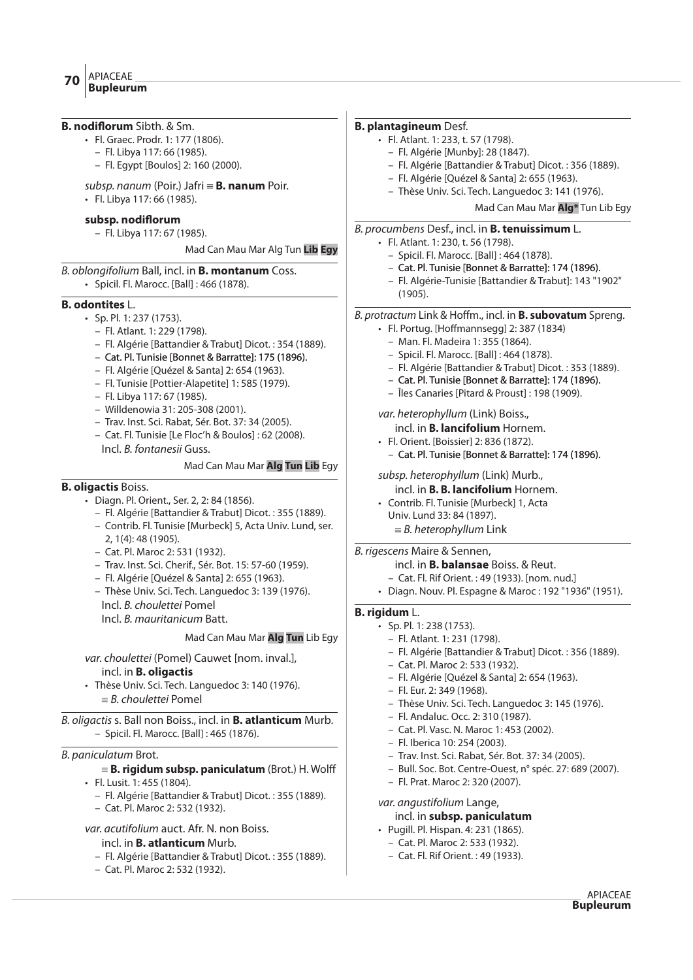| <b>B. nodiflorum</b> Sibth. & Sm.                                                          | <b>B. plantagineum Desf.</b>                                       |
|--------------------------------------------------------------------------------------------|--------------------------------------------------------------------|
| • Fl. Graec. Prodr. 1: 177 (1806).                                                         | · Fl. Atlant. 1: 233, t. 57 (1798).                                |
| - Fl. Libya 117: 66 (1985).                                                                | - Fl. Algérie [Munby]: 28 (1847).                                  |
| - Fl. Egypt [Boulos] 2: 160 (2000).                                                        | - Fl. Algérie [Battandier & Trabut] Dicot.: 356 (1889).            |
| subsp. nanum (Poir.) Jafri $\equiv$ <b>B. nanum</b> Poir.                                  | - Fl. Algérie [Quézel & Santa] 2: 655 (1963).                      |
| · Fl. Libya 117:66 (1985).                                                                 | - Thèse Univ. Sci. Tech. Languedoc 3: 141 (1976).                  |
|                                                                                            | Mad Can Mau Mar Alg* Tun Lib Egy                                   |
| subsp. nodiflorum                                                                          | B. procumbens Desf., incl. in <b>B. tenuissimum</b> L.             |
| - Fl. Libya 117: 67 (1985).                                                                | • Fl. Atlant. 1: 230, t. 56 (1798).                                |
| Mad Can Mau Mar Alg Tun Lib Egy                                                            | - Spicil. Fl. Marocc. [Ball] : 464 (1878).                         |
| B. oblongifolium Ball, incl. in <b>B. montanum</b> Coss.                                   | - Cat. Pl. Tunisie [Bonnet & Barratte]: 174 (1896).                |
| • Spicil. Fl. Marocc. [Ball] : 466 (1878).                                                 | - Fl. Algérie-Tunisie [Battandier & Trabut]: 143 "1902"<br>(1905). |
| <b>B.</b> odontites L.                                                                     |                                                                    |
| • Sp. Pl. 1: 237 (1753).                                                                   | B. protractum Link & Hoffm., incl. in <b>B. subovatum</b> Spreng.  |
| - Fl. Atlant. 1: 229 (1798).                                                               | · Fl. Portug. [Hoffmannsegg] 2: 387 (1834)                         |
| - Fl. Algérie [Battandier & Trabut] Dicot.: 354 (1889).                                    | - Man. Fl. Madeira 1: 355 (1864).                                  |
| - Cat. Pl. Tunisie [Bonnet & Barratte]: 175 (1896).                                        | - Spicil. Fl. Marocc. [Ball] : 464 (1878).                         |
| - Fl. Algérie [Quézel & Santa] 2: 654 (1963).                                              | - Fl. Algérie [Battandier & Trabut] Dicot.: 353 (1889).            |
| - Fl. Tunisie [Pottier-Alapetite] 1: 585 (1979).                                           | - Cat. Pl. Tunisie [Bonnet & Barratte]: 174 (1896).                |
| - Fl. Libya 117: 67 (1985).                                                                | - Îles Canaries [Pitard & Proust]: 198 (1909).                     |
| - Willdenowia 31: 205-308 (2001).                                                          | var. heterophyllum (Link) Boiss.,                                  |
| - Trav. Inst. Sci. Rabat, Sér. Bot. 37: 34 (2005).                                         | incl. in <b>B. lancifolium</b> Hornem.                             |
| - Cat. Fl. Tunisie [Le Floc'h & Boulos] : 62 (2008).                                       | • Fl. Orient. [Boissier] 2: 836 (1872).                            |
| Incl. B. fontanesii Guss.                                                                  | - Cat. Pl. Tunisie [Bonnet & Barratte]: 174 (1896).                |
| Mad Can Mau Mar Alg Tun Lib Egy                                                            |                                                                    |
|                                                                                            | subsp. heterophyllum (Link) Murb.,                                 |
| <b>B. oligactis Boiss.</b>                                                                 | incl. in <b>B. B. lancifolium</b> Hornem.                          |
| • Diagn. Pl. Orient., Ser. 2, 2: 84 (1856).                                                | • Contrib. Fl. Tunisie [Murbeck] 1, Acta                           |
| - Fl. Algérie [Battandier & Trabut] Dicot.: 355 (1889).                                    | Univ. Lund 33: 84 (1897).                                          |
| - Contrib. Fl. Tunisie [Murbeck] 5, Acta Univ. Lund, ser.                                  | $\equiv$ B. heterophyllum Link                                     |
| 2, 1(4): 48 (1905).                                                                        |                                                                    |
| - Cat. Pl. Maroc 2: 531 (1932).                                                            | B. rigescens Maire & Sennen,                                       |
| - Trav. Inst. Sci. Cherif., Sér. Bot. 15: 57-60 (1959).                                    | incl. in <b>B. balansae</b> Boiss. & Reut.                         |
| - Fl. Algérie [Quézel & Santa] 2: 655 (1963).                                              | - Cat. Fl. Rif Orient.: 49 (1933). [nom. nud.]                     |
| - Thèse Univ. Sci. Tech. Languedoc 3: 139 (1976).                                          | • Diagn. Nouv. Pl. Espagne & Maroc: 192"1936" (1951).              |
| Incl. B. choulettei Pomel                                                                  | B. rigidum L.                                                      |
| Incl. B. mauritanicum Batt.                                                                | • Sp. Pl. 1: 238 (1753).                                           |
| Mad Can Mau Mar Alg Tun Lib Egy                                                            | - Fl. Atlant. 1: 231 (1798).                                       |
| var. choulettei (Pomel) Cauwet [nom. inval.],                                              | - Fl. Algérie [Battandier & Trabut] Dicot.: 356 (1889).            |
|                                                                                            | - Cat. Pl. Maroc 2: 533 (1932).                                    |
| incl. in <b>B. oligactis</b><br>· Thèse Univ. Sci. Tech. Languedoc 3: 140 (1976).          | - Fl. Algérie [Quézel & Santa] 2: 654 (1963).                      |
| $\equiv$ B. choulettei Pomel                                                               | - Fl. Eur. 2: 349 (1968).                                          |
|                                                                                            | - Thèse Univ. Sci. Tech. Languedoc 3: 145 (1976).                  |
| B. oligactis s. Ball non Boiss., incl. in <b>B. atlanticum</b> Murb.                       | - Fl. Andaluc. Occ. 2: 310 (1987).                                 |
| - Spicil. Fl. Marocc. [Ball] : 465 (1876).                                                 | - Cat. Pl. Vasc. N. Maroc 1: 453 (2002).                           |
|                                                                                            | - Fl. Iberica 10: 254 (2003).                                      |
| B. paniculatum Brot.                                                                       | - Trav. Inst. Sci. Rabat, Sér. Bot. 37: 34 (2005).                 |
| $\equiv$ <b>B. rigidum subsp. paniculatum</b> (Brot.) H. Wolff                             | - Bull. Soc. Bot. Centre-Ouest, n° spéc. 27: 689 (2007).           |
| · Fl. Lusit. 1: 455 (1804).                                                                | - Fl. Prat. Maroc 2: 320 (2007).                                   |
| - Fl. Algérie [Battandier & Trabut] Dicot.: 355 (1889).                                    | var. angustifolium Lange,                                          |
| - Cat. Pl. Maroc 2: 532 (1932).                                                            | incl. in subsp. paniculatum                                        |
| var. acutifolium auct. Afr. N. non Boiss.                                                  | • Pugill. Pl. Hispan. 4: 231 (1865).                               |
| incl. in <b>B. atlanticum</b> Murb.                                                        | - Cat. Pl. Maroc 2: 533 (1932).                                    |
|                                                                                            | - Cat. Fl. Rif Orient.: 49 (1933).                                 |
| - Fl. Algérie [Battandier & Trabut] Dicot.: 355 (1889).<br>- Cat. Pl. Maroc 2: 532 (1932). |                                                                    |
|                                                                                            |                                                                    |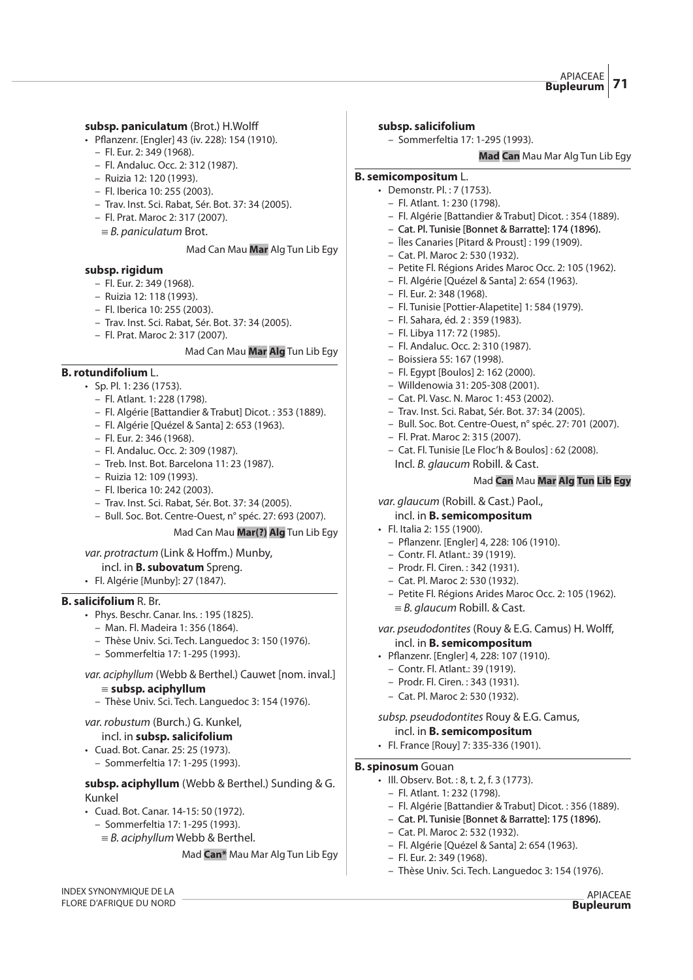#### subsp. paniculatum (Brot.) H.Wolff

- Pflanzenr. [Engler] 43 (iv. 228): 154 (1910).
	- Fl. Eur. 2: 349 (1968).
	- Fl. Andaluc. Occ. 2: 312 (1987).
	- Ruizia 12: 120 (1993).
	- Fl. Iberica 10: 255 (2003).
	- Trav. Inst. Sci. Rabat, Sér. Bot. 37: 34 (2005).
	- Fl. Prat. Maroc 2: 317 (2007).
	- ${\equiv}$  B. paniculatum Brot.

#### Mad Can Mau **Mar** Alg Tun Lib Egy

#### **subsp. rigidum**

- Fl. Eur. 2: 349 (1968).
- Ruizia 12: 118 (1993).
- Fl. Iberica 10: 255 (2003).
- Trav. Inst. Sci. Rabat, Sér. Bot. 37: 34 (2005).
- Fl. Prat. Maroc 2: 317 (2007).

#### Mad Can Mau **Mar Alg** Tun Lib Egy

#### **B. rotundifolium** L.

- Sp. Pl. 1: 236 (1753).
	- Fl. Atlant. 1: 228 (1798).
	- Fl. Algérie [Battandier & Trabut] Dicot. : 353 (1889).
	- Fl. Algérie [Quézel & Santa] 2: 653 (1963).
	- Fl. Eur. 2: 346 (1968).
	- Fl. Andaluc. Occ. 2: 309 (1987).
	- Treb. Inst. Bot. Barcelona 11: 23 (1987).
	- Ruizia 12: 109 (1993).
	- Fl. Iberica 10: 242 (2003).
	- Trav. Inst. Sci. Rabat, Sér. Bot. 37: 34 (2005).
	- Bull. Soc. Bot. Centre-Ouest, n° spéc. 27: 693 (2007).

#### Mad Can Mau **Mar(?) Alg** Tun Lib Egy

#### var. protractum (Link & Hoffm.) Munby,

- incl. in **B. subovatum** Spreng.
- Fl. Algérie [Munby]: 27 (1847).

#### **B. salicifolium** R. Br.

INDEX SYNONYMIQUE DE LA FLORE D'AFRIQUE DU NORD

- Phys. Beschr. Canar. Ins. : 195 (1825).
	- Man. Fl. Madeira 1: 356 (1864).
	- Thèse Univ. Sci. Tech. Languedoc 3: 150 (1976).
	- Sommerfeltia 17: 1-295 (1993).
- var. aciphyllum (Webb & Berthel.) Cauwet [nom. inval.]

#### {**subsp. aciphyllum**

– Thèse Univ. Sci. Tech. Languedoc 3: 154 (1976).

# var. robustum (Burch.) G. Kunkel,

- incl. in **subsp. salicifolium**
- Cuad. Bot. Canar. 25: 25 (1973).
	- Sommerfeltia 17: 1-295 (1993).

# **subsp. aciphyllum** (Webb & Berthel.) Sunding & G. Kunkel

- Cuad. Bot. Canar. 14-15: 50 (1972).
	- Sommerfeltia 17: 1-295 (1993).
	- $\equiv$  B. aciphyllum Webb & Berthel.

#### Mad **Can\*** Mau Mar Alg Tun Lib Egy

#### **subsp. salicifolium**

– Sommerfeltia 17: 1-295 (1993).

**Mad Can** Mau Mar Alg Tun Lib Egy

#### **B. semicompositum** L.

- Demonstr. Pl. : 7 (1753).
	- Fl. Atlant. 1: 230 (1798).
	- Fl. Algérie [Battandier & Trabut] Dicot. : 354 (1889).
	- Cat. Pl. Tunisie [Bonnet & Barratte]: 174 (1896).
	- Îles Canaries [Pitard & Proust] : 199 (1909).
	- Cat. Pl. Maroc 2: 530 (1932).
	- Petite Fl. Régions Arides Maroc Occ. 2: 105 (1962).
	- Fl. Algérie [Quézel & Santa] 2: 654 (1963).
	- Fl. Eur. 2: 348 (1968).
	- Fl. Tunisie [Pottier-Alapetite] 1: 584 (1979).
	- Fl. Sahara, éd. 2 : 359 (1983).
	- Fl. Libya 117: 72 (1985).
	- Fl. Andaluc. Occ. 2: 310 (1987).
	- Boissiera 55: 167 (1998).
	- Fl. Egypt [Boulos] 2: 162 (2000).
	- Willdenowia 31: 205-308 (2001).
	- Cat. Pl. Vasc. N. Maroc 1: 453 (2002).
	- Trav. Inst. Sci. Rabat, Sér. Bot. 37: 34 (2005).
	- Bull. Soc. Bot. Centre-Ouest, n° spéc. 27: 701 (2007).
	- Fl. Prat. Maroc 2: 315 (2007).
	- Cat. Fl. Tunisie [Le Floc'h & Boulos] : 62 (2008).
		- Incl. B. glaucum Robill. & Cast.

# Mad **Can** Mau **Mar Alg Tun Lib Egy**

#### var. glaucum (Robill. & Cast.) Paol., incl. in **B. semicompositum**

- Fl. Italia 2: 155 (1900).
	- Pflanzenr. [Engler] 4, 228: 106 (1910).
	- Contr. Fl. Atlant.: 39 (1919).
	- Prodr. Fl. Ciren. : 342 (1931).
	- Cat. Pl. Maroc 2: 530 (1932).
	- Petite Fl. Régions Arides Maroc Occ. 2: 105 (1962).  $\equiv$  B. glaucum Robill. & Cast.
- var. pseudodontites (Rouy & E.G. Camus) H. Wolff, incl. in **B. semicompositum**
- Pflanzenr. [Engler] 4, 228: 107 (1910).
	- Contr. Fl. Atlant.: 39 (1919).
	- Prodr. Fl. Ciren. : 343 (1931).
	- Cat. Pl. Maroc 2: 530 (1932).

### subsp. pseudodontites Rouy & E.G. Camus, incl. in **B. semicompositum**

• Fl. France [Rouy] 7: 335-336 (1901).

#### **B. spinosum** Gouan

- Ill. Observ. Bot. : 8, t. 2, f. 3 (1773).
	- Fl. Atlant. 1: 232 (1798).
	- Fl. Algérie [Battandier & Trabut] Dicot. : 356 (1889).

APIACEAE **Bupleurum**

- Cat. Pl. Tunisie [Bonnet & Barratte]: 175 (1896).
- Cat. Pl. Maroc 2: 532 (1932).
- Fl. Algérie [Quézel & Santa] 2: 654 (1963).
- Fl. Eur. 2: 349 (1968). – Thèse Univ. Sci. Tech. Languedoc 3: 154 (1976).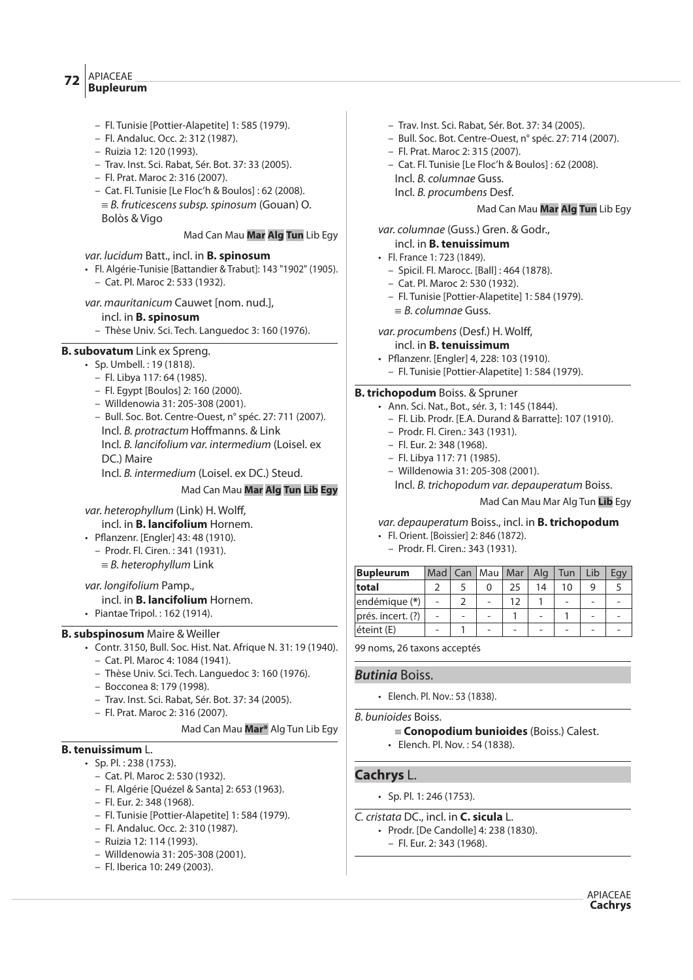#### APIACEAE **Bupleurum <sup>72</sup>**

- Fl. Tunisie [Pottier-Alapetite] 1: 585 (1979).
- Fl. Andaluc. Occ. 2: 312 (1987).
- Ruizia 12: 120 (1993).
- Trav. Inst. Sci. Rabat, Sér. Bot. 37: 33 (2005).
- Fl. Prat. Maroc 2: 316 (2007).
- Cat. Fl. Tunisie [Le Floc'h & Boulos] : 62 (2008).
	- $\equiv$  B. fruticescens subsp. spinosum (Gouan) O. Bolòs & Vigo

# Mad Can Mau **Mar Alg Tun** Lib Egy

# var. lucidum Batt., incl. in **B. spinosum**

- Fl. Algérie-Tunisie [Battandier & Trabut]: 143 "1902" (1905).
	- Cat. Pl. Maroc 2: 533 (1932).

var. mauritanicum Cauwet [nom. nud.],

# incl. in **B. spinosum**

– Thèse Univ. Sci. Tech. Languedoc 3: 160 (1976).

# **B. subovatum** Link ex Spreng.

- Sp. Umbell. : 19 (1818).
	- Fl. Libya 117: 64 (1985).
	- Fl. Egypt [Boulos] 2: 160 (2000).
	- Willdenowia 31: 205-308 (2001).
	- Bull. Soc. Bot. Centre-Ouest, n° spéc. 27: 711 (2007). Incl. B. protractum Hoffmanns. & Link Incl. B. lancifolium var. intermedium (Loisel. ex DC.) Maire
		- Incl. B. intermedium (Loisel. ex DC.) Steud.

# Mad Can Mau **Mar Alg Tun Lib Egy**

# var. heterophyllum (Link) H. Wolff,

- incl. in **B. lancifolium** Hornem.
- Pflanzenr. [Engler] 43: 48 (1910).
	- Prodr. Fl. Ciren. : 341 (1931).
	- $\equiv$  B. heterophyllum Link

# var. longifolium Pamp.,

incl. in **B. lancifolium** Hornem.

• Piantae Tripol. : 162 (1914).

# **B. subspinosum** Maire & Weiller

- Contr. 3150, Bull. Soc. Hist. Nat. Afrique N. 31: 19 (1940).
	- Cat. Pl. Maroc 4: 1084 (1941).
	- Thèse Univ. Sci. Tech. Languedoc 3: 160 (1976).
	- Bocconea 8: 179 (1998).
	- Trav. Inst. Sci. Rabat, Sér. Bot. 37: 34 (2005).
	- Fl. Prat. Maroc 2: 316 (2007).

# Mad Can Mau **Mar\*** Alg Tun Lib Egy

# **B. tenuissimum** L.

- Sp. Pl. : 238 (1753).
	- Cat. Pl. Maroc 2: 530 (1932).
	- Fl. Algérie [Quézel & Santa] 2: 653 (1963).
	- Fl. Eur. 2: 348 (1968).
	- Fl. Tunisie [Pottier-Alapetite] 1: 584 (1979).
	- Fl. Andaluc. Occ. 2: 310 (1987).
	- Ruizia 12: 114 (1993).
	-
	- Willdenowia 31: 205-308 (2001).
	- Fl. Iberica 10: 249 (2003).
- Trav. Inst. Sci. Rabat, Sér. Bot. 37: 34 (2005).
- Bull. Soc. Bot. Centre-Ouest, n° spéc. 27: 714 (2007).
- Fl. Prat. Maroc 2: 315 (2007).
- Cat. Fl. Tunisie [Le Floc'h & Boulos] : 62 (2008).
- Incl. B. columnae Guss.
- Incl. B. procumbens Desf.

# Mad Can Mau **Mar Alg Tun** Lib Egy

var. columnae (Guss.) Gren. & Godr.,

- incl. in **B. tenuissimum**
- Fl. France 1: 723 (1849).
	- Spicil. Fl. Marocc. [Ball] : 464 (1878).
	- Cat. Pl. Maroc 2: 530 (1932).
	- Fl. Tunisie [Pottier-Alapetite] 1: 584 (1979).
	- ${}_{B.}$  columnae Guss.

var. procumbens (Desf.) H. Wolff,

- incl. in **B. tenuissimum**
- Pflanzenr. [Engler] 4, 228: 103 (1910).
	- Fl. Tunisie [Pottier-Alapetite] 1: 584 (1979).

# **B. trichopodum** Boiss. & Spruner

- Ann. Sci. Nat., Bot., sér. 3, 1: 145 (1844).
	- Fl. Lib. Prodr. [E.A. Durand & Barratte]: 107 (1910).
	- Prodr. Fl. Ciren.: 343 (1931).
	- Fl. Eur. 2: 348 (1968).
	- Fl. Libya 117: 71 (1985).
	- Willdenowia 31: 205-308 (2001).
		- Incl. B. trichopodum var. depauperatum Boiss.

Mad Can Mau Mar Alg Tun **Lib** Egy

# var. depauperatum Boiss., incl. in **B. trichopodum**

- Fl. Orient. [Boissier] 2: 846 (1872).
- Prodr. Fl. Ciren.: 343 (1931).

| <b>Bupleurum</b>  | Mad <sup>1</sup> | Can | Mau | Mar | Alg | Tun | Lib | Egy |
|-------------------|------------------|-----|-----|-----|-----|-----|-----|-----|
| total             |                  |     |     | 25  | 14  | 10  | g   |     |
| endémique (*)     | $\overline{a}$   |     |     | 12  |     |     |     |     |
| prés. incert. (?) | $\overline{a}$   |     |     |     |     |     |     |     |
| éteint (E)        | $\overline{a}$   |     |     |     |     |     |     |     |

99 noms, 26 taxons acceptés

# **Butinia** Boiss.

• Elench. Pl. Nov.: 53 (1838).

B. bunioides Boiss.

- { **Conopodium bunioides** (Boiss.) Calest.
- Elench. Pl. Nov. : 54 (1838).

# **Cachrys** L.

- Sp. Pl. 1: 246 (1753).
- C. cristata DC., incl. in **C. sicula** L.
	- Prodr. [De Candolle] 4: 238 (1830).
		- Fl. Eur. 2: 343 (1968).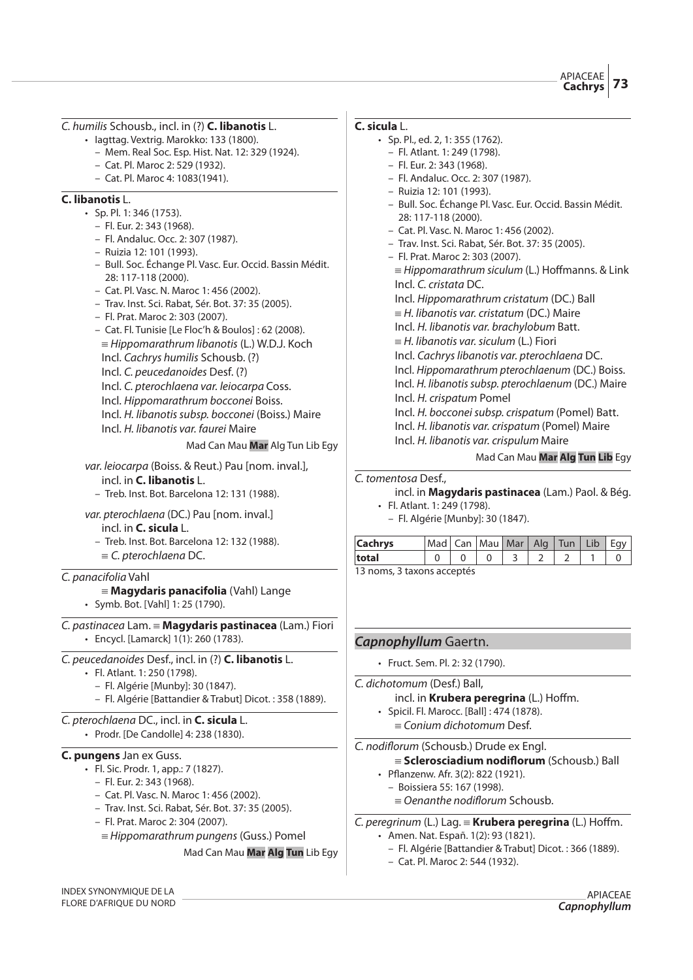C. humilis Schousb., incl. in (?) **C. libanotis** L.

- Iagttag. Vextrig. Marokko: 133 (1800).
	- Mem. Real Soc. Esp. Hist. Nat. 12: 329 (1924).
	- Cat. Pl. Maroc 2: 529 (1932).
	- Cat. Pl. Maroc 4: 1083(1941).

# **C. libanotis** L.

- $\cdot$  Sp. Pl. 1: 346 (1753).
	- Fl. Eur. 2: 343 (1968).
	- Fl. Andaluc. Occ. 2: 307 (1987).
	- Ruizia 12: 101 (1993).
	- Bull. Soc. Échange Pl. Vasc. Eur. Occid. Bassin Médit. 28: 117-118 (2000).
	- Cat. Pl. Vasc. N. Maroc 1: 456 (2002).
	- Trav. Inst. Sci. Rabat, Sér. Bot. 37: 35 (2005).
	- Fl. Prat. Maroc 2: 303 (2007).
	- Cat. Fl. Tunisie [Le Floc'h & Boulos] : 62 (2008).  ${\equiv}$  Hippomarathrum libanotis (L.) W.D.J. Koch Incl. Cachrys humilis Schousb. (?) Incl. C. peucedanoides Desf. (?) Incl. C. pterochlaena var. leiocarpa Coss. Incl. Hippomarathrum bocconei Boiss.
	- Incl. H. libanotis subsp. bocconei (Boiss.) Maire Incl. H. libanotis var. faurei Maire
		-

Mad Can Mau **Mar** Alg Tun Lib Egy

var. leiocarpa (Boiss. & Reut.) Pau [nom. inval.], incl. in **C. libanotis** L.

- Treb. Inst. Bot. Barcelona 12: 131 (1988).
- var. pterochlaena (DC.) Pau [nom. inval.]
	- incl. in **C. sicula** L.
	- Treb. Inst. Bot. Barcelona 12: 132 (1988).  $\equiv$  C. pterochlaena DC.

# C. panacifolia Vahl

- { **Magydaris panacifolia** (Vahl) Lange • Symb. Bot. [Vahl] 1: 25 (1790).
- C. pastinacea Lam. { **Magydaris pastinacea** (Lam.) Fiori • Encycl. [Lamarck] 1(1): 260 (1783).

# C. peucedanoides Desf., incl. in (?) **C. libanotis** L.

- Fl. Atlant. 1: 250 (1798).
	- Fl. Algérie [Munby]: 30 (1847).
	- Fl. Algérie [Battandier & Trabut] Dicot. : 358 (1889).

# C. pterochlaena DC., incl. in **C. sicula** L. • Prodr. [De Candolle] 4: 238 (1830).

#### **C. pungens** Jan ex Guss.

- Fl. Sic. Prodr. 1, app.: 7 (1827).
	- Fl. Eur. 2: 343 (1968).
	- Cat. Pl. Vasc. N. Maroc 1: 456 (2002).
	- Trav. Inst. Sci. Rabat, Sér. Bot. 37: 35 (2005).
	- Fl. Prat. Maroc 2: 304 (2007).
	- $\equiv$ Hippomarathrum pungens (Guss.) Pomel

Mad Can Mau **Mar Alg Tun** Lib Egy

# **C. sicula** L.

- Sp. Pl., ed. 2, 1: 355 (1762).
	- Fl. Atlant. 1: 249 (1798).
	- Fl. Eur. 2: 343 (1968).
	- Fl. Andaluc. Occ. 2: 307 (1987).
	- Ruizia 12: 101 (1993).
	- Bull. Soc. Échange Pl. Vasc. Eur. Occid. Bassin Médit. 28: 117-118 (2000).
	- Cat. Pl. Vasc. N. Maroc 1: 456 (2002).
	- Trav. Inst. Sci. Rabat, Sér. Bot. 37: 35 (2005).
	- Fl. Prat. Maroc 2: 303 (2007).  ${\equiv}$  Hippomarathrum siculum (L.) Hoffmanns. & Link
		- Incl. C. cristata DC.
		- Incl. Hippomarathrum cristatum (DC.) Ball
		- $=$  H. libanotis var. cristatum (DC.) Maire
	- Incl. H. libanotis var. brachylobum Batt.
	- $=$  H. libanotis var. siculum (L.) Fiori
	- Incl. Cachrys libanotis var. pterochlaena DC.
	- Incl. Hippomarathrum pterochlaenum (DC.) Boiss.
	- Incl. H. libanotis subsp. pterochlaenum (DC.) Maire
	- Incl. H. crispatum Pomel
	- Incl. H. bocconei subsp. crispatum (Pomel) Batt.
	- Incl. H. libanotis var. crispatum (Pomel) Maire Incl. H. libanotis var. crispulum Maire
		-

# Mad Can Mau **Mar Alg Tun Lib** Egy

#### C. tomentosa Desf.,

- incl. in **Magydaris pastinacea** (Lam.) Paol. & Bég. • Fl. Atlant. 1: 249 (1798).
- Fl. Algérie [Munby]: 30 (1847).

| <b>Cachrys</b>            | Mad   Can   Mau   Mar   Alg   Tun   Lib   Egy |  |  |  |  |  |  |  |
|---------------------------|-----------------------------------------------|--|--|--|--|--|--|--|
| total                     |                                               |  |  |  |  |  |  |  |
| 12 nome 2 tavone accontór |                                               |  |  |  |  |  |  |  |

13 noms, 3 taxons acceptés

# **Capnophyllum** Gaertn.

• Fruct. Sem. Pl. 2: 32 (1790).

#### C. dichotomum (Desf.) Ball,

- incl. in **Krubera peregrina** (L.) Hoffm.
- Spicil. Fl. Marocc. [Ball] : 474 (1878).
- $\equiv$  Conium dichotomum Desf.

# C. nodiflorum (Schousb.) Drude ex Engl.

- { **Sclerosciadium nodi"orum** (Schousb.) Ball
- Pflanzenw. Afr. 3(2): 822 (1921).
- Boissiera 55: 167 (1998).
	- $\equiv$  Oenanthe nodiflorum Schousb.
- C. peregrinum (L.) Lag. = **Krubera peregrina** (L.) Hoffm.
	- Amen. Nat. Españ. 1(2): 93 (1821).
		- Fl. Algérie [Battandier & Trabut] Dicot. : 366 (1889).
		- Cat. Pl. Maroc 2: 544 (1932).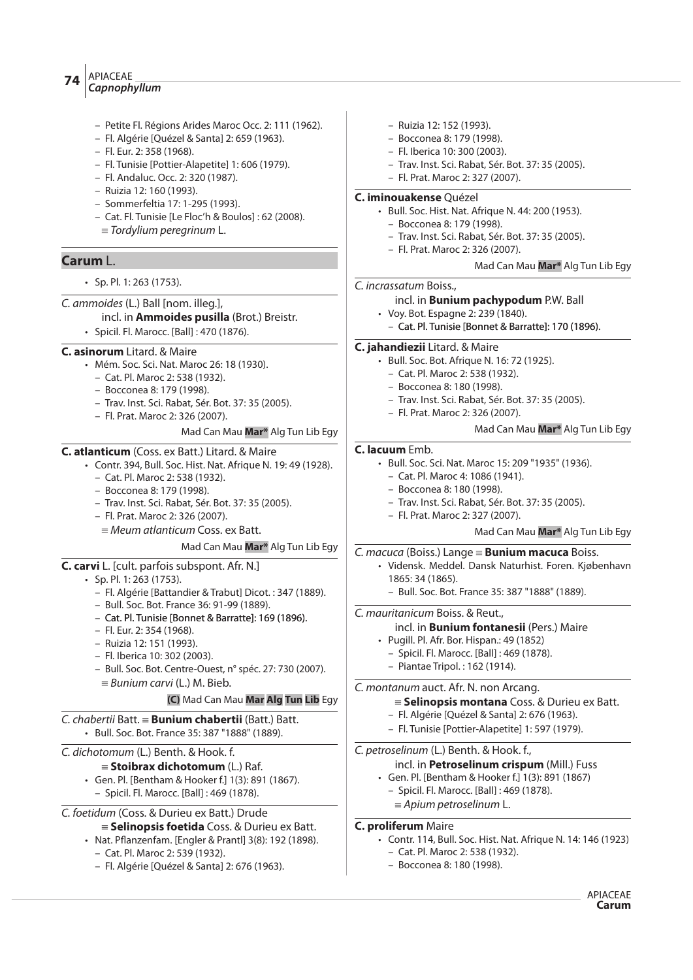# APIACEAE **Capnophyllum <sup>74</sup>**

- Petite Fl. Régions Arides Maroc Occ. 2: 111 (1962).
- Fl. Algérie [Quézel & Santa] 2: 659 (1963).
- Fl. Eur. 2: 358 (1968).
- Fl. Tunisie [Pottier-Alapetite] 1: 606 (1979).
- Fl. Andaluc. Occ. 2: 320 (1987).
- Ruizia 12: 160 (1993).
- Sommerfeltia 17: 1-295 (1993).
- Cat. Fl. Tunisie [Le Floc'h & Boulos] : 62 (2008).
- $=$  Tordylium peregrinum L.

# **Carum** L.

- Sp. Pl. 1: 263 (1753).
- C. ammoides (L.) Ball [nom. illeg.],

incl. in **Ammoides pusilla** (Brot.) Breistr.

• Spicil. Fl. Marocc. [Ball] : 470 (1876).

# **C. asinorum** Litard. & Maire

- Mém. Soc. Sci. Nat. Maroc 26: 18 (1930).
	- Cat. Pl. Maroc 2: 538 (1932).
	- Bocconea 8: 179 (1998).
	- Trav. Inst. Sci. Rabat, Sér. Bot. 37: 35 (2005).
	- Fl. Prat. Maroc 2: 326 (2007).

# Mad Can Mau **Mar\*** Alg Tun Lib Egy

#### **C. atlanticum** (Coss. ex Batt.) Litard. & Maire

- Contr. 394, Bull. Soc. Hist. Nat. Afrique N. 19: 49 (1928).
	- Cat. Pl. Maroc 2: 538 (1932).
	- Bocconea 8: 179 (1998).
	- Trav. Inst. Sci. Rabat, Sér. Bot. 37: 35 (2005).
	- Fl. Prat. Maroc 2: 326 (2007).
		- ${\equiv}$  Meum atlanticum Coss. ex Batt.

#### Mad Can Mau **Mar\*** Alg Tun Lib Egy

- **C. carvi** L. [cult. parfois subspont. Afr. N.]
	- Sp. Pl. 1: 263 (1753).
		- Fl. Algérie [Battandier & Trabut] Dicot. : 347 (1889).
		- Bull. Soc. Bot. France 36: 91-99 (1889).
		- Cat. Pl. Tunisie [Bonnet & Barratte]: 169 (1896).
		- Fl. Eur. 2: 354 (1968).
		- Ruizia 12: 151 (1993).
		- Fl. Iberica 10: 302 (2003).
		- Bull. Soc. Bot. Centre-Ouest, n° spéc. 27: 730 (2007).  $\equiv$  Bunium carvi (L.) M. Bieb.

# **(C)** Mad Can Mau **Mar Alg Tun Lib** Egy

#### C. chabertii Batt. { **Bunium chabertii** (Batt.) Batt. • Bull. Soc. Bot. France 35: 387 "1888" (1889).

# C. dichotomum (L.) Benth. & Hook. f.

- { **Stoibrax dichotomum** (L.) Raf.
- Gen. Pl. [Bentham & Hooker f.] 1(3): 891 (1867). – Spicil. Fl. Marocc. [Ball] : 469 (1878).
- C. foetidum (Coss. & Durieu ex Batt.) Drude { **Selinopsis foetida** Coss. & Durieu ex Batt.
	- Nat. Pflanzenfam. [Engler & Prantl] 3(8): 192 (1898).
		- Cat. Pl. Maroc 2: 539 (1932).
		- Fl. Algérie [Quézel & Santa] 2: 676 (1963).
- Ruizia 12: 152 (1993).
- Bocconea 8: 179 (1998).
- Fl. Iberica 10: 300 (2003).
- Trav. Inst. Sci. Rabat, Sér. Bot. 37: 35 (2005).
- Fl. Prat. Maroc 2: 327 (2007).

# **C. iminouakense** Quézel

- Bull. Soc. Hist. Nat. Afrique N. 44: 200 (1953).
	- Bocconea 8: 179 (1998).
	- Trav. Inst. Sci. Rabat, Sér. Bot. 37: 35 (2005).
	- Fl. Prat. Maroc 2: 326 (2007).

# Mad Can Mau **Mar\*** Alg Tun Lib Egy

# C. incrassatum Boiss.,

- incl. in **Bunium pachypodum** P.W. Ball
- Voy. Bot. Espagne 2: 239 (1840). – Cat. Pl. Tunisie [Bonnet & Barratte]: 170 (1896).

# **C. jahandiezii** Litard. & Maire

- Bull. Soc. Bot. Afrique N. 16: 72 (1925).
	- Cat. Pl. Maroc 2: 538 (1932).
	- Bocconea 8: 180 (1998).
	- Trav. Inst. Sci. Rabat, Sér. Bot. 37: 35 (2005).
	- Fl. Prat. Maroc 2: 326 (2007).

# Mad Can Mau **Mar\*** Alg Tun Lib Egy

# **C. lacuum** Emb.

- Bull. Soc. Sci. Nat. Maroc 15: 209 "1935" (1936).
	- Cat. Pl. Maroc 4: 1086 (1941).
	- Bocconea 8: 180 (1998).
	- Trav. Inst. Sci. Rabat, Sér. Bot. 37: 35 (2005).
	- Fl. Prat. Maroc 2: 327 (2007).

# Mad Can Mau **Mar\*** Alg Tun Lib Egy

- C. macuca (Boiss.) Lange { **Bunium macuca** Boiss.
	- Vidensk. Meddel. Dansk Naturhist. Foren. Kjøbenhavn 1865: 34 (1865).
		- Bull. Soc. Bot. France 35: 387 "1888" (1889).

# C. mauritanicum Boiss. & Reut.,

- incl. in **Bunium fontanesii** (Pers.) Maire
- Pugill. Pl. Afr. Bor. Hispan.: 49 (1852)
- Spicil. Fl. Marocc. [Ball] : 469 (1878).
- Piantae Tripol. : 162 (1914).

# C. montanum auct. Afr. N. non Arcang.

# { **Selinopsis montana** Coss. & Durieu ex Batt.

- Fl. Algérie [Quézel & Santa] 2: 676 (1963).
- Fl. Tunisie [Pottier-Alapetite] 1: 597 (1979).

# C. petroselinum (L.) Benth. & Hook. f.,

# incl. in **Petroselinum crispum** (Mill.) Fuss

- Gen. Pl. [Bentham & Hooker f.] 1(3): 891 (1867) – Spicil. Fl. Marocc. [Ball] : 469 (1878).
	- $\equiv$  Apium petroselinum L.

# **C. proliferum** Maire

- Contr. 114, Bull. Soc. Hist. Nat. Afrique N. 14: 146 (1923) – Cat. Pl. Maroc 2: 538 (1932).
	- Bocconea 8: 180 (1998).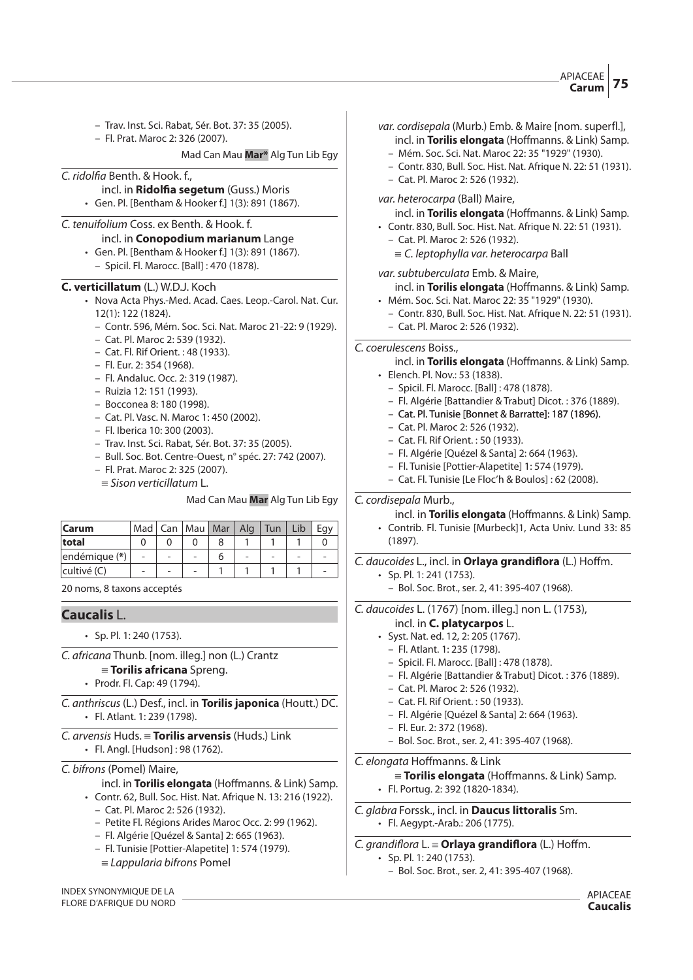- Trav. Inst. Sci. Rabat, Sér. Bot. 37: 35 (2005).
- Fl. Prat. Maroc 2: 326 (2007).

Mad Can Mau **Mar\*** Alg Tun Lib Egy

#### C. ridolfia Benth. & Hook. f.,

- incl. in **Ridol#a segetum** (Guss.) Moris
- Gen. Pl. [Bentham & Hooker f.] 1(3): 891 (1867).

# C. tenuifolium Coss. ex Benth. & Hook. f.

#### incl. in **Conopodium marianum** Lange

- Gen. Pl. [Bentham & Hooker f.] 1(3): 891 (1867).
	- Spicil. Fl. Marocc. [Ball] : 470 (1878).

#### **C. verticillatum** (L.) W.D.J. Koch

- Nova Acta Phys.-Med. Acad. Caes. Leop.-Carol. Nat. Cur. 12(1): 122 (1824).
	- Contr. 596, Mém. Soc. Sci. Nat. Maroc 21-22: 9 (1929).
	- Cat. Pl. Maroc 2: 539 (1932).
	- Cat. Fl. Rif Orient. : 48 (1933).
	- Fl. Eur. 2: 354 (1968).
	- Fl. Andaluc. Occ. 2: 319 (1987).
	- Ruizia 12: 151 (1993).
	- Bocconea 8: 180 (1998).
	- Cat. Pl. Vasc. N. Maroc 1: 450 (2002).
	- Fl. Iberica 10: 300 (2003).
	- Trav. Inst. Sci. Rabat, Sér. Bot. 37: 35 (2005).
	- Bull. Soc. Bot. Centre-Ouest, n° spéc. 27: 742 (2007).
	- Fl. Prat. Maroc 2: 325 (2007).
	- $=$  Sison verticillatum L.

#### Mad Can Mau **Mar** Alg Tun Lib Egy

| <b>Carum</b>  |  | Mad   Can   Mau   Mar   Alg |  | Tun | Lib | Eav |
|---------------|--|-----------------------------|--|-----|-----|-----|
| total         |  |                             |  |     |     |     |
| endémique (*) |  |                             |  |     |     |     |
| cultivé (C)   |  |                             |  |     |     |     |

20 noms, 8 taxons acceptés

# **Caucalis** L.

• Sp. Pl. 1: 240 (1753).

# C. africana Thunb. [nom. illeg.] non (L.) Crantz

- { **Torilis africana** Spreng.
- Prodr. Fl. Cap: 49 (1794).
- C. anthriscus (L.) Desf., incl. in **Torilis japonica** (Houtt.) DC. • Fl. Atlant. 1: 239 (1798).
- C. arvensis Huds. { **Torilis arvensis** (Huds.) Link • Fl. Angl. [Hudson] : 98 (1762).

# C. bifrons (Pomel) Maire,

#### incl. in **Torilis elongata** (Hoffmanns. & Link) Samp.

- Contr. 62, Bull. Soc. Hist. Nat. Afrique N. 13: 216 (1922). – Cat. Pl. Maroc 2: 526 (1932).
	- Petite Fl. Régions Arides Maroc Occ. 2: 99 (1962).
	- Fl. Algérie [Quézel & Santa] 2: 665 (1963).
	- Fl. Tunisie [Pottier-Alapetite] 1: 574 (1979).
	- $\equiv$  Lappularia bifrons Pomel

var. cordisepala (Murb.) Emb. & Maire [nom. superfl.], incl. in **Torilis elongata** (Hoffmanns. & Link) Samp. – Mém. Soc. Sci. Nat. Maroc 22: 35 "1929" (1930). – Contr. 830, Bull. Soc. Hist. Nat. Afrique N. 22: 51 (1931). – Cat. Pl. Maroc 2: 526 (1932). var. heterocarpa (Ball) Maire, incl. in **Torilis elongata** (Hoffmanns. & Link) Samp. • Contr. 830, Bull. Soc. Hist. Nat. Afrique N. 22: 51 (1931). – Cat. Pl. Maroc 2: 526 (1932).  $\equiv$  C. leptophylla var. heterocarpa Ball var. subtuberculata Emb. & Maire, incl. in **Torilis elongata** (Hoffmanns. & Link) Samp. • Mém. Soc. Sci. Nat. Maroc 22: 35 "1929" (1930). – Contr. 830, Bull. Soc. Hist. Nat. Afrique N. 22: 51 (1931). – Cat. Pl. Maroc 2: 526 (1932). C. coerulescens Boiss., incl. in **Torilis elongata** (Hoffmanns. & Link) Samp. • Elench. Pl. Nov.: 53 (1838). – Spicil. Fl. Marocc. [Ball] : 478 (1878). – Fl. Algérie [Battandier & Trabut] Dicot. : 376 (1889). – Cat. Pl. Tunisie [Bonnet & Barratte]: 187 (1896). – Cat. Pl. Maroc 2: 526 (1932). – Cat. Fl. Rif Orient. : 50 (1933). – Fl. Algérie [Quézel & Santa] 2: 664 (1963). – Fl. Tunisie [Pottier-Alapetite] 1: 574 (1979). – Cat. Fl. Tunisie [Le Floc'h & Boulos] : 62 (2008). C. cordisepala Murb., incl. in **Torilis elongata** (Hoffmanns. & Link) Samp. • Contrib. Fl. Tunisie [Murbeck]1, Acta Univ. Lund 33: 85 (1897). C. daucoides L., incl. in **Orlaya grandi"ora** (L.) Ho!m. • Sp. Pl. 1: 241 (1753). – Bol. Soc. Brot., ser. 2, 41: 395-407 (1968).

C. daucoides L. (1767) [nom. illeg.] non L. (1753),

# incl. in **C. platycarpos** L.

- Syst. Nat. ed. 12, 2: 205 (1767).
	- Fl. Atlant. 1: 235 (1798).
	- Spicil. Fl. Marocc. [Ball] : 478 (1878).
	- Fl. Algérie [Battandier & Trabut] Dicot. : 376 (1889).
	- Cat. Pl. Maroc 2: 526 (1932).
	- Cat. Fl. Rif Orient. : 50 (1933).
	- Fl. Algérie [Quézel & Santa] 2: 664 (1963).
	- Fl. Eur. 2: 372 (1968).
	- Bol. Soc. Brot., ser. 2, 41: 395-407 (1968).

#### C. elongata Hoffmanns. & Link

- ${\equiv}$  **Torilis elongata** (Hoffmanns. & Link) Samp.
- Fl. Portug. 2: 392 (1820-1834).

# C. glabra Forssk., incl. in **Daucus littoralis** Sm.

- Fl. Aegypt.-Arab.: 206 (1775).
- C. grandiflora L. ≡ **Orlaya grandiflora** (L.) Hoffm.
	- Sp. Pl. 1: 240 (1753).
	- Bol. Soc. Brot., ser. 2, 41: 395-407 (1968).

INDEX SYNONYMIQUE DE LA FLORE D'AFRIQUE DU NORD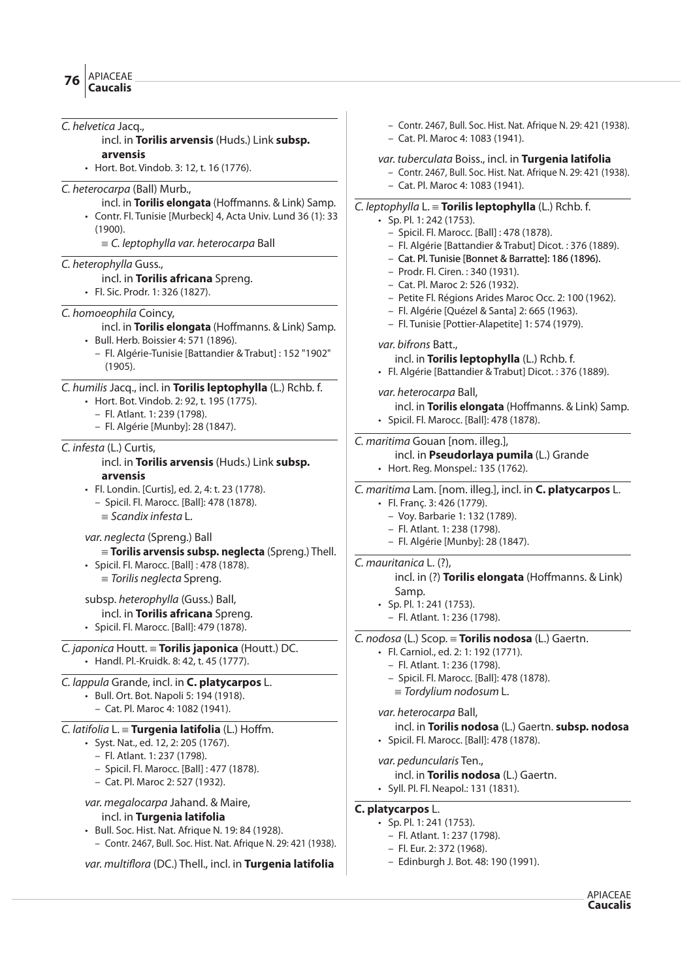C. helvetica Jacq., incl. in **Torilis arvensis** (Huds.) Link **subsp. arvensis** • Hort. Bot. Vindob. 3: 12, t. 16 (1776). C. heterocarpa (Ball) Murb., incl. in **Torilis elongata** (Hoffmanns. & Link) Samp. • Contr. Fl. Tunisie [Murbeck] 4, Acta Univ. Lund 36 (1): 33 (1900).  $\equiv$  C. leptophylla var. heterocarpa Ball C. heterophylla Guss., incl. in **Torilis africana** Spreng. • Fl. Sic. Prodr. 1: 326 (1827). C. homoeophila Coincy, incl. in **Torilis elongata** (Hoffmanns. & Link) Samp. • Bull. Herb. Boissier 4: 571 (1896). – Fl. Algérie-Tunisie [Battandier & Trabut] : 152 "1902" (1905). C. humilis Jacq., incl. in **Torilis leptophylla** (L.) Rchb. f. • Hort. Bot. Vindob. 2: 92, t. 195 (1775). – Fl. Atlant. 1: 239 (1798). – Fl. Algérie [Munby]: 28 (1847). C. infesta (L.) Curtis, incl. in **Torilis arvensis** (Huds.) Link **subsp. arvensis** • Fl. Londin. [Curtis], ed. 2, 4: t. 23 (1778). – Spicil. Fl. Marocc. [Ball]: 478 (1878).  $\equiv$  Scandix infesta L. var. neglecta (Spreng.) Ball { **Torilis arvensis subsp. neglecta** (Spreng.) Thell. • Spicil. Fl. Marocc. [Ball] : 478 (1878).  $\equiv$  Torilis neglecta Spreng. subsp. heterophylla (Guss.) Ball, incl. in **Torilis africana** Spreng. • Spicil. Fl. Marocc. [Ball]: 479 (1878). C. japonica Houtt. { **Torilis japonica** (Houtt.) DC. • Handl. Pl.-Kruidk. 8: 42, t. 45 (1777). C. lappula Grande, incl. in **C. platycarpos** L. • Bull. Ort. Bot. Napoli 5: 194 (1918). – Cat. Pl. Maroc 4: 1082 (1941). C. *latifolia*  $L \equiv$  **Turgenia latifolia** (L.) Hoffm. • Syst. Nat., ed. 12, 2: 205 (1767). – Fl. Atlant. 1: 237 (1798). – Spicil. Fl. Marocc. [Ball] : 477 (1878). – Cat. Pl. Maroc 2: 527 (1932). var. megalocarpa Jahand. & Maire, incl. in **Turgenia latifolia** • Bull. Soc. Hist. Nat. Afrique N. 19: 84 (1928). – Contr. 2467, Bull. Soc. Hist. Nat. Afrique N. 29: 421 (1938). var. multiflora (DC.) Thell., incl. in **Turgenia latifolia** – Contr. 2467, Bull. Soc. Hist. Nat. Afrique N. 29: 421 (1938). – Cat. Pl. Maroc 4: 1083 (1941). var. tuberculata Boiss., incl. in **Turgenia latifolia** – Contr. 2467, Bull. Soc. Hist. Nat. Afrique N. 29: 421 (1938). – Cat. Pl. Maroc 4: 1083 (1941). C. leptophylla L. { **Torilis leptophylla** (L.) Rchb. f. • Sp. Pl. 1: 242 (1753). – Spicil. Fl. Marocc. [Ball] : 478 (1878). – Fl. Algérie [Battandier & Trabut] Dicot. : 376 (1889). – Cat. Pl. Tunisie [Bonnet & Barratte]: 186 (1896). – Prodr. Fl. Ciren. : 340 (1931). – Cat. Pl. Maroc 2: 526 (1932). – Petite Fl. Régions Arides Maroc Occ. 2: 100 (1962). – Fl. Algérie [Quézel & Santa] 2: 665 (1963). – Fl. Tunisie [Pottier-Alapetite] 1: 574 (1979). var. bifrons Batt., incl. in **Torilis leptophylla** (L.) Rchb. f. • Fl. Algérie [Battandier & Trabut] Dicot. : 376 (1889). var. heterocarpa Ball, incl. in **Torilis elongata** (Hoffmanns. & Link) Samp. • Spicil. Fl. Marocc. [Ball]: 478 (1878). C. maritima Gouan [nom. illeg.], incl. in **Pseudorlaya pumila** (L.) Grande • Hort. Reg. Monspel.: 135 (1762). C. maritima Lam. [nom. illeg.], incl. in **C. platycarpos** L. • Fl. Franç. 3: 426 (1779). – Voy. Barbarie 1: 132 (1789). – Fl. Atlant. 1: 238 (1798). – Fl. Algérie [Munby]: 28 (1847). C. mauritanica L. (?), incl. in (?) **Torilis elongata** (Hoffmanns. & Link) Samp.  $\cdot$  Sp. Pl. 1: 241 (1753). – Fl. Atlant. 1: 236 (1798). C. nodosa (L.) Scop. { **Torilis nodosa** (L.) Gaertn. • Fl. Carniol., ed. 2: 1: 192 (1771). – Fl. Atlant. 1: 236 (1798). – Spicil. Fl. Marocc. [Ball]: 478 (1878).  $\equiv$  Tordylium nodosum L. var. heterocarpa Ball, incl. in **Torilis nodosa** (L.) Gaertn. **subsp. nodosa** • Spicil. Fl. Marocc. [Ball]: 478 (1878). var. peduncularis Ten., incl. in **Torilis nodosa** (L.) Gaertn. • Syll. Pl. Fl. Neapol.: 131 (1831). **C. platycarpos** L. • Sp. Pl. 1: 241 (1753). – Fl. Atlant. 1: 237 (1798). – Fl. Eur. 2: 372 (1968). – Edinburgh J. Bot. 48: 190 (1991).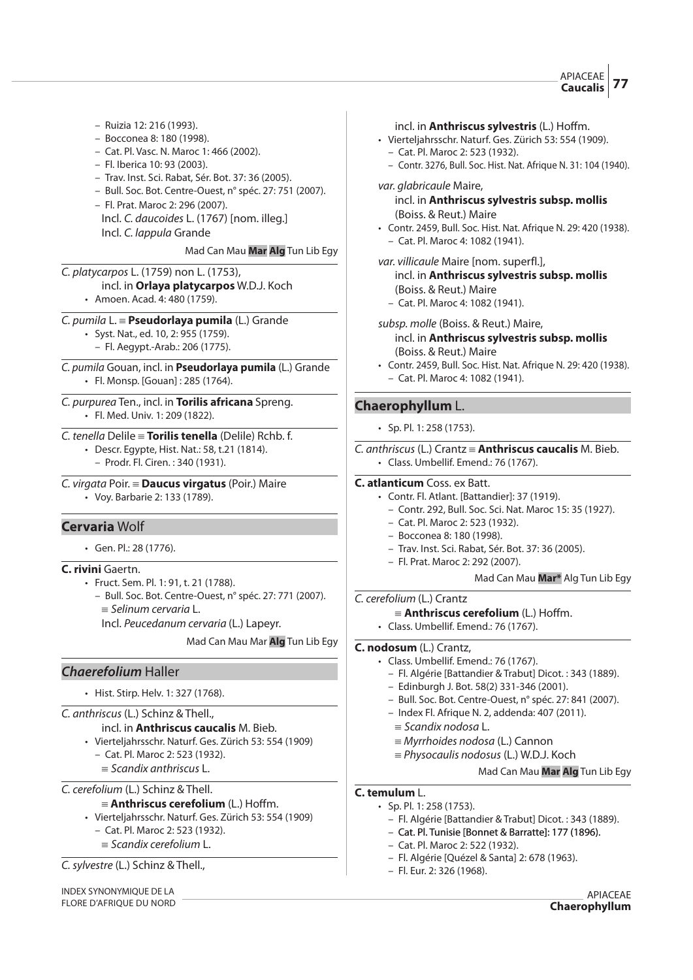### APIACEAE **Caucalis 77**

- Ruizia 12: 216 (1993).
- Bocconea 8: 180 (1998).
- Cat. Pl. Vasc. N. Maroc 1: 466 (2002).
- Fl. Iberica 10: 93 (2003).
- Trav. Inst. Sci. Rabat, Sér. Bot. 37: 36 (2005).
- Bull. Soc. Bot. Centre-Ouest, n° spéc. 27: 751 (2007).
- Fl. Prat. Maroc 2: 296 (2007). Incl. C. daucoides L. (1767) [nom. illeg.] Incl. C. lappula Grande

#### Mad Can Mau **Mar Alg** Tun Lib Egy

C. platycarpos L. (1759) non L. (1753),

- incl. in **Orlaya platycarpos** W.D.J. Koch
	- Amoen. Acad. 4: 480 (1759).

# C. pumila L. { **Pseudorlaya pumila** (L.) Grande

• Syst. Nat., ed. 10, 2: 955 (1759). – Fl. Aegypt.-Arab.: 206 (1775).

C. pumila Gouan, incl. in **Pseudorlaya pumila** (L.) Grande • Fl. Monsp. [Gouan] : 285 (1764).

C. purpurea Ten., incl. in **Torilis africana** Spreng. • Fl. Med. Univ. 1: 209 (1822).

#### C. tenella Delile { **Torilis tenella** (Delile) Rchb. f.

• Descr. Egypte, Hist. Nat.: 58, t.21 (1814).

– Prodr. Fl. Ciren. : 340 (1931).

#### C. virgata Poir. { **Daucus virgatus** (Poir.) Maire

• Voy. Barbarie 2: 133 (1789).

# **Cervaria** Wolf

• Gen. Pl.: 28 (1776).

#### **C. rivini** Gaertn.

- Fruct. Sem. Pl. 1: 91, t. 21 (1788).
	- Bull. Soc. Bot. Centre-Ouest, n° spéc. 27: 771 (2007).  $\equiv$  Selinum cervaria L.

Incl. Peucedanum cervaria (L.) Lapeyr.

Mad Can Mau Mar **Alg** Tun Lib Egy

# **Chaerefolium** Haller

• Hist. Stirp. Helv. 1: 327 (1768).

#### C. anthriscus (L.) Schinz & Thell.,

incl. in **Anthriscus caucalis** M. Bieb.

- Vierteljahrsschr. Naturf. Ges. Zürich 53: 554 (1909)
	- Cat. Pl. Maroc 2: 523 (1932).
	- $=$  Scandix anthriscus L.

C. cerefolium (L.) Schinz & Thell.

# ${\bf A} = {\bf Anthriscus}$  **cerefolium** (L.) Hoffm.

- Vierteljahrsschr. Naturf. Ges. Zürich 53: 554 (1909)
	- Cat. Pl. Maroc 2: 523 (1932).
	- $\equiv$  Scandix cerefolium L.

C.sylvestre (L.) Schinz & Thell.,

INDEX SYNONYMIQUE DE LA FLORE D'AFRIQUE DU NORD

#### incl. in **Anthriscus sylvestris** (L.) Hoffm.

- Vierteljahrsschr. Naturf. Ges. Zürich 53: 554 (1909). – Cat. Pl. Maroc 2: 523 (1932).
	- Contr. 3276, Bull. Soc. Hist. Nat. Afrique N. 31: 104 (1940).

# var. glabricaule Maire,

# incl. in **Anthriscus sylvestris subsp. mollis** (Boiss. & Reut.) Maire

- Contr. 2459, Bull. Soc. Hist. Nat. Afrique N. 29: 420 (1938). – Cat. Pl. Maroc 4: 1082 (1941).
- var. villicaule Maire [nom. superfl.],

#### incl. in **Anthriscus sylvestris subsp. mollis** (Boiss. & Reut.) Maire

– Cat. Pl. Maroc 4: 1082 (1941).

subsp. molle (Boiss. & Reut.) Maire,

- incl. in **Anthriscus sylvestris subsp. mollis** (Boiss. & Reut.) Maire
- Contr. 2459, Bull. Soc. Hist. Nat. Afrique N. 29: 420 (1938). – Cat. Pl. Maroc 4: 1082 (1941).

# **Chaerophyllum** L.

• Sp. Pl. 1: 258 (1753).

C. anthriscus (L.) Crantz { **Anthriscus caucalis** M. Bieb. • Class. Umbellif. Emend.: 76 (1767).

# **C. atlanticum** Coss. ex Batt.

- Contr. Fl. Atlant. [Battandier]: 37 (1919).
	- Contr. 292, Bull. Soc. Sci. Nat. Maroc 15: 35 (1927).
- Cat. Pl. Maroc 2: 523 (1932).
- Bocconea 8: 180 (1998).
- Trav. Inst. Sci. Rabat, Sér. Bot. 37: 36 (2005).
- Fl. Prat. Maroc 2: 292 (2007).

# Mad Can Mau **Mar\*** Alg Tun Lib Egy

C. cerefolium (L.) Crantz

- ${\bf A} = {\bf Anthriscus}$  **cerefolium** (L.) Hoffm.
- Class. Umbellif. Emend.: 76 (1767).

# **C. nodosum** (L.) Crantz,

- Class. Umbellif. Emend.: 76 (1767).
	- Fl. Algérie [Battandier & Trabut] Dicot. : 343 (1889).
	- Edinburgh J. Bot. 58(2) 331-346 (2001).
	- Bull. Soc. Bot. Centre-Ouest, n° spéc. 27: 841 (2007).
	- Index Fl. Afrique N. 2, addenda: 407 (2011).
	- $\equiv$  Scandix nodosa L.
	- $\equiv$  Myrrhoides nodosa (L.) Cannon
	- $=$  Physocaulis nodosus (L.) W.D.J. Koch

#### Mad Can Mau **Mar Alg** Tun Lib Egy

# **C. temulum** L.

- Sp. Pl. 1: 258 (1753).
	- Fl. Algérie [Battandier & Trabut] Dicot. : 343 (1889).
	- Cat. Pl. Tunisie [Bonnet & Barratte]: 177 (1896).
	- Cat. Pl. Maroc 2: 522 (1932).
	- Fl. Algérie [Quézel & Santa] 2: 678 (1963).
	- Fl. Eur. 2: 326 (1968).

APIACEAE **Chaerophyllum**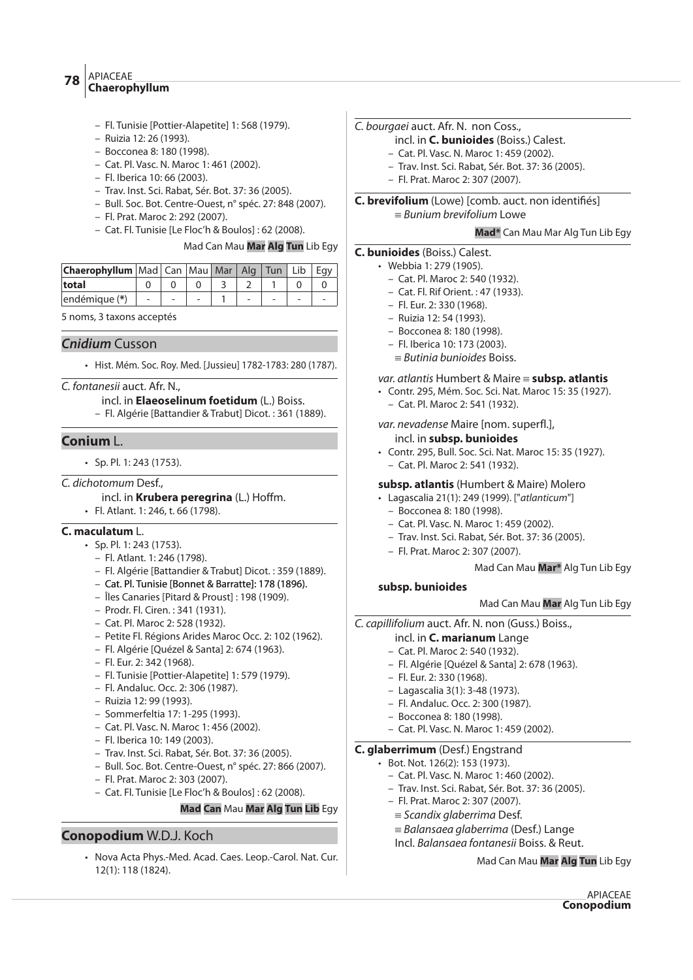# APIACEAE **Chaerophyllum <sup>78</sup>**

- Fl. Tunisie [Pottier-Alapetite] 1: 568 (1979).
- Ruizia 12: 26 (1993).
- Bocconea 8: 180 (1998).
- Cat. Pl. Vasc. N. Maroc 1: 461 (2002).
- Fl. Iberica 10: 66 (2003).
- Trav. Inst. Sci. Rabat, Sér. Bot. 37: 36 (2005).
- Bull. Soc. Bot. Centre-Ouest, n° spéc. 27: 848 (2007).
- Fl. Prat. Maroc 2: 292 (2007).
- Cat. Fl. Tunisie [Le Floc'h & Boulos] : 62 (2008).

# Mad Can Mau **Mar Alg Tun** Lib Egy

| <b>Chaerophyllum</b>   Mad   Can   Mau   Mar   Alg   Tun   Lib   Eqy |  |  |  |  |
|----------------------------------------------------------------------|--|--|--|--|
| total                                                                |  |  |  |  |
| endémique (*)                                                        |  |  |  |  |

5 noms, 3 taxons acceptés

# **Cnidium** Cusson

• Hist. Mém. Soc. Roy. Med. [Jussieu] 1782-1783: 280 (1787).

C. fontanesii auct. Afr. N.,

#### incl. in **Elaeoselinum foetidum** (L.) Boiss.

– Fl. Algérie [Battandier & Trabut] Dicot. : 361 (1889).

# **Conium** L.

- Sp. Pl. 1: 243 (1753).
- C. dichotomum Desf.,
	- incl. in **Krubera peregrina** (L.) Hoffm.
	- Fl. Atlant. 1: 246, t. 66 (1798).

# **C. maculatum** L.

- Sp. Pl. 1: 243 (1753).
	- Fl. Atlant. 1: 246 (1798).
	- Fl. Algérie [Battandier & Trabut] Dicot. : 359 (1889).
	- Cat. Pl. Tunisie [Bonnet & Barratte]: 178 (1896).
	- Îles Canaries [Pitard & Proust] : 198 (1909).
	- Prodr. Fl. Ciren. : 341 (1931).
	- Cat. Pl. Maroc 2: 528 (1932).
	- Petite Fl. Régions Arides Maroc Occ. 2: 102 (1962).
	- Fl. Algérie [Quézel & Santa] 2: 674 (1963).
	- Fl. Eur. 2: 342 (1968).
	- Fl. Tunisie [Pottier-Alapetite] 1: 579 (1979).
	- Fl. Andaluc. Occ. 2: 306 (1987).
	- Ruizia 12: 99 (1993).
	- Sommerfeltia 17: 1-295 (1993).
	- Cat. Pl. Vasc. N. Maroc 1: 456 (2002).
	- Fl. Iberica 10: 149 (2003).
	- Trav. Inst. Sci. Rabat, Sér. Bot. 37: 36 (2005).
	- Bull. Soc. Bot. Centre-Ouest, n° spéc. 27: 866 (2007).
	- Fl. Prat. Maroc 2: 303 (2007).
	- Cat. Fl. Tunisie [Le Floc'h & Boulos] : 62 (2008).

#### **Mad Can** Mau **Mar Alg Tun Lib** Egy

# **Conopodium** W.D.J. Koch

• Nova Acta Phys.-Med. Acad. Caes. Leop.-Carol. Nat. Cur. 12(1): 118 (1824).

# C. bourgaei auct. Afr. N. non Coss.,

- incl. in **C. bunioides** (Boiss.) Calest.
- Cat. Pl. Vasc. N. Maroc 1: 459 (2002).
- Trav. Inst. Sci. Rabat, Sér. Bot. 37: 36 (2005).
- Fl. Prat. Maroc 2: 307 (2007).

# **C. brevifolium** (Lowe) [comb. auct. non identifiés]

 $\equiv$  Bunium brevifolium Lowe

#### **Mad\*** Can Mau Mar Alg Tun Lib Egy

# **C. bunioides** (Boiss.) Calest.

- Webbia 1: 279 (1905).
	- Cat. Pl. Maroc 2: 540 (1932).
	- Cat. Fl. Rif Orient. : 47 (1933).
	- Fl. Eur. 2: 330 (1968).
	- Ruizia 12: 54 (1993).
	- Bocconea 8: 180 (1998).
	- Fl. Iberica 10: 173 (2003).
	- $=$  Butinia bunioides Boiss.

# var. atlantis Humbert & Maire { **subsp. atlantis**

- Contr. 295, Mém. Soc. Sci. Nat. Maroc 15: 35 (1927).
	- Cat. Pl. Maroc 2: 541 (1932).

var. nevadense Maire [nom. superfl.],

- incl. in **subsp. bunioides**
- Contr. 295, Bull. Soc. Sci. Nat. Maroc 15: 35 (1927). – Cat. Pl. Maroc 2: 541 (1932).

# **subsp. atlantis** (Humbert & Maire) Molero

- Lagascalia 21(1): 249 (1999). ["atlanticum"]
	- Bocconea 8: 180 (1998).
	- Cat. Pl. Vasc. N. Maroc 1: 459 (2002).
	- Trav. Inst. Sci. Rabat, Sér. Bot. 37: 36 (2005).
	- Fl. Prat. Maroc 2: 307 (2007).

#### Mad Can Mau **Mar\*** Alg Tun Lib Egy

#### **subsp. bunioides**

#### Mad Can Mau **Mar** Alg Tun Lib Egy

C. capillifolium auct. Afr. N. non (Guss.) Boiss.,

#### incl. in **C. marianum** Lange

- Cat. Pl. Maroc 2: 540 (1932).
- Fl. Algérie [Quézel & Santa] 2: 678 (1963).
- Fl. Eur. 2: 330 (1968).
- Lagascalia 3(1): 3-48 (1973).
- Fl. Andaluc. Occ. 2: 300 (1987).
- Bocconea 8: 180 (1998).
- Cat. Pl. Vasc. N. Maroc 1: 459 (2002).

# **C. glaberrimum** (Desf.) Engstrand

- Bot. Not. 126(2): 153 (1973).
	- Cat. Pl. Vasc. N. Maroc 1: 460 (2002).
	- Trav. Inst. Sci. Rabat, Sér. Bot. 37: 36 (2005).
	- Fl. Prat. Maroc 2: 307 (2007).
	- $\equiv$  Scandix glaberrima Desf.
	- $=$  Balansaea glaberrima (Desf.) Lange
	- Incl. Balansaea fontanesii Boiss. & Reut.

Mad Can Mau **Mar Alg Tun** Lib Egy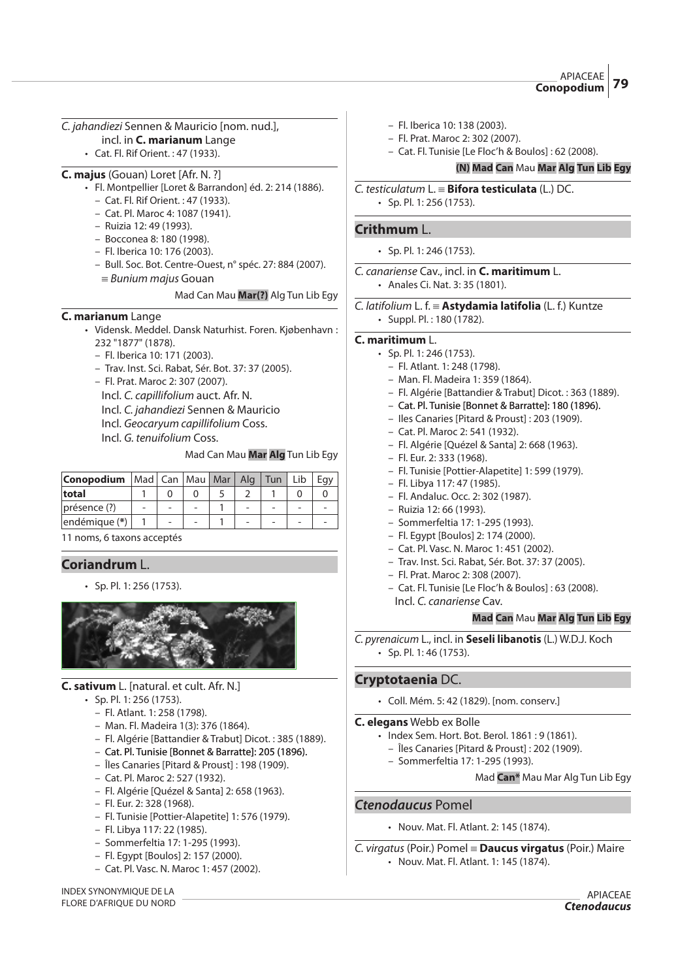APIACEAE **Conopodium 79**

# C. jahandiezi Sennen & Mauricio [nom. nud.],

- incl. in **C. marianum** Lange
- Cat. Fl. Rif Orient. : 47 (1933).

# **C. majus** (Gouan) Loret [Afr. N. ?]

- Fl. Montpellier [Loret & Barrandon] éd. 2: 214 (1886).
	- Cat. Fl. Rif Orient. : 47 (1933).
	- Cat. Pl. Maroc 4: 1087 (1941).
	- Ruizia 12: 49 (1993).
	- Bocconea 8: 180 (1998).
	- Fl. Iberica 10: 176 (2003).
	- Bull. Soc. Bot. Centre-Ouest, n° spéc. 27: 884 (2007).  $\equiv$  *Bunium majus* Gouan
		- Mad Can Mau **Mar(?)** Alg Tun Lib Egy

# **C. marianum** Lange

- Vidensk. Meddel. Dansk Naturhist. Foren. Kjøbenhavn : 232 "1877" (1878).
	- Fl. Iberica 10: 171 (2003).
	- Trav. Inst. Sci. Rabat, Sér. Bot. 37: 37 (2005).
	- Fl. Prat. Maroc 2: 307 (2007).

Incl. C. capillifolium auct. Afr. N.

Incl. C. jahandiezi Sennen & Mauricio

Incl. Geocaryum capillifolium Coss.

Incl. G. tenuifolium Coss.

# Mad Can Mau **Mar Alg** Tun Lib Egy

| Conopodium     | Mad   Can   Mau   Mar |                          | Ala | $\vert$ Tun | Lib | Eav |
|----------------|-----------------------|--------------------------|-----|-------------|-----|-----|
| total          |                       |                          |     |             |     |     |
| $pregence$ (?) |                       |                          |     |             |     |     |
| endémique (*)  |                       | $\overline{\phantom{0}}$ |     |             |     |     |

11 noms, 6 taxons acceptés

# **Coriandrum** L.

• Sp. Pl. 1: 256 (1753).



# **C. sativum** L. [natural. et cult. Afr. N.]

- $\cdot$  Sp. Pl. 1: 256 (1753).
	- Fl. Atlant. 1: 258 (1798).
	- Man. Fl. Madeira 1(3): 376 (1864).
	- Fl. Algérie [Battandier & Trabut] Dicot. : 385 (1889).
	- Cat. Pl. Tunisie [Bonnet & Barratte]: 205 (1896).
	- Îles Canaries [Pitard & Proust] : 198 (1909).
	- Cat. Pl. Maroc 2: 527 (1932).
	- Fl. Algérie [Quézel & Santa] 2: 658 (1963).
	- Fl. Eur. 2: 328 (1968).
	- Fl. Tunisie [Pottier-Alapetite] 1: 576 (1979).
	- Fl. Libya 117: 22 (1985).
	- Sommerfeltia 17: 1-295 (1993).
	- Fl. Egypt [Boulos] 2: 157 (2000).
	- Cat. Pl. Vasc. N. Maroc 1: 457 (2002).

INDEX SYNONYMIQUE DE LA FLORE D'AFRIQUE DU NORD

- Fl. Iberica 10: 138 (2003).
- Fl. Prat. Maroc 2: 302 (2007).
- Cat. Fl. Tunisie [Le Floc'h & Boulos] : 62 (2008).

# **(N) Mad Can** Mau **Mar Alg Tun Lib Egy**

#### C. testiculatum L. { **Bifora testiculata** (L.) DC. • Sp. Pl. 1: 256 (1753).

# **Crithmum** L.

- $\cdot$  Sp. Pl. 1: 246 (1753).
- C. canariense Cav., incl. in **C. maritimum** L. • Anales Ci. Nat. 3: 35 (1801).

C. *latifolium* L. f. = Astydamia latifolia (L. f.) Kuntze • Suppl. Pl. : 180 (1782).

# **C. maritimum** L.

- Sp. Pl. 1: 246 (1753).
	- Fl. Atlant. 1: 248 (1798).
	- Man. Fl. Madeira 1: 359 (1864).
	- Fl. Algérie [Battandier & Trabut] Dicot. : 363 (1889).
	- Cat. Pl. Tunisie [Bonnet & Barratte]: 180 (1896).
	- Iles Canaries [Pitard & Proust] : 203 (1909).
	- Cat. Pl. Maroc 2: 541 (1932).
	- Fl. Algérie [Quézel & Santa] 2: 668 (1963).
	- Fl. Eur. 2: 333 (1968).
	- Fl. Tunisie [Pottier-Alapetite] 1: 599 (1979).
	- Fl. Libya 117: 47 (1985).
	- Fl. Andaluc. Occ. 2: 302 (1987).
	- Ruizia 12: 66 (1993).
	- Sommerfeltia 17: 1-295 (1993).
	- Fl. Egypt [Boulos] 2: 174 (2000).
	- Cat. Pl. Vasc. N. Maroc 1: 451 (2002).
	- Trav. Inst. Sci. Rabat, Sér. Bot. 37: 37 (2005).
	- Fl. Prat. Maroc 2: 308 (2007).
	- Cat. Fl. Tunisie [Le Floc'h & Boulos] : 63 (2008). Incl. C. canariense Cav.

# **Mad Can** Mau **Mar Alg Tun Lib Egy**

C. pyrenaicum L., incl. in **Seseli libanotis** (L.) W.D.J. Koch • Sp. Pl. 1: 46 (1753).

# **Cryptotaenia** DC.

• Coll. Mém. 5: 42 (1829). [nom. conserv.]

# **C. elegans** Webb ex Bolle

- Index Sem. Hort. Bot. Berol. 1861 : 9 (1861).
	- Îles Canaries [Pitard & Proust] : 202 (1909).
	- Sommerfeltia 17: 1-295 (1993).

Mad **Can\*** Mau Mar Alg Tun Lib Egy

# **Ctenodaucus** Pomel

• Nouv. Mat. Fl. Atlant. 2: 145 (1874).

C. virgatus (Poir.) Pomel { **Daucus virgatus** (Poir.) Maire • Nouv. Mat. Fl. Atlant. 1: 145 (1874).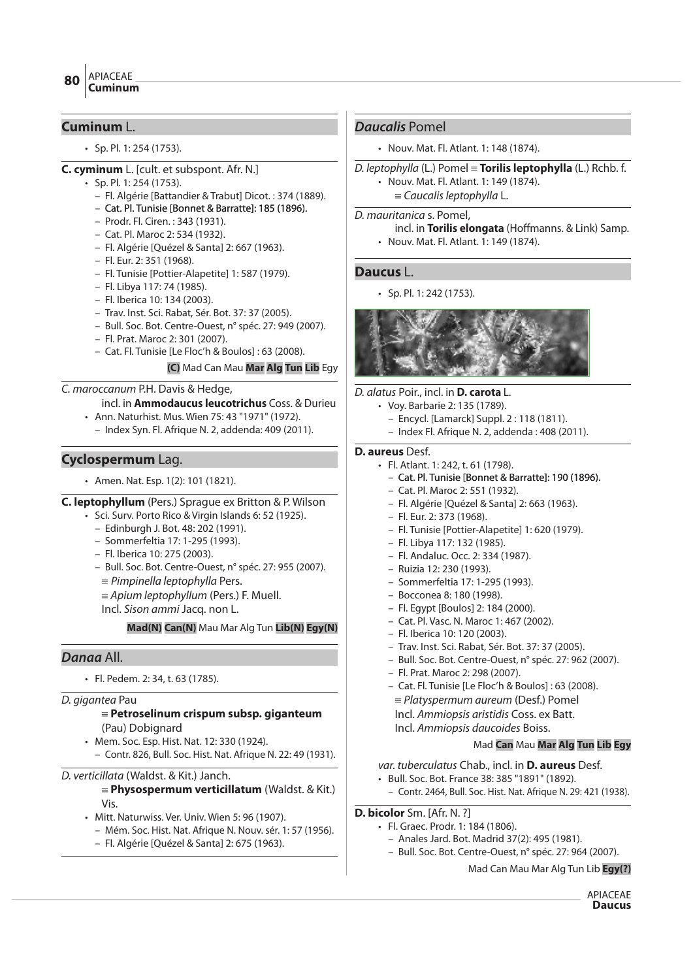# **Cuminum** L.

• Sp. Pl. 1: 254 (1753).

# **C. cyminum** L. [cult. et subspont. Afr. N.]

- Sp. Pl. 1: 254 (1753).
- Fl. Algérie [Battandier & Trabut] Dicot. : 374 (1889).
- Cat. Pl. Tunisie [Bonnet & Barratte]: 185 (1896).
- Prodr. Fl. Ciren. : 343 (1931).
- Cat. Pl. Maroc 2: 534 (1932).
- Fl. Algérie [Quézel & Santa] 2: 667 (1963).
- Fl. Eur. 2: 351 (1968).
- Fl. Tunisie [Pottier-Alapetite] 1: 587 (1979).
- Fl. Libya 117: 74 (1985).
- Fl. Iberica 10: 134 (2003).
- Trav. Inst. Sci. Rabat, Sér. Bot. 37: 37 (2005).
- Bull. Soc. Bot. Centre-Ouest, n° spéc. 27: 949 (2007).
- Fl. Prat. Maroc 2: 301 (2007).
- Cat. Fl. Tunisie [Le Floc'h & Boulos] : 63 (2008).

# **(C)** Mad Can Mau **Mar Alg Tun Lib** Egy

# C. maroccanum P.H. Davis & Hedge,

- incl. in **Ammodaucus leucotrichus** Coss. & Durieu
- Ann. Naturhist. Mus. Wien 75: 43 "1971" (1972).
	- Index Syn. Fl. Afrique N. 2, addenda: 409 (2011).

# **Cyclospermum** Lag.

• Amen. Nat. Esp. 1(2): 101 (1821).

**C. leptophyllum** (Pers.) Sprague ex Britton & P. Wilson

- Sci. Surv. Porto Rico & Virgin Islands 6: 52 (1925).
	- Edinburgh J. Bot. 48: 202 (1991).
	- Sommerfeltia 17: 1-295 (1993).
	- Fl. Iberica 10: 275 (2003).
	- Bull. Soc. Bot. Centre-Ouest, n° spéc. 27: 955 (2007).
	- $\equiv$  Pimpinella leptophylla Pers.

 $\equiv$  Apium leptophyllum (Pers.) F. Muell.

Incl. Sison ammi Jacq. non L.

**Mad(N) Can(N)** Mau Mar Alg Tun **Lib(N) Egy(N)**

# **Danaa** All.

• Fl. Pedem. 2: 34, t. 63 (1785).

# D. gigantea Pau

# { **Petroselinum crispum subsp. giganteum**  (Pau) Dobignard

- Mem. Soc. Esp. Hist. Nat. 12: 330 (1924).
- Contr. 826, Bull. Soc. Hist. Nat. Afrique N. 22: 49 (1931).

# D. verticillata (Waldst. & Kit.) Janch.

- { **Physospermum verticillatum** (Waldst. & Kit.) Vis.
- Mitt. Naturwiss. Ver. Univ. Wien 5: 96 (1907).
	- Mém. Soc. Hist. Nat. Afrique N. Nouv. sér. 1: 57 (1956).
	- Fl. Algérie [Quézel & Santa] 2: 675 (1963).

# **Daucalis** Pomel

- Nouv. Mat. Fl. Atlant. 1: 148 (1874).
- D. leptophylla (L.) Pomel { **Torilis leptophylla** (L.) Rchb. f. • Nouv. Mat. Fl. Atlant. 1: 149 (1874).
	- $=$  Caucalis leptophylla L.

D. mauritanica s. Pomel,

- incl. in **Torilis elongata** (Hoffmanns. & Link) Samp.
- Nouv. Mat. Fl. Atlant. 1: 149 (1874).

# **Daucus** L.

• Sp. Pl. 1: 242 (1753).



D. alatus Poir., incl. in **D. carota** L.

- Voy. Barbarie 2: 135 (1789).
	- Encycl. [Lamarck] Suppl. 2 : 118 (1811).
	- Index Fl. Afrique N. 2, addenda : 408 (2011).

# **D. aureus** Desf.

- Fl. Atlant. 1: 242, t. 61 (1798).
	- Cat. Pl. Tunisie [Bonnet & Barratte]: 190 (1896).
- Cat. Pl. Maroc 2: 551 (1932).
- Fl. Algérie [Quézel & Santa] 2: 663 (1963).
- Fl. Eur. 2: 373 (1968).
- Fl. Tunisie [Pottier-Alapetite] 1: 620 (1979).
- Fl. Libya 117: 132 (1985).
- Fl. Andaluc. Occ. 2: 334 (1987).
- Ruizia 12: 230 (1993).
- Sommerfeltia 17: 1-295 (1993).
- Bocconea 8: 180 (1998).
- Fl. Egypt [Boulos] 2: 184 (2000).
- Cat. Pl. Vasc. N. Maroc 1: 467 (2002).
- Fl. Iberica 10: 120 (2003).
- Trav. Inst. Sci. Rabat, Sér. Bot. 37: 37 (2005).
- Bull. Soc. Bot. Centre-Ouest, n° spéc. 27: 962 (2007).
- Fl. Prat. Maroc 2: 298 (2007).
- Cat. Fl. Tunisie [Le Floc'h & Boulos] : 63 (2008).
- $=$  Platyspermum aureum (Desf.) Pomel

Incl. Ammiopsis aristidis Coss. ex Batt.

Incl. Ammiopsis daucoides Boiss.

# Mad **Can** Mau **Mar Alg Tun Lib Egy**

var. tuberculatus Chab., incl. in **D. aureus** Desf.

- Bull. Soc. Bot. France 38: 385 "1891" (1892).
- Contr. 2464, Bull. Soc. Hist. Nat. Afrique N. 29: 421 (1938).

# **D. bicolor** Sm. [Afr. N. ?]

- Fl. Graec. Prodr. 1: 184 (1806).
	- Anales Jard. Bot. Madrid 37(2): 495 (1981).
	- Bull. Soc. Bot. Centre-Ouest, n° spéc. 27: 964 (2007).

Mad Can Mau Mar Alg Tun Lib **Egy(?)**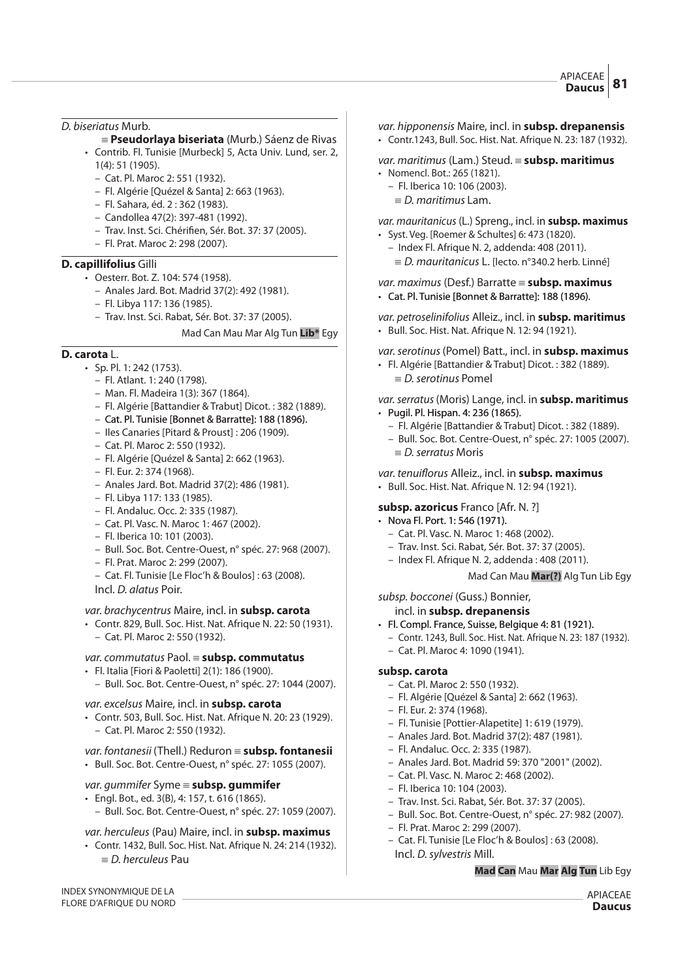D. biseriatus Murb.

- { **Pseudorlaya biseriata** (Murb.) Sáenz de Rivas • Contrib. Fl. Tunisie [Murbeck] 5, Acta Univ. Lund, ser. 2, 1(4): 51 (1905).
	- Cat. Pl. Maroc 2: 551 (1932).
	- Fl. Algérie [Quézel & Santa] 2: 663 (1963).
	- Fl. Sahara, éd. 2 : 362 (1983).
	- Candollea 47(2): 397-481 (1992).
	- Trav. Inst. Sci. Chérifien, Sér. Bot. 37: 37 (2005).
	- Fl. Prat. Maroc 2: 298 (2007).

#### **D. capillifolius** Gilli

- Oesterr. Bot. Z. 104: 574 (1958).
	- Anales Jard. Bot. Madrid 37(2): 492 (1981).
	- Fl. Libya 117: 136 (1985).
	- Trav. Inst. Sci. Rabat, Sér. Bot. 37: 37 (2005).

#### Mad Can Mau Mar Alg Tun **Lib\*** Egy

# **D. carota** L.

- Sp. Pl. 1: 242 (1753).
	- Fl. Atlant. 1: 240 (1798).
	- Man. Fl. Madeira 1(3): 367 (1864).
	- Fl. Algérie [Battandier & Trabut] Dicot. : 382 (1889).
	- Cat. Pl. Tunisie [Bonnet & Barratte]: 188 (1896).
	- Iles Canaries [Pitard & Proust] : 206 (1909).
	- Cat. Pl. Maroc 2: 550 (1932).
	- Fl. Algérie [Quézel & Santa] 2: 662 (1963).
	- Fl. Eur. 2: 374 (1968).
	- Anales Jard. Bot. Madrid 37(2): 486 (1981).
	- Fl. Libya 117: 133 (1985).
	- Fl. Andaluc. Occ. 2: 335 (1987).
	- Cat. Pl. Vasc. N. Maroc 1: 467 (2002).
	- Fl. Iberica 10: 101 (2003).
	- Bull. Soc. Bot. Centre-Ouest, n° spéc. 27: 968 (2007).
	- Fl. Prat. Maroc 2: 299 (2007).
	- Cat. Fl. Tunisie [Le Floc'h & Boulos] : 63 (2008).
	- Incl. D. alatus Poir.

var. brachycentrus Maire, incl. in **subsp. carota**

- Contr. 829, Bull. Soc. Hist. Nat. Afrique N. 22: 50 (1931).
	- Cat. Pl. Maroc 2: 550 (1932).

# var. commutatus Paol. { **subsp. commutatus**

- Fl. Italia [Fiori & Paoletti] 2(1): 186 (1900).
	- Bull. Soc. Bot. Centre-Ouest, n° spéc. 27: 1044 (2007).

# var. excelsus Maire, incl. in **subsp. carota**

- Contr. 503, Bull. Soc. Hist. Nat. Afrique N. 20: 23 (1929). – Cat. Pl. Maroc 2: 550 (1932).
- var. fontanesii (Thell.) Reduron { **subsp. fontanesii**
- Bull. Soc. Bot. Centre-Ouest, n° spéc. 27: 1055 (2007).

# var. gummifer Syme = **subsp. gummifer**

- Engl. Bot., ed. 3(B), 4: 157, t. 616 (1865).
	- Bull. Soc. Bot. Centre-Ouest, n° spéc. 27: 1059 (2007).

# var. herculeus (Pau) Maire, incl. in **subsp. maximus**

• Contr. 1432, Bull. Soc. Hist. Nat. Afrique N. 24: 214 (1932).  $\equiv$  D. herculeus Pau

- var. hipponensis Maire, incl. in **subsp. drepanensis** • Contr.1243, Bull. Soc. Hist. Nat. Afrique N. 23: 187 (1932).
- var. maritimus (Lam.) Steud. { **subsp. maritimus**
- Nomencl. Bot.: 265 (1821).
	- Fl. Iberica 10: 106 (2003).
	- $\equiv$  D. maritimus Lam.

var. mauritanicus (L.) Spreng., incl. in **subsp. maximus**

- Syst. Veg. [Roemer & Schultes] 6: 473 (1820).
	- Index Fl. Afrique N. 2, addenda: 408 (2011).
	- $\equiv$  D. mauritanicus L. [lecto. n°340.2 herb. Linné]

var. maximus (Desf.) Barratte { **subsp. maximus**

• Cat. Pl. Tunisie [Bonnet & Barratte]: 188 (1896).

#### var. petroselinifolius Alleiz., incl. in **subsp. maritimus**

• Bull. Soc. Hist. Nat. Afrique N. 12: 94 (1921).

var.serotinus(Pomel) Batt., incl. in **subsp. maximus**

• Fl. Algérie [Battandier & Trabut] Dicot. : 382 (1889).  $\equiv$  D. serotinus Pomel

var.serratus(Moris) Lange, incl. in **subsp. maritimus**  $\cdot$  Pugil. Pl. Hispan. 4: 236 (1865).

- Fl. Algérie [Battandier & Trabut] Dicot. : 382 (1889).
- Bull. Soc. Bot. Centre-Ouest, n° spéc. 27: 1005 (2007).  $\equiv$  D. serratus Moris

var. tenuiflorus Alleiz., incl. in **subsp. maximus** 

• Bull. Soc. Hist. Nat. Afrique N. 12: 94 (1921).

# **subsp. azoricus** Franco [Afr. N. ?]

- Nova Fl. Port. 1: 546 (1971).
	- Cat. Pl. Vasc. N. Maroc 1: 468 (2002).
	- Trav. Inst. Sci. Rabat, Sér. Bot. 37: 37 (2005).
	- Index Fl. Afrique N. 2, addenda : 408 (2011).

Mad Can Mau **Mar(?)** Alg Tun Lib Egy

subsp. bocconei (Guss.) Bonnier,

# incl. in **subsp. drepanensis**

- Fl. Compl. France, Suisse, Belgique 4: 81 (1921).
	- Contr. 1243, Bull. Soc. Hist. Nat. Afrique N. 23: 187 (1932).
	- Cat. Pl. Maroc 4: 1090 (1941).

#### **subsp. carota**

- Cat. Pl. Maroc 2: 550 (1932).
- Fl. Algérie [Quézel & Santa] 2: 662 (1963).
- Fl. Eur. 2: 374 (1968).
- Fl. Tunisie [Pottier-Alapetite] 1: 619 (1979).
- Anales Jard. Bot. Madrid 37(2): 487 (1981).
- Fl. Andaluc. Occ. 2: 335 (1987).
- Anales Jard. Bot. Madrid 59: 370 "2001" (2002).
- Cat. Pl. Vasc. N. Maroc 2: 468 (2002).
- Fl. Iberica 10: 104 (2003).
- Trav. Inst. Sci. Rabat, Sér. Bot. 37: 37 (2005).
- Bull. Soc. Bot. Centre-Ouest, n° spéc. 27: 982 (2007).
- Fl. Prat. Maroc 2: 299 (2007).
- Cat. Fl. Tunisie [Le Floc'h & Boulos] : 63 (2008).

# Incl. D.sylvestris Mill. **Mad Can** Mau **Mar Alg Tun** Lib Egy

INDEX SYNONYMIQUE DE LA FLORE D'AFRIQUE DU NORD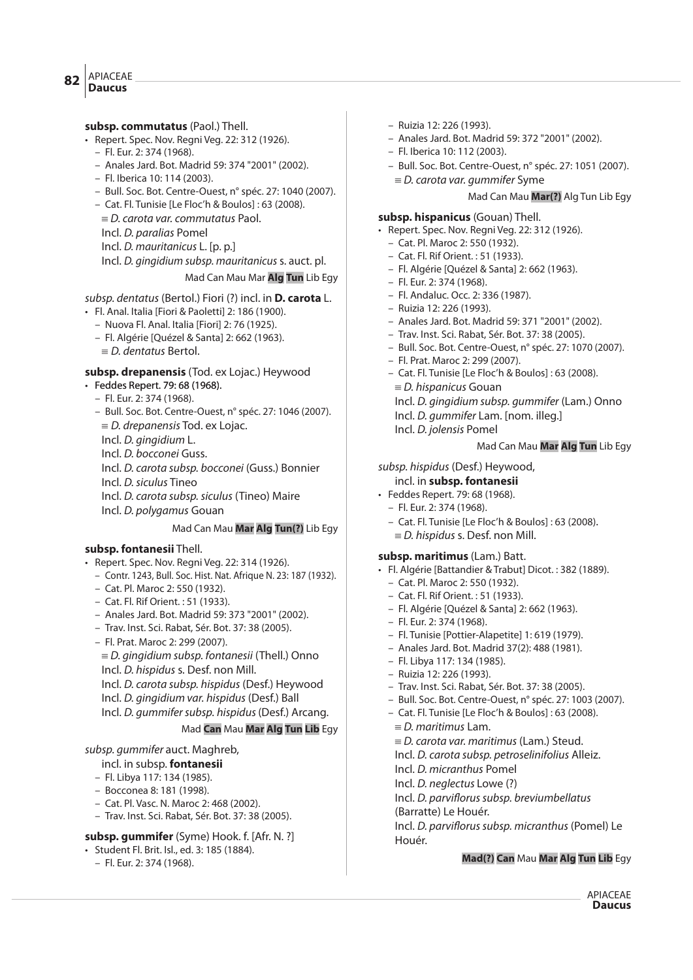#### APIACEAE **Daucus <sup>82</sup>**

- **subsp. commutatus** (Paol.) Thell.
- Repert. Spec. Nov. Regni Veg. 22: 312 (1926).
	- Fl. Eur. 2: 374 (1968).
	- Anales Jard. Bot. Madrid 59: 374 "2001" (2002).
	- Fl. Iberica 10: 114 (2003).
	- Bull. Soc. Bot. Centre-Ouest, n° spéc. 27: 1040 (2007).
	- Cat. Fl. Tunisie [Le Floc'h & Boulos] : 63 (2008).
	- $E = D$ . carota var. commutatus Paol.
	- Incl. D. paralias Pomel
	- Incl. D. mauritanicus L. [p. p.]
	- Incl. D. gingidium subsp. mauritanicus s. auct. pl.
		- Mad Can Mau Mar **Alg Tun** Lib Egy

# subsp. dentatus (Bertol.) Fiori (?) incl. in **D. carota** L.

- Fl. Anal. Italia [Fiori & Paoletti] 2: 186 (1900).
	- Nuova Fl. Anal. Italia [Fiori] 2: 76 (1925).
	- Fl. Algérie [Quézel & Santa] 2: 662 (1963).
	- $\equiv$  D. dentatus Bertol.

# **subsp. drepanensis** (Tod. ex Lojac.) Heywood

- Feddes Repert. 79: 68 (1968).
	- Fl. Eur. 2: 374 (1968).
	- Bull. Soc. Bot. Centre-Ouest, n° spéc. 27: 1046 (2007).
	- $\equiv$  D. drepanensis Tod. ex Lojac.
	- Incl. D. gingidium L.
	- Incl. D. bocconei Guss.
	- Incl. D. carota subsp. bocconei (Guss.) Bonnier
	- Incl. D. siculus Tineo
	- Incl. D. carota subsp. siculus (Tineo) Maire
	- Incl. D. polygamus Gouan

# Mad Can Mau **Mar Alg Tun(?)** Lib Egy

# **subsp. fontanesii** Thell.

- Repert. Spec. Nov. Regni Veg. 22: 314 (1926).
	- Contr. 1243, Bull. Soc. Hist. Nat. Afrique N. 23: 187 (1932).
	- Cat. Pl. Maroc 2: 550 (1932).
	- Cat. Fl. Rif Orient. : 51 (1933).
	- Anales Jard. Bot. Madrid 59: 373 "2001" (2002).
	- Trav. Inst. Sci. Rabat, Sér. Bot. 37: 38 (2005).
	- Fl. Prat. Maroc 2: 299 (2007).
	- $E = D$ . gingidium subsp. fontanesii (Thell.) Onno Incl. D. hispidus s. Desf. non Mill.
	- Incl. D. carota subsp. hispidus (Desf.) Heywood
	- Incl. D. gingidium var. hispidus (Desf.) Ball
	- Incl. D. gummifer subsp. hispidus (Desf.) Arcang.

# Mad **Can** Mau **Mar Alg Tun Lib** Egy

# subsp. gummifer auct. Maghreb,

# incl. in subsp. **fontanesii**

- Fl. Libya 117: 134 (1985).
- Bocconea 8: 181 (1998).
- Cat. Pl. Vasc. N. Maroc 2: 468 (2002).
- Trav. Inst. Sci. Rabat, Sér. Bot. 37: 38 (2005).

# **subsp. gummifer** (Syme) Hook. f. [Afr. N. ?]

- Student Fl. Brit. Isl., ed. 3: 185 (1884).
	- Fl. Eur. 2: 374 (1968).
- Ruizia 12: 226 (1993).
- Anales Jard. Bot. Madrid 59: 372 "2001" (2002).
- Fl. Iberica 10: 112 (2003).
- Bull. Soc. Bot. Centre-Ouest, n° spéc. 27: 1051 (2007).
	- $E = D$ . carota var. gummifer Syme

# Mad Can Mau **Mar(?)** Alg Tun Lib Egy

# **subsp. hispanicus** (Gouan) Thell.

- Repert. Spec. Nov. Regni Veg. 22: 312 (1926).
	- Cat. Pl. Maroc 2: 550 (1932).
	- Cat. Fl. Rif Orient. : 51 (1933).
	- Fl. Algérie [Quézel & Santa] 2: 662 (1963).
	- Fl. Eur. 2: 374 (1968).
	- Fl. Andaluc. Occ. 2: 336 (1987).
	- Ruizia 12: 226 (1993).
	- Anales Jard. Bot. Madrid 59: 371 "2001" (2002).
	- Trav. Inst. Sci. Rabat, Sér. Bot. 37: 38 (2005).
	- Bull. Soc. Bot. Centre-Ouest, n° spéc. 27: 1070 (2007).
	- Fl. Prat. Maroc 2: 299 (2007).
	- Cat. Fl. Tunisie [Le Floc'h & Boulos] : 63 (2008).
		- $\equiv$  D. hispanicus Gouan
		- Incl. D. gingidium subsp. gummifer (Lam.) Onno
		- Incl. D. gummifer Lam. [nom. illeg.]
		- Incl. D. jolensis Pomel

# Mad Can Mau **Mar Alg Tun** Lib Egy

# subsp. hispidus (Desf.) Heywood,

# incl. in **subsp. fontanesii**

- Feddes Repert. 79: 68 (1968).
	- Fl. Eur. 2: 374 (1968).
	- Cat. Fl. Tunisie [Le Floc'h & Boulos] : 63 (2008).
	- $E = D$ . hispidus s. Desf. non Mill.

# **subsp. maritimus** (Lam.) Batt.

- Fl. Algérie [Battandier & Trabut] Dicot. : 382 (1889).
	- Cat. Pl. Maroc 2: 550 (1932).
	- Cat. Fl. Rif Orient. : 51 (1933).
	- Fl. Algérie [Quézel & Santa] 2: 662 (1963).
	- Fl. Eur. 2: 374 (1968).
	- Fl. Tunisie [Pottier-Alapetite] 1: 619 (1979).
	- Anales Jard. Bot. Madrid 37(2): 488 (1981).
	- Fl. Libya 117: 134 (1985).
	- Ruizia 12: 226 (1993).
	- Trav. Inst. Sci. Rabat, Sér. Bot. 37: 38 (2005).
	- Bull. Soc. Bot. Centre-Ouest, n° spéc. 27: 1003 (2007).
	- Cat. Fl. Tunisie [Le Floc'h & Boulos] : 63 (2008).  $\equiv$  D. maritimus Lam.
		- $E = D$ . carota var. maritimus (Lam.) Steud.
		- Incl. D. carota subsp. petroselinifolius Alleiz.

Incl. D. parviflorus subsp. breviumbellatus

Incl. D. parviflorus subsp. micranthus (Pomel) Le

**Mad(?) Can** Mau **Mar Alg Tun Lib** Egy

APIACEAE **Daucus**

- Incl. D. micranthus Pomel
- Incl. D. neglectus Lowe (?)

(Barratte) Le Houér.

Houér.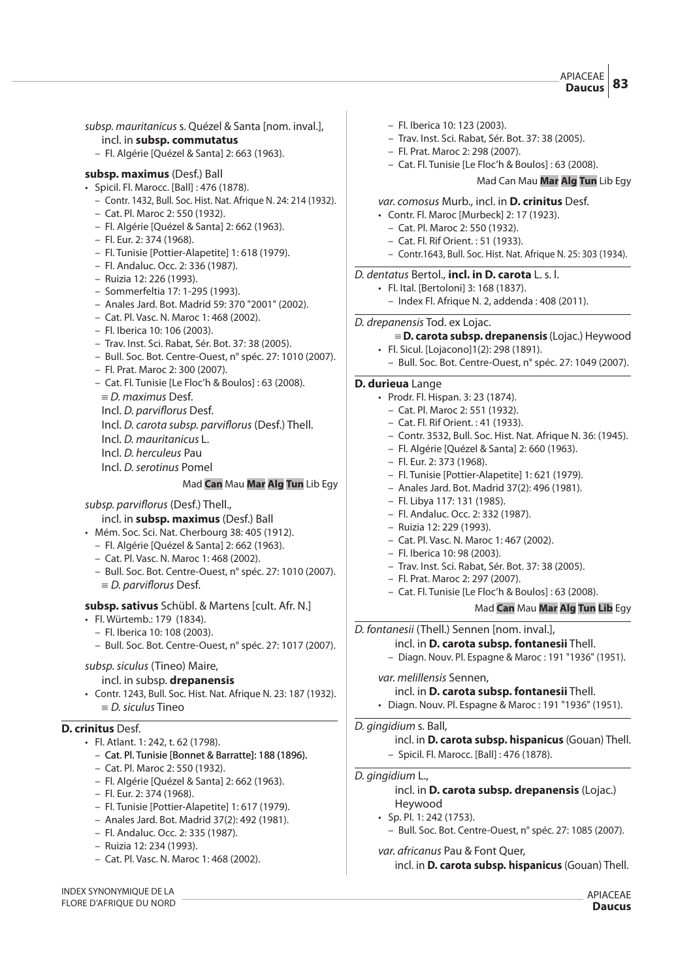APIACEAE **Daucus 83**

subsp. mauritanicus s. Quézel & Santa [nom. inval.], incl. in **subsp. commutatus** – Fl. Algérie [Quézel & Santa] 2: 663 (1963). **subsp. maximus** (Desf.) Ball • Spicil. Fl. Marocc. [Ball] : 476 (1878). – Contr. 1432, Bull. Soc. Hist. Nat. Afrique N. 24: 214 (1932). – Cat. Pl. Maroc 2: 550 (1932). – Fl. Algérie [Quézel & Santa] 2: 662 (1963). – Fl. Eur. 2: 374 (1968). – Fl. Tunisie [Pottier-Alapetite] 1: 618 (1979). – Fl. Andaluc. Occ. 2: 336 (1987). – Ruizia 12: 226 (1993). – Sommerfeltia 17: 1-295 (1993). – Anales Jard. Bot. Madrid 59: 370 "2001" (2002). – Cat. Pl. Vasc. N. Maroc 1: 468 (2002). – Fl. Iberica 10: 106 (2003). – Trav. Inst. Sci. Rabat, Sér. Bot. 37: 38 (2005). – Bull. Soc. Bot. Centre-Ouest, n° spéc. 27: 1010 (2007). – Fl. Prat. Maroc 2: 300 (2007). – Cat. Fl. Tunisie [Le Floc'h & Boulos] : 63 (2008).  $\equiv$  D. maximus Desf. Incl. D. parviflorus Desf. Incl. D. carota subsp. parviflorus (Desf.) Thell. Incl. D. mauritanicus L. Incl. D. herculeus Pau Incl. D.serotinus Pomel Mad **Can** Mau **Mar Alg Tun** Lib Egy subsp. parviflorus (Desf.) Thell., incl. in **subsp. maximus** (Desf.) Ball • Mém. Soc. Sci. Nat. Cherbourg 38: 405 (1912). – Fl. Algérie [Quézel & Santa] 2: 662 (1963). – Cat. Pl. Vasc. N. Maroc 1: 468 (2002). – Bull. Soc. Bot. Centre-Ouest, n° spéc. 27: 1010 (2007).  $\equiv$  D. parviflorus Desf. **subsp. sativus** Schübl. & Martens [cult. Afr. N.] • Fl. Würtemb.: 179 (1834). – Fl. Iberica 10: 108 (2003). – Bull. Soc. Bot. Centre-Ouest, n° spéc. 27: 1017 (2007). subsp. siculus (Tineo) Maire, incl. in subsp. **drepanensis** • Contr. 1243, Bull. Soc. Hist. Nat. Afrique N. 23: 187 (1932).  $\equiv$  D. siculus Tineo **D. crinitus** Desf. • Fl. Atlant. 1: 242, t. 62 (1798). – Cat. Pl. Tunisie [Bonnet & Barratte]: 188 (1896). – Cat. Pl. Maroc 2: 550 (1932). – Fl. Algérie [Quézel & Santa] 2: 662 (1963). – Fl. Eur. 2: 374 (1968). – Fl. Tunisie [Pottier-Alapetite] 1: 617 (1979). – Anales Jard. Bot. Madrid 37(2): 492 (1981). – Fl. Andaluc. Occ. 2: 335 (1987). – Ruizia 12: 234 (1993). – Cat. Pl. Vasc. N. Maroc 1: 468 (2002). – Fl. Iberica 10: 123 (2003). – Trav. Inst. Sci. Rabat, Sér. Bot. 37: 38 (2005). – Fl. Prat. Maroc 2: 298 (2007). – Cat. Fl. Tunisie [Le Floc'h & Boulos] : 63 (2008). Mad Can Mau **Mar Alg Tun** Lib Egy var. comosus Murb., incl. in **D. crinitus** Desf. • Contr. Fl. Maroc [Murbeck] 2: 17 (1923). – Cat. Pl. Maroc 2: 550 (1932). – Cat. Fl. Rif Orient. : 51 (1933). – Contr.1643, Bull. Soc. Hist. Nat. Afrique N. 25: 303 (1934). D. dentatus Bertol., **incl. in D. carota** L. s. l. • Fl. Ital. [Bertoloni] 3: 168 (1837). – Index Fl. Afrique N. 2, addenda : 408 (2011). D. drepanensis Tod. ex Lojac. { **D. carota subsp. drepanensis** (Lojac.) Heywood • Fl. Sicul. [Lojacono]1(2): 298 (1891). – Bull. Soc. Bot. Centre-Ouest, n° spéc. 27: 1049 (2007). **D. durieua** Lange • Prodr. Fl. Hispan. 3: 23 (1874). – Cat. Pl. Maroc 2: 551 (1932). – Cat. Fl. Rif Orient. : 41 (1933). – Contr. 3532, Bull. Soc. Hist. Nat. Afrique N. 36: (1945). – Fl. Algérie [Quézel & Santa] 2: 660 (1963). – Fl. Eur. 2: 373 (1968). – Fl. Tunisie [Pottier-Alapetite] 1: 621 (1979). – Anales Jard. Bot. Madrid 37(2): 496 (1981). – Fl. Libya 117: 131 (1985). – Fl. Andaluc. Occ. 2: 332 (1987). – Ruizia 12: 229 (1993). – Cat. Pl. Vasc. N. Maroc 1: 467 (2002). – Fl. Iberica 10: 98 (2003). – Trav. Inst. Sci. Rabat, Sér. Bot. 37: 38 (2005). – Fl. Prat. Maroc 2: 297 (2007). – Cat. Fl. Tunisie [Le Floc'h & Boulos] : 63 (2008). Mad **Can** Mau **Mar Alg Tun Lib** Egy D. fontanesii (Thell.) Sennen [nom. inval.], incl. in **D. carota subsp. fontanesii** Thell. – Diagn. Nouv. Pl. Espagne & Maroc : 191 "1936" (1951). var. melillensis Sennen, incl. in **D. carota subsp. fontanesii** Thell. • Diagn. Nouv. Pl. Espagne & Maroc : 191 "1936" (1951). D. gingidium s. Ball, incl. in **D. carota subsp. hispanicus** (Gouan) Thell. – Spicil. Fl. Marocc. [Ball] : 476 (1878). D. gingidium L., incl. in **D. carota subsp. drepanensis** (Lojac.) Heywood • Sp. Pl. 1: 242 (1753). – Bull. Soc. Bot. Centre-Ouest, n° spéc. 27: 1085 (2007). var. africanus Pau & Font Quer, incl. in **D. carota subsp. hispanicus** (Gouan) Thell.

INDEX SYNONYMIQUE DE LA FLORE D'AFRIQUE DU NORD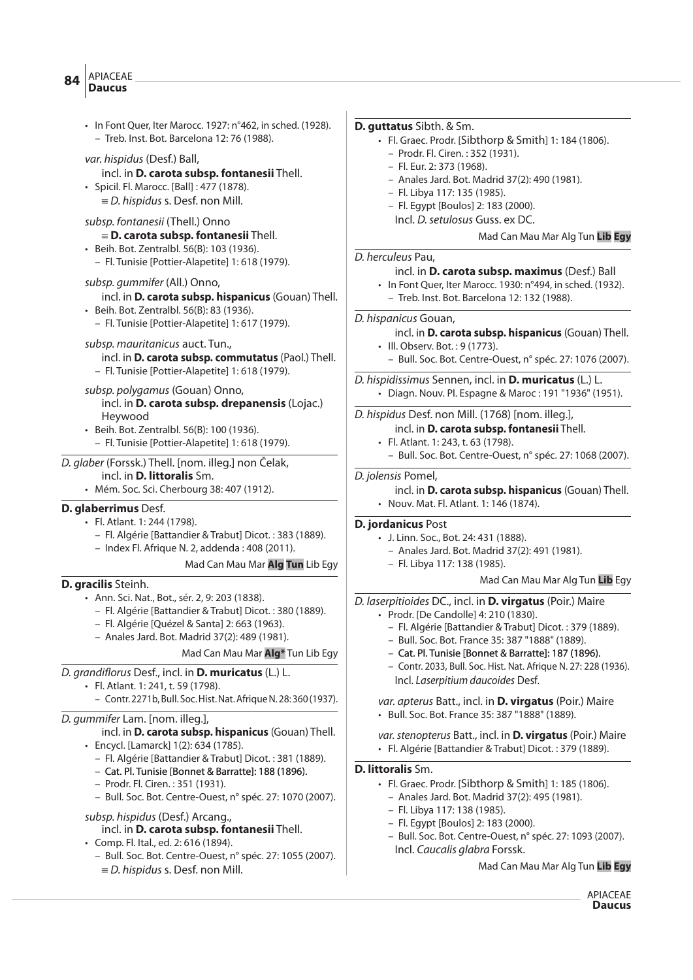# APIACEAE **Daucus <sup>84</sup>**

 $E = D$ . hispidus s. Desf. non Mill.

| • In Font Quer, Iter Marocc. 1927: n°462, in sched. (1928).                                                                                                                                                                                                                            | D. guttatus Sibth. & Sm.                                                                                                                                                                                   |
|----------------------------------------------------------------------------------------------------------------------------------------------------------------------------------------------------------------------------------------------------------------------------------------|------------------------------------------------------------------------------------------------------------------------------------------------------------------------------------------------------------|
| - Treb. Inst. Bot. Barcelona 12: 76 (1988).                                                                                                                                                                                                                                            | • Fl. Graec. Prodr. [Sibthorp & Smith] 1: 184 (1806).                                                                                                                                                      |
| var. hispidus (Desf.) Ball,<br>incl. in D. carota subsp. fontanesii Thell.<br>· Spicil. Fl. Marocc. [Ball] : 477 (1878).<br>$\equiv$ <i>D. hispidus s. Desf. non Mill.</i>                                                                                                             | - Prodr. Fl. Ciren.: 352 (1931).<br>- Fl. Eur. 2: 373 (1968).<br>- Anales Jard. Bot. Madrid 37(2): 490 (1981).<br>- Fl. Libya 117: 135 (1985).<br>- Fl. Egypt [Boulos] 2: 183 (2000).                      |
| subsp. fontanesii (Thell.) Onno                                                                                                                                                                                                                                                        | Incl. D. setulosus Guss. ex DC.                                                                                                                                                                            |
| $\equiv$ D. carota subsp. fontanesii Thell.                                                                                                                                                                                                                                            | Mad Can Mau Mar Alg Tun Lib Egy                                                                                                                                                                            |
| • Beih. Bot. Zentralbl. 56(B): 103 (1936).<br>- Fl. Tunisie [Pottier-Alapetite] 1: 618 (1979).<br>subsp. gummifer (All.) Onno,<br>incl. in D. carota subsp. hispanicus (Gouan) Thell.<br>· Beih. Bot. Zentralbl. 56(B): 83 (1936).<br>- Fl. Tunisie [Pottier-Alapetite] 1: 617 (1979). | D. herculeus Pau,<br>incl. in D. carota subsp. maximus (Desf.) Ball<br>· In Font Quer, Iter Marocc. 1930: n°494, in sched. (1932).<br>- Treb. Inst. Bot. Barcelona 12: 132 (1988).<br>D. hispanicus Gouan, |
| subsp. mauritanicus auct. Tun.,                                                                                                                                                                                                                                                        | incl. in D. carota subsp. hispanicus (Gouan) Thell.                                                                                                                                                        |
| incl. in D. carota subsp. commutatus (Paol.) Thell.                                                                                                                                                                                                                                    | · III. Observ. Bot.: 9 (1773).                                                                                                                                                                             |
| - Fl. Tunisie [Pottier-Alapetite] 1: 618 (1979).                                                                                                                                                                                                                                       | - Bull. Soc. Bot. Centre-Ouest, n° spéc. 27: 1076 (2007).                                                                                                                                                  |
| subsp. polygamus (Gouan) Onno,                                                                                                                                                                                                                                                         | D. hispidissimus Sennen, incl. in D. muricatus (L.) L.                                                                                                                                                     |
| incl. in D. carota subsp. drepanensis (Lojac.)                                                                                                                                                                                                                                         | • Diagn. Nouv. Pl. Espagne & Maroc: 191 "1936" (1951).                                                                                                                                                     |
| Heywood                                                                                                                                                                                                                                                                                | D. hispidus Desf. non Mill. (1768) [nom. illeg.],                                                                                                                                                          |
| • Beih. Bot. Zentralbl. 56(B): 100 (1936).                                                                                                                                                                                                                                             | incl. in D. carota subsp. fontanesii Thell.                                                                                                                                                                |
| - Fl. Tunisie [Pottier-Alapetite] 1: 618 (1979).                                                                                                                                                                                                                                       | · Fl. Atlant. 1: 243, t. 63 (1798).                                                                                                                                                                        |
| D. glaber (Forssk.) Thell. [nom. illeg.] non Čelak,                                                                                                                                                                                                                                    | - Bull. Soc. Bot. Centre-Ouest, n° spéc. 27: 1068 (2007).                                                                                                                                                  |
| incl. in <b>D. littoralis</b> Sm.                                                                                                                                                                                                                                                      | D. jolensis Pomel,                                                                                                                                                                                         |
| · Mém. Soc. Sci. Cherbourg 38: 407 (1912).                                                                                                                                                                                                                                             | incl. in D. carota subsp. hispanicus (Gouan) Thell.                                                                                                                                                        |
| D. glaberrimus Desf.                                                                                                                                                                                                                                                                   | • Nouv. Mat. Fl. Atlant. 1: 146 (1874).                                                                                                                                                                    |
| · Fl. Atlant. 1: 244 (1798).                                                                                                                                                                                                                                                           | D. jordanicus Post                                                                                                                                                                                         |
| - Fl. Algérie [Battandier & Trabut] Dicot.: 383 (1889).                                                                                                                                                                                                                                | • J. Linn. Soc., Bot. 24: 431 (1888).                                                                                                                                                                      |
| - Index Fl. Afrique N. 2, addenda: 408 (2011).                                                                                                                                                                                                                                         | - Anales Jard. Bot. Madrid 37(2): 491 (1981).                                                                                                                                                              |
| Mad Can Mau Mar Alg Tun Lib Egy                                                                                                                                                                                                                                                        | - Fl. Libya 117: 138 (1985).                                                                                                                                                                               |
| D. gracilis Steinh.                                                                                                                                                                                                                                                                    | Mad Can Mau Mar Alg Tun Lib Egy                                                                                                                                                                            |
| · Ann. Sci. Nat., Bot., sér. 2, 9: 203 (1838).                                                                                                                                                                                                                                         | D. laserpitioides DC., incl. in D. virgatus (Poir.) Maire                                                                                                                                                  |
| - Fl. Algérie [Battandier & Trabut] Dicot. : 380 (1889).                                                                                                                                                                                                                               | • Prodr. [De Candolle] 4: 210 (1830).                                                                                                                                                                      |
| - Fl. Algérie [Quézel & Santa] 2: 663 (1963).                                                                                                                                                                                                                                          | - Fl. Algérie [Battandier & Trabut] Dicot.: 379 (1889).                                                                                                                                                    |
| - Anales Jard. Bot. Madrid 37(2): 489 (1981).                                                                                                                                                                                                                                          | - Bull. Soc. Bot. France 35: 387 "1888" (1889).                                                                                                                                                            |
| Mad Can Mau Mar Alg* Tun Lib Egy                                                                                                                                                                                                                                                       | - Cat. Pl. Tunisie [Bonnet & Barratte]: 187 (1896).                                                                                                                                                        |
| D. grandiflorus Desf., incl. in D. muricatus (L.) L.                                                                                                                                                                                                                                   | - Contr. 2033, Bull. Soc. Hist. Nat. Afrique N. 27: 228 (1936).                                                                                                                                            |
| · Fl. Atlant. 1: 241, t. 59 (1798).                                                                                                                                                                                                                                                    | Incl. Laserpitium daucoides Desf.                                                                                                                                                                          |
| - Contr. 2271b, Bull. Soc. Hist. Nat. Afrique N. 28: 360 (1937).                                                                                                                                                                                                                       | var. apterus Batt., incl. in D. virgatus (Poir.) Maire                                                                                                                                                     |
| D. gummifer Lam. [nom. illeq.],<br>incl. in D. carota subsp. hispanicus (Gouan) Thell.                                                                                                                                                                                                 | • Bull. Soc. Bot. France 35: 387 "1888" (1889).                                                                                                                                                            |
| • Encycl. [Lamarck] 1(2): 634 (1785).                                                                                                                                                                                                                                                  | var. stenopterus Batt., incl. in D. virgatus (Poir.) Maire                                                                                                                                                 |
| - Fl. Algérie [Battandier & Trabut] Dicot.: 381 (1889).                                                                                                                                                                                                                                | · Fl. Algérie [Battandier & Trabut] Dicot.: 379 (1889).                                                                                                                                                    |
| - Cat. Pl. Tunisie [Bonnet & Barratte]: 188 (1896).                                                                                                                                                                                                                                    | <b>D. littoralis</b> Sm.                                                                                                                                                                                   |
| - Prodr. Fl. Ciren.: 351 (1931).                                                                                                                                                                                                                                                       | • Fl. Graec. Prodr. [Sibthorp & Smith] 1: 185 (1806).                                                                                                                                                      |
| - Bull. Soc. Bot. Centre-Ouest, n° spéc. 27: 1070 (2007).                                                                                                                                                                                                                              | - Anales Jard. Bot. Madrid 37(2): 495 (1981).                                                                                                                                                              |
| subsp. hispidus (Desf.) Arcang.,                                                                                                                                                                                                                                                       | - Fl. Libya 117: 138 (1985).                                                                                                                                                                               |
| incl. in D. carota subsp. fontanesii Thell.                                                                                                                                                                                                                                            | - Fl. Egypt [Boulos] 2: 183 (2000).                                                                                                                                                                        |
| • Comp. Fl. Ital., ed. 2: 616 (1894).                                                                                                                                                                                                                                                  | - Bull. Soc. Bot. Centre-Ouest, n° spéc. 27: 1093 (2007).                                                                                                                                                  |
| - Bull. Soc. Bot. Centre-Ouest, n° spéc. 27: 1055 (2007).                                                                                                                                                                                                                              | Incl. Caucalis glabra Forssk.                                                                                                                                                                              |

Mad Can Mau Mar Alg Tun **Lib Egy**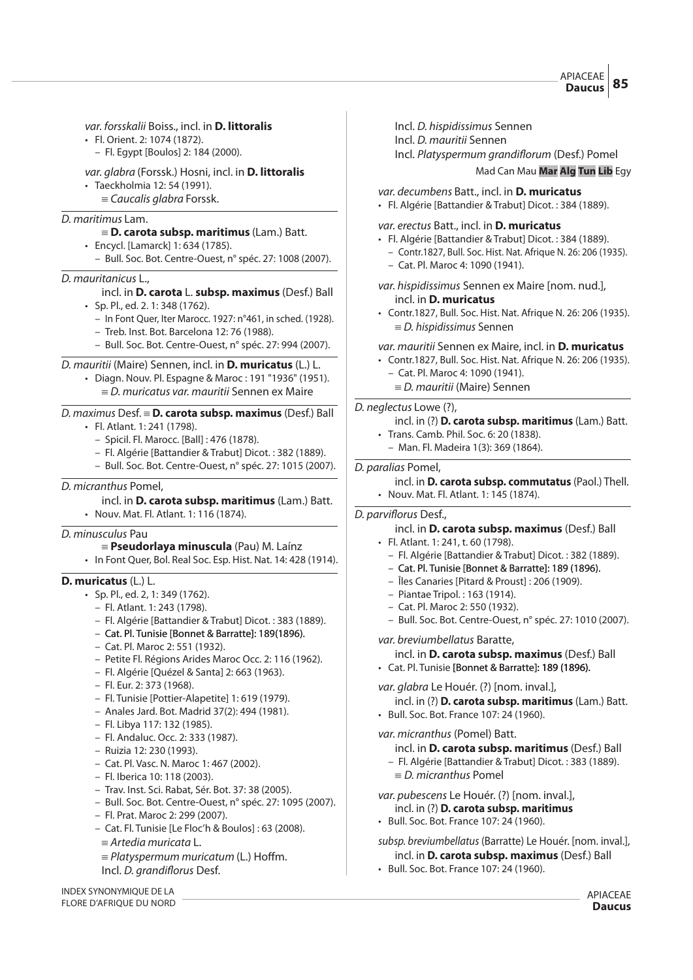var. forsskalii Boiss., incl. in **D. littoralis**

- Fl. Orient. 2: 1074 (1872).
	- Fl. Egypt [Boulos] 2: 184 (2000).

# var. glabra (Forssk.) Hosni, incl. in **D. littoralis**

- Taeckholmia 12: 54 (1991).
	- $=$  Caucalis glabra Forssk.

#### D. maritimus Lam.

# { **D. carota subsp. maritimus** (Lam.) Batt.

- Encycl. [Lamarck] 1: 634 (1785).
	- Bull. Soc. Bot. Centre-Ouest, n° spéc. 27: 1008 (2007).

#### D. mauritanicus L.,

# incl. in **D. carota** L. **subsp. maximus** (Desf.) Ball

- Sp. Pl., ed. 2. 1: 348 (1762).
	- In Font Quer, Iter Marocc. 1927: n°461, in sched. (1928).
	- Treb. Inst. Bot. Barcelona 12: 76 (1988).
	- Bull. Soc. Bot. Centre-Ouest, n° spéc. 27: 994 (2007).

#### D. mauritii (Maire) Sennen, incl. in **D. muricatus** (L.) L.

- Diagn. Nouv. Pl. Espagne & Maroc : 191 "1936" (1951).
	- $E = D$ . muricatus var. mauritii Sennen ex Maire

# D. maximus Desf. { **D. carota subsp. maximus** (Desf.) Ball

- Fl. Atlant. 1: 241 (1798).
	- Spicil. Fl. Marocc. [Ball] : 476 (1878).
	- Fl. Algérie [Battandier & Trabut] Dicot. : 382 (1889).
	- Bull. Soc. Bot. Centre-Ouest, n° spéc. 27: 1015 (2007).

#### D. micranthus Pomel,

#### incl. in **D. carota subsp. maritimus** (Lam.) Batt.

• Nouv. Mat. Fl. Atlant. 1: 116 (1874).

# D. minusculus Pau

#### { **Pseudorlaya minuscula** (Pau) M. Laínz

• In Font Quer, Bol. Real Soc. Esp. Hist. Nat. 14: 428 (1914).

# **D. muricatus** (L.) L.

- Sp. Pl., ed. 2, 1: 349 (1762).
	- Fl. Atlant. 1: 243 (1798).
	- Fl. Algérie [Battandier & Trabut] Dicot. : 383 (1889).
	- Cat. Pl. Tunisie [Bonnet & Barratte]: 189(1896).
	- Cat. Pl. Maroc 2: 551 (1932).
	- Petite Fl. Régions Arides Maroc Occ. 2: 116 (1962).
	- Fl. Algérie [Quézel & Santa] 2: 663 (1963).
	- Fl. Eur. 2: 373 (1968).
	- Fl. Tunisie [Pottier-Alapetite] 1: 619 (1979).
	- Anales Jard. Bot. Madrid 37(2): 494 (1981).
	- Fl. Libya 117: 132 (1985).
	- Fl. Andaluc. Occ. 2: 333 (1987).
	- Ruizia 12: 230 (1993).
	- Cat. Pl. Vasc. N. Maroc 1: 467 (2002).
	- Fl. Iberica 10: 118 (2003).
	- Trav. Inst. Sci. Rabat, Sér. Bot. 37: 38 (2005).
	- Bull. Soc. Bot. Centre-Ouest, n° spéc. 27: 1095 (2007).
	- Fl. Prat. Maroc 2: 299 (2007).
	- Cat. Fl. Tunisie [Le Floc'h & Boulos] : 63 (2008).
	- $=$  Artedia muricata L.
	- $=$  Platyspermum muricatum (L.) Hoffm. Incl. D. grandiflorus Desf.

INDEX SYNONYMIQUE DE LA FLORE D'AFRIQUE DU NORD

- Incl. D. hispidissimus Sennen
- Incl. D. mauritii Sennen

Incl. Platyspermum grandiflorum (Desf.) Pomel

Mad Can Mau **Mar Alg Tun Lib** Egy

var. decumbens Batt., incl. in **D. muricatus**

• Fl. Algérie [Battandier & Trabut] Dicot. : 384 (1889).

#### var. erectus Batt., incl. in **D. muricatus**

- Fl. Algérie [Battandier & Trabut] Dicot. : 384 (1889).
	- Contr.1827, Bull. Soc. Hist. Nat. Afrique N. 26: 206 (1935). – Cat. Pl. Maroc 4: 1090 (1941).
- var. hispidissimus Sennen ex Maire [nom. nud.], incl. in **D. muricatus**
- Contr.1827, Bull. Soc. Hist. Nat. Afrique N. 26: 206 (1935).  $E = D$ . hispidissimus Sennen

#### var. mauritii Sennen ex Maire, incl. in **D. muricatus**

- Contr.1827, Bull. Soc. Hist. Nat. Afrique N. 26: 206 (1935).
	- Cat. Pl. Maroc 4: 1090 (1941).
	- $\equiv$  D. mauritii (Maire) Sennen

# D. neglectus Lowe (?),

- incl. in (?) **D. carota subsp. maritimus** (Lam.) Batt.
- Trans. Camb. Phil. Soc. 6: 20 (1838).
- Man. Fl. Madeira 1(3): 369 (1864).
- D. paralias Pomel,

#### incl. in **D. carota subsp. commutatus** (Paol.) Thell.

• Nouv. Mat. Fl. Atlant. 1: 145 (1874).

### D. parviflorus Desf.,

- incl. in **D. carota subsp. maximus** (Desf.) Ball
- Fl. Atlant. 1: 241, t. 60 (1798).
	- Fl. Algérie [Battandier & Trabut] Dicot. : 382 (1889).
	- Cat. Pl. Tunisie [Bonnet & Barratte]: 189 (1896).
	- Îles Canaries [Pitard & Proust] : 206 (1909).
	- Piantae Tripol. : 163 (1914).
	- Cat. Pl. Maroc 2: 550 (1932).
	- Bull. Soc. Bot. Centre-Ouest, n° spéc. 27: 1010 (2007).

var. breviumbellatus Baratte,

- incl. in **D. carota subsp. maximus** (Desf.) Ball
- $\cdot$  Cat. Pl. Tunisie [Bonnet & Barratte]: 189 (1896).

var. glabra Le Houér. (?) [nom. inval.],

incl. in (?) **D. carota subsp. maritimus** (Lam.) Batt. • Bull. Soc. Bot. France 107: 24 (1960).

var. micranthus (Pomel) Batt.

- incl. in **D. carota subsp. maritimus** (Desf.) Ball
- Fl. Algérie [Battandier & Trabut] Dicot. : 383 (1889).
- $\equiv$  D. micranthus Pomel
- var. pubescens Le Houér. (?) [nom. inval.], incl. in (?) **D. carota subsp. maritimus**
- Bull. Soc. Bot. France 107: 24 (1960).

subsp. breviumbellatus (Barratte) Le Houér. [nom. inval.], incl. in **D. carota subsp. maximus** (Desf.) Ball

• Bull. Soc. Bot. France 107: 24 (1960).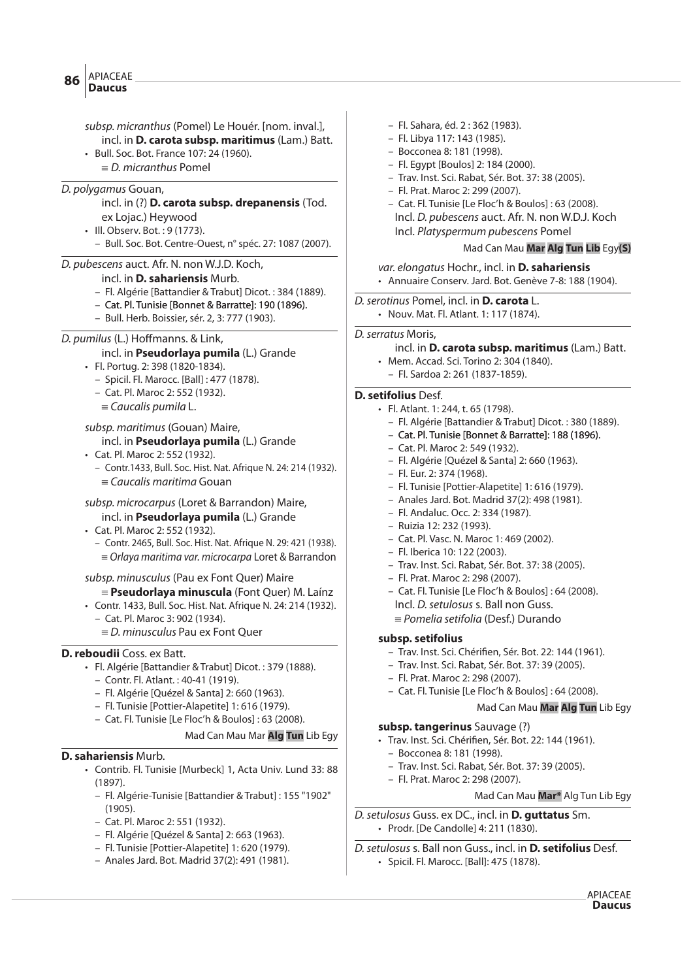subsp. micranthus (Pomel) Le Houér. [nom. inval.], incl. in **D. carota subsp. maritimus** (Lam.) Batt. • Bull. Soc. Bot. France 107: 24 (1960).  $\equiv$  D. micranthus Pomel D. polygamus Gouan, incl. in (?) **D. carota subsp. drepanensis** (Tod. ex Lojac.) Heywood • Ill. Observ. Bot. : 9 (1773). – Bull. Soc. Bot. Centre-Ouest, n° spéc. 27: 1087 (2007). D. pubescens auct. Afr. N. non W.J.D. Koch, incl. in **D. sahariensis** Murb. – Fl. Algérie [Battandier & Trabut] Dicot. : 384 (1889). – Cat. Pl. Tunisie [Bonnet & Barratte]: 190 (1896). – Bull. Herb. Boissier, sér. 2, 3: 777 (1903). D. pumilus (L.) Hoffmanns. & Link, incl. in **Pseudorlaya pumila** (L.) Grande • Fl. Portug. 2: 398 (1820-1834). – Spicil. Fl. Marocc. [Ball] : 477 (1878). – Cat. Pl. Maroc 2: 552 (1932).  $\equiv$  Caucalis pumila L. subsp. maritimus (Gouan) Maire, incl. in **Pseudorlaya pumila** (L.) Grande • Cat. Pl. Maroc 2: 552 (1932). – Contr.1433, Bull. Soc. Hist. Nat. Afrique N. 24: 214 (1932).  $=$  Caucalis maritima Gouan subsp. microcarpus (Loret & Barrandon) Maire, incl. in **Pseudorlaya pumila** (L.) Grande • Cat. Pl. Maroc 2: 552 (1932). – Contr. 2465, Bull. Soc. Hist. Nat. Afrique N. 29: 421 (1938).  $\equiv$  Orlaya maritima var. microcarpa Loret & Barrandon subsp. minusculus (Pau ex Font Quer) Maire

- { **Pseudorlaya minuscula** (Font Quer) M. Laínz
- Contr. 1433, Bull. Soc. Hist. Nat. Afrique N. 24: 214 (1932).
	- Cat. Pl. Maroc 3: 902 (1934).
	- $E = D$ . minusculus Pau ex Font Quer

#### **D. reboudii** Coss. ex Batt.

• Fl. Algérie [Battandier & Trabut] Dicot. : 379 (1888).

- Contr. Fl. Atlant. : 40-41 (1919).
- Fl. Algérie [Quézel & Santa] 2: 660 (1963).
- Fl. Tunisie [Pottier-Alapetite] 1: 616 (1979).
- Cat. Fl. Tunisie [Le Floc'h & Boulos] : 63 (2008).

Mad Can Mau Mar **Alg Tun** Lib Egy

#### **D. sahariensis** Murb.

- Contrib. Fl. Tunisie [Murbeck] 1, Acta Univ. Lund 33: 88 (1897).
	- Fl. Algérie-Tunisie [Battandier & Trabut] : 155 "1902" (1905).
	- Cat. Pl. Maroc 2: 551 (1932).
	- Fl. Algérie [Quézel & Santa] 2: 663 (1963).
	- Fl. Tunisie [Pottier-Alapetite] 1: 620 (1979).
	- Anales Jard. Bot. Madrid 37(2): 491 (1981).
- Fl. Sahara, éd. 2 : 362 (1983).
- Fl. Libya 117: 143 (1985).
- Bocconea 8: 181 (1998).
- Fl. Egypt [Boulos] 2: 184 (2000).
- Trav. Inst. Sci. Rabat, Sér. Bot. 37: 38 (2005).
- Fl. Prat. Maroc 2: 299 (2007).
- Cat. Fl. Tunisie [Le Floc'h & Boulos] : 63 (2008). Incl. D. pubescens auct. Afr. N. non W.D.J. Koch Incl. Platyspermum pubescens Pomel

# Mad Can Mau **Mar Alg Tun Lib** Egy**(S)**

var. elongatus Hochr., incl. in **D. sahariensis** • Annuaire Conserv. Jard. Bot. Genève 7-8: 188 (1904).

D.serotinus Pomel, incl. in **D. carota** L.

• Nouv. Mat. Fl. Atlant. 1: 117 (1874).

#### D. serratus Moris,

- incl. in **D. carota subsp. maritimus** (Lam.) Batt.
- Mem. Accad. Sci. Torino 2: 304 (1840).
	- Fl. Sardoa 2: 261 (1837-1859).

#### **D. setifolius** Desf.

- Fl. Atlant. 1: 244, t. 65 (1798).
	- Fl. Algérie [Battandier & Trabut] Dicot. : 380 (1889).
	- Cat. Pl. Tunisie [Bonnet & Barratte]: 188 (1896).
	- Cat. Pl. Maroc 2: 549 (1932).
	- Fl. Algérie [Quézel & Santa] 2: 660 (1963).
	- Fl. Eur. 2: 374 (1968).
	- Fl. Tunisie [Pottier-Alapetite] 1: 616 (1979).
	- Anales Jard. Bot. Madrid 37(2): 498 (1981).
	- Fl. Andaluc. Occ. 2: 334 (1987).
	- Ruizia 12: 232 (1993).
	- Cat. Pl. Vasc. N. Maroc 1: 469 (2002).
	- Fl. Iberica 10: 122 (2003).
	- Trav. Inst. Sci. Rabat, Sér. Bot. 37: 38 (2005).
	- Fl. Prat. Maroc 2: 298 (2007).
	- Cat. Fl. Tunisie [Le Floc'h & Boulos] : 64 (2008).
	- Incl. D. setulosus s. Ball non Guss.
	- $\equiv$  Pomelia setifolia (Desf.) Durando

### **subsp. setifolius**

- Trav. Inst. Sci. Chéri#en, Sér. Bot. 22: 144 (1961).
- Trav. Inst. Sci. Rabat, Sér. Bot. 37: 39 (2005).
- Fl. Prat. Maroc 2: 298 (2007).
- Cat. Fl. Tunisie [Le Floc'h & Boulos] : 64 (2008).

# Mad Can Mau **Mar Alg Tun** Lib Egy

#### **subsp. tangerinus** Sauvage (?)

- Trav. Inst. Sci. Chérifien, Sér. Bot. 22: 144 (1961).
	- Bocconea 8: 181 (1998).
	- Trav. Inst. Sci. Rabat, Sér. Bot. 37: 39 (2005).
	- Fl. Prat. Maroc 2: 298 (2007).

#### Mad Can Mau **Mar\*** Alg Tun Lib Egy

D.setulosus Guss. ex DC., incl. in **D. guttatus** Sm. • Prodr. [De Candolle] 4: 211 (1830).

D.setulosus s. Ball non Guss., incl. in **D. setifolius** Desf.

• Spicil. Fl. Marocc. [Ball]: 475 (1878).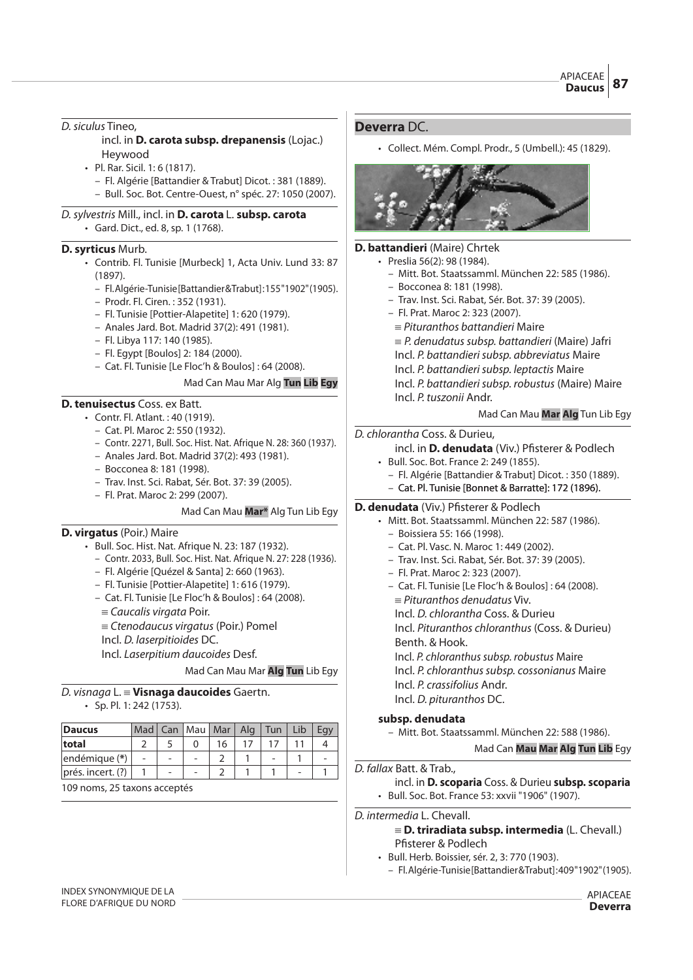# D. siculus Tineo.

# incl. in **D. carota subsp. drepanensis** (Lojac.) Heywood

- Pl. Rar. Sicil. 1: 6 (1817).
	- Fl. Algérie [Battandier & Trabut] Dicot. : 381 (1889).
	- Bull. Soc. Bot. Centre-Ouest, n° spéc. 27: 1050 (2007).

D.sylvestris Mill., incl. in **D. carota** L. **subsp. carota** • Gard. Dict., ed. 8, sp. 1 (1768).

# **D. syrticus** Murb.

- Contrib. Fl. Tunisie [Murbeck] 1, Acta Univ. Lund 33: 87 (1897).
	- Fl. Algérie-Tunisie [Battandier & Trabut] : 155 "1902" (1905).
	- Prodr. Fl. Ciren. : 352 (1931).
	- Fl. Tunisie [Pottier-Alapetite] 1: 620 (1979).
	- Anales Jard. Bot. Madrid 37(2): 491 (1981).
	- Fl. Libya 117: 140 (1985).
	- Fl. Egypt [Boulos] 2: 184 (2000).
	- Cat. Fl. Tunisie [Le Floc'h & Boulos] : 64 (2008).

# Mad Can Mau Mar Alg **Tun Lib Egy**

# **D. tenuisectus** Coss. ex Batt.

- Contr. Fl. Atlant. : 40 (1919).
	- Cat. Pl. Maroc 2: 550 (1932).
	- Contr. 2271, Bull. Soc. Hist. Nat. Afrique N. 28: 360 (1937).
	- Anales Jard. Bot. Madrid 37(2): 493 (1981).
	- Bocconea 8: 181 (1998).
	- Trav. Inst. Sci. Rabat, Sér. Bot. 37: 39 (2005).
	- Fl. Prat. Maroc 2: 299 (2007).

#### Mad Can Mau **Mar\*** Alg Tun Lib Egy

# **D. virgatus** (Poir.) Maire

- Bull. Soc. Hist. Nat. Afrique N. 23: 187 (1932).
	- Contr. 2033, Bull. Soc. Hist. Nat. Afrique N. 27: 228 (1936).
	- Fl. Algérie [Quézel & Santa] 2: 660 (1963).
	- Fl. Tunisie [Pottier-Alapetite] 1: 616 (1979).
	- Cat. Fl. Tunisie [Le Floc'h & Boulos] : 64 (2008).
		- $=$  Caucalis virgata Poir.
	- ${\equiv}$  Ctenodaucus virgatus (Poir.) Pomel
	- Incl. D. laserpitioides DC.

Incl. Laserpitium daucoides Desf.

Mad Can Mau Mar **Alg Tun** Lib Egy

#### D. visnaga L. { **Visnaga daucoides** Gaertn. • Sp. Pl. 1: 242 (1753).

| <b>Daucus</b>           | Mad | Can   Mau   Mar   Alg |    | Tun | Lib |  |
|-------------------------|-----|-----------------------|----|-----|-----|--|
| total                   |     |                       | 16 |     |     |  |
| endémique (*)           |     |                       |    |     |     |  |
| $ $ prés. incert. $(?)$ |     |                       |    |     |     |  |

109 noms, 25 taxons acceptés

# **Deverra** DC.

• Collect. Mém. Compl. Prodr., 5 (Umbell.): 45 (1829).



#### **D. battandieri** (Maire) Chrtek

- Preslia 56(2): 98 (1984).
	- Mitt. Bot. Staatssamml. München 22: 585 (1986). – Bocconea 8: 181 (1998).
	- Trav. Inst. Sci. Rabat, Sér. Bot. 37: 39 (2005).
	- Fl. Prat. Maroc 2: 323 (2007).
	- $\equiv$  Pituranthos battandieri Maire
	- $\equiv$  P. denudatus subsp. battandieri (Maire) Jafri
	- Incl. P. battandieri subsp. abbreviatus Maire
	- Incl. P. battandieri subsp. leptactis Maire
	- Incl. P. battandieri subsp. robustus (Maire) Maire
	- Incl. P. tuszonii Andr.

# Mad Can Mau **Mar Alg** Tun Lib Egy

#### D. chlorantha Coss. & Durieu,

- incl. in **D. denudata** (Viv.) Pfisterer & Podlech
- Bull. Soc. Bot. France 2: 249 (1855).
	- Fl. Algérie [Battandier & Trabut] Dicot. : 350 (1889).
- Cat. Pl. Tunisie [Bonnet & Barratte]: 172 (1896).

#### **D. denudata** (Viv.) Pfisterer & Podlech

- Mitt. Bot. Staatssamml. München 22: 587 (1986).
	- Boissiera 55: 166 (1998).
	- Cat. Pl. Vasc. N. Maroc 1: 449 (2002).
	- Trav. Inst. Sci. Rabat, Sér. Bot. 37: 39 (2005).
	- Fl. Prat. Maroc 2: 323 (2007).
	- Cat. Fl. Tunisie [Le Floc'h & Boulos] : 64 (2008).
		- $=$  Pituranthos denudatus Viv.
		- Incl. D. chlorantha Coss. & Durieu
		- Incl. Pituranthos chloranthus (Coss. & Durieu)
		- Benth. & Hook.
		- Incl. P. chloranthus subsp. robustus Maire
		- Incl. P. chloranthus subsp. cossonianus Maire
	- Incl. P. crassifolius Andr.
	- Incl. D. pituranthos DC.

# **subsp. denudata**

– Mitt. Bot. Staatssamml. München 22: 588 (1986).

# Mad Can **Mau Mar Alg Tun Lib** Egy

#### D. fallax Batt. & Trab.,

- incl. in **D. scoparia** Coss. & Durieu **subsp. scoparia** • Bull. Soc. Bot. France 53: xxvii "1906" (1907).
- D. intermedia L. Chevall.

# { **D. triradiata subsp. intermedia** (L. Chevall.) Pfisterer & Podlech

- Bull. Herb. Boissier, sér. 2, 3: 770 (1903).
- Fl. Algérie-Tunisie [Battandier & Trabut] : 409 "1902" (1905).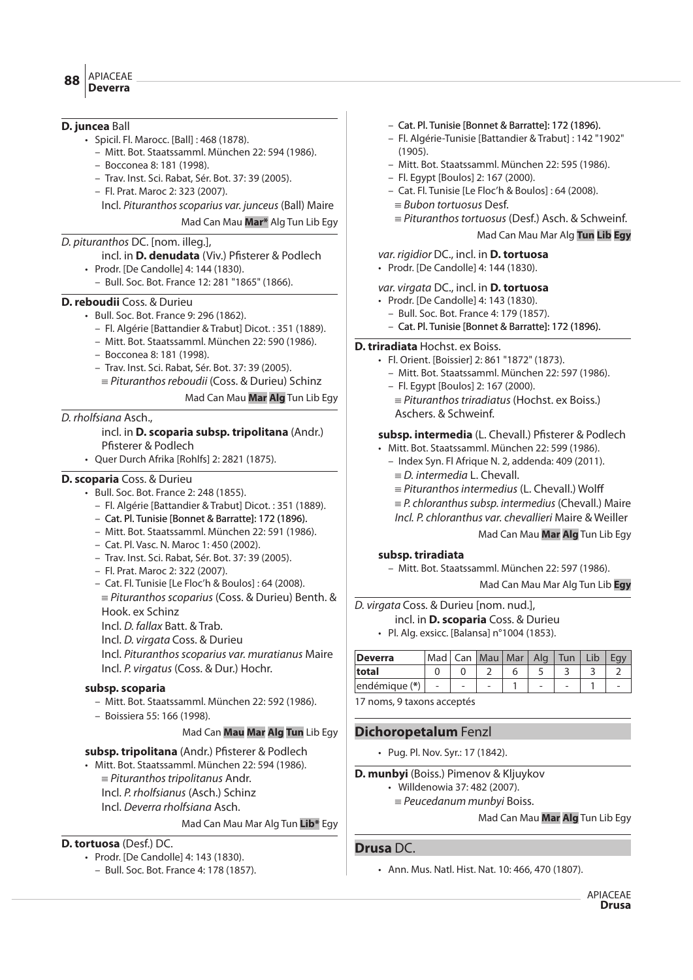#### APIACEAE **Deverra <sup>88</sup>**

# **D. juncea** Ball

- Spicil. Fl. Marocc. [Ball] : 468 (1878).
	- Mitt. Bot. Staatssamml. München 22: 594 (1986).
	- Bocconea 8: 181 (1998).
	- Trav. Inst. Sci. Rabat, Sér. Bot. 37: 39 (2005).
	- Fl. Prat. Maroc 2: 323 (2007).

Incl. Pituranthos scoparius var. junceus (Ball) Maire

Mad Can Mau **Mar\*** Alg Tun Lib Egy

# D. pituranthos DC. [nom. illeg.],

incl. in **D. denudata** (Viv.) Pfisterer & Podlech

- Prodr. [De Candolle] 4: 144 (1830).
	- Bull. Soc. Bot. France 12: 281 "1865" (1866).

# **D. reboudii** Coss. & Durieu

- Bull. Soc. Bot. France 9: 296 (1862).
	- Fl. Algérie [Battandier & Trabut] Dicot. : 351 (1889).
	- Mitt. Bot. Staatssamml. München 22: 590 (1986).
	- Bocconea 8: 181 (1998).
	- Trav. Inst. Sci. Rabat, Sér. Bot. 37: 39 (2005).
	- $=$  Pituranthos reboudii (Coss. & Durieu) Schinz

Mad Can Mau **Mar Alg** Tun Lib Egy

# D. rholfsiana Asch.,

incl. in **D. scoparia subsp. tripolitana** (Andr.) Pfisterer & Podlech

• Quer Durch Afrika [Rohlfs] 2: 2821 (1875).

# **D. scoparia** Coss. & Durieu

- Bull. Soc. Bot. France 2: 248 (1855).
	- Fl. Algérie [Battandier & Trabut] Dicot. : 351 (1889).
	- Cat. Pl. Tunisie [Bonnet & Barratte]: 172 (1896).
	- Mitt. Bot. Staatssamml. München 22: 591 (1986).
	- Cat. Pl. Vasc. N. Maroc 1: 450 (2002).
	- Trav. Inst. Sci. Rabat, Sér. Bot. 37: 39 (2005).
	- Fl. Prat. Maroc 2: 322 (2007).
	- Cat. Fl. Tunisie [Le Floc'h & Boulos] : 64 (2008).
	- $=$  Pituranthos scoparius (Coss. & Durieu) Benth. & Hook. ex Schinz

Incl. D. fallax Batt. & Trab.

Incl. D. virgata Coss. & Durieu

Incl. Pituranthos scoparius var. muratianus Maire Incl. P. virgatus (Coss. & Dur.) Hochr.

# **subsp. scoparia**

– Mitt. Bot. Staatssamml. München 22: 592 (1986).

– Boissiera 55: 166 (1998).

# Mad Can **Mau Mar Alg Tun** Lib Egy

- subsp. tripolitana (Andr.) Pfisterer & Podlech
- Mitt. Bot. Staatssamml. München 22: 594 (1986).
	- $\equiv$  Pituranthos tripolitanus Andr.
	- Incl. P. rholfsianus (Asch.) Schinz
	- Incl. Deverra rholfsiana Asch.

# Mad Can Mau Mar Alg Tun **Lib\*** Egy

# **D. tortuosa** (Desf.) DC.

- Prodr. [De Candolle] 4: 143 (1830).
	- Bull. Soc. Bot. France 4: 178 (1857).
- Cat. Pl. Tunisie [Bonnet & Barratte]: 172 (1896).
- Fl. Algérie-Tunisie [Battandier & Trabut] : 142 "1902" (1905).
- Mitt. Bot. Staatssamml. München 22: 595 (1986).
- Fl. Egypt [Boulos] 2: 167 (2000).
- Cat. Fl. Tunisie [Le Floc'h & Boulos] : 64 (2008).
	- $=$  Bubon tortuosus Desf.
	- $=$  Pituranthos tortuosus (Desf.) Asch. & Schweinf.

# Mad Can Mau Mar Alg **Tun Lib Egy**

# var. rigidior DC., incl. in **D. tortuosa**

• Prodr. [De Candolle] 4: 144 (1830).

var. virgata DC., incl. in **D. tortuosa**

- Prodr. [De Candolle] 4: 143 (1830).
	- Bull. Soc. Bot. France 4: 179 (1857).
	- Cat. Pl. Tunisie [Bonnet & Barratte]: 172 (1896).

# **D. triradiata** Hochst. ex Boiss.

- Fl. Orient. [Boissier] 2: 861 "1872" (1873).
	- Mitt. Bot. Staatssamml. München 22: 597 (1986).
	- Fl. Egypt [Boulos] 2: 167 (2000).
	- $\equiv$  Pituranthos triradiatus (Hochst. ex Boiss.) Aschers. & Schweinf.

# subsp. intermedia (L. Chevall.) Pfisterer & Podlech

- Mitt. Bot. Staatssamml. München 22: 599 (1986).
	- Index Syn. Fl Afrique N. 2, addenda: 409 (2011).  $\equiv$  D. intermedia L. Chevall.
	- $\equiv$  Pituranthos intermedius (L. Chevall.) Wolff
	- $\equiv$  P. chloranthus subsp. intermedius (Chevall.) Maire
	- Incl. P. chloranthus var. chevallieri Maire & Weiller

# Mad Can Mau **Mar Alg** Tun Lib Egy

# **subsp. triradiata**

– Mitt. Bot. Staatssamml. München 22: 597 (1986).

Mad Can Mau Mar Alg Tun Lib **Egy**

- D. virgata Coss. & Durieu [nom. nud.],
	- incl. in **D. scoparia** Coss. & Durieu
	- Pl. Alg. exsicc. [Balansa] n°1004 (1853).

| Deverra                 |   |  | Mad   Can   Mau   Mar   Alg   Tun |  |  |  | Lib |  |  |  |
|-------------------------|---|--|-----------------------------------|--|--|--|-----|--|--|--|
| total                   |   |  |                                   |  |  |  |     |  |  |  |
| endémique (*)           | ۰ |  | -                                 |  |  |  |     |  |  |  |
| 17.22222 0.42222 0.4222 |   |  |                                   |  |  |  |     |  |  |  |

17 noms, 9 taxons acceptés

# **Dichoropetalum** Fenzl

• Pug. Pl. Nov. Syr.: 17 (1842).

**D. munbyi** (Boiss.) Pimenov & Kljuykov

- Willdenowia 37: 482 (2007).
- $=$  Peucedanum munbyi Boiss.

# Mad Can Mau **Mar Alg** Tun Lib Egy

# **Drusa** DC.

• Ann. Mus. Natl. Hist. Nat. 10: 466, 470 (1807).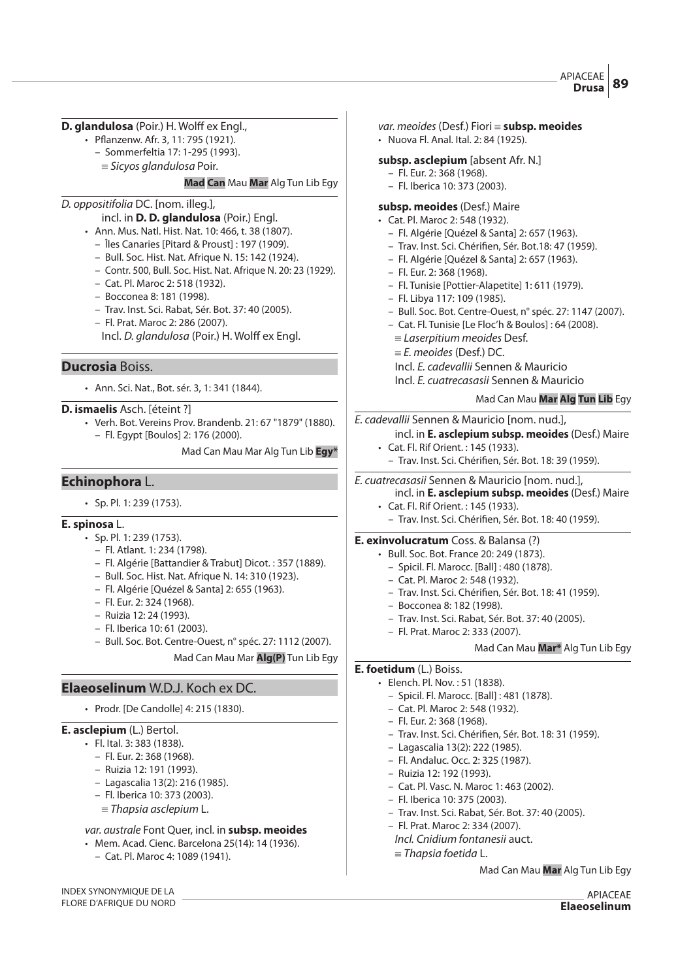# **D. glandulosa** (Poir.) H. Wolff ex Engl.,

- Pflanzenw. Afr. 3, 11: 795 (1921).
	- Sommerfeltia 17: 1-295 (1993).
	- $\equiv$  Sicyos glandulosa Poir.

#### **Mad Can** Mau **Mar** Alg Tun Lib Egy

# D. oppositifolia DC. [nom. illeg.],

- incl. in **D. D. glandulosa** (Poir.) Engl.
- Ann. Mus. Natl. Hist. Nat. 10: 466, t. 38 (1807).
	- Îles Canaries [Pitard & Proust] : 197 (1909).
	- Bull. Soc. Hist. Nat. Afrique N. 15: 142 (1924).
	- Contr. 500, Bull. Soc. Hist. Nat. Afrique N. 20: 23 (1929).
	- Cat. Pl. Maroc 2: 518 (1932).
	- Bocconea 8: 181 (1998).
	- Trav. Inst. Sci. Rabat, Sér. Bot. 37: 40 (2005).
- Fl. Prat. Maroc 2: 286 (2007).
	- Incl. D. glandulosa (Poir.) H. Wolff ex Engl.

#### **Ducrosia** Boiss.

• Ann. Sci. Nat., Bot. sér. 3, 1: 341 (1844).

**D. ismaelis** Asch. [éteint ?]

- Verh. Bot. Vereins Prov. Brandenb. 21: 67 "1879" (1880).
- Fl. Egypt [Boulos] 2: 176 (2000).

Mad Can Mau Mar Alg Tun Lib **Egy\***

# **Echinophora** L.

• Sp. Pl. 1: 239 (1753).

#### **E. spinosa** L.

- Sp. Pl. 1: 239 (1753).
	- Fl. Atlant. 1: 234 (1798).
	- Fl. Algérie [Battandier & Trabut] Dicot. : 357 (1889).
	- Bull. Soc. Hist. Nat. Afrique N. 14: 310 (1923).
	- Fl. Algérie [Quézel & Santa] 2: 655 (1963).
	- Fl. Eur. 2: 324 (1968).
	- Ruizia 12: 24 (1993).
	- Fl. Iberica 10: 61 (2003).
	- Bull. Soc. Bot. Centre-Ouest, n° spéc. 27: 1112 (2007).

Mad Can Mau Mar **Alg(P)** Tun Lib Egy

# **Elaeoselinum** W.D.J. Koch ex DC.

• Prodr. [De Candolle] 4: 215 (1830).

#### **E. asclepium** (L.) Bertol.

- Fl. Ital. 3: 383 (1838).
	- Fl. Eur. 2: 368 (1968).
	- Ruizia 12: 191 (1993).
	- Lagascalia 13(2): 216 (1985).
	- Fl. Iberica 10: 373 (2003).
	- $=$  Thapsia asclepium L.

#### var. australe Font Quer, incl. in **subsp. meoides**

- Mem. Acad. Cienc. Barcelona 25(14): 14 (1936).
	- Cat. Pl. Maroc 4: 1089 (1941).

var. meoides (Desf.) Fiori { **subsp. meoides** • Nuova Fl. Anal. Ital. 2: 84 (1925).

# **subsp. asclepium** [absent Afr. N.]

- Fl. Eur. 2: 368 (1968).
- Fl. Iberica 10: 373 (2003).

#### **subsp. meoides** (Desf.) Maire

- Cat. Pl. Maroc 2: 548 (1932).
	- Fl. Algérie [Quézel & Santa] 2: 657 (1963).
	- Trav. Inst. Sci. Chéri#en, Sér. Bot.18: 47 (1959).
	- Fl. Algérie [Quézel & Santa] 2: 657 (1963).
	- Fl. Eur. 2: 368 (1968).
	- Fl. Tunisie [Pottier-Alapetite] 1: 611 (1979).
	- Fl. Libya 117: 109 (1985).
	- Bull. Soc. Bot. Centre-Ouest, n° spéc. 27: 1147 (2007).
	- Cat. Fl. Tunisie [Le Floc'h & Boulos] : 64 (2008).
	- $=$  Laserpitium meoides Desf.
	- $E$ . meoides (Desf.) DC.
	- Incl. E. cadevallii Sennen & Mauricio
	- Incl. E. cuatrecasasii Sennen & Mauricio

#### Mad Can Mau **Mar Alg Tun Lib** Egy

E. cadevallii Sennen & Mauricio [nom. nud.], incl. in **E. asclepium subsp. meoides** (Desf.) Maire

- Cat. Fl. Rif Orient. : 145 (1933). – Trav. Inst. Sci. Chéri#en, Sér. Bot. 18: 39 (1959).
- E. cuatrecasasii Sennen & Mauricio [nom. nud.],
	- incl. in **E. asclepium subsp. meoides** (Desf.) Maire • Cat. Fl. Rif Orient. : 145 (1933).
		- Trav. Inst. Sci. Chéri#en, Sér. Bot. 18: 40 (1959).

#### **E. exinvolucratum** Coss. & Balansa (?)

- Bull. Soc. Bot. France 20: 249 (1873).
	- Spicil. Fl. Marocc. [Ball] : 480 (1878).
	- Cat. Pl. Maroc 2: 548 (1932).
	- Trav. Inst. Sci. Chéri#en, Sér. Bot. 18: 41 (1959).
	- Bocconea 8: 182 (1998).
	- Trav. Inst. Sci. Rabat, Sér. Bot. 37: 40 (2005).
	- Fl. Prat. Maroc 2: 333 (2007).

#### Mad Can Mau **Mar\*** Alg Tun Lib Egy

#### **E. foetidum** (L.) Boiss.

- Elench. Pl. Nov. : 51 (1838).
	- Spicil. Fl. Marocc. [Ball] : 481 (1878).
	- Cat. Pl. Maroc 2: 548 (1932).
	- Fl. Eur. 2: 368 (1968).
	- Trav. Inst. Sci. Chéri#en, Sér. Bot. 18: 31 (1959).
	- Lagascalia 13(2): 222 (1985).
	- Fl. Andaluc. Occ. 2: 325 (1987).
	- Ruizia 12: 192 (1993).
	- Cat. Pl. Vasc. N. Maroc 1: 463 (2002).
	- Fl. Iberica 10: 375 (2003).
	- Trav. Inst. Sci. Rabat, Sér. Bot. 37: 40 (2005).
	- Fl. Prat. Maroc 2: 334 (2007).
	- Incl. Cnidium fontanesii auct.  $\equiv$  Thapsia foetida L.

Mad Can Mau **Mar** Alg Tun Lib Egy

INDEX SYNONYMIQUE DE LA FLORE D'AFRIQUE DU NORD

APIACEAE **Elaeoselinum**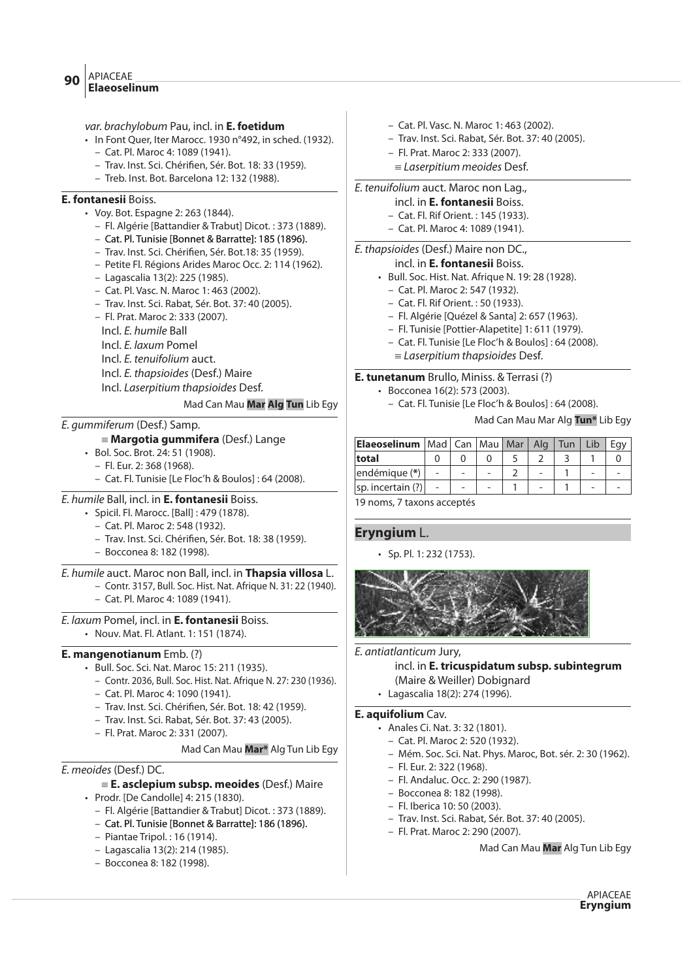var. brachylobum Pau, incl. in **E. foetidum**

- In Font Quer, Iter Marocc. 1930 n°492, in sched. (1932).
	- Cat. Pl. Maroc 4: 1089 (1941).
	- Trav. Inst. Sci. Chéri#en, Sér. Bot. 18: 33 (1959).
	- Treb. Inst. Bot. Barcelona 12: 132 (1988).

# **E. fontanesii** Boiss.

- Voy. Bot. Espagne 2: 263 (1844).
	- Fl. Algérie [Battandier & Trabut] Dicot. : 373 (1889).
	- Cat. Pl. Tunisie [Bonnet & Barratte]: 185 (1896).
	- Trav. Inst. Sci. Chéri#en, Sér. Bot.18: 35 (1959).
	- Petite Fl. Régions Arides Maroc Occ. 2: 114 (1962).
	- Lagascalia 13(2): 225 (1985).
	- Cat. Pl. Vasc. N. Maroc 1: 463 (2002).
	- Trav. Inst. Sci. Rabat, Sér. Bot. 37: 40 (2005).
	- Fl. Prat. Maroc 2: 333 (2007).
	- Incl. E. humile Ball
	- Incl. E. laxum Pomel
	- Incl. E. tenuifolium auct.
	- Incl. E. thapsioides (Desf.) Maire
	- Incl. Laserpitium thapsioides Desf.

Mad Can Mau **Mar Alg Tun** Lib Egy

# E. gummiferum (Desf.) Samp.

# { **Margotia gummifera** (Desf.) Lange

- Bol. Soc. Brot. 24: 51 (1908).
	- Fl. Eur. 2: 368 (1968).
	- Cat. Fl. Tunisie [Le Floc'h & Boulos] : 64 (2008).

# E. humile Ball, incl. in **E. fontanesii** Boiss.

- Spicil. Fl. Marocc. [Ball] : 479 (1878).
	- Cat. Pl. Maroc 2: 548 (1932).
	- Trav. Inst. Sci. Chéri#en, Sér. Bot. 18: 38 (1959).
	- Bocconea 8: 182 (1998).

# E. humile auct. Maroc non Ball, incl. in **Thapsia villosa** L.

- Contr. 3157, Bull. Soc. Hist. Nat. Afrique N. 31: 22 (1940).
- Cat. Pl. Maroc 4: 1089 (1941).

# E. laxum Pomel, incl. in **E. fontanesii** Boiss.

• Nouv. Mat. Fl. Atlant. 1: 151 (1874).

# **E. mangenotianum** Emb. (?)

- Bull. Soc. Sci. Nat. Maroc 15: 211 (1935).
	- Contr. 2036, Bull. Soc. Hist. Nat. Afrique N. 27: 230 (1936).
	- Cat. Pl. Maroc 4: 1090 (1941).
	- Trav. Inst. Sci. Chéri#en, Sér. Bot. 18: 42 (1959).
	- Trav. Inst. Sci. Rabat, Sér. Bot. 37: 43 (2005).
	- Fl. Prat. Maroc 2: 331 (2007).

# Mad Can Mau **Mar\*** Alg Tun Lib Egy

# E. meoides (Desf.) DC.

# { **E. asclepium subsp. meoides** (Desf.) Maire

- Prodr. [De Candolle] 4: 215 (1830).
	- Fl. Algérie [Battandier & Trabut] Dicot. : 373 (1889).
	- Cat. Pl. Tunisie [Bonnet & Barratte]: 186 (1896).
	- Piantae Tripol. : 16 (1914).
	- Lagascalia 13(2): 214 (1985).
	- Bocconea 8: 182 (1998).
- Cat. Pl. Vasc. N. Maroc 1: 463 (2002).
- Trav. Inst. Sci. Rabat, Sér. Bot. 37: 40 (2005).
- Fl. Prat. Maroc 2: 333 (2007).
- $=$  Laserpitium meoides Desf.

# E. tenuifolium auct. Maroc non Lag.,

- incl. in **E. fontanesii** Boiss.
- Cat. Fl. Rif Orient. : 145 (1933).
- Cat. Pl. Maroc 4: 1089 (1941).

# E. thapsioides (Desf.) Maire non DC.,

# incl. in **E. fontanesii** Boiss.

- Bull. Soc. Hist. Nat. Afrique N. 19: 28 (1928).
	- Cat. Pl. Maroc 2: 547 (1932).
	- Cat. Fl. Rif Orient. : 50 (1933).
	- Fl. Algérie [Quézel & Santa] 2: 657 (1963).
- Fl. Tunisie [Pottier-Alapetite] 1: 611 (1979).
- Cat. Fl. Tunisie [Le Floc'h & Boulos] : 64 (2008).
- $=$  Laserpitium thapsioides Desf.

# **E. tunetanum** Brullo, Miniss. & Terrasi (?)

- Bocconea 16(2): 573 (2003).
	- Cat. Fl. Tunisie [Le Floc'h & Boulos] : 64 (2008).

Mad Can Mau Mar Alg **Tun\*** Lib Egy

| <b>Elaeoselinum</b>   Mad   Can   Mau   Mar   Alg   Tun |  |  |  |  |
|---------------------------------------------------------|--|--|--|--|
| total                                                   |  |  |  |  |
| endémique (*)                                           |  |  |  |  |
| sp. incertain (?)                                       |  |  |  |  |
|                                                         |  |  |  |  |

19 noms, 7 taxons acceptés

# **Eryngium** L.

• Sp. Pl. 1: 232 (1753).



# E. antiatlanticum Jury,

incl. in **E. tricuspidatum subsp. subintegrum** (Maire & Weiller) Dobignard

• Lagascalia 18(2): 274 (1996).

# **E. aquifolium** Cav.

- Anales Ci. Nat. 3: 32 (1801).
	- Cat. Pl. Maroc 2: 520 (1932).
	- Mém. Soc. Sci. Nat. Phys. Maroc, Bot. sér. 2: 30 (1962).
	- Fl. Eur. 2: 322 (1968).
	- Fl. Andaluc. Occ. 2: 290 (1987).
	- Bocconea 8: 182 (1998).
	- Fl. Iberica 10: 50 (2003).
	- Trav. Inst. Sci. Rabat, Sér. Bot. 37: 40 (2005).
	- Fl. Prat. Maroc 2: 290 (2007).

Mad Can Mau **Mar** Alg Tun Lib Egy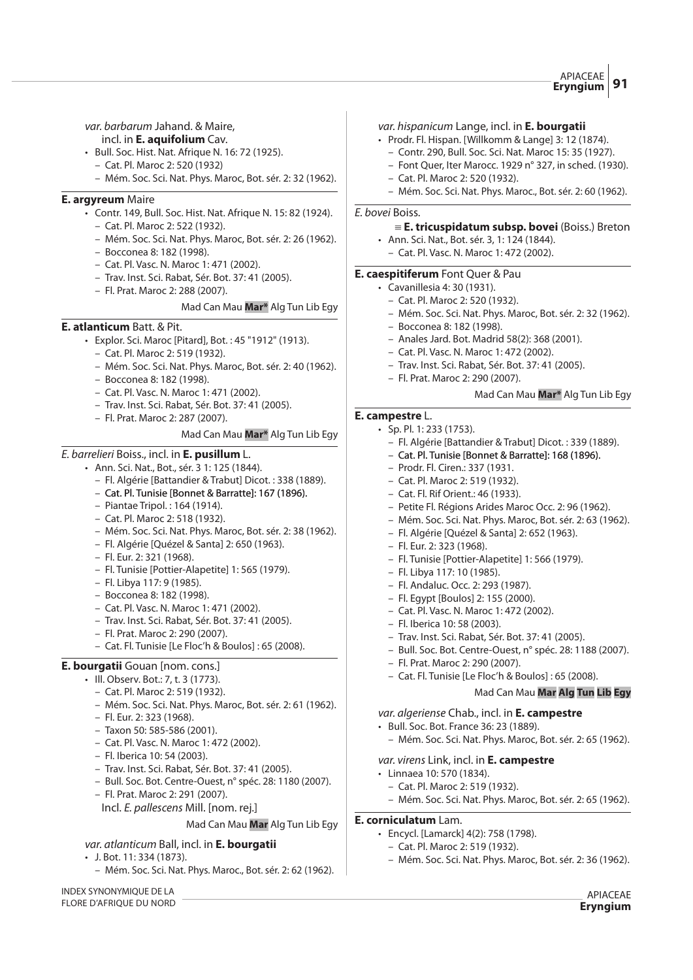#### var. barbarum Jahand. & Maire, incl. in **E. aquifolium** Cav.

- Bull. Soc. Hist. Nat. Afrique N. 16: 72 (1925).
	- Cat. Pl. Maroc 2: 520 (1932)
	- Mém. Soc. Sci. Nat. Phys. Maroc, Bot. sér. 2: 32 (1962).

#### **E. argyreum** Maire

- Contr. 149, Bull. Soc. Hist. Nat. Afrique N. 15: 82 (1924).
	- Cat. Pl. Maroc 2: 522 (1932).
	- Mém. Soc. Sci. Nat. Phys. Maroc, Bot. sér. 2: 26 (1962).
	- Bocconea 8: 182 (1998).
	- Cat. Pl. Vasc. N. Maroc 1: 471 (2002).
	- Trav. Inst. Sci. Rabat, Sér. Bot. 37: 41 (2005).
	- Fl. Prat. Maroc 2: 288 (2007).

#### Mad Can Mau **Mar\*** Alg Tun Lib Egy

#### **E. atlanticum** Batt. & Pit.

- Explor. Sci. Maroc [Pitard], Bot. : 45 "1912" (1913).
	- Cat. Pl. Maroc 2: 519 (1932).
	- Mém. Soc. Sci. Nat. Phys. Maroc, Bot. sér. 2: 40 (1962).
	- Bocconea 8: 182 (1998).
	- Cat. Pl. Vasc. N. Maroc 1: 471 (2002).
	- Trav. Inst. Sci. Rabat, Sér. Bot. 37: 41 (2005).
	- Fl. Prat. Maroc 2: 287 (2007).

#### Mad Can Mau **Mar\*** Alg Tun Lib Egy

#### E. barrelieri Boiss., incl. in **E. pusillum** L.

#### • Ann. Sci. Nat., Bot., sér. 3 1: 125 (1844).

- Fl. Algérie [Battandier & Trabut] Dicot. : 338 (1889).
- Cat. Pl. Tunisie [Bonnet & Barratte]: 167 (1896).
- Piantae Tripol. : 164 (1914).
- Cat. Pl. Maroc 2: 518 (1932).
- Mém. Soc. Sci. Nat. Phys. Maroc, Bot. sér. 2: 38 (1962).
- Fl. Algérie [Quézel & Santa] 2: 650 (1963).
- Fl. Eur. 2: 321 (1968).
- Fl. Tunisie [Pottier-Alapetite] 1: 565 (1979).
- Fl. Libya 117: 9 (1985).
- Bocconea 8: 182 (1998).
- Cat. Pl. Vasc. N. Maroc 1: 471 (2002).
- Trav. Inst. Sci. Rabat, Sér. Bot. 37: 41 (2005).
- Fl. Prat. Maroc 2: 290 (2007).
- Cat. Fl. Tunisie [Le Floc'h & Boulos] : 65 (2008).

#### **E. bourgatii** Gouan [nom. cons.]

- Ill. Observ. Bot.: 7, t. 3 (1773).
	- Cat. Pl. Maroc 2: 519 (1932).
	- Mém. Soc. Sci. Nat. Phys. Maroc, Bot. sér. 2: 61 (1962).
	- Fl. Eur. 2: 323 (1968).
	- Taxon 50: 585-586 (2001).
	- Cat. Pl. Vasc. N. Maroc 1: 472 (2002).
	- Fl. Iberica 10: 54 (2003).
	- Trav. Inst. Sci. Rabat, Sér. Bot. 37: 41 (2005).
	- Bull. Soc. Bot. Centre-Ouest, n° spéc. 28: 1180 (2007).
	- Fl. Prat. Maroc 2: 291 (2007).
		- Incl. E. pallescens Mill. [nom. rej.]

#### Mad Can Mau **Mar** Alg Tun Lib Egy

var. atlanticum Ball, incl. in **E. bourgatii**

- J. Bot. 11: 334 (1873).
	- Mém. Soc. Sci. Nat. Phys. Maroc., Bot. sér. 2: 62 (1962).

INDEX SYNONYMIQUE DE LA FLORE D'AFRIQUE DU NORD

#### var. hispanicum Lange, incl. in **E. bourgatii**

- Prodr. Fl. Hispan. [Willkomm & Lange] 3: 12 (1874).
	- Contr. 290, Bull. Soc. Sci. Nat. Maroc 15: 35 (1927).
	- Font Quer, Iter Marocc. 1929 n° 327, in sched. (1930).
	- Cat. Pl. Maroc 2: 520 (1932).
	- Mém. Soc. Sci. Nat. Phys. Maroc., Bot. sér. 2: 60 (1962).

#### E. bovei Boiss.

#### { **E. tricuspidatum subsp. bovei** (Boiss.) Breton

- Ann. Sci. Nat., Bot. sér. 3, 1: 124 (1844).
	- Cat. Pl. Vasc. N. Maroc 1: 472 (2002).

#### **E. caespitiferum** Font Quer & Pau

- Cavanillesia 4: 30 (1931).
	- Cat. Pl. Maroc 2: 520 (1932).
	- Mém. Soc. Sci. Nat. Phys. Maroc, Bot. sér. 2: 32 (1962).
	- Bocconea 8: 182 (1998).
	- Anales Jard. Bot. Madrid 58(2): 368 (2001).
	- Cat. Pl. Vasc. N. Maroc 1: 472 (2002).
	- Trav. Inst. Sci. Rabat, Sér. Bot. 37: 41 (2005).
	- Fl. Prat. Maroc 2: 290 (2007).

#### Mad Can Mau **Mar\*** Alg Tun Lib Egy

# **E. campestre** L.

- Sp. Pl. 1: 233 (1753).
	- Fl. Algérie [Battandier & Trabut] Dicot. : 339 (1889).
	- Cat. Pl. Tunisie [Bonnet & Barratte]: 168 (1896).
	- Prodr. Fl. Ciren.: 337 (1931. – Cat. Pl. Maroc 2: 519 (1932).
	- Cat. Fl. Rif Orient.: 46 (1933).
	- Petite Fl. Régions Arides Maroc Occ. 2: 96 (1962).
	- Mém. Soc. Sci. Nat. Phys. Maroc, Bot. sér. 2: 63 (1962).
	- Fl. Algérie [Quézel & Santa] 2: 652 (1963).
	- Fl. Eur. 2: 323 (1968).
	- Fl. Tunisie [Pottier-Alapetite] 1: 566 (1979).
	- Fl. Libya 117: 10 (1985).
	- Fl. Andaluc. Occ. 2: 293 (1987).
	- Fl. Egypt [Boulos] 2: 155 (2000).
	- Cat. Pl. Vasc. N. Maroc 1: 472 (2002).
	- Fl. Iberica 10: 58 (2003).
	- Trav. Inst. Sci. Rabat, Sér. Bot. 37: 41 (2005).
	- Bull. Soc. Bot. Centre-Ouest, n° spéc. 28: 1188 (2007).
	- Fl. Prat. Maroc 2: 290 (2007).
	- Cat. Fl. Tunisie [Le Floc'h & Boulos] : 65 (2008).

### Mad Can Mau **Mar Alg Tun Lib Egy**

APIACEAE **Eryngium**

var. algeriense Chab., incl. in **E. campestre**

var. virens Link, incl. in **E. campestre**

– Cat. Pl. Maroc 2: 519 (1932).

• Encycl. [Lamarck] 4(2): 758 (1798). – Cat. Pl. Maroc 2: 519 (1932).

• Linnaea 10: 570 (1834).

**E. corniculatum** Lam.

- Bull. Soc. Bot. France 36: 23 (1889).
	- Mém. Soc. Sci. Nat. Phys. Maroc, Bot. sér. 2: 65 (1962).

– Mém. Soc. Sci. Nat. Phys. Maroc, Bot. sér. 2: 65 (1962).

– Mém. Soc. Sci. Nat. Phys. Maroc, Bot. sér. 2: 36 (1962).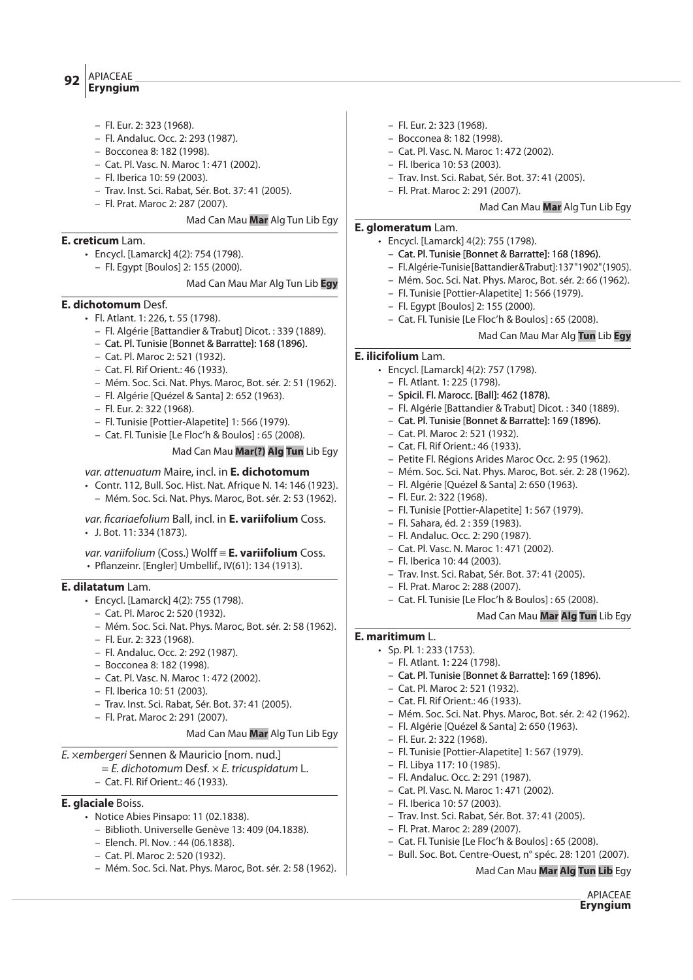APIACEAE

# **Eryngium <sup>92</sup>**

- Fl. Eur. 2: 323 (1968).
- Fl. Andaluc. Occ. 2: 293 (1987).
- Bocconea 8: 182 (1998).
- Cat. Pl. Vasc. N. Maroc 1: 471 (2002).
- Fl. Iberica 10: 59 (2003).
- Trav. Inst. Sci. Rabat, Sér. Bot. 37: 41 (2005).
- Fl. Prat. Maroc 2: 287 (2007).

Mad Can Mau **Mar** Alg Tun Lib Egy

# **E. creticum** Lam.

- Encycl. [Lamarck] 4(2): 754 (1798).
- Fl. Egypt [Boulos] 2: 155 (2000).

#### Mad Can Mau Mar Alg Tun Lib **Egy**

# **E. dichotomum** Desf.

- Fl. Atlant. 1: 226, t. 55 (1798).
	- Fl. Algérie [Battandier & Trabut] Dicot. : 339 (1889).
	- Cat. Pl. Tunisie [Bonnet & Barratte]: 168 (1896).
	- Cat. Pl. Maroc 2: 521 (1932).
	- Cat. Fl. Rif Orient.: 46 (1933).
	- Mém. Soc. Sci. Nat. Phys. Maroc, Bot. sér. 2: 51 (1962).
	- Fl. Algérie [Quézel & Santa] 2: 652 (1963).
	- Fl. Eur. 2: 322 (1968).
	- Fl. Tunisie [Pottier-Alapetite] 1: 566 (1979).
	- Cat. Fl. Tunisie [Le Floc'h & Boulos] : 65 (2008).

#### Mad Can Mau **Mar(?) Alg Tun** Lib Egy

#### var. attenuatum Maire, incl. in **E. dichotomum**

- Contr. 112, Bull. Soc. Hist. Nat. Afrique N. 14: 146 (1923).
	- Mém. Soc. Sci. Nat. Phys. Maroc, Bot. sér. 2: 53 (1962).

# var. ficariaefolium Ball, incl. in **E. variifolium** Coss.

• J. Bot. 11: 334 (1873).

var. variifolium (Coss.) Wolff = **E. variifolium** Coss.  $\cdot$  Pflanzeinr. [Engler] Umbellif., IV(61): 134 (1913).

# **E. dilatatum** Lam.

- Encycl. [Lamarck] 4(2): 755 (1798).
	- Cat. Pl. Maroc 2: 520 (1932).
	- Mém. Soc. Sci. Nat. Phys. Maroc, Bot. sér. 2: 58 (1962).
	- Fl. Eur. 2: 323 (1968).
	- Fl. Andaluc. Occ. 2: 292 (1987).
	- Bocconea 8: 182 (1998).
	- Cat. Pl. Vasc. N. Maroc 1: 472 (2002).
	- Fl. Iberica 10: 51 (2003).
	- Trav. Inst. Sci. Rabat, Sér. Bot. 37: 41 (2005).
- Fl. Prat. Maroc 2: 291 (2007).

#### Mad Can Mau **Mar** Alg Tun Lib Egy

#### E. ×embergeri Sennen & Mauricio [nom. nud.]

# $=$  E. dichotomum Desf.  $\times$  E. tricuspidatum L.

– Cat. Fl. Rif Orient.: 46 (1933).

# **E. glaciale** Boiss.

- Notice Abies Pinsapo: 11 (02.1838).
	- Biblioth. Universelle Genève 13: 409 (04.1838).
	- Elench. Pl. Nov. : 44 (06.1838).
	- Cat. Pl. Maroc 2: 520 (1932).
	- Mém. Soc. Sci. Nat. Phys. Maroc, Bot. sér. 2: 58 (1962).
- Fl. Eur. 2: 323 (1968).
- Bocconea 8: 182 (1998).
- Cat. Pl. Vasc. N. Maroc 1: 472 (2002).
- Fl. Iberica 10: 53 (2003).
- Trav. Inst. Sci. Rabat, Sér. Bot. 37: 41 (2005).
- Fl. Prat. Maroc 2: 291 (2007).

#### Mad Can Mau **Mar** Alg Tun Lib Egy

#### **E. glomeratum** Lam.

- Encycl. [Lamarck] 4(2): 755 (1798).
	- Cat. Pl. Tunisie [Bonnet & Barratte]: 168 (1896).
	- Fl. Algérie-Tunisie [Battandier & Trabut]: 137 "1902" (1905).
	- Mém. Soc. Sci. Nat. Phys. Maroc, Bot. sér. 2: 66 (1962).
	- Fl. Tunisie [Pottier-Alapetite] 1: 566 (1979).
	- Fl. Egypt [Boulos] 2: 155 (2000).
	- Cat. Fl. Tunisie [Le Floc'h & Boulos] : 65 (2008).

#### Mad Can Mau Mar Alg **Tun** Lib **Egy**

# **E. ilicifolium** Lam.

- Encycl. [Lamarck] 4(2): 757 (1798).
	- Fl. Atlant. 1: 225 (1798).
	- Spicil. Fl. Marocc. [Ball]: 462 (1878).
	- Fl. Algérie [Battandier & Trabut] Dicot. : 340 (1889).
	- Cat. Pl. Tunisie [Bonnet & Barratte]: 169 (1896).
	- Cat. Pl. Maroc 2: 521 (1932).
	- Cat. Fl. Rif Orient.: 46 (1933).
	- Petite Fl. Régions Arides Maroc Occ. 2: 95 (1962).
	- Mém. Soc. Sci. Nat. Phys. Maroc, Bot. sér. 2: 28 (1962).
	- Fl. Algérie [Quézel & Santa] 2: 650 (1963).
	- Fl. Eur. 2: 322 (1968).
	- Fl. Tunisie [Pottier-Alapetite] 1: 567 (1979).
	- Fl. Sahara, éd. 2 : 359 (1983).
	- Fl. Andaluc. Occ. 2: 290 (1987).
	- Cat. Pl. Vasc. N. Maroc 1: 471 (2002).
	- Fl. Iberica 10: 44 (2003).
	- Trav. Inst. Sci. Rabat, Sér. Bot. 37: 41 (2005).
	- Fl. Prat. Maroc 2: 288 (2007).
	- Cat. Fl. Tunisie [Le Floc'h & Boulos] : 65 (2008).

#### Mad Can Mau **Mar Alg Tun** Lib Egy

Mad Can Mau **Mar Alg Tun Lib** Egy

APIACEAE **Eryngium**

#### **E. maritimum** L.

- Sp. Pl. 1: 233 (1753).
	- Fl. Atlant. 1: 224 (1798).
	- Cat. Pl. Tunisie [Bonnet & Barratte]: 169 (1896).
	- Cat. Pl. Maroc 2: 521 (1932).
	- Cat. Fl. Rif Orient.: 46 (1933).
	- Mém. Soc. Sci. Nat. Phys. Maroc, Bot. sér. 2: 42 (1962).
	- Fl. Algérie [Quézel & Santa] 2: 650 (1963).
	- Fl. Eur. 2: 322 (1968).

– Fl. Libya 117: 10 (1985). – Fl. Andaluc. Occ. 2: 291 (1987). – Cat. Pl. Vasc. N. Maroc 1: 471 (2002).

– Fl. Iberica 10: 57 (2003).

– Fl. Prat. Maroc 2: 289 (2007).

– Fl. Tunisie [Pottier-Alapetite] 1: 567 (1979).

– Trav. Inst. Sci. Rabat, Sér. Bot. 37: 41 (2005).

– Cat. Fl. Tunisie [Le Floc'h & Boulos] : 65 (2008). – Bull. Soc. Bot. Centre-Ouest, n° spéc. 28: 1201 (2007).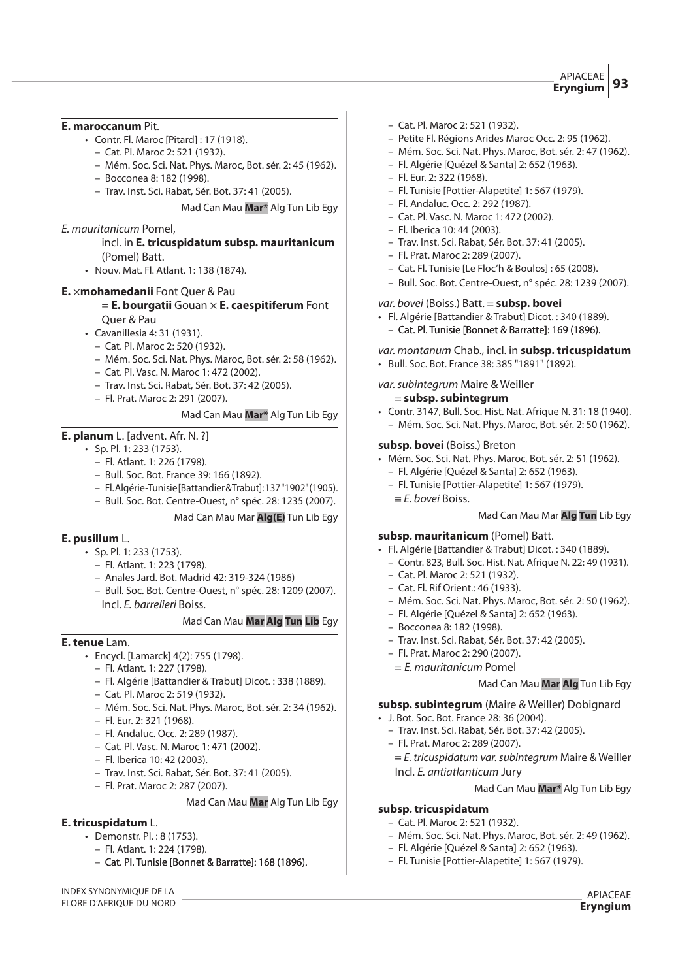### **E. maroccanum** Pit.

- Contr. Fl. Maroc [Pitard] : 17 (1918).
	- Cat. Pl. Maroc 2: 521 (1932).
	- Mém. Soc. Sci. Nat. Phys. Maroc, Bot. sér. 2: 45 (1962).
	- Bocconea 8: 182 (1998).
	- Trav. Inst. Sci. Rabat, Sér. Bot. 37: 41 (2005).

Mad Can Mau **Mar\*** Alg Tun Lib Egy

#### E. mauritanicum Pomel,

# incl. in **E. tricuspidatum subsp. mauritanicum** (Pomel) Batt.

• Nouv. Mat. Fl. Atlant. 1: 138 (1874).

### **E.** ×**mohamedanii** Font Quer & Pau

### = **E. bourgatii** Gouan × **E. caespitiferum** Font Quer & Pau

- Cavanillesia 4: 31 (1931).
	- Cat. Pl. Maroc 2: 520 (1932).
	- Mém. Soc. Sci. Nat. Phys. Maroc, Bot. sér. 2: 58 (1962).
	- Cat. Pl. Vasc. N. Maroc 1: 472 (2002).
	- Trav. Inst. Sci. Rabat, Sér. Bot. 37: 42 (2005).
	- Fl. Prat. Maroc 2: 291 (2007).

#### Mad Can Mau **Mar\*** Alg Tun Lib Egy

# **E. planum** L. [advent. Afr. N. ?]

- Sp. Pl. 1: 233 (1753).
	- Fl. Atlant. 1: 226 (1798).
	- Bull. Soc. Bot. France 39: 166 (1892).
	- Fl. Algérie-Tunisie [Battandier & Trabut]: 137 "1902" (1905).
	- Bull. Soc. Bot. Centre-Ouest, n° spéc. 28: 1235 (2007).

#### Mad Can Mau Mar **Alg(E)** Tun Lib Egy

# **E. pusillum** L.

- Sp. Pl. 1: 233 (1753).
	- Fl. Atlant. 1: 223 (1798).
	- Anales Jard. Bot. Madrid 42: 319-324 (1986)
	- Bull. Soc. Bot. Centre-Ouest, n° spéc. 28: 1209 (2007). Incl. E. barrelieri Boiss.

#### Mad Can Mau **Mar Alg Tun Lib** Egy

# **E. tenue** Lam.

- Encycl. [Lamarck] 4(2): 755 (1798).
	- Fl. Atlant. 1: 227 (1798).
	- Fl. Algérie [Battandier & Trabut] Dicot. : 338 (1889).
	- Cat. Pl. Maroc 2: 519 (1932).
	- Mém. Soc. Sci. Nat. Phys. Maroc, Bot. sér. 2: 34 (1962).
	- Fl. Eur. 2: 321 (1968).
	- Fl. Andaluc. Occ. 2: 289 (1987).
	- Cat. Pl. Vasc. N. Maroc 1: 471 (2002).
	- Fl. Iberica 10: 42 (2003).
	- Trav. Inst. Sci. Rabat, Sér. Bot. 37: 41 (2005).
	- Fl. Prat. Maroc 2: 287 (2007).

#### Mad Can Mau **Mar** Alg Tun Lib Egy

# **E. tricuspidatum** L.

- Demonstr. Pl. : 8 (1753).
	- Fl. Atlant. 1: 224 (1798).
	- Cat. Pl. Tunisie [Bonnet & Barratte]: 168 (1896).

INDEX SYNONYMIQUE DE LA FLORE D'AFRIQUE DU NORD

- Cat. Pl. Maroc 2: 521 (1932).
- Petite Fl. Régions Arides Maroc Occ. 2: 95 (1962).
- Mém. Soc. Sci. Nat. Phys. Maroc, Bot. sér. 2: 47 (1962).
- Fl. Algérie [Quézel & Santa] 2: 652 (1963).
- Fl. Eur. 2: 322 (1968).
- Fl. Tunisie [Pottier-Alapetite] 1: 567 (1979).
- Fl. Andaluc. Occ. 2: 292 (1987).
- Cat. Pl. Vasc. N. Maroc 1: 472 (2002).
- Fl. Iberica 10: 44 (2003).
- Trav. Inst. Sci. Rabat, Sér. Bot. 37: 41 (2005).
- Fl. Prat. Maroc 2: 289 (2007).
- Cat. Fl. Tunisie [Le Floc'h & Boulos] : 65 (2008).
- Bull. Soc. Bot. Centre-Ouest, n° spéc. 28: 1239 (2007).

#### var. bovei (Boiss.) Batt. { **subsp. bovei**

- Fl. Algérie [Battandier & Trabut] Dicot. : 340 (1889).
- Cat. Pl. Tunisie [Bonnet & Barratte]: 169 (1896).

var. montanum Chab., incl. in **subsp. tricuspidatum** • Bull. Soc. Bot. France 38: 385 "1891" (1892).

var.subintegrum Maire & Weiller

#### { **subsp. subintegrum**

• Contr. 3147, Bull. Soc. Hist. Nat. Afrique N. 31: 18 (1940). – Mém. Soc. Sci. Nat. Phys. Maroc, Bot. sér. 2: 50 (1962).

#### **subsp. bovei** (Boiss.) Breton

- Mém. Soc. Sci. Nat. Phys. Maroc, Bot. sér. 2: 51 (1962).
	- Fl. Algérie [Quézel & Santa] 2: 652 (1963).
	- Fl. Tunisie [Pottier-Alapetite] 1: 567 (1979).
	- $E$ . bovei Boiss.

#### Mad Can Mau Mar **Alg Tun** Lib Egy

#### **subsp. mauritanicum** (Pomel) Batt.

- Fl. Algérie [Battandier & Trabut] Dicot. : 340 (1889).
- Contr. 823, Bull. Soc. Hist. Nat. Afrique N. 22: 49 (1931).
- Cat. Pl. Maroc 2: 521 (1932).
- Cat. Fl. Rif Orient.: 46 (1933).
- Mém. Soc. Sci. Nat. Phys. Maroc, Bot. sér. 2: 50 (1962).
- Fl. Algérie [Quézel & Santa] 2: 652 (1963).
- Bocconea 8: 182 (1998).
- Trav. Inst. Sci. Rabat, Sér. Bot. 37: 42 (2005).
- Fl. Prat. Maroc 2: 290 (2007).
- $E$ . mauritanicum Pomel

# Mad Can Mau **Mar Alg** Tun Lib Egy

#### **subsp. subintegrum** (Maire & Weiller) Dobignard

- J. Bot. Soc. Bot. France 28: 36 (2004).
	- Trav. Inst. Sci. Rabat, Sér. Bot. 37: 42 (2005).
	- Fl. Prat. Maroc 2: 289 (2007).
		- $E$ . tricuspidatum var. subintegrum Maire & Weiller
		- Incl. E. antiatlanticum Jury

Mad Can Mau **Mar\*** Alg Tun Lib Egy

APIACEAE **Eryngium**

#### **subsp. tricuspidatum**

- Cat. Pl. Maroc 2: 521 (1932).
- Mém. Soc. Sci. Nat. Phys. Maroc, Bot. sér. 2: 49 (1962).
- Fl. Algérie [Quézel & Santa] 2: 652 (1963). – Fl. Tunisie [Pottier-Alapetite] 1: 567 (1979).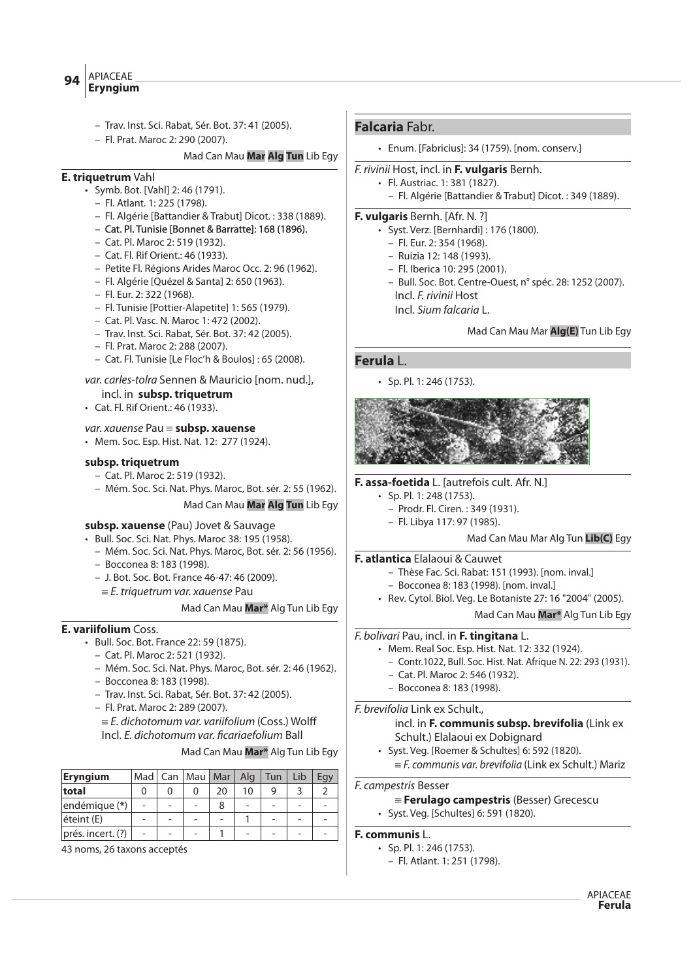- Trav. Inst. Sci. Rabat, Sér. Bot. 37: 41 (2005).
- Fl. Prat. Maroc 2: 290 (2007).

#### Mad Can Mau **Mar Alg Tun** Lib Egy

# **E. triquetrum** Vahl

- Symb. Bot. [Vahl] 2: 46 (1791).
	- Fl. Atlant. 1: 225 (1798).
	- Fl. Algérie [Battandier & Trabut] Dicot. : 338 (1889).
	- Cat. Pl. Tunisie [Bonnet & Barratte]: 168 (1896).
	- Cat. Pl. Maroc 2: 519 (1932).
	- Cat. Fl. Rif Orient.: 46 (1933).
	- Petite Fl. Régions Arides Maroc Occ. 2: 96 (1962).
	- Fl. Algérie [Quézel & Santa] 2: 650 (1963).
	- Fl. Eur. 2: 322 (1968).
	- Fl. Tunisie [Pottier-Alapetite] 1: 565 (1979).
	- Cat. Pl. Vasc. N. Maroc 1: 472 (2002).
	- Trav. Inst. Sci. Rabat, Sér. Bot. 37: 42 (2005).
	- Fl. Prat. Maroc 2: 288 (2007).
	- Cat. Fl. Tunisie [Le Floc'h & Boulos] : 65 (2008).

# var. carles-tolra Sennen & Mauricio [nom. nud.], incl. in **subsp. triquetrum**

- Cat. Fl. Rif Orient.: 46 (1933).
- var. xauense Pau { **subsp. xauense**
- Mem. Soc. Esp. Hist. Nat. 12: 277 (1924).

#### **subsp. triquetrum**

- Cat. Pl. Maroc 2: 519 (1932).
- Mém. Soc. Sci. Nat. Phys. Maroc, Bot. sér. 2: 55 (1962). Mad Can Mau **Mar Alg Tun** Lib Egy

#### **subsp. xauense** (Pau) Jovet & Sauvage

- Bull. Soc. Sci. Nat. Phys. Maroc 38: 195 (1958).
	- Mém. Soc. Sci. Nat. Phys. Maroc, Bot. sér. 2: 56 (1956).
	- Bocconea 8: 183 (1998).
	- J. Bot. Soc. Bot. France 46-47: 46 (2009).
		- $E$ . triquetrum var. xauense Pau

#### Mad Can Mau **Mar\*** Alg Tun Lib Egy

# **E. variifolium** Coss.

- Bull. Soc. Bot. France 22: 59 (1875).
	- Cat. Pl. Maroc 2: 521 (1932).
	- Mém. Soc. Sci. Nat. Phys. Maroc, Bot. sér. 2: 46 (1962).
	- Bocconea 8: 183 (1998).
	- Trav. Inst. Sci. Rabat, Sér. Bot. 37: 42 (2005).
	- Fl. Prat. Maroc 2: 289 (2007).

 $\equiv$  E. dichotomum var. variifolium (Coss.) Wolff Incl. E. dichotomum var. ficariaefolium Ball

#### Mad Can Mau **Mar\*** Alg Tun Lib Egy

| <b>Eryngium</b>   |                | Mad   Can   Mau   Mar |    | Alg | Tun | Lib |  |
|-------------------|----------------|-----------------------|----|-----|-----|-----|--|
| total             |                | ი                     | 20 | 10  |     |     |  |
| endémique (*)     | $\overline{a}$ |                       | 8  |     |     |     |  |
| éteint (E)        | -              |                       |    |     |     |     |  |
| prés. incert. (?) | $\overline{a}$ |                       |    |     |     |     |  |

43 noms, 26 taxons acceptés

# **Falcaria** Fabr.

• Enum. [Fabricius]: 34 (1759). [nom. conserv.]

#### F. rivinii Host, incl. in **F. vulgaris** Bernh.

• Fl. Austriac. 1: 381 (1827). – Fl. Algérie [Battandier & Trabut] Dicot. : 349 (1889).

### **F. vulgaris** Bernh. [Afr. N. ?]

- Syst. Verz. [Bernhardi] : 176 (1800).
- Fl. Eur. 2: 354 (1968).
- Ruizia 12: 148 (1993).
- Fl. Iberica 10: 295 (2001).
- Bull. Soc. Bot. Centre-Ouest, n° spéc. 28: 1252 (2007).
- Incl. F. rivinii Host
- Incl. Sium falcaria L.

#### Mad Can Mau Mar **Alg(E)** Tun Lib Egy

# **Ferula** L.

• Sp. Pl. 1: 246 (1753).



#### **F. assa-foetida** L. [autrefois cult. Afr. N.]

- Sp. Pl. 1: 248 (1753).
	- Prodr. Fl. Ciren. : 349 (1931).
	- Fl. Libya 117: 97 (1985).

#### Mad Can Mau Mar Alg Tun **Lib(C)** Egy

#### **F. atlantica** Elalaoui & Cauwet

- Thèse Fac. Sci. Rabat: 151 (1993). [nom. inval.]
- Bocconea 8: 183 (1998). [nom. inval.]
- Rev. Cytol. Biol. Veg. Le Botaniste 27: 16 "2004" (2005).

# Mad Can Mau **Mar\*** Alg Tun Lib Egy

# F. bolivari Pau, incl. in **F. tingitana** L.

- Mem. Real Soc. Esp. Hist. Nat. 12: 332 (1924).
	- Contr.1022, Bull. Soc. Hist. Nat. Afrique N. 22: 293 (1931).
	- Cat. Pl. Maroc 2: 546 (1932).
	- Bocconea 8: 183 (1998).

F. brevifolia Link ex Schult.,

# incl. in **F. communis subsp. brevifolia** (Link ex Schult.) Elalaoui ex Dobignard

- Syst. Veg. [Roemer & Schultes] 6: 592 (1820).
	- $E = F$ . communis var. brevifolia (Link ex Schult.) Mariz

#### F. campestris Besser

- { **Ferulago campestris** (Besser) Grecescu
- Syst. Veg. [Schultes] 6: 591 (1820).

# **F. communis** L.

- Sp. Pl. 1: 246 (1753).
- Fl. Atlant. 1: 251 (1798).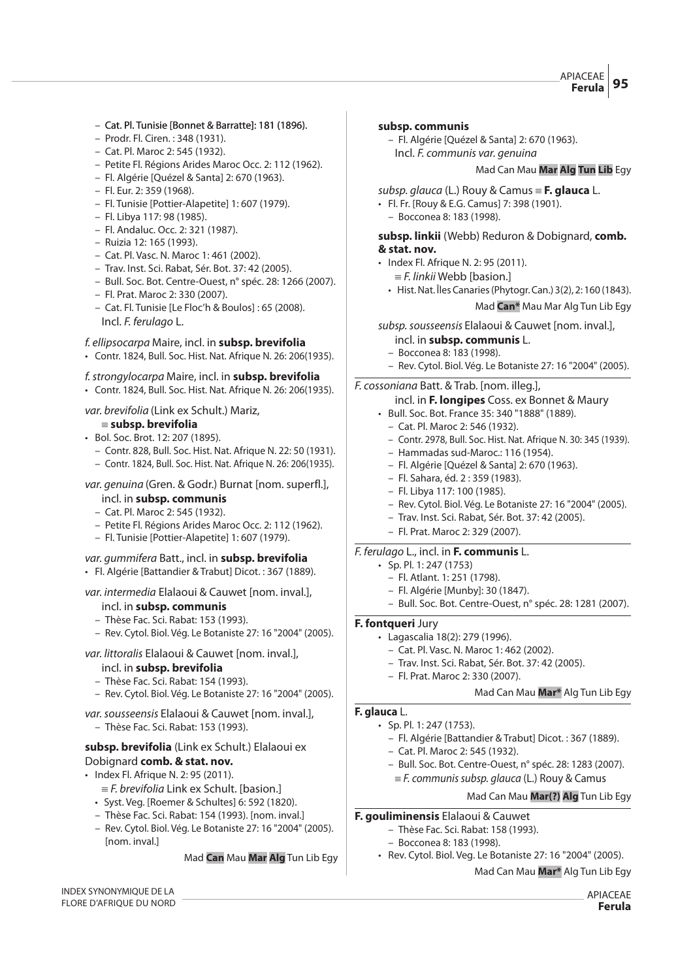- Cat. Pl. Tunisie [Bonnet & Barratte]: 181 (1896).
- Prodr. Fl. Ciren. : 348 (1931).
- Cat. Pl. Maroc 2: 545 (1932).
- Petite Fl. Régions Arides Maroc Occ. 2: 112 (1962).
- Fl. Algérie [Quézel & Santa] 2: 670 (1963).
- Fl. Eur. 2: 359 (1968).
- Fl. Tunisie [Pottier-Alapetite] 1: 607 (1979).
- Fl. Libya 117: 98 (1985).
- Fl. Andaluc. Occ. 2: 321 (1987).
- Ruizia 12: 165 (1993).
- Cat. Pl. Vasc. N. Maroc 1: 461 (2002).
- Trav. Inst. Sci. Rabat, Sér. Bot. 37: 42 (2005).
- Bull. Soc. Bot. Centre-Ouest, n° spéc. 28: 1266 (2007).
- Fl. Prat. Maroc 2: 330 (2007).
- Cat. Fl. Tunisie [Le Floc'h & Boulos] : 65 (2008). Incl. F. ferulago L.

#### f. ellipsocarpa Maire, incl. in **subsp. brevifolia**

• Contr. 1824, Bull. Soc. Hist. Nat. Afrique N. 26: 206(1935).

#### f.strongylocarpa Maire, incl. in **subsp. brevifolia**

• Contr. 1824, Bull. Soc. Hist. Nat. Afrique N. 26: 206(1935).

#### var. brevifolia (Link ex Schult.) Mariz,

#### { **subsp. brevifolia**

- Bol. Soc. Brot. 12: 207 (1895).
	- Contr. 828, Bull. Soc. Hist. Nat. Afrique N. 22: 50 (1931).
	- Contr. 1824, Bull. Soc. Hist. Nat. Afrique N. 26: 206(1935).

# var. genuina (Gren. & Godr.) Burnat [nom. superfl.],

- incl. in **subsp. communis** – Cat. Pl. Maroc 2: 545 (1932).
- Petite Fl. Régions Arides Maroc Occ. 2: 112 (1962).
- Fl. Tunisie [Pottier-Alapetite] 1: 607 (1979).

#### var. gummifera Batt., incl. in **subsp. brevifolia** • Fl. Algérie [Battandier & Trabut] Dicot. : 367 (1889).

#### var. intermedia Elalaoui & Cauwet [nom. inval.],

- incl. in **subsp. communis**
- Thèse Fac. Sci. Rabat: 153 (1993).
- Rev. Cytol. Biol. Vég. Le Botaniste 27: 16 "2004" (2005).

# var. littoralis Elalaoui & Cauwet [nom. inval.],

- incl. in **subsp. brevifolia**
- Thèse Fac. Sci. Rabat: 154 (1993).
- Rev. Cytol. Biol. Vég. Le Botaniste 27: 16 "2004" (2005).
- var. sousseensis Elalaoui & Cauwet [nom. inval.],
- Thèse Fac. Sci. Rabat: 153 (1993).

# **subsp. brevifolia** (Link ex Schult.) Elalaoui ex Dobignard **comb. & stat. nov.**

- Index Fl. Afrique N. 2: 95 (2011).
	- $E = F$ . brevifolia Link ex Schult. [basion.]
	- Syst. Veg. [Roemer & Schultes] 6: 592 (1820).
	- Thèse Fac. Sci. Rabat: 154 (1993). [nom. inval.]
	- Rev. Cytol. Biol. Vég. Le Botaniste 27: 16 "2004" (2005). [nom. inval.]

#### Mad **Can** Mau **Mar Alg** Tun Lib Egy

#### INDEX SYNONYMIQUE DE LA FLORE D'AFRIQUE DU NORD

#### **subsp. communis**

– Fl. Algérie [Quézel & Santa] 2: 670 (1963). Incl. F. communis var. genuina

#### Mad Can Mau **Mar Alg Tun Lib** Egy

- subsp. glauca (L.) Rouy & Camus = F. glauca L.
- Fl. Fr. [Rouy & E.G. Camus] 7: 398 (1901).
- Bocconea 8: 183 (1998).

#### **subsp. linkii** (Webb) Reduron & Dobignard, **comb. & stat. nov.**

- Index Fl. Afrique N. 2: 95 (2011).  $E = F$ . linkii Webb [basion.]
	- Hist. Nat. Îles Canaries (Phytogr. Can.) 3(2), 2: 160 (1843).

Mad **Can\*** Mau Mar Alg Tun Lib Egy

subsp. sousseensis Elalaoui & Cauwet [nom. inval.],

- incl. in **subsp. communis** L.
- Bocconea 8: 183 (1998).
- Rev. Cytol. Biol. Vég. Le Botaniste 27: 16 "2004" (2005).

#### F. cossoniana Batt. & Trab. [nom. illeg.],

#### incl. in **F. longipes** Coss. ex Bonnet & Maury

- Bull. Soc. Bot. France 35: 340 "1888" (1889).
	- Cat. Pl. Maroc 2: 546 (1932).
	- Contr. 2978, Bull. Soc. Hist. Nat. Afrique N. 30: 345 (1939).
	- Hammadas sud-Maroc.: 116 (1954).
	- Fl. Algérie [Quézel & Santa] 2: 670 (1963).
	- Fl. Sahara, éd. 2 : 359 (1983).
	- Fl. Libya 117: 100 (1985).
	- Rev. Cytol. Biol. Vég. Le Botaniste 27: 16 "2004" (2005).
	- Trav. Inst. Sci. Rabat, Sér. Bot. 37: 42 (2005).
- Fl. Prat. Maroc 2: 329 (2007).

# F. ferulago L., incl. in **F. communis** L.

- Sp. Pl. 1: 247 (1753)
	- Fl. Atlant. 1: 251 (1798).
	- Fl. Algérie [Munby]: 30 (1847).
- Bull. Soc. Bot. Centre-Ouest, n° spéc. 28: 1281 (2007).

#### **F. fontqueri** Jury

- Lagascalia 18(2): 279 (1996).
	- Cat. Pl. Vasc. N. Maroc 1: 462 (2002).
	- Trav. Inst. Sci. Rabat, Sér. Bot. 37: 42 (2005).
	- Fl. Prat. Maroc 2: 330 (2007).

#### Mad Can Mau **Mar\*** Alg Tun Lib Egy

#### **F. glauca** L.

- Sp. Pl. 1: 247 (1753).
	- Fl. Algérie [Battandier & Trabut] Dicot. : 367 (1889).
	- Cat. Pl. Maroc 2: 545 (1932).
	- Bull. Soc. Bot. Centre-Ouest, n° spéc. 28: 1283 (2007).
	- $E = F$ . communis subsp. glauca (L.) Rouy & Camus

# Mad Can Mau **Mar(?) Alg** Tun Lib Egy

#### **F. gouliminensis** Elalaoui & Cauwet

- Thèse Fac. Sci. Rabat: 158 (1993).
	- Bocconea 8: 183 (1998).
- Rev. Cytol. Biol. Veg. Le Botaniste 27: 16 "2004" (2005).

#### Mad Can Mau **Mar\*** Alg Tun Lib Egy

APIACEAE **Ferula**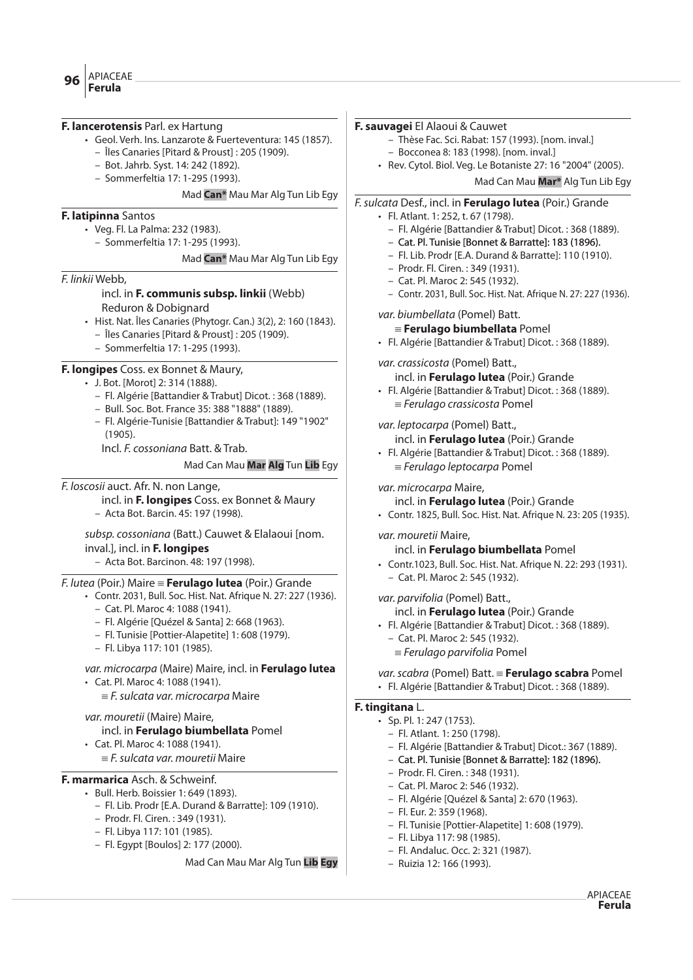#### **F. lancerotensis** Parl. ex Hartung

- Geol. Verh. Ins. Lanzarote & Fuerteventura: 145 (1857).
	- Îles Canaries [Pitard & Proust] : 205 (1909).
	- Bot. Jahrb. Syst. 14: 242 (1892).
	- Sommerfeltia 17: 1-295 (1993).

### Mad **Can\*** Mau Mar Alg Tun Lib Egy

# **F. latipinna** Santos

- Veg. Fl. La Palma: 232 (1983).
	- Sommerfeltia 17: 1-295 (1993).

Mad **Can\*** Mau Mar Alg Tun Lib Egy

#### F. linkii Webb,

#### incl. in **F. communis subsp. linkii** (Webb) Reduron & Dobignard

- Hist. Nat. Îles Canaries (Phytogr. Can.) 3(2), 2: 160 (1843).
	- Îles Canaries [Pitard & Proust] : 205 (1909).
	- Sommerfeltia 17: 1-295 (1993).

# **F. longipes** Coss. ex Bonnet & Maury,

- J. Bot. [Morot] 2: 314 (1888).
	- Fl. Algérie [Battandier & Trabut] Dicot. : 368 (1889).
	- Bull. Soc. Bot. France 35: 388 "1888" (1889).
	- Fl. Algérie-Tunisie [Battandier & Trabut]: 149 "1902"  $(1905)$

Incl. F. cossoniana Batt. & Trab.

### Mad Can Mau **Mar Alg** Tun **Lib** Egy

# F. loscosii auct. Afr. N. non Lange,

incl. in **F. longipes** Coss. ex Bonnet & Maury

– Acta Bot. Barcin. 45: 197 (1998).

# subsp. cossoniana (Batt.) Cauwet & Elalaoui [nom. inval.], incl. in **F. longipes**

– Acta Bot. Barcinon. 48: 197 (1998).

#### F. lutea (Poir.) Maire { **Ferulago lutea** (Poir.) Grande

- Contr. 2031, Bull. Soc. Hist. Nat. Afrique N. 27: 227 (1936).
	- Cat. Pl. Maroc 4: 1088 (1941).
	- Fl. Algérie [Quézel & Santa] 2: 668 (1963).
	- Fl. Tunisie [Pottier-Alapetite] 1: 608 (1979).
	- Fl. Libya 117: 101 (1985).

# var. microcarpa (Maire) Maire, incl. in **Ferulago lutea**

• Cat. Pl. Maroc 4: 1088 (1941).

 $E$ . sulcata var. microcarpa Maire

# var. mouretii (Maire) Maire,

# incl. in **Ferulago biumbellata** Pomel

• Cat. Pl. Maroc 4: 1088 (1941).

 $E$  sulcata var. mouretii Maire

# **F. marmarica** Asch. & Schweinf.

- Bull. Herb. Boissier 1: 649 (1893).
	- Fl. Lib. Prodr [E.A. Durand & Barratte]: 109 (1910).
	- Prodr. Fl. Ciren. : 349 (1931).
	- Fl. Libya 117: 101 (1985).
	- Fl. Egypt [Boulos] 2: 177 (2000).

#### Mad Can Mau Mar Alg Tun **Lib Egy**

#### **F. sauvagei** El Alaoui & Cauwet

- Thèse Fac. Sci. Rabat: 157 (1993). [nom. inval.]
- Bocconea 8: 183 (1998). [nom. inval.]
- Rev. Cytol. Biol. Veg. Le Botaniste 27: 16 "2004" (2005). Mad Can Mau **Mar\*** Alg Tun Lib Egy

# F.sulcata Desf., incl. in **Ferulago lutea** (Poir.) Grande

- Fl. Atlant. 1: 252, t. 67 (1798).
	- Fl. Algérie [Battandier & Trabut] Dicot. : 368 (1889).
	- Cat. Pl. Tunisie [Bonnet & Barratte]: 183 (1896).
	- Fl. Lib. Prodr [E.A. Durand & Barratte]: 110 (1910).
	- Prodr. Fl. Ciren. : 349 (1931).
	- Cat. Pl. Maroc 2: 545 (1932).
	- Contr. 2031, Bull. Soc. Hist. Nat. Afrique N. 27: 227 (1936).

#### var. biumbellata (Pomel) Batt.

- { **Ferulago biumbellata** Pomel
- Fl. Algérie [Battandier & Trabut] Dicot. : 368 (1889).

var. crassicosta (Pomel) Batt.,

incl. in **Ferulago lutea** (Poir.) Grande

• Fl. Algérie [Battandier & Trabut] Dicot. : 368 (1889).  $=$  Ferulago crassicosta Pomel

var. leptocarpa (Pomel) Batt.,

incl. in **Ferulago lutea** (Poir.) Grande

• Fl. Algérie [Battandier & Trabut] Dicot. : 368 (1889).  $=$  Ferulago leptocarpa Pomel

var. microcarpa Maire,

incl. in **Ferulago lutea** (Poir.) Grande

• Contr. 1825, Bull. Soc. Hist. Nat. Afrique N. 23: 205 (1935).

var. mouretii Maire,

- incl. in **Ferulago biumbellata** Pomel
- Contr.1023, Bull. Soc. Hist. Nat. Afrique N. 22: 293 (1931).
- Cat. Pl. Maroc 2: 545 (1932).

var. parvifolia (Pomel) Batt.,

- incl. in **Ferulago lutea** (Poir.) Grande
- Fl. Algérie [Battandier & Trabut] Dicot. : 368 (1889).
	- Cat. Pl. Maroc 2: 545 (1932).
	- $\equiv$  Ferulago parvifolia Pomel

var.scabra (Pomel) Batt. { **Ferulago scabra** Pomel

• Fl. Algérie [Battandier & Trabut] Dicot. : 368 (1889).

# **F. tingitana** L.

- Sp. Pl. 1: 247 (1753).
	- Fl. Atlant. 1: 250 (1798).
	- Fl. Algérie [Battandier & Trabut] Dicot.: 367 (1889).
	- Cat. Pl. Tunisie [Bonnet & Barratte]: 182 (1896).
	- Prodr. Fl. Ciren. : 348 (1931).
	- Cat. Pl. Maroc 2: 546 (1932).
	- Fl. Algérie [Quézel & Santa] 2: 670 (1963).
	- Fl. Eur. 2: 359 (1968).
	- Fl. Tunisie [Pottier-Alapetite] 1: 608 (1979).
	- Fl. Libya 117: 98 (1985).
	- Fl. Andaluc. Occ. 2: 321 (1987).
	- Ruizia 12: 166 (1993).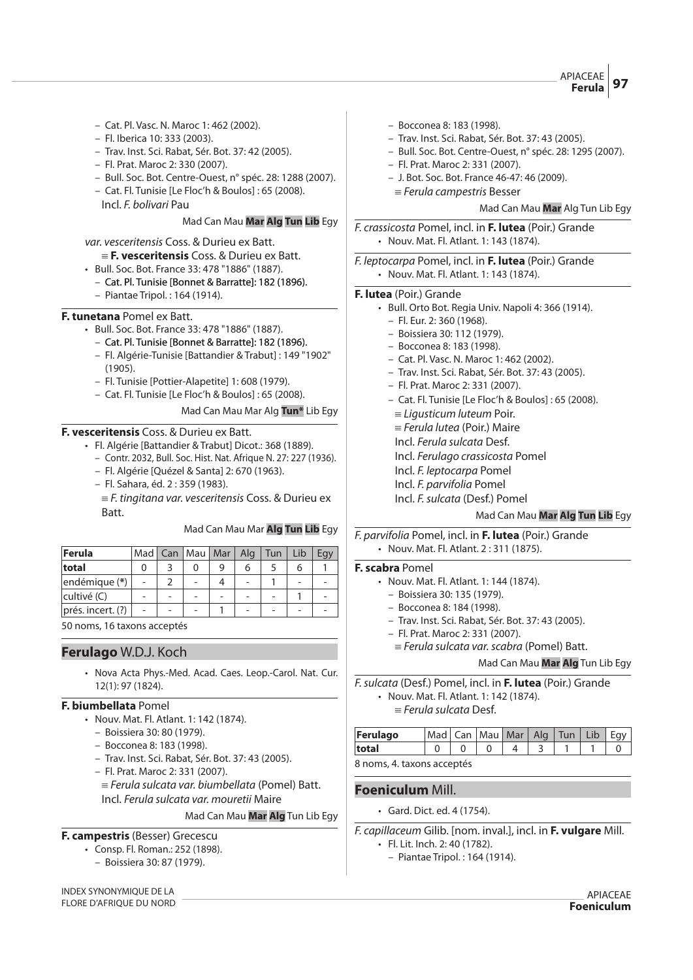APIACEAE **Ferula** 

- Cat. Pl. Vasc. N. Maroc 1: 462 (2002).
- Fl. Iberica 10: 333 (2003).
- Trav. Inst. Sci. Rabat, Sér. Bot. 37: 42 (2005).
- Fl. Prat. Maroc 2: 330 (2007).
- Bull. Soc. Bot. Centre-Ouest, n° spéc. 28: 1288 (2007).
- Cat. Fl. Tunisie [Le Floc'h & Boulos] : 65 (2008).
	- Incl. F. bolivari Pau

#### Mad Can Mau **Mar Alg Tun Lib** Egy

var. vesceritensis Coss. & Durieu ex Batt.

- { **F. vesceritensis** Coss. & Durieu ex Batt.
- Bull. Soc. Bot. France 33: 478 "1886" (1887).
	- Cat. Pl. Tunisie [Bonnet & Barratte]: 182 (1896).
	- Piantae Tripol. : 164 (1914).

#### **F. tunetana** Pomel ex Batt.

- Bull. Soc. Bot. France 33: 478 "1886" (1887).
	- Cat. Pl. Tunisie [Bonnet & Barratte]: 182 (1896).
	- Fl. Algérie-Tunisie [Battandier & Trabut] : 149 "1902" (1905).
	- Fl. Tunisie [Pottier-Alapetite] 1: 608 (1979).
	- Cat. Fl. Tunisie [Le Floc'h & Boulos] : 65 (2008).

#### Mad Can Mau Mar Alg **Tun\*** Lib Egy

#### **F. vesceritensis** Coss. & Durieu ex Batt.

- Fl. Algérie [Battandier & Trabut] Dicot.: 368 (1889).
	- Contr. 2032, Bull. Soc. Hist. Nat. Afrique N. 27: 227 (1936).
	- Fl. Algérie [Quézel & Santa] 2: 670 (1963).
	- Fl. Sahara, éd. 2 : 359 (1983).
	- $E = F$ . tingitana var. vesceritensis Coss. & Durieu ex Batt.

#### Mad Can Mau Mar **Alg Tun Lib** Egy

| <b>Ferula</b>     | Mad I | Can | Mau | Mar | Alg. | Tun | Lib | Egy |
|-------------------|-------|-----|-----|-----|------|-----|-----|-----|
| total             |       |     |     |     | h    |     |     |     |
| endémique (*)     |       |     |     |     |      |     |     |     |
| cultivé (C)       |       |     |     |     |      |     |     |     |
| prés. incert. (?) |       |     |     |     |      | -   |     |     |

50 noms, 16 taxons acceptés

#### **Ferulago** W.D.J. Koch

• Nova Acta Phys.-Med. Acad. Caes. Leop.-Carol. Nat. Cur. 12(1): 97 (1824).

#### **F. biumbellata** Pomel

- Nouv. Mat. Fl. Atlant. 1: 142 (1874).
	- Boissiera 30: 80 (1979).
	- Bocconea 8: 183 (1998).
	- Trav. Inst. Sci. Rabat, Sér. Bot. 37: 43 (2005).
	- Fl. Prat. Maroc 2: 331 (2007).
	- $\equiv$  Ferula sulcata var. biumbellata (Pomel) Batt. Incl. Ferula sulcata var. mouretii Maire
		- Mad Can Mau **Mar Alg** Tun Lib Egy

#### **F. campestris** (Besser) Grecescu

- Consp. Fl. Roman.: 252 (1898).
	- Boissiera 30: 87 (1979).
- INDEX SYNONYMIQUE DE LA FLORE D'AFRIQUE DU NORD
- Bocconea 8: 183 (1998).
- Trav. Inst. Sci. Rabat, Sér. Bot. 37: 43 (2005).
- Bull. Soc. Bot. Centre-Ouest, n° spéc. 28: 1295 (2007).
- Fl. Prat. Maroc 2: 331 (2007).
- J. Bot. Soc. Bot. France 46-47: 46 (2009).
- $=$  Ferula campestris Besser

#### Mad Can Mau **Mar** Alg Tun Lib Egy

F. crassicosta Pomel, incl. in **F. lutea** (Poir.) Grande • Nouv. Mat. Fl. Atlant. 1: 143 (1874).

F. leptocarpa Pomel, incl. in **F. lutea** (Poir.) Grande • Nouv. Mat. Fl. Atlant. 1: 143 (1874).

#### **F. lutea** (Poir.) Grande

- Bull. Orto Bot. Regia Univ. Napoli 4: 366 (1914).
	- Fl. Eur. 2: 360 (1968).
	- Boissiera 30: 112 (1979).
	- Bocconea 8: 183 (1998).
	- Cat. Pl. Vasc. N. Maroc 1: 462 (2002).
	- Trav. Inst. Sci. Rabat, Sér. Bot. 37: 43 (2005).
	- Fl. Prat. Maroc 2: 331 (2007).
	- Cat. Fl. Tunisie [Le Floc'h & Boulos] : 65 (2008).
		- $\equiv$  Ligusticum luteum Poir.
	- $=$  Ferula lutea (Poir.) Maire
	- Incl. Ferula sulcata Desf.
	- Incl. Ferulago crassicosta Pomel
	- Incl. F. leptocarpa Pomel
	- Incl. F. parvifolia Pomel
	- Incl. F.sulcata (Desf.) Pomel

# Mad Can Mau **Mar Alg Tun Lib** Egy

F. parvifolia Pomel, incl. in **F. lutea** (Poir.) Grande • Nouv. Mat. Fl. Atlant. 2 : 311 (1875).

#### **F. scabra** Pomel

- Nouv. Mat. Fl. Atlant. 1: 144 (1874).
	- Boissiera 30: 135 (1979).
- Bocconea 8: 184 (1998).
- Trav. Inst. Sci. Rabat, Sér. Bot. 37: 43 (2005).
- Fl. Prat. Maroc 2: 331 (2007).
- $=$  Ferula sulcata var. scabra (Pomel) Batt.

Mad Can Mau **Mar Alg** Tun Lib Egy

F.sulcata (Desf.) Pomel, incl. in **F. lutea** (Poir.) Grande

- Nouv. Mat. Fl. Atlant. 1: 142 (1874).
	- $\equiv$  Ferula sulcata Desf.

| Ferulago                   | Mad   Can   Mau   Mar   Alg   Tun   Lib |  |  |  |  |
|----------------------------|-----------------------------------------|--|--|--|--|
| total                      |                                         |  |  |  |  |
| 8 noms, 4. taxons acceptés |                                         |  |  |  |  |

#### **Foeniculum** Mill.

• Gard. Dict. ed. 4 (1754).

F. capillaceum Gilib. [nom. inval.], incl. in **F. vulgare** Mill.

- Fl. Lit. Inch. 2: 40 (1782).
- Piantae Tripol. : 164 (1914).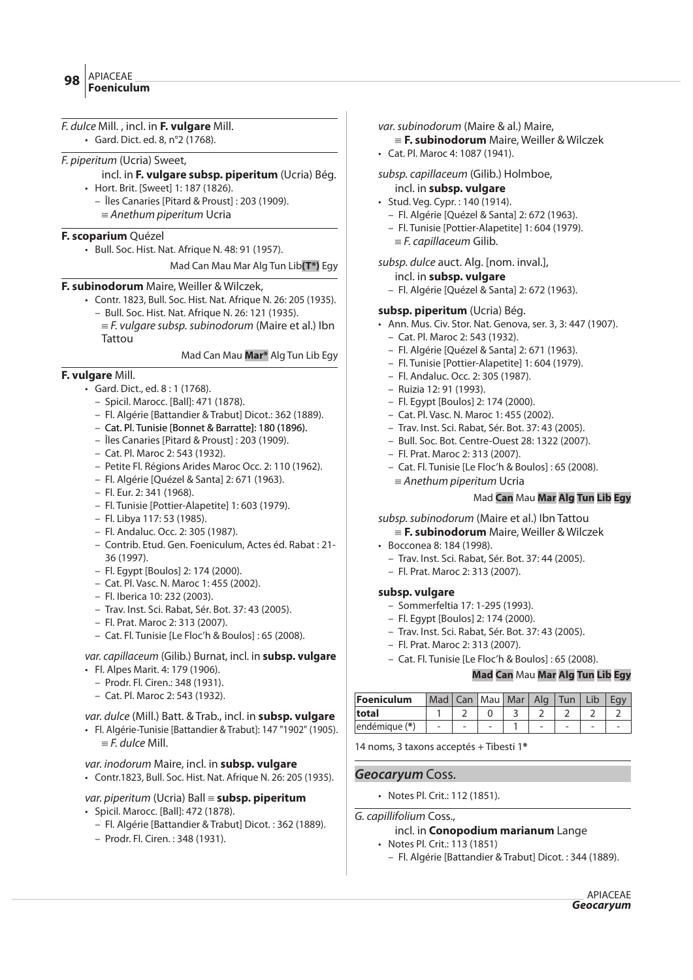| F. dulce Mill., incl. in <b>F. vulgare</b> Mill.<br>· Gard. Dict. ed. 8, n°2 (1768). |
|--------------------------------------------------------------------------------------|
|                                                                                      |
| <i>F. piperitum</i> (Ucria) Sweet,                                                   |
| incl. in F. vulgare subsp. piperitum (Ucria) Bég.                                    |
| • Hort. Brit. [Sweet] 1: 187 (1826).                                                 |
| - Îles Canaries [Pitard & Proust] : 203 (1909).                                      |
| $\equiv$ Anethum piperitum Ucria                                                     |
| <b>F. scoparium</b> Quézel                                                           |
| • Bull. Soc. Hist. Nat. Afrique N. 48: 91 (1957).                                    |
| Mad Can Mau Mar Alg Tun Lib(T*) Egy                                                  |
| F. subinodorum Maire, Weiller & Wilczek,                                             |
| • Contr. 1823, Bull. Soc. Hist. Nat. Afrique N. 26: 205 (1935).                      |
| - Bull. Soc. Hist. Nat. Afrique N. 26: 121 (1935).                                   |
| $\equiv$ F. vulgare subsp. subinodorum (Maire et al.) Ibn                            |
| Tattou                                                                               |
| Mad Can Mau Mar* Alg Tun Lib Egy                                                     |

# **F. vulgare** Mill.

- Gard. Dict., ed. 8 : 1 (1768).
	- Spicil. Marocc. [Ball]: 471 (1878).
	- Fl. Algérie [Battandier & Trabut] Dicot.: 362 (1889).
	- Cat. Pl. Tunisie [Bonnet & Barratte]: 180 (1896).
	- Îles Canaries [Pitard & Proust] : 203 (1909).
	- Cat. Pl. Maroc 2: 543 (1932).
	- Petite Fl. Régions Arides Maroc Occ. 2: 110 (1962).
	- Fl. Algérie [Quézel & Santa] 2: 671 (1963).
	- Fl. Eur. 2: 341 (1968).
	- Fl. Tunisie [Pottier-Alapetite] 1: 603 (1979).
	- Fl. Libya 117: 53 (1985).
	- Fl. Andaluc. Occ. 2: 305 (1987).
	- Contrib. Etud. Gen. Foeniculum, Actes éd. Rabat : 21- 36 (1997).
	- Fl. Egypt [Boulos] 2: 174 (2000).
	- Cat. Pl. Vasc. N. Maroc 1: 455 (2002).
	- Fl. Iberica 10: 232 (2003).
	- Trav. Inst. Sci. Rabat, Sér. Bot. 37: 43 (2005).
	- Fl. Prat. Maroc 2: 313 (2007).
	- Cat. Fl. Tunisie [Le Floc'h & Boulos] : 65 (2008).

# var. capillaceum (Gilib.) Burnat, incl. in **subsp. vulgare**

- Fl. Alpes Marit. 4: 179 (1906).
	- Prodr. Fl. Ciren.: 348 (1931).
	- Cat. Pl. Maroc 2: 543 (1932).

#### var. dulce (Mill.) Batt. & Trab., incl. in **subsp. vulgare**

• Fl. Algérie-Tunisie [Battandier & Trabut]: 147 "1902" (1905).  $E = F$ . dulce Mill.

#### var. inodorum Maire, incl. in **subsp. vulgare**

• Contr.1823, Bull. Soc. Hist. Nat. Afrique N. 26: 205 (1935).

# var. piperitum (Ucria) Ball { **subsp. piperitum**

- Spicil. Marocc. [Ball]: 472 (1878).
	- Fl. Algérie [Battandier & Trabut] Dicot. : 362 (1889).
	- Prodr. Fl. Ciren. : 348 (1931).
- var. subinodorum (Maire & al.) Maire,
	- {**F. subinodorum** Maire, Weiller & Wilczek
- Cat. Pl. Maroc 4: 1087 (1941).

#### subsp. capillaceum (Gilib.) Holmboe,

- incl. in **subsp. vulgare**
- Stud. Veg. Cypr. : 140 (1914).
	- Fl. Algérie [Quézel & Santa] 2: 672 (1963).
	- Fl. Tunisie [Pottier-Alapetite] 1: 604 (1979).
- $E$ . capillaceum Gilib.
- subsp. dulce auct. Alg. [nom. inval.],

#### incl. in **subsp. vulgare**

– Fl. Algérie [Quézel & Santa] 2: 672 (1963).

### **subsp. piperitum** (Ucria) Bég.

- Ann. Mus. Civ. Stor. Nat. Genova, ser. 3, 3: 447 (1907).
	- Cat. Pl. Maroc 2: 543 (1932).
	- Fl. Algérie [Quézel & Santa] 2: 671 (1963).
	- Fl. Tunisie [Pottier-Alapetite] 1: 604 (1979).
	- Fl. Andaluc. Occ. 2: 305 (1987).
	- Ruizia 12: 91 (1993).
	- Fl. Egypt [Boulos] 2: 174 (2000).
	- Cat. Pl. Vasc. N. Maroc 1: 455 (2002).
	- Trav. Inst. Sci. Rabat, Sér. Bot. 37: 43 (2005).
	- Bull. Soc. Bot. Centre-Ouest 28: 1322 (2007).
	- Fl. Prat. Maroc 2: 313 (2007).
	- Cat. Fl. Tunisie [Le Floc'h & Boulos] : 65 (2008).
		- $=$  Anethum piperitum Ucria

#### Mad **Can** Mau **Mar Alg Tun Lib Egy**

subsp. subinodorum (Maire et al.) Ibn Tattou

- {**F. subinodorum** Maire, Weiller & Wilczek
- Bocconea 8: 184 (1998).
	- Trav. Inst. Sci. Rabat, Sér. Bot. 37: 44 (2005).
	- Fl. Prat. Maroc 2: 313 (2007).

#### **subsp. vulgare**

- Sommerfeltia 17: 1-295 (1993).
- Fl. Egypt [Boulos] 2: 174 (2000).
- Trav. Inst. Sci. Rabat, Sér. Bot. 37: 43 (2005).
- Fl. Prat. Maroc 2: 313 (2007).
- Cat. Fl. Tunisie [Le Floc'h & Boulos] : 65 (2008).

# **Mad Can** Mau **Mar Alg Tun Lib Egy**

| Foeniculum    |  | Mad   Can   Mau   Mar   Alg   Tun   Lib |  |  | Fav |
|---------------|--|-----------------------------------------|--|--|-----|
| total         |  |                                         |  |  |     |
| endémique (*) |  |                                         |  |  |     |

14 noms, 3 taxons acceptés + Tibesti 1**\***

#### **Geocaryum** Coss.

• Notes Pl. Crit.: 112 (1851).

G. capillifolium Coss.,

# incl. in **Conopodium marianum** Lange

- Notes Pl. Crit.: 113 (1851)
	- Fl. Algérie [Battandier & Trabut] Dicot. : 344 (1889).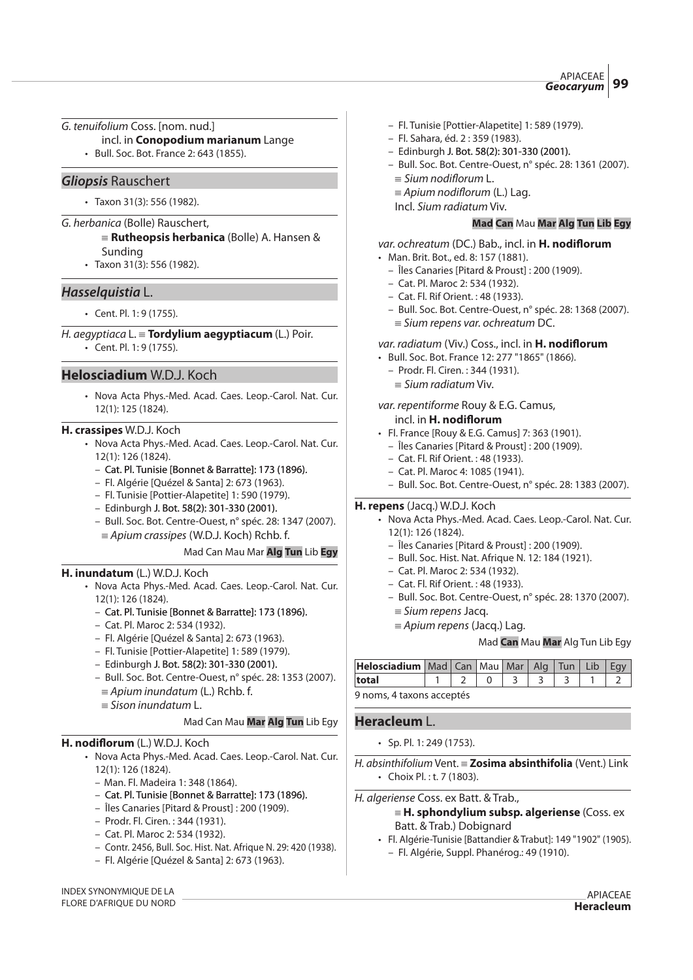G. tenuifolium Coss. [nom. nud.]

- incl. in **Conopodium marianum** Lange
- Bull. Soc. Bot. France 2: 643 (1855).

# **Gliopsis** Rauschert

• Taxon 31(3): 556 (1982).

- G. herbanica (Bolle) Rauschert,
	- {**Rutheopsis herbanica** (Bolle) A. Hansen & Sunding
	- Taxon 31(3): 556 (1982).

# **Hasselquistia** L.

• Cent. Pl. 1: 9 (1755).

H. aegyptiaca L. { **Tordylium aegyptiacum** (L.) Poir.

• Cent. Pl. 1: 9 (1755).

# **Helosciadium** W.D.J. Koch

• Nova Acta Phys.-Med. Acad. Caes. Leop.-Carol. Nat. Cur. 12(1): 125 (1824).

#### **H. crassipes** W.D.J. Koch

- Nova Acta Phys.-Med. Acad. Caes. Leop.-Carol. Nat. Cur. 12(1): 126 (1824).
	- Cat. Pl. Tunisie [Bonnet & Barratte]: 173 (1896).
	- Fl. Algérie [Quézel & Santa] 2: 673 (1963).
	- Fl. Tunisie [Pottier-Alapetite] 1: 590 (1979).
	- Edinburgh J. Bot. 58(2): 301-330 (2001). (2001).
	- Bull. Soc. Bot. Centre-Ouest, n° spéc. 28: 1347 (2007).
	- $=$  Apium crassipes (W.D.J. Koch) Rchb. f.

# Mad Can Mau Mar **Alg Tun** Lib **Egy**

# **H. inundatum** (L.) W.D.J. Koch

- Nova Acta Phys.-Med. Acad. Caes. Leop.-Carol. Nat. Cur. 12(1): 126 (1824).
	- Cat. Pl. Tunisie [Bonnet & Barratte]: 173 (1896).
	- Cat. Pl. Maroc 2: 534 (1932).
	- Fl. Algérie [Quézel & Santa] 2: 673 (1963).
	- Fl. Tunisie [Pottier-Alapetite] 1: 589 (1979).
	- Edinburgh J. Bot. 58(2): 301-330 (2001). (2001).
	- Bull. Soc. Bot. Centre-Ouest, n° spéc. 28: 1353 (2007).  $\equiv$  Apium inundatum (L.) Rchb. f.
	- $\equiv$  Sison inundatum L.

# Mad Can Mau **Mar Alg Tun** Lib Egy

# **H. nodiflorum** (L.) W.D.J. Koch

- Nova Acta Phys.-Med. Acad. Caes. Leop.-Carol. Nat. Cur. 12(1): 126 (1824).
	- Man. Fl. Madeira 1: 348 (1864).
	- Cat. Pl. Tunisie [Bonnet & Barratte]: 173 (1896).
	- Îles Canaries [Pitard & Proust] : 200 (1909).
	- Prodr. Fl. Ciren. : 344 (1931).
	- Cat. Pl. Maroc 2: 534 (1932).
	- Contr. 2456, Bull. Soc. Hist. Nat. Afrique N. 29: 420 (1938).
	- Fl. Algérie [Quézel & Santa] 2: 673 (1963).

INDEX SYNONYMIQUE DE LA FLORE D'AFRIQUE DU NORD

- Fl. Tunisie [Pottier-Alapetite] 1: 589 (1979).
- Fl. Sahara, éd. 2 : 359 (1983).
- Edinburgh J. Bot. 58(2): 301-330 (2001). (2001).
- Bull. Soc. Bot. Centre-Ouest, n° spéc. 28: 1361 (2007).  $\equiv$  Sium nodiflorum L.
	- $\equiv$  Apium nodiflorum (L.) Lag.
	- Incl. Sium radiatum Viv.

#### **Mad Can** Mau **Mar Alg Tun Lib Egy**

var. ochreatum (DC.) Bab., incl. in **H. nodi"orum**

- Man. Brit. Bot., ed. 8: 157 (1881).
	- Îles Canaries [Pitard & Proust] : 200 (1909).
	- Cat. Pl. Maroc 2: 534 (1932).
	- Cat. Fl. Rif Orient. : 48 (1933).
	- Bull. Soc. Bot. Centre-Ouest, n° spéc. 28: 1368 (2007).  $\equiv$  Sium repens var. ochreatum DC.

# var. radiatum (Viv.) Coss., incl. in **H. nodi"orum**

- Bull. Soc. Bot. France 12: 277 "1865" (1866).
	- Prodr. Fl. Ciren. : 344 (1931).
	- $\equiv$  Sium radiatum Viv.

# var. repentiforme Rouy & E.G. Camus,

- $ind.$  in **H. nodiflorum**
- Fl. France [Rouy & E.G. Camus] 7: 363 (1901).
	- Îles Canaries [Pitard & Proust] : 200 (1909).
	- Cat. Fl. Rif Orient. : 48 (1933).
	- Cat. Pl. Maroc 4: 1085 (1941).
	- Bull. Soc. Bot. Centre-Ouest, n° spéc. 28: 1383 (2007).

# **H. repens** (Jacq.) W.D.J. Koch

- Nova Acta Phys.-Med. Acad. Caes. Leop.-Carol. Nat. Cur. 12(1): 126 (1824).
	- Îles Canaries [Pitard & Proust] : 200 (1909).
	- Bull. Soc. Hist. Nat. Afrique N. 12: 184 (1921).
	- Cat. Pl. Maroc 2: 534 (1932).
	- Cat. Fl. Rif Orient. : 48 (1933).
	- Bull. Soc. Bot. Centre-Ouest, n° spéc. 28: 1370 (2007).
		- $=$  Sium repens Jacq.
		- $\equiv$  Apium repens (Jacq.) Lag.

# Mad **Can** Mau **Mar** Alg Tun Lib Egy

| Helosciadium   Mad   Can   Mau   Mar   Alg   Tun   Lib   Egy |  |  |  |  |
|--------------------------------------------------------------|--|--|--|--|
| total                                                        |  |  |  |  |
| 9 noms. 4 taxons accentés.                                   |  |  |  |  |

9 noms, 4 taxons acceptés

# **Heracleum** L.

• Sp. Pl. 1: 249 (1753).

H. absinthifolium Vent. { **Zosima absinthifolia** (Vent.) Link • Choix Pl. : t. 7 (1803).

- H. algeriense Coss. ex Batt. & Trab.,
	- { **H. sphondylium subsp. algeriense** (Coss. ex Batt. & Trab.) Dobignard
	- Fl. Algérie-Tunisie [Battandier & Trabut]: 149 "1902" (1905). – Fl. Algérie, Suppl. Phanérog.: 49 (1910).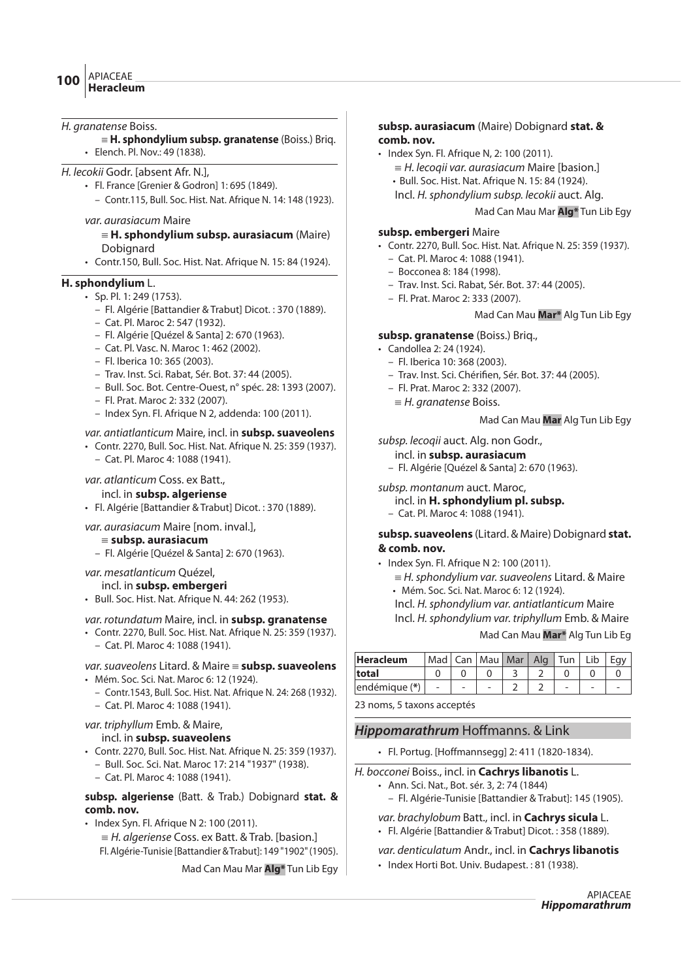#### H. granatense Boiss.

- { **H. sphondylium subsp. granatense** (Boiss.) Briq.
- Elench. Pl. Nov.: 49 (1838).

#### H. lecokii Godr. [absent Afr. N.],

- Fl. France [Grenier & Godron] 1: 695 (1849).
	- Contr.115, Bull. Soc. Hist. Nat. Afrique N. 14: 148 (1923).

#### var. aurasiacum Maire

- { **H. sphondylium subsp. aurasiacum** (Maire) Dobignard
- Contr.150, Bull. Soc. Hist. Nat. Afrique N. 15: 84 (1924).

#### **H. sphondylium** L.

- Sp. Pl. 1: 249 (1753).
	- Fl. Algérie [Battandier & Trabut] Dicot. : 370 (1889).
	- Cat. Pl. Maroc 2: 547 (1932).
	- Fl. Algérie [Quézel & Santa] 2: 670 (1963).
	- Cat. Pl. Vasc. N. Maroc 1: 462 (2002).
	- Fl. Iberica 10: 365 (2003).
	- Trav. Inst. Sci. Rabat, Sér. Bot. 37: 44 (2005).
	- Bull. Soc. Bot. Centre-Ouest, n° spéc. 28: 1393 (2007).
	- Fl. Prat. Maroc 2: 332 (2007).
	- Index Syn. Fl. Afrique N 2, addenda: 100 (2011).

#### var. antiatlanticum Maire, incl. in **subsp. suaveolens**

- Contr. 2270, Bull. Soc. Hist. Nat. Afrique N. 25: 359 (1937).
	- Cat. Pl. Maroc 4: 1088 (1941).

#### var. atlanticum Coss. ex Batt.,

- incl. in **subsp. algeriense**
- Fl. Algérie [Battandier & Trabut] Dicot. : 370 (1889).

# var. aurasiacum Maire [nom. inval.],

#### {**subsp. aurasiacum**

– Fl. Algérie [Quézel & Santa] 2: 670 (1963).

#### var. mesatlanticum Quézel,

#### incl. in **subsp. embergeri**

• Bull. Soc. Hist. Nat. Afrique N. 44: 262 (1953).

#### var. rotundatum Maire, incl. in **subsp. granatense**

• Contr. 2270, Bull. Soc. Hist. Nat. Afrique N. 25: 359 (1937). – Cat. Pl. Maroc 4: 1088 (1941).

# var. suaveolens Litard. & Maire = **subsp. suaveolens**

- Mém. Soc. Sci. Nat. Maroc 6: 12 (1924).
	- Contr.1543, Bull. Soc. Hist. Nat. Afrique N. 24: 268 (1932).

# – Cat. Pl. Maroc 4: 1088 (1941).

# var. triphyllum Emb. & Maire,

#### incl. in **subsp. suaveolens**

- Contr. 2270, Bull. Soc. Hist. Nat. Afrique N. 25: 359 (1937).
	- Bull. Soc. Sci. Nat. Maroc 17: 214 "1937" (1938).
	- Cat. Pl. Maroc 4: 1088 (1941).

#### **subsp. algeriense** (Batt. & Trab.) Dobignard **stat. & comb. nov.**

- Index Syn. Fl. Afrique N 2: 100 (2011).
	- $=$  H. algeriense Coss. ex Batt. & Trab. [basion.] Fl. Algérie-Tunisie [Battandier & Trabut]: 149 "1902" (1905).

# Mad Can Mau Mar **Alg\*** Tun Lib Egy

# **subsp. aurasiacum** (Maire) Dobignard **stat. & comb. nov.**

- Index Syn. Fl. Afrique N, 2: 100 (2011).
	- $=$  H. lecogii var. aurasiacum Maire [basion.]
	- Bull. Soc. Hist. Nat. Afrique N. 15: 84 (1924).
	- Incl. H.sphondylium subsp. lecokii auct. Alg.

#### Mad Can Mau Mar **Alg\*** Tun Lib Egy

#### **subsp. embergeri** Maire

- Contr. 2270, Bull. Soc. Hist. Nat. Afrique N. 25: 359 (1937).
	- Cat. Pl. Maroc 4: 1088 (1941).
	- Bocconea 8: 184 (1998). – Trav. Inst. Sci. Rabat, Sér. Bot. 37: 44 (2005).
	-
	- Fl. Prat. Maroc 2: 333 (2007).

# Mad Can Mau **Mar\*** Alg Tun Lib Egy

# **subsp. granatense** (Boiss.) Briq.,

- Candollea 2: 24 (1924).
	- Fl. Iberica 10: 368 (2003).
	- Trav. Inst. Sci. Chérifien, Sér. Bot. 37: 44 (2005).
	- Fl. Prat. Maroc 2: 332 (2007).
	- $=$  H. granatense Boiss.

Mad Can Mau **Mar** Alg Tun Lib Egy

subsp. lecogii auct. Alg. non Godr.,

- incl. in **subsp. aurasiacum**
- Fl. Algérie [Quézel & Santa] 2: 670 (1963).

# subsp. montanum auct. Maroc,

#### incl. in **H. sphondylium pl. subsp.**

– Cat. Pl. Maroc 4: 1088 (1941).

# **subsp. suaveolens** (Litard. & Maire) Dobignard **stat. & comb. nov.**

- Index Syn. Fl. Afrique N 2: 100 (2011).
	- $=$  H. sphondylium var. suaveolens Litard. & Maire • Mém. Soc. Sci. Nat. Maroc 6: 12 (1924).
	- Incl. H.sphondylium var. antiatlanticum Maire
	- Incl. H.sphondylium var. triphyllum Emb. & Maire

#### Mad Can Mau **Mar\*** Alg Tun Lib Eg

| <b>Heracleum</b> |  | Mad Can Mau Mar Alg Tun |  | Lib |  |
|------------------|--|-------------------------|--|-----|--|
| total            |  |                         |  |     |  |
| endémique (*)    |  |                         |  |     |  |

23 noms, 5 taxons acceptés

# **Hippomarathrum** Hoffmanns. & Link

- Fl. Portug. [Hoffmannsegg] 2: 411 (1820-1834).
- H. bocconei Boiss., incl. in **Cachrys libanotis** L.
	- Ann. Sci. Nat., Bot. sér. 3, 2: 74 (1844)
		- Fl. Algérie-Tunisie [Battandier & Trabut]: 145 (1905).
	- var. brachylobum Batt., incl. in **Cachrys sicula** L. • Fl. Algérie [Battandier & Trabut] Dicot. : 358 (1889).
	-

# var. denticulatum Andr., incl. in **Cachrys libanotis**

• Index Horti Bot. Univ. Budapest. : 81 (1938).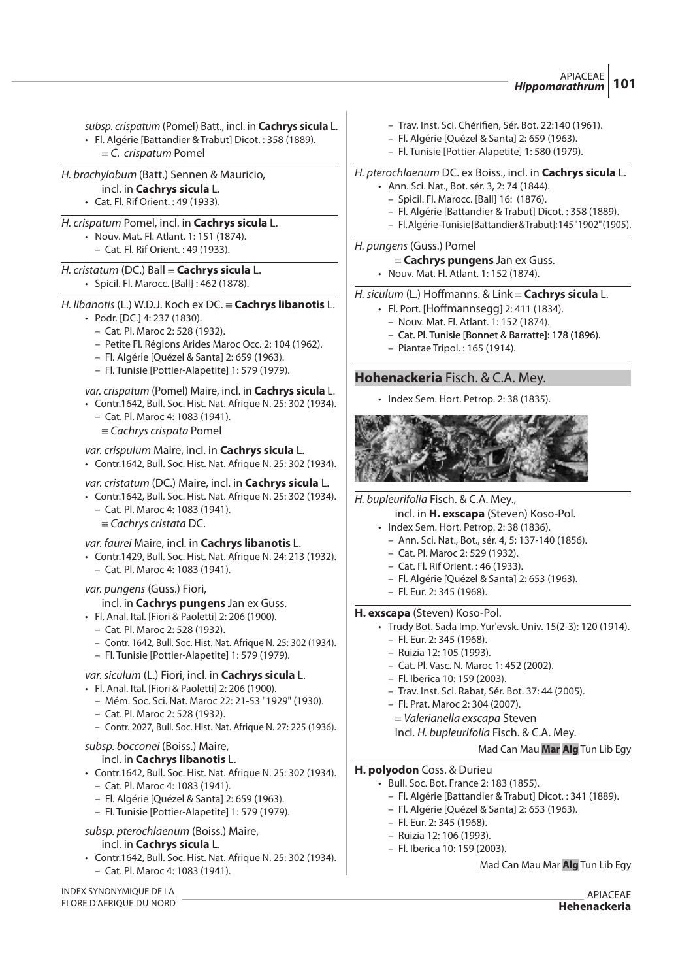subsp. crispatum (Pomel) Batt., incl. in **Cachrys sicula** L. • Fl. Algérie [Battandier & Trabut] Dicot. : 358 (1889).  $\equiv$  C. crispatum Pomel

- H. brachylobum (Batt.) Sennen & Mauricio, incl. in **Cachrys sicula** L. • Cat. Fl. Rif Orient. : 49 (1933).
- H. crispatum Pomel, incl. in **Cachrys sicula** L. • Nouv. Mat. Fl. Atlant. 1: 151 (1874).
	- Cat. Fl. Rif Orient. : 49 (1933).
- H. cristatum (DC.) Ball { **Cachrys sicula** L. • Spicil. Fl. Marocc. [Ball] : 462 (1878).
- H. libanotis (L.) W.D.J. Koch ex DC. { **Cachrys libanotis** L.
	- Podr. [DC.] 4: 237 (1830).
		- Cat. Pl. Maroc 2: 528 (1932).
		- Petite Fl. Régions Arides Maroc Occ. 2: 104 (1962).
		- Fl. Algérie [Quézel & Santa] 2: 659 (1963).
		- Fl. Tunisie [Pottier-Alapetite] 1: 579 (1979).

# var. crispatum (Pomel) Maire, incl. in **Cachrys sicula** L.

- Contr.1642, Bull. Soc. Hist. Nat. Afrique N. 25: 302 (1934).
	- Cat. Pl. Maroc 4: 1083 (1941).
	- $=$  Cachrys crispata Pomel

# var. crispulum Maire, incl. in **Cachrys sicula** L.

• Contr.1642, Bull. Soc. Hist. Nat. Afrique N. 25: 302 (1934).

# var. cristatum (DC.) Maire, incl. in **Cachrys sicula** L.

- Contr.1642, Bull. Soc. Hist. Nat. Afrique N. 25: 302 (1934). – Cat. Pl. Maroc 4: 1083 (1941).
	- $=$  Cachrys cristata DC.

# var. faurei Maire, incl. in **Cachrys libanotis** L.

- Contr.1429, Bull. Soc. Hist. Nat. Afrique N. 24: 213 (1932). – Cat. Pl. Maroc 4: 1083 (1941).
- var. pungens (Guss.) Fiori,

# incl. in **Cachrys pungens** Jan ex Guss.

- Fl. Anal. Ital. [Fiori & Paoletti] 2: 206 (1900).
	- Cat. Pl. Maroc 2: 528 (1932).
	- Contr. 1642, Bull. Soc. Hist. Nat. Afrique N. 25: 302 (1934).
	- Fl. Tunisie [Pottier-Alapetite] 1: 579 (1979).

# var.siculum (L.) Fiori, incl. in **Cachrys sicula** L.

- Fl. Anal. Ital. [Fiori & Paoletti] 2: 206 (1900).
	- Mém. Soc. Sci. Nat. Maroc 22: 21-53 "1929" (1930).
	- Cat. Pl. Maroc 2: 528 (1932).
	- Contr. 2027, Bull. Soc. Hist. Nat. Afrique N. 27: 225 (1936).

#### subsp. bocconei (Boiss.) Maire, incl. in **Cachrys libanotis** L.

- Contr.1642, Bull. Soc. Hist. Nat. Afrique N. 25: 302 (1934).
	- Cat. Pl. Maroc 4: 1083 (1941).
	- Fl. Algérie [Quézel & Santa] 2: 659 (1963).
	- Fl. Tunisie [Pottier-Alapetite] 1: 579 (1979).

# subsp. pterochlaenum (Boiss.) Maire,

# incl. in **Cachrys sicula** L.

• Contr.1642, Bull. Soc. Hist. Nat. Afrique N. 25: 302 (1934). – Cat. Pl. Maroc 4: 1083 (1941).

# **H. polyodon** Coss. & Durieu

- - Bull. Soc. Bot. France 2: 183 (1855). – Fl. Algérie [Battandier & Trabut] Dicot. : 341 (1889).
		- Fl. Algérie [Quézel & Santa] 2: 653 (1963).
		- Fl. Eur. 2: 345 (1968).
		- Ruizia 12: 106 (1993).
		- Fl. Iberica 10: 159 (2003).

Mad Can Mau Mar **Alg** Tun Lib Egy

INDEX SYNONYMIQUE DE LA FLORE D'AFRIQUE DU NORD

#### APIACEAE **Hehenackeria**

- Trav. Inst. Sci. Chéri#en, Sér. Bot. 22:140 (1961).
- Fl. Algérie [Quézel & Santa] 2: 659 (1963). – Fl. Tunisie [Pottier-Alapetite] 1: 580 (1979).
- 

# H. pterochlaenum DC. ex Boiss., incl. in **Cachrys sicula** L.

- Ann. Sci. Nat., Bot. sér. 3, 2: 74 (1844).
	- Spicil. Fl. Marocc. [Ball] 16: (1876).
	- Fl. Algérie [Battandier & Trabut] Dicot. : 358 (1889).
	- Fl. Algérie-Tunisie [Battandier & Trabut]: 145 "1902" (1905).

#### H. pungens (Guss.) Pomel

- { **Cachrys pungens** Jan ex Guss.
- Nouv. Mat. Fl. Atlant. 1: 152 (1874).

# H. siculum (L.) Hoffmanns. & Link = **Cachrys sicula** L.

- $\cdot$  Fl. Port. [Hoffmannsegg] 2: 411 (1834).
- Nouv. Mat. Fl. Atlant. 1: 152 (1874).
- Cat. Pl. Tunisie [Bonnet & Barratte]: 178 (1896).
- Piantae Tripol. : 165 (1914).

# **Hohenackeria** Fisch. & C.A. Mey.

• Index Sem. Hort. Petrop. 2: 38 (1835).



H. bupleurifolia Fisch. & C.A. Mey.,

- incl. in **H. exscapa** (Steven) Koso-Pol.
- Index Sem. Hort. Petrop. 2: 38 (1836).
	- Ann. Sci. Nat., Bot., sér. 4, 5: 137-140 (1856).
	- Cat. Pl. Maroc 2: 529 (1932).
	- Cat. Fl. Rif Orient. : 46 (1933).
	- Fl. Algérie [Quézel & Santa] 2: 653 (1963).
	- Fl. Eur. 2: 345 (1968).

# **H. exscapa** (Steven) Koso-Pol.

- Trudy Bot. Sada Imp. Yur'evsk. Univ. 15(2-3): 120 (1914).
	- Fl. Eur. 2: 345 (1968).
	- Ruizia 12: 105 (1993).
	- Cat. Pl. Vasc. N. Maroc 1: 452 (2002).
	- Fl. Iberica 10: 159 (2003).
	- Trav. Inst. Sci. Rabat, Sér. Bot. 37: 44 (2005).
	- Fl. Prat. Maroc 2: 304 (2007).
	- $\equiv$  Valerianella exscapa Steven
	- Incl. H. bupleurifolia Fisch. & C.A. Mey.

#### Mad Can Mau **Mar Alg** Tun Lib Egy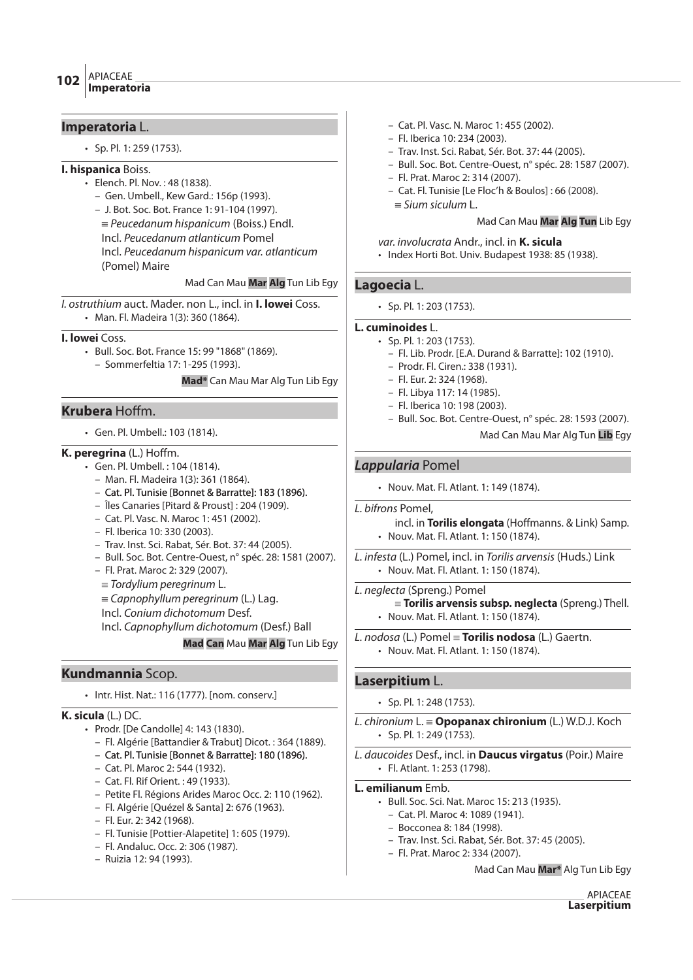# **Imperatoria** L.

• Sp. Pl. 1: 259 (1753).

# **I. hispanica** Boiss.

- Elench. Pl. Nov. : 48 (1838).
	- Gen. Umbell., Kew Gard.: 156p (1993).

– J. Bot. Soc. Bot. France 1: 91-104 (1997).  $=$  Peucedanum hispanicum (Boiss.) Endl. Incl. Peucedanum atlanticum Pomel Incl. Peucedanum hispanicum var. atlanticum (Pomel) Maire

Mad Can Mau **Mar Alg** Tun Lib Egy

I. ostruthium auct. Mader. non L., incl. in **I. lowei** Coss. • Man. Fl. Madeira 1(3): 360 (1864).

#### **I. lowei** Coss.

• Bull. Soc. Bot. France 15: 99 "1868" (1869). – Sommerfeltia 17: 1-295 (1993).

**Mad\*** Can Mau Mar Alg Tun Lib Egy

# **Krubera Hoffm.**

• Gen. Pl. Umbell.: 103 (1814).

# **K. peregrina** (L.) Hoffm.

- Gen. Pl. Umbell. : 104 (1814).
	- Man. Fl. Madeira 1(3): 361 (1864).
	- Cat. Pl. Tunisie [Bonnet & Barratte]: 183 (1896).
	- Îles Canaries [Pitard & Proust] : 204 (1909).
	- Cat. Pl. Vasc. N. Maroc 1: 451 (2002).
	- Fl. Iberica 10: 330 (2003).
	- Trav. Inst. Sci. Rabat, Sér. Bot. 37: 44 (2005).
	- Bull. Soc. Bot. Centre-Ouest, n° spéc. 28: 1581 (2007).
	- Fl. Prat. Maroc 2: 329 (2007).
	- $=$  Tordylium peregrinum L.
	- $\equiv$  Capnophyllum peregrinum (L.) Lag.
	- Incl. Conium dichotomum Desf.
	- Incl. Capnophyllum dichotomum (Desf.) Ball

**Mad Can** Mau **Mar Alg** Tun Lib Egy

# **Kundmannia** Scop.

• Intr. Hist. Nat.: 116 (1777). [nom. conserv.]

# **K. sicula** (L.) DC.

- Prodr. [De Candolle] 4: 143 (1830).
	- Fl. Algérie [Battandier & Trabut] Dicot. : 364 (1889).
	- Cat. Pl. Tunisie [Bonnet & Barratte]: 180 (1896).
	- Cat. Pl. Maroc 2: 544 (1932).
	- Cat. Fl. Rif Orient. : 49 (1933).
	- Petite Fl. Régions Arides Maroc Occ. 2: 110 (1962).
	- Fl. Algérie [Quézel & Santa] 2: 676 (1963).
	- Fl. Eur. 2: 342 (1968).
	- Fl. Tunisie [Pottier-Alapetite] 1: 605 (1979).
	- Fl. Andaluc. Occ. 2: 306 (1987).
	- Ruizia 12: 94 (1993).
- Cat. Pl. Vasc. N. Maroc 1: 455 (2002).
- Fl. Iberica 10: 234 (2003).
- Trav. Inst. Sci. Rabat, Sér. Bot. 37: 44 (2005).
- Bull. Soc. Bot. Centre-Ouest, n° spéc. 28: 1587 (2007).
- Fl. Prat. Maroc 2: 314 (2007).
- Cat. Fl. Tunisie [Le Floc'h & Boulos] : 66 (2008).
	- $\equiv$  Sium siculum L.

#### Mad Can Mau **Mar Alg Tun** Lib Egy

#### var. involucrata Andr., incl. in **K. sicula**

• Index Horti Bot. Univ. Budapest 1938: 85 (1938).

# **Lagoecia** L.

• Sp. Pl. 1: 203 (1753).

**L. cuminoides** L.

- Sp. Pl. 1: 203 (1753).
	- Fl. Lib. Prodr. [E.A. Durand & Barratte]: 102 (1910).
	- Prodr. Fl. Ciren.: 338 (1931).
	- Fl. Eur. 2: 324 (1968).
	- Fl. Libya 117: 14 (1985).
	- Fl. Iberica 10: 198 (2003).
	- Bull. Soc. Bot. Centre-Ouest, n° spéc. 28: 1593 (2007).

Mad Can Mau Mar Alg Tun **Lib** Egy

# **Lappularia** Pomel

- Nouv. Mat. Fl. Atlant. 1: 149 (1874).
- L. bifrons Pomel,

incl. in **Torilis elongata** (Hoffmanns. & Link) Samp. • Nouv. Mat. Fl. Atlant. 1: 150 (1874).

L. infesta (L.) Pomel, incl. in Torilis arvensis (Huds.) Link • Nouv. Mat. Fl. Atlant. 1: 150 (1874).

#### L. neglecta (Spreng.) Pomel

{ **Torilis arvensis subsp. neglecta** (Spreng.) Thell. • Nouv. Mat. Fl. Atlant. 1: 150 (1874).

L. nodosa (L.) Pomel { **Torilis nodosa** (L.) Gaertn. • Nouv. Mat. Fl. Atlant. 1: 150 (1874).

# **Laserpitium** L.

- Sp. Pl. 1: 248 (1753).
- L. chironium L. { **Opopanax chironium** (L.) W.D.J. Koch • Sp. Pl. 1: 249 (1753).

L. daucoides Desf., incl. in **Daucus virgatus** (Poir.) Maire • Fl. Atlant. 1: 253 (1798).

#### **L. emilianum** Emb.

- Bull. Soc. Sci. Nat. Maroc 15: 213 (1935).
	- Cat. Pl. Maroc 4: 1089 (1941).
	- Bocconea 8: 184 (1998).
	- Trav. Inst. Sci. Rabat, Sér. Bot. 37: 45 (2005).
	- Fl. Prat. Maroc 2: 334 (2007).

Mad Can Mau **Mar\*** Alg Tun Lib Egy

APIACEAE **Laserpitium**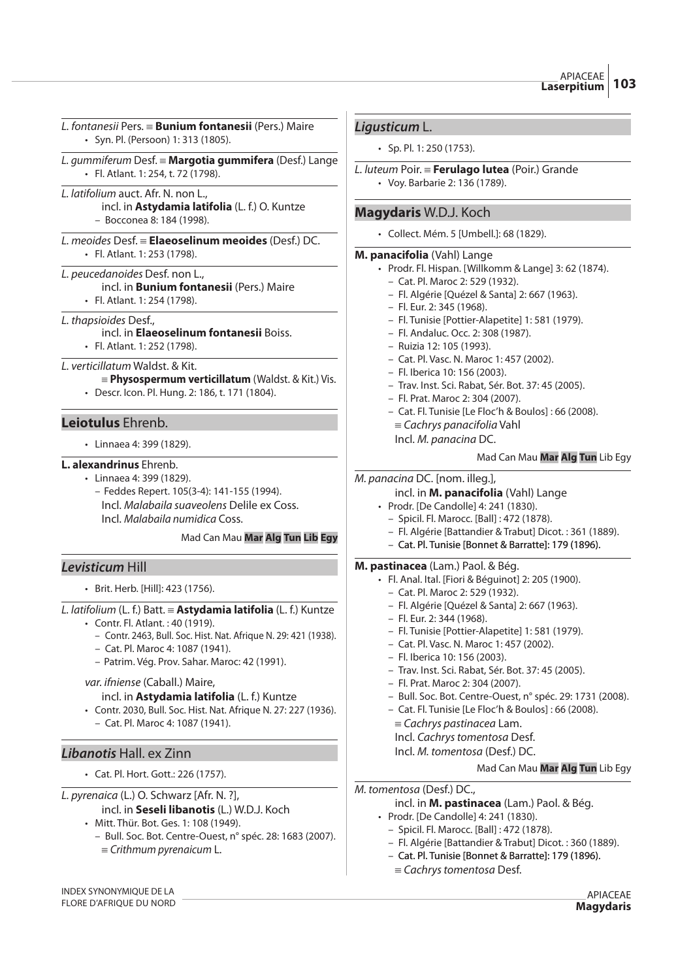L. fontanesii Pers. { **Bunium fontanesii** (Pers.) Maire • Syn. Pl. (Persoon) 1: 313 (1805).

- L. gummiferum Desf. { **Margotia gummifera** (Desf.) Lange • Fl. Atlant. 1: 254, t. 72 (1798).
- L. latifolium auct. Afr. N. non L., incl. in **Astydamia latifolia** (L. f.) O. Kuntze – Bocconea 8: 184 (1998).
- L. meoides Desf. { **Elaeoselinum meoides** (Desf.) DC. • Fl. Atlant. 1: 253 (1798).
- L. peucedanoides Desf. non L., incl. in **Bunium fontanesii** (Pers.) Maire
	- Fl. Atlant. 1: 254 (1798).
- L. thapsioides Desf.,
	- incl. in **Elaeoselinum fontanesii** Boiss.
	- Fl. Atlant. 1: 252 (1798).
- L. verticillatum Waldst. & Kit.
	- { **Physospermum verticillatum** (Waldst. & Kit.) Vis.
	- Descr. Icon. Pl. Hung. 2: 186, t. 171 (1804).

# **Leiotulus** Ehrenb.

• Linnaea 4: 399 (1829).

# **L. alexandrinus** Ehrenb.

- Linnaea 4: 399 (1829).
	- Feddes Repert. 105(3-4): 141-155 (1994). Incl. Malabaila suaveolens Delile ex Coss. Incl. Malabaila numidica Coss.

# Mad Can Mau **Mar Alg Tun Lib Egy**

# **Levisticum** Hill

• Brit. Herb. [Hill]: 423 (1756).

# L. latifolium (L. f.) Batt. { **Astydamia latifolia** (L. f.) Kuntze

- Contr. Fl. Atlant. : 40 (1919).
	- Contr. 2463, Bull. Soc. Hist. Nat. Afrique N. 29: 421 (1938).
	- Cat. Pl. Maroc 4: 1087 (1941).
	- Patrim. Vég. Prov. Sahar. Maroc: 42 (1991).

# var. ifniense (Caball.) Maire,

- incl. in **Astydamia latifolia** (L. f.) Kuntze
- Contr. 2030, Bull. Soc. Hist. Nat. Afrique N. 27: 227 (1936).
	- Cat. Pl. Maroc 4: 1087 (1941).

# **Libanotis** Hall. ex Zinn

- Cat. Pl. Hort. Gott.: 226 (1757).
- L. pyrenaica (L.) O. Schwarz [Afr. N. ?],

# incl. in **Seseli libanotis** (L.) W.D.J. Koch

- Mitt. Thür. Bot. Ges. 1: 108 (1949).
	- Bull. Soc. Bot. Centre-Ouest, n° spéc. 28: 1683 (2007).  $=$  Crithmum pyrenaicum L.

# **Ligusticum** L.

• Sp. Pl. 1: 250 (1753).

# L. luteum Poir. { **Ferulago lutea** (Poir.) Grande

• Voy. Barbarie 2: 136 (1789).

# **Magydaris** W.D.J. Koch

• Collect. Mém. 5 [Umbell.]: 68 (1829).

# **M. panacifolia** (Vahl) Lange

- Prodr. Fl. Hispan. [Willkomm & Lange] 3: 62 (1874).
	- Cat. Pl. Maroc 2: 529 (1932).
	- Fl. Algérie [Quézel & Santa] 2: 667 (1963).
	- Fl. Eur. 2: 345 (1968).
	- Fl. Tunisie [Pottier-Alapetite] 1: 581 (1979).
	- Fl. Andaluc. Occ. 2: 308 (1987).
	- Ruizia 12: 105 (1993).
	- Cat. Pl. Vasc. N. Maroc 1: 457 (2002).
	- Fl. Iberica 10: 156 (2003).
	- Trav. Inst. Sci. Rabat, Sér. Bot. 37: 45 (2005).
	- Fl. Prat. Maroc 2: 304 (2007). – Cat. Fl. Tunisie [Le Floc'h & Boulos] : 66 (2008).
	- $\equiv$  Cachrys panacifolia Vahl
	- Incl. M. panacina DC.

# Mad Can Mau **Mar Alg Tun** Lib Egy

# M. panacina DC. [nom. illeg.],

- incl. in **M. panacifolia** (Vahl) Lange
- Prodr. [De Candolle] 4: 241 (1830).
	- Spicil. Fl. Marocc. [Ball] : 472 (1878).
	- Fl. Algérie [Battandier & Trabut] Dicot. : 361 (1889).
	- Cat. Pl. Tunisie [Bonnet & Barratte]: 179 (1896).

# **M. pastinacea** (Lam.) Paol. & Bég.

- Fl. Anal. Ital. [Fiori & Béguinot] 2: 205 (1900).
	- Cat. Pl. Maroc 2: 529 (1932).
	- Fl. Algérie [Quézel & Santa] 2: 667 (1963).
	- Fl. Eur. 2: 344 (1968).
	- Fl. Tunisie [Pottier-Alapetite] 1: 581 (1979).
	- Cat. Pl. Vasc. N. Maroc 1: 457 (2002).
	- Fl. Iberica 10: 156 (2003).
	- Trav. Inst. Sci. Rabat, Sér. Bot. 37: 45 (2005).
	- Fl. Prat. Maroc 2: 304 (2007).
	- Bull. Soc. Bot. Centre-Ouest, n° spéc. 29: 1731 (2008).
	- Cat. Fl. Tunisie [Le Floc'h & Boulos] : 66 (2008).
	- $\equiv$  Cachrys pastinacea Lam.
	- Incl. Cachrys tomentosa Desf.
	- Incl. M. tomentosa (Desf.) DC.

# Mad Can Mau **Mar Alg Tun** Lib Egy

M. tomentosa (Desf.) DC.,

# incl. in **M. pastinacea** (Lam.) Paol. & Bég.

- Prodr. [De Candolle] 4: 241 (1830).
	- Spicil. Fl. Marocc. [Ball] : 472 (1878).
	- Fl. Algérie [Battandier & Trabut] Dicot. : 360 (1889).
	- Cat. Pl. Tunisie [Bonnet & Barratte]: 179 (1896).
	- $=$  Cachrys tomentosa Desf.

INDEX SYNONYMIQUE DE LA FLORE D'AFRIQUE DU NORD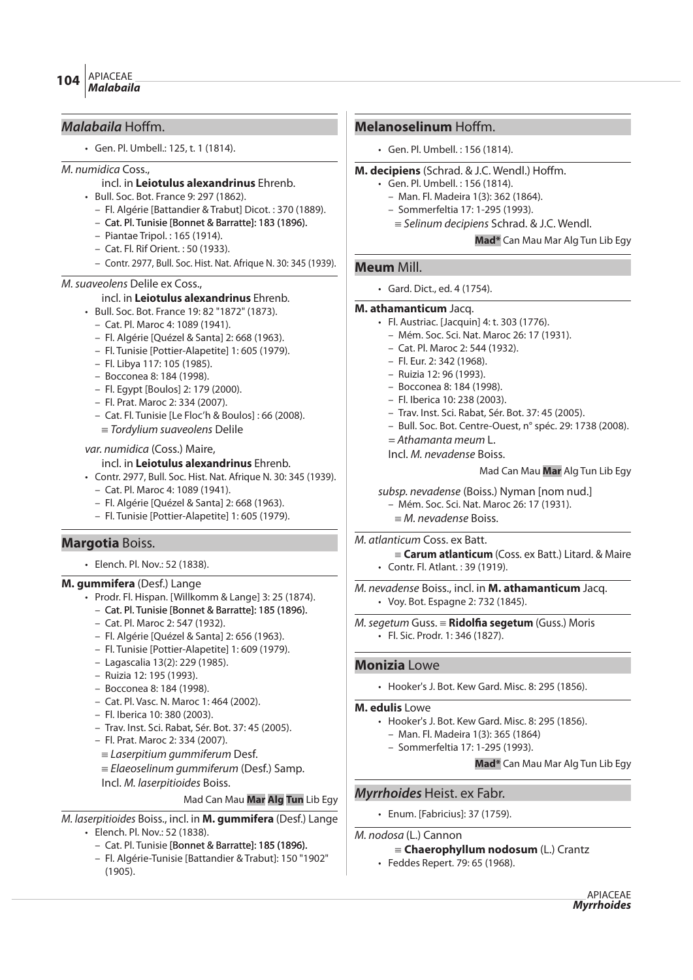# **Malabaila** Hoffm.

• Gen. Pl. Umbell.: 125, t. 1 (1814).

#### M. numidica Coss.,

#### incl. in **Leiotulus alexandrinus** Ehrenb.

- Bull. Soc. Bot. France 9: 297 (1862).
	- Fl. Algérie [Battandier & Trabut] Dicot. : 370 (1889).
	- Cat. Pl. Tunisie [Bonnet & Barratte]: 183 (1896).
	- Piantae Tripol. : 165 (1914).
	- Cat. Fl. Rif Orient. : 50 (1933).
	- Contr. 2977, Bull. Soc. Hist. Nat. Afrique N. 30: 345 (1939).

# M.suaveolens Delile ex Coss.,

- incl. in **Leiotulus alexandrinus** Ehrenb.
- Bull. Soc. Bot. France 19: 82 "1872" (1873).
	- Cat. Pl. Maroc 4: 1089 (1941).
	- Fl. Algérie [Quézel & Santa] 2: 668 (1963).
	- Fl. Tunisie [Pottier-Alapetite] 1: 605 (1979).
	- Fl. Libya 117: 105 (1985).
	- Bocconea 8: 184 (1998).
	- Fl. Egypt [Boulos] 2: 179 (2000).
	- Fl. Prat. Maroc 2: 334 (2007).
	- Cat. Fl. Tunisie [Le Floc'h & Boulos] : 66 (2008).
	- $\equiv$  Tordylium suaveolens Delile

#### var. numidica (Coss.) Maire,

#### incl. in **Leiotulus alexandrinus** Ehrenb.

- Contr. 2977, Bull. Soc. Hist. Nat. Afrique N. 30: 345 (1939).
	- Cat. Pl. Maroc 4: 1089 (1941).
	- Fl. Algérie [Quézel & Santa] 2: 668 (1963).
	- Fl. Tunisie [Pottier-Alapetite] 1: 605 (1979).

# **Margotia** Boiss.

• Elench. Pl. Nov.: 52 (1838).

# **M. gummifera** (Desf.) Lange

- Prodr. Fl. Hispan. [Willkomm & Lange] 3: 25 (1874).
	- Cat. Pl. Tunisie [Bonnet & Barratte]: 185 (1896).
	- Cat. Pl. Maroc 2: 547 (1932).
	- Fl. Algérie [Quézel & Santa] 2: 656 (1963).
	- Fl. Tunisie [Pottier-Alapetite] 1: 609 (1979).
	- Lagascalia 13(2): 229 (1985).
	- Ruizia 12: 195 (1993).
	- Bocconea 8: 184 (1998).
	- Cat. Pl. Vasc. N. Maroc 1: 464 (2002).
	- Fl. Iberica 10: 380 (2003).
	- Trav. Inst. Sci. Rabat, Sér. Bot. 37: 45 (2005).
	- Fl. Prat. Maroc 2: 334 (2007).
	- $\equiv$  Laserpitium gummiferum Desf.
	- $E$ laeoselinum gummiferum (Desf.) Samp.
	- Incl. M. laserpitioides Boiss.

#### Mad Can Mau **Mar Alg Tun** Lib Egy

M. laserpitioides Boiss., incl. in **M. gummifera** (Desf.) Lange • Elench. Pl. Nov.: 52 (1838).

- Cat. Pl. Tunisie [Bonnet & Barratte]: 185 (1896).
- Fl. Algérie-Tunisie [Battandier & Trabut]: 150 "1902" (1905).

# **Melanoselinum** Hoffm.

• Gen. Pl. Umbell. : 156 (1814).

# **M. decipiens** (Schrad. & J.C. Wendl.) Hoffm.

- Gen. Pl. Umbell. : 156 (1814).
	- Man. Fl. Madeira 1(3): 362 (1864).
	- Sommerfeltia 17: 1-295 (1993).
	- $\equiv$  Selinum decipiens Schrad. & J.C. Wendl.

#### **Mad\*** Can Mau Mar Alg Tun Lib Egy

# **Meum** Mill.

• Gard. Dict., ed. 4 (1754).

#### **M. athamanticum** Jacq.

- Fl. Austriac. [Jacquin] 4: t. 303 (1776).
	- Mém. Soc. Sci. Nat. Maroc 26: 17 (1931).
	- Cat. Pl. Maroc 2: 544 (1932).
	- Fl. Eur. 2: 342 (1968).
	- Ruizia 12: 96 (1993).
	- Bocconea 8: 184 (1998).
	- Fl. Iberica 10: 238 (2003).
	- Trav. Inst. Sci. Rabat, Sér. Bot. 37: 45 (2005).
	- Bull. Soc. Bot. Centre-Ouest, n° spéc. 29: 1738 (2008).
	- = Athamanta meum L.

Incl. M. nevadense Boiss.

#### Mad Can Mau **Mar** Alg Tun Lib Egy

- subsp. nevadense (Boiss.) Nyman [nom nud.]
	- Mém. Soc. Sci. Nat. Maroc 26: 17 (1931).
	- ${\equiv}$  *M. nevadense* Boiss.

# M. atlanticum Coss. ex Batt.

{**Carum atlanticum** (Coss. ex Batt.) Litard. & Maire • Contr. Fl. Atlant. : 39 (1919).

M. nevadense Boiss., incl. in **M. athamanticum** Jacq. • Voy. Bot. Espagne 2: 732 (1845).

M.segetum Guss. {**Ridol#a segetum** (Guss.) Moris • Fl. Sic. Prodr. 1: 346 (1827).

# **Monizia** Lowe

• Hooker's J. Bot. Kew Gard. Misc. 8: 295 (1856).

#### **M. edulis** Lowe

- Hooker's J. Bot. Kew Gard. Misc. 8: 295 (1856).
	- Man. Fl. Madeira 1(3): 365 (1864)
	- Sommerfeltia 17: 1-295 (1993).

**Mad\*** Can Mau Mar Alg Tun Lib Egy

# **Myrrhoides** Heist. ex Fabr.

• Enum. [Fabricius]: 37 (1759).

M. nodosa (L.) Cannon

# {**Chaerophyllum nodosum** (L.) Crantz

• Feddes Repert. 79: 65 (1968).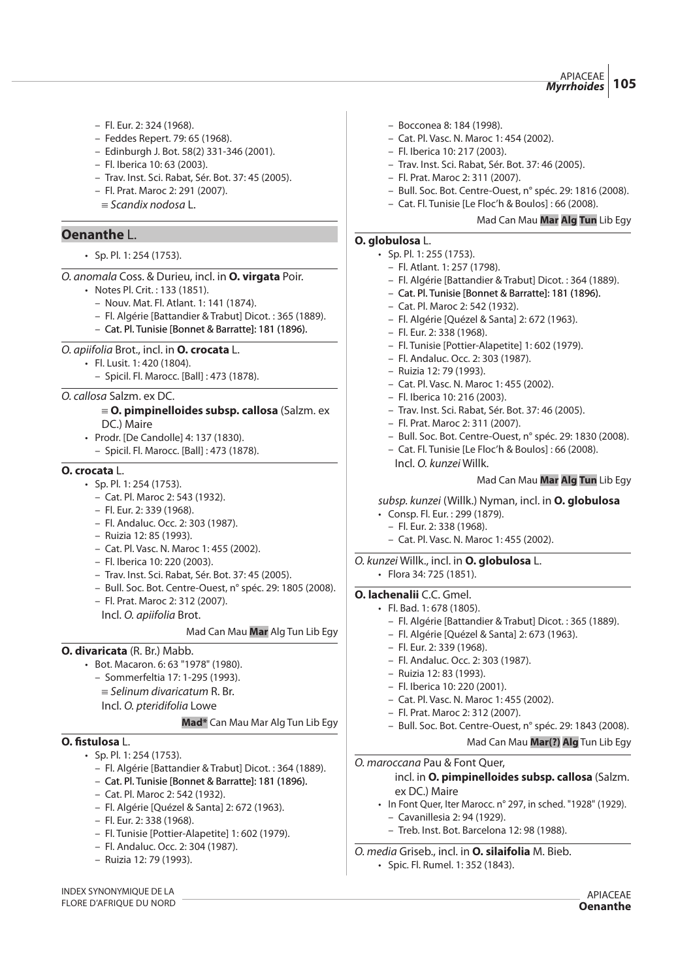- Fl. Eur. 2: 324 (1968).
- Feddes Repert. 79: 65 (1968).
- Edinburgh J. Bot. 58(2) 331-346 (2001).
- Fl. Iberica 10: 63 (2003).
- Trav. Inst. Sci. Rabat, Sér. Bot. 37: 45 (2005).
- Fl. Prat. Maroc 2: 291 (2007).
- $\equiv$  Scandix nodosa L.

# **Oenanthe** L.

• Sp. Pl. 1: 254 (1753).

O. anomala Coss. & Durieu, incl. in **O. virgata** Poir.

- Notes Pl. Crit. : 133 (1851).
	- Nouv. Mat. Fl. Atlant. 1: 141 (1874).
	- Fl. Algérie [Battandier & Trabut] Dicot. : 365 (1889).
	- Cat. Pl. Tunisie [Bonnet & Barratte]: 181 (1896).

#### O. apiifolia Brot., incl. in **O. crocata** L.

- Fl. Lusit. 1: 420 (1804).
	- Spicil. Fl. Marocc. [Ball] : 473 (1878).

#### O. callosa Salzm. ex DC.

#### { **O. pimpinelloides subsp. callosa** (Salzm. ex DC.) Maire

- Prodr. [De Candolle] 4: 137 (1830).
	- Spicil. Fl. Marocc. [Ball] : 473 (1878).

#### **O. crocata** L.

- Sp. Pl. 1: 254 (1753).
	- Cat. Pl. Maroc 2: 543 (1932).
	- Fl. Eur. 2: 339 (1968).
	- Fl. Andaluc. Occ. 2: 303 (1987).
	- Ruizia 12: 85 (1993).
	- Cat. Pl. Vasc. N. Maroc 1: 455 (2002).
	- Fl. Iberica 10: 220 (2003).
	- Trav. Inst. Sci. Rabat, Sér. Bot. 37: 45 (2005).
	- Bull. Soc. Bot. Centre-Ouest, n° spéc. 29: 1805 (2008).
	- Fl. Prat. Maroc 2: 312 (2007).

Incl. O. apiifolia Brot.

#### Mad Can Mau **Mar** Alg Tun Lib Egy

**Mad\*** Can Mau Mar Alg Tun Lib Egy

#### **O. divaricata** (R. Br.) Mabb.

- Bot. Macaron. 6: 63 "1978" (1980). – Sommerfeltia 17: 1-295 (1993).
	- $=$  Selinum divaricatum R. Br.
	- Incl. O. pteridifolia Lowe

# **O. #stulosa** L.

- Sp. Pl. 1: 254 (1753).
	- Fl. Algérie [Battandier & Trabut] Dicot. : 364 (1889).
	- Cat. Pl. Tunisie [Bonnet & Barratte]: 181 (1896).
	- Cat. Pl. Maroc 2: 542 (1932).
	- Fl. Algérie [Quézel & Santa] 2: 672 (1963).
	- Fl. Eur. 2: 338 (1968).
	- Fl. Tunisie [Pottier-Alapetite] 1: 602 (1979).
	- Fl. Andaluc. Occ. 2: 304 (1987).
	- Ruizia 12: 79 (1993).
- Bocconea 8: 184 (1998).
- Cat. Pl. Vasc. N. Maroc 1: 454 (2002).
- Fl. Iberica 10: 217 (2003).
- Trav. Inst. Sci. Rabat, Sér. Bot. 37: 46 (2005).
- Fl. Prat. Maroc 2: 311 (2007).
- Bull. Soc. Bot. Centre-Ouest, n° spéc. 29: 1816 (2008).
- Cat. Fl. Tunisie [Le Floc'h & Boulos] : 66 (2008).

#### Mad Can Mau **Mar Alg Tun** Lib Egy

# **O. globulosa** L.

- Sp. Pl. 1: 255 (1753).
	- Fl. Atlant. 1: 257 (1798).
	- Fl. Algérie [Battandier & Trabut] Dicot. : 364 (1889).
	- Cat. Pl. Tunisie [Bonnet & Barratte]: 181 (1896).
	- Cat. Pl. Maroc 2: 542 (1932).
	- Fl. Algérie [Quézel & Santa] 2: 672 (1963).
	- Fl. Eur. 2: 338 (1968).
	- Fl. Tunisie [Pottier-Alapetite] 1: 602 (1979).
	- Fl. Andaluc. Occ. 2: 303 (1987).
	- Ruizia 12: 79 (1993).
	- Cat. Pl. Vasc. N. Maroc 1: 455 (2002).
	- Fl. Iberica 10: 216 (2003).
	- Trav. Inst. Sci. Rabat, Sér. Bot. 37: 46 (2005).
	- Fl. Prat. Maroc 2: 311 (2007).
	- Bull. Soc. Bot. Centre-Ouest, n° spéc. 29: 1830 (2008).
	- Cat. Fl. Tunisie [Le Floc'h & Boulos] : 66 (2008). Incl. O. kunzei Willk.

#### Mad Can Mau **Mar Alg Tun** Lib Egy

#### subsp. kunzei (Willk.) Nyman, incl. in **O. globulosa**

- Consp. Fl. Eur. : 299 (1879).
- Fl. Eur. 2: 338 (1968).
- Cat. Pl. Vasc. N. Maroc 1: 455 (2002).

# O. kunzei Willk., incl. in **O. globulosa** L.

• Flora 34: 725 (1851).

#### **O. lachenalii** C.C. Gmel.

- Fl. Bad. 1: 678 (1805).
	- Fl. Algérie [Battandier & Trabut] Dicot. : 365 (1889).
	- Fl. Algérie [Quézel & Santa] 2: 673 (1963).
	- Fl. Eur. 2: 339 (1968).
	- Fl. Andaluc. Occ. 2: 303 (1987).
	- Ruizia 12: 83 (1993).
	- Fl. Iberica 10: 220 (2001).
	- Cat. Pl. Vasc. N. Maroc 1: 455 (2002).
	- Fl. Prat. Maroc 2: 312 (2007).
	- Bull. Soc. Bot. Centre-Ouest, n° spéc. 29: 1843 (2008). Mad Can Mau **Mar(?) Alg** Tun Lib Egy

# O. maroccana Pau & Font Quer,

incl. in **O. pimpinelloides subsp. callosa** (Salzm. ex DC.) Maire

• In Font Quer, Iter Marocc. n° 297, in sched. "1928" (1929). – Cavanillesia 2: 94 (1929).

> APIACEAE **Oenanthe**

– Treb. Inst. Bot. Barcelona 12: 98 (1988).

# O. media Griseb., incl. in **O. silaifolia** M. Bieb.

• Spic. Fl. Rumel. 1: 352 (1843).

INDEX SYNONYMIQUE DE LA FLORE D'AFRIQUE DU NORD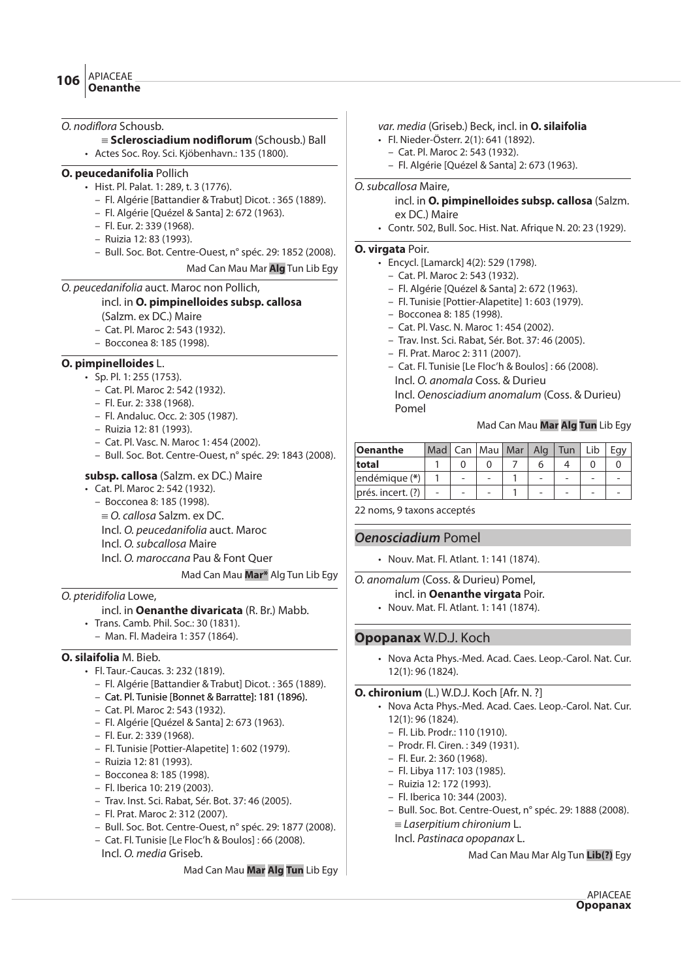### O. nodiflora Schousb.

- { **Sclerosciadium nodi"orum** (Schousb.) Ball
- Actes Soc. Roy. Sci. Kjöbenhavn.: 135 (1800).

# **O. peucedanifolia** Pollich

- Hist. Pl. Palat. 1: 289, t. 3 (1776).
	- Fl. Algérie [Battandier & Trabut] Dicot. : 365 (1889).
	- Fl. Algérie [Quézel & Santa] 2: 672 (1963).
	- Fl. Eur. 2: 339 (1968).
	- Ruizia 12: 83 (1993).
	- Bull. Soc. Bot. Centre-Ouest, n° spéc. 29: 1852 (2008).

Mad Can Mau Mar **Alg** Tun Lib Egy

#### O. peucedanifolia auct. Maroc non Pollich,

# incl. in **O. pimpinelloides subsp. callosa**

- (Salzm. ex DC.) Maire
- Cat. Pl. Maroc 2: 543 (1932).
- Bocconea 8: 185 (1998).

# **O. pimpinelloides** L.

- Sp. Pl. 1: 255 (1753).
	- Cat. Pl. Maroc 2: 542 (1932).
	- Fl. Eur. 2: 338 (1968).
	- Fl. Andaluc. Occ. 2: 305 (1987).
	- Ruizia 12: 81 (1993).
	- Cat. Pl. Vasc. N. Maroc 1: 454 (2002).
	- Bull. Soc. Bot. Centre-Ouest, n° spéc. 29: 1843 (2008).

# **subsp. callosa** (Salzm. ex DC.) Maire

- Cat. Pl. Maroc 2: 542 (1932).
	- Bocconea 8: 185 (1998).
	- $\equiv$  O. callosa Salzm. ex DC.
	- Incl. O. peucedanifolia auct. Maroc
	- Incl. O. subcallosa Maire
	- Incl. O. maroccana Pau & Font Quer

# Mad Can Mau **Mar\*** Alg Tun Lib Egy

# O. pteridifolia Lowe,

# incl. in **Oenanthe divaricata** (R. Br.) Mabb.

- Trans. Camb. Phil. Soc.: 30 (1831).
	- Man. Fl. Madeira 1: 357 (1864).

# **O. silaifolia** M. Bieb.

- Fl. Taur.-Caucas. 3: 232 (1819).
	- Fl. Algérie [Battandier & Trabut] Dicot. : 365 (1889).
	- Cat. Pl. Tunisie [Bonnet & Barratte]: 181 (1896).
	- Cat. Pl. Maroc 2: 543 (1932).
	- Fl. Algérie [Quézel & Santa] 2: 673 (1963).
	- Fl. Eur. 2: 339 (1968).
	- Fl. Tunisie [Pottier-Alapetite] 1: 602 (1979).
	- Ruizia 12: 81 (1993).
	- Bocconea 8: 185 (1998).
	- Fl. Iberica 10: 219 (2003).
	- Trav. Inst. Sci. Rabat, Sér. Bot. 37: 46 (2005).
	- Fl. Prat. Maroc 2: 312 (2007).
	- Bull. Soc. Bot. Centre-Ouest, n° spéc. 29: 1877 (2008).
	- Cat. Fl. Tunisie [Le Floc'h & Boulos] : 66 (2008). Incl. O. media Griseb.

# Mad Can Mau **Mar Alg Tun** Lib Egy

# var. media (Griseb.) Beck, incl. in **O. silaifolia**

- Fl. Nieder-Österr. 2(1): 641 (1892).
	- Cat. Pl. Maroc 2: 543 (1932).
	- Fl. Algérie [Quézel & Santa] 2: 673 (1963).

# O.subcallosa Maire,

incl. in **O. pimpinelloides subsp. callosa** (Salzm. ex DC.) Maire

• Contr. 502, Bull. Soc. Hist. Nat. Afrique N. 20: 23 (1929).

# **O. virgata** Poir.

- Encycl. [Lamarck] 4(2): 529 (1798).
	- Cat. Pl. Maroc 2: 543 (1932).
	- Fl. Algérie [Quézel & Santa] 2: 672 (1963).
	- Fl. Tunisie [Pottier-Alapetite] 1: 603 (1979).
	- Bocconea 8: 185 (1998).
	- Cat. Pl. Vasc. N. Maroc 1: 454 (2002).
	- Trav. Inst. Sci. Rabat, Sér. Bot. 37: 46 (2005).
	- Fl. Prat. Maroc 2: 311 (2007).
	- Cat. Fl. Tunisie [Le Floc'h & Boulos] : 66 (2008). Incl. O. anomala Coss. & Durieu Incl. Oenosciadium anomalum (Coss. & Durieu)
	- Pomel

# Mad Can Mau **Mar Alg Tun** Lib Egy

|  |  |  | Mad   Can   Mau   Mar   Alg   Tun |  |
|--|--|--|-----------------------------------|--|

22 noms, 9 taxons acceptés

# **Oenosciadium** Pomel

- Nouv. Mat. Fl. Atlant. 1: 141 (1874).
- O. anomalum (Coss. & Durieu) Pomel,
	- incl. in **Oenanthe virgata** Poir.
	- Nouv. Mat. Fl. Atlant. 1: 141 (1874).

# **Opopanax** W.D.J. Koch

• Nova Acta Phys.-Med. Acad. Caes. Leop.-Carol. Nat. Cur. 12(1): 96 (1824).

#### **O. chironium** (L.) W.D.J. Koch [Afr. N. ?]

- Nova Acta Phys.-Med. Acad. Caes. Leop.-Carol. Nat. Cur. 12(1): 96 (1824).
	- Fl. Lib. Prodr.: 110 (1910).
	- Prodr. Fl. Ciren. : 349 (1931).
	- Fl. Eur. 2: 360 (1968).
	- Fl. Libya 117: 103 (1985).
	- Ruizia 12: 172 (1993).
	- Fl. Iberica 10: 344 (2003).
	- Bull. Soc. Bot. Centre-Ouest, n° spéc. 29: 1888 (2008).
	- $\equiv$  Laserpitium chironium L.
	- Incl. Pastinaca opopanax L.

Mad Can Mau Mar Alg Tun **Lib(?)** Egy

- 
- 
- 
- 
-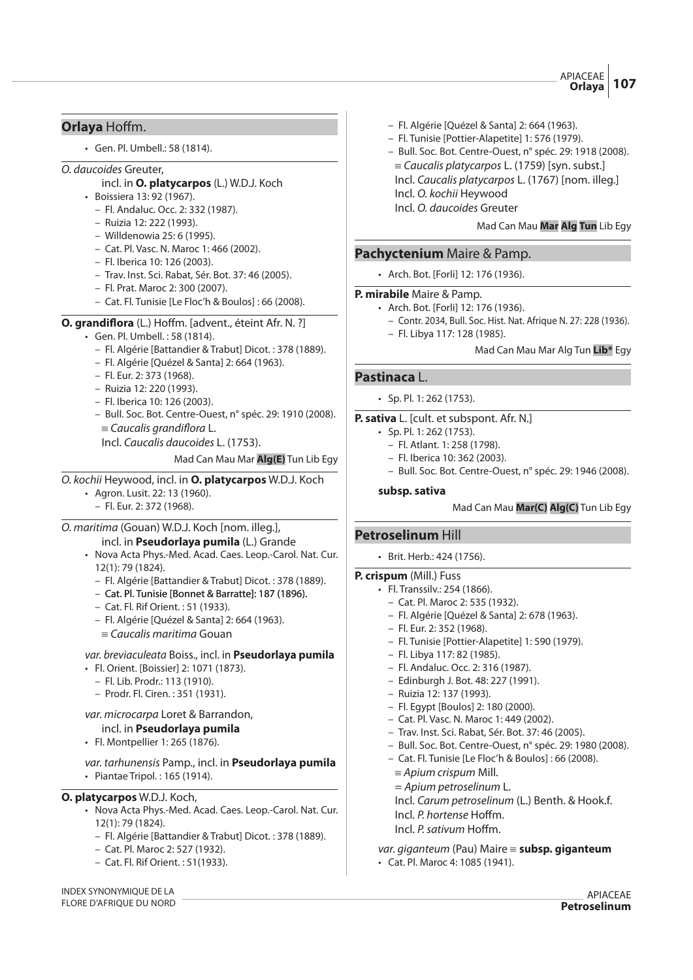# **Orlaya** Hoffm.

• Gen. Pl. Umbell.: 58 (1814).

# O. daucoides Greuter,

- incl. in **O. platycarpos** (L.) W.D.J. Koch
- Boissiera 13: 92 (1967).
	- Fl. Andaluc. Occ. 2: 332 (1987).
	- Ruizia 12: 222 (1993).
	- Willdenowia 25: 6 (1995).
	- Cat. Pl. Vasc. N. Maroc 1: 466 (2002).
	- Fl. Iberica 10: 126 (2003).
	- Trav. Inst. Sci. Rabat, Sér. Bot. 37: 46 (2005).
	- Fl. Prat. Maroc 2: 300 (2007).
	- Cat. Fl. Tunisie [Le Floc'h & Boulos] : 66 (2008).
- **O. grandiflora** (L.) Hoffm. [advent., éteint Afr. N. ?]
	- Gen. Pl. Umbell. : 58 (1814).
		- Fl. Algérie [Battandier & Trabut] Dicot. : 378 (1889).
		- Fl. Algérie [Quézel & Santa] 2: 664 (1963).
		- Fl. Eur. 2: 373 (1968).
		- Ruizia 12: 220 (1993).
		- Fl. Iberica 10: 126 (2003).
		- Bull. Soc. Bot. Centre-Ouest, n° spéc. 29: 1910 (2008).  $\equiv$  Caucalis grandiflora L.

Incl. Caucalis daucoides L. (1753).

Mad Can Mau Mar **Alg(E)** Tun Lib Egy

# O. kochii Heywood, incl. in **O. platycarpos** W.D.J. Koch

- Agron. Lusit. 22: 13 (1960).
	- Fl. Eur. 2: 372 (1968).

O. maritima (Gouan) W.D.J. Koch [nom. illeg.],

incl. in **Pseudorlaya pumila** (L.) Grande

- Nova Acta Phys.-Med. Acad. Caes. Leop.-Carol. Nat. Cur. 12(1): 79 (1824).
	- Fl. Algérie [Battandier & Trabut] Dicot. : 378 (1889).
	- Cat. Pl. Tunisie [Bonnet & Barratte]: 187 (1896).
	- Cat. Fl. Rif Orient. : 51 (1933).
	- Fl. Algérie [Quézel & Santa] 2: 664 (1963).
	- $\equiv$  Caucalis maritima Gouan

var. breviaculeata Boiss., incl. in **Pseudorlaya pumila**

- Fl. Orient. [Boissier] 2: 1071 (1873).
	- Fl. Lib. Prodr.: 113 (1910).
	- Prodr. Fl. Ciren. : 351 (1931).

# var. microcarpa Loret & Barrandon,

- incl. in **Pseudorlaya pumila**
- Fl. Montpellier 1: 265 (1876).

var. tarhunensis Pamp., incl. in **Pseudorlaya pumila** • Piantae Tripol. : 165 (1914).

# **O. platycarpos** W.D.J. Koch,

- Nova Acta Phys.-Med. Acad. Caes. Leop.-Carol. Nat. Cur. 12(1): 79 (1824).
	- Fl. Algérie [Battandier & Trabut] Dicot. : 378 (1889).
	- Cat. Pl. Maroc 2: 527 (1932).
	- Cat. Fl. Rif Orient. : 51(1933).
- Fl. Algérie [Quézel & Santa] 2: 664 (1963).
- Fl. Tunisie [Pottier-Alapetite] 1: 576 (1979).
- Bull. Soc. Bot. Centre-Ouest, n° spéc. 29: 1918 (2008).  $=$  Caucalis platycarpos L. (1759) [syn. subst.] Incl. Caucalis platycarpos L. (1767) [nom. illeg.] Incl. O. kochii Heywood

Incl. O. daucoides Greuter

Mad Can Mau **Mar Alg Tun** Lib Egy

# **Pachyctenium** Maire & Pamp.

• Arch. Bot. [Forli] 12: 176 (1936).

# **P. mirabile** Maire & Pamp.

- Arch. Bot. [Forli] 12: 176 (1936).
	- Contr. 2034, Bull. Soc. Hist. Nat. Afrique N. 27: 228 (1936).
	- Fl. Libya 117: 128 (1985).

# Mad Can Mau Mar Alg Tun **Lib\*** Egy

# **Pastinaca** L.

• Sp. Pl. 1: 262 (1753).

# **P. sativa** L. [cult. et subspont. Afr. N.]

- Sp. Pl. 1: 262 (1753).
	- Fl. Atlant. 1: 258 (1798).
	- Fl. Iberica 10: 362 (2003).
	- Bull. Soc. Bot. Centre-Ouest, n° spéc. 29: 1946 (2008).

#### **subsp. sativa**

# Mad Can Mau **Mar(C) Alg(C)** Tun Lib Egy

# **Petroselinum** Hill

• Brit. Herb.: 424 (1756).

# **P. crispum** (Mill.) Fuss

- Fl. Transsilv.: 254 (1866).
	- Cat. Pl. Maroc 2: 535 (1932).
	- Fl. Algérie [Quézel & Santa] 2: 678 (1963).
	- Fl. Eur. 2: 352 (1968).
	- Fl. Tunisie [Pottier-Alapetite] 1: 590 (1979).
	- Fl. Libya 117: 82 (1985).
	- Fl. Andaluc. Occ. 2: 316 (1987).
	- Edinburgh J. Bot. 48: 227 (1991).
	- Ruizia 12: 137 (1993).
	- Fl. Egypt [Boulos] 2: 180 (2000).
	- Cat. Pl. Vasc. N. Maroc 1: 449 (2002).
	- Trav. Inst. Sci. Rabat, Sér. Bot. 37: 46 (2005).
	- Bull. Soc. Bot. Centre-Ouest, n° spéc. 29: 1980 (2008).
	- Cat. Fl. Tunisie [Le Floc'h & Boulos] : 66 (2008).
	- $\equiv$  Apium crispum Mill.
	- = Apium petroselinum L.
	- Incl. Carum petroselinum (L.) Benth. & Hook.f.
	- Incl. P. hortense Hoffm.
	- Incl. P. sativum Hoffm.

var. giganteum (Pau) Maire **= subsp. giganteum** 

• Cat. Pl. Maroc 4: 1085 (1941).

INDEX SYNONYMIQUE DE LA FLORE D'AFRIQUE DU NORD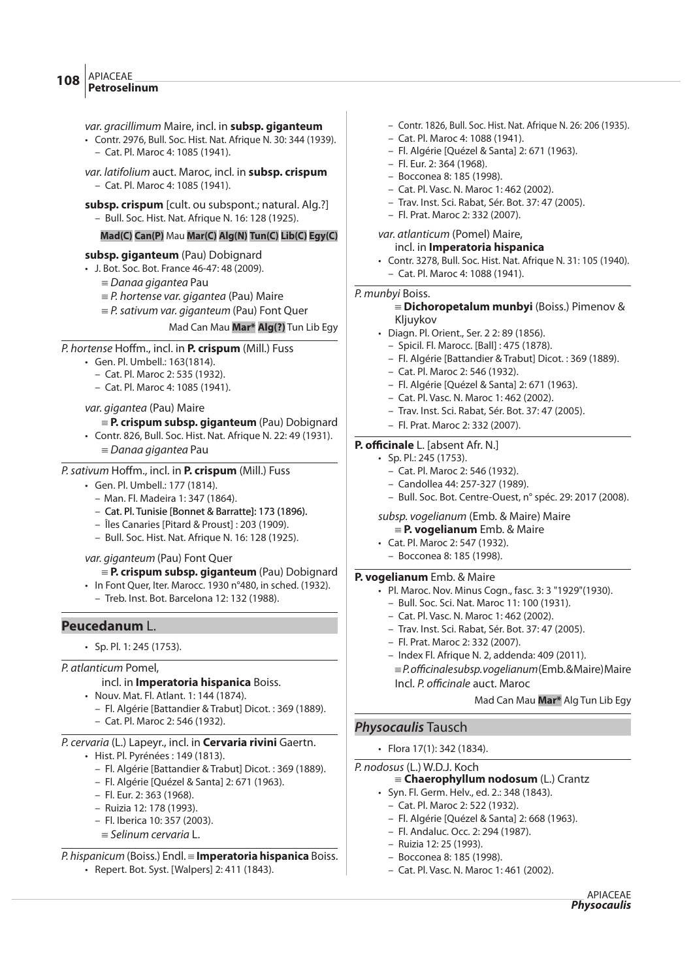#### var. gracillimum Maire, incl. in **subsp. giganteum**

- Contr. 2976, Bull. Soc. Hist. Nat. Afrique N. 30: 344 (1939). – Cat. Pl. Maroc 4: 1085 (1941).
- var. latifolium auct. Maroc, incl. in **subsp. crispum** – Cat. Pl. Maroc 4: 1085 (1941).
- subsp. crispum [cult. ou subspont.; natural. Alg.?]
	- Bull. Soc. Hist. Nat. Afrique N. 16: 128 (1925).

# **Mad(C) Can(P)** Mau **Mar(C) Alg(N) Tun(C) Lib(C) Egy(C)**

# **subsp. giganteum** (Pau) Dobignard

- J. Bot. Soc. Bot. France 46-47: 48 (2009).
	- $\equiv$  Danaa gigantea Pau
	- ${\equiv} P$ . hortense var. gigantea (Pau) Maire
	- $E = P$ . sativum var. giganteum (Pau) Font Quer

# Mad Can Mau **Mar\* Alg(?)** Tun Lib Egy

# P. hortense Hoffm., incl. in **P. crispum** (Mill.) Fuss

- Gen. Pl. Umbell.: 163(1814).
	- Cat. Pl. Maroc 2: 535 (1932).
	- Cat. Pl. Maroc 4: 1085 (1941).

#### var. gigantea (Pau) Maire

- { **P. crispum subsp. giganteum** (Pau) Dobignard
- Contr. 826, Bull. Soc. Hist. Nat. Afrique N. 22: 49 (1931).  $\equiv$  Danaa gigantea Pau

# P. sativum Hoffm., incl. in **P. crispum** (Mill.) Fuss

- Gen. Pl. Umbell.: 177 (1814).
	- Man. Fl. Madeira 1: 347 (1864).
	- Cat. Pl. Tunisie [Bonnet & Barratte]: 173 (1896).
	- Îles Canaries [Pitard & Proust] : 203 (1909).
	- Bull. Soc. Hist. Nat. Afrique N. 16: 128 (1925).

# var. giganteum (Pau) Font Quer

- { **P. crispum subsp. giganteum** (Pau) Dobignard
- In Font Quer, Iter. Marocc. 1930 n°480, in sched. (1932).
	- Treb. Inst. Bot. Barcelona 12: 132 (1988).

# **Peucedanum** L.

• Sp. Pl. 1: 245 (1753).

# P. atlanticum Pomel,

# incl. in **Imperatoria hispanica** Boiss.

- Nouv. Mat. Fl. Atlant. 1: 144 (1874).
- Fl. Algérie [Battandier & Trabut] Dicot. : 369 (1889). – Cat. Pl. Maroc 2: 546 (1932).

# P. cervaria (L.) Lapeyr., incl. in **Cervaria rivini** Gaertn.

- Hist. Pl. Pyrénées : 149 (1813).
	- Fl. Algérie [Battandier & Trabut] Dicot. : 369 (1889).
	- Fl. Algérie [Quézel & Santa] 2: 671 (1963).
	- Fl. Eur. 2: 363 (1968).
	- Ruizia 12: 178 (1993).
	- Fl. Iberica 10: 357 (2003).
	- $=$  Selinum cervaria L.

#### P. hispanicum (Boiss.) Endl. { **Imperatoria hispanica** Boiss. • Repert. Bot. Syst. [Walpers] 2: 411 (1843).

- Contr. 1826, Bull. Soc. Hist. Nat. Afrique N. 26: 206 (1935).
- Cat. Pl. Maroc 4: 1088 (1941).
- Fl. Algérie [Quézel & Santa] 2: 671 (1963).
- Fl. Eur. 2: 364 (1968).
- Bocconea 8: 185 (1998).
- Cat. Pl. Vasc. N. Maroc 1: 462 (2002).
- Trav. Inst. Sci. Rabat, Sér. Bot. 37: 47 (2005).
- Fl. Prat. Maroc 2: 332 (2007).

#### var. atlanticum (Pomel) Maire,

#### incl. in **Imperatoria hispanica**

- Contr. 3278, Bull. Soc. Hist. Nat. Afrique N. 31: 105 (1940).
	- Cat. Pl. Maroc 4: 1088 (1941).

#### P. munbyi Boiss.

#### { **Dichoropetalum munbyi** (Boiss.) Pimenov & Kljuykov

- Diagn. Pl. Orient., Ser. 2 2: 89 (1856).
- Spicil. Fl. Marocc. [Ball] : 475 (1878).
- Fl. Algérie [Battandier & Trabut] Dicot. : 369 (1889).
- Cat. Pl. Maroc 2: 546 (1932).
- Fl. Algérie [Quézel & Santa] 2: 671 (1963).
- Cat. Pl. Vasc. N. Maroc 1: 462 (2002).
- Trav. Inst. Sci. Rabat, Sér. Bot. 37: 47 (2005).
- Fl. Prat. Maroc 2: 332 (2007).

# **P. officinale** L. [absent Afr. N.]

- Sp. Pl.: 245 (1753).
	- Cat. Pl. Maroc 2: 546 (1932).
	- Candollea 44: 257-327 (1989).
	- Bull. Soc. Bot. Centre-Ouest, n° spéc. 29: 2017 (2008).

#### subsp. vogelianum (Emb. & Maire) Maire { **P. vogelianum** Emb. & Maire

- Cat. Pl. Maroc 2: 547 (1932).
	- Bocconea 8: 185 (1998).

# **P. vogelianum** Emb. & Maire

- Pl. Maroc. Nov. Minus Cogn., fasc. 3: 3 "1929"(1930).
	- Bull. Soc. Sci. Nat. Maroc 11: 100 (1931).
	- Cat. Pl. Vasc. N. Maroc 1: 462 (2002).
	- Trav. Inst. Sci. Rabat, Sér. Bot. 37: 47 (2005).
	- Fl. Prat. Maroc 2: 332 (2007).
	- Index Fl. Afrique N. 2, addenda: 409 (2011).  $\equiv$  P. officinalesubsp.vogelianum (Emb. & Maire) Maire Incl. P. officinale auct. Maroc.

Mad Can Mau **Mar\*** Alg Tun Lib Egy

# **Physocaulis** Tausch

• Flora 17(1): 342 (1834).

# P. nodosus (L.) W.D.J. Koch

- {**Chaerophyllum nodosum** (L.) Crantz
- Syn. Fl. Germ. Helv., ed. 2.: 348 (1843).
	- Cat. Pl. Maroc 2: 522 (1932).
	- Fl. Algérie [Quézel & Santa] 2: 668 (1963).
	- Fl. Andaluc. Occ. 2: 294 (1987).
	- Ruizia 12: 25 (1993).
	- Bocconea 8: 185 (1998).
	- Cat. Pl. Vasc. N. Maroc 1: 461 (2002).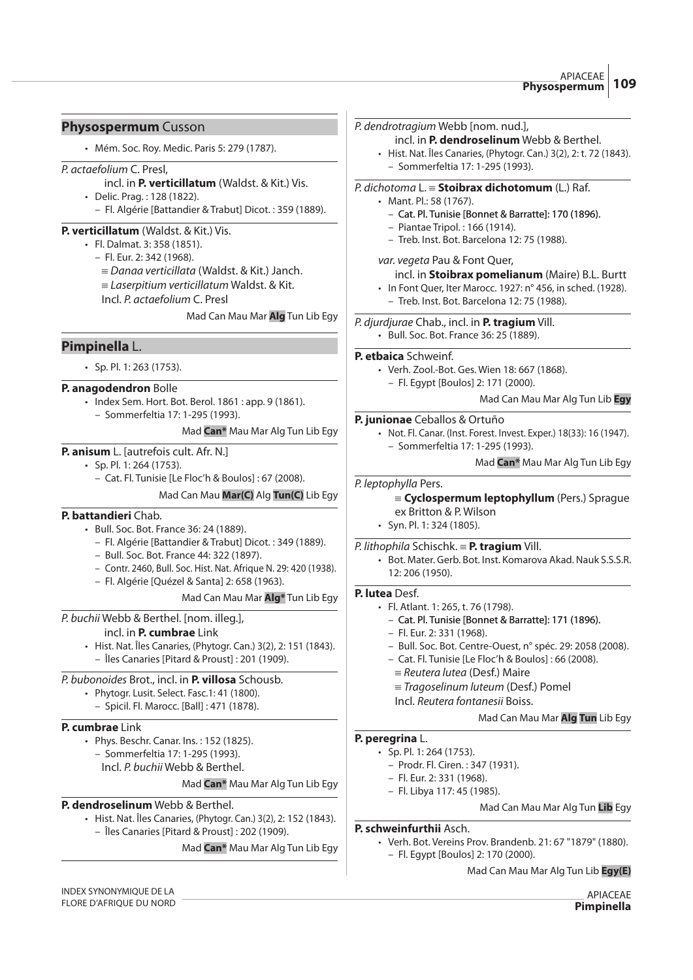# **Physospermum** Cusson

• Mém. Soc. Roy. Medic. Paris 5: 279 (1787).

#### P. actaefolium C. Presl,

- incl. in **P. verticillatum** (Waldst. & Kit.) Vis.
- Delic. Prag. : 128 (1822).
	- Fl. Algérie [Battandier & Trabut] Dicot. : 359 (1889).

#### **P. verticillatum** (Waldst. & Kit.) Vis.

- Fl. Dalmat. 3: 358 (1851).
	- Fl. Eur. 2: 342 (1968).
		- $\equiv$  Danaa verticillata (Waldst. & Kit.) Janch.
		- $=$  Laserpitium verticillatum Waldst. & Kit.
		- Incl. P. actaefolium C. Presl

Mad Can Mau Mar **Alg** Tun Lib Egy

# **Pimpinella** L.

• Sp. Pl. 1: 263 (1753).

#### **P. anagodendron** Bolle

- Index Sem. Hort. Bot. Berol. 1861 : app. 9 (1861).
	- Sommerfeltia 17: 1-295 (1993).

# Mad **Can\*** Mau Mar Alg Tun Lib Egy

- **P. anisum** L. [autrefois cult. Afr. N.]
	- Sp. Pl. 1: 264 (1753).
		- Cat. Fl. Tunisie [Le Floc'h & Boulos] : 67 (2008).

Mad Can Mau **Mar(C)** Alg **Tun(C)** Lib Egy

# **P. battandieri** Chab.

- Bull. Soc. Bot. France 36: 24 (1889).
	- Fl. Algérie [Battandier & Trabut] Dicot. : 349 (1889).
	- Bull. Soc. Bot. France 44: 322 (1897).
	- Contr. 2460, Bull. Soc. Hist. Nat. Afrique N. 29: 420 (1938).
	- Fl. Algérie [Quézel & Santa] 2: 658 (1963).

#### Mad Can Mau Mar **Alg\*** Tun Lib Egy

P. buchii Webb & Berthel. [nom. illeg.],

#### incl. in **P. cumbrae** Link

- Hist. Nat. Îles Canaries, (Phytogr. Can.) 3(2), 2: 151 (1843).
	- Îles Canaries [Pitard & Proust] : 201 (1909).

# P. bubonoides Brot., incl. in **P. villosa** Schousb.

- Phytogr. Lusit. Select. Fasc.1: 41 (1800).
- Spicil. Fl. Marocc. [Ball] : 471 (1878).

#### **P. cumbrae** Link

- Phys. Beschr. Canar. Ins. : 152 (1825).
	- Sommerfeltia 17: 1-295 (1993). Incl. P. buchii Webb & Berthel.
	-

# Mad **Can\*** Mau Mar Alg Tun Lib Egy

# **P. dendroselinum** Webb & Berthel.

• Hist. Nat. Îles Canaries, (Phytogr. Can.) 3(2), 2: 152 (1843). – Îles Canaries [Pitard & Proust] : 202 (1909).

Mad **Can\*** Mau Mar Alg Tun Lib Egy

#### P. dendrotragium Webb [nom. nud.],

- incl. in **P. dendroselinum** Webb & Berthel.
- Hist. Nat. Îles Canaries, (Phytogr. Can.) 3(2), 2: t. 72 (1843). – Sommerfeltia 17: 1-295 (1993).

#### P. dichotoma L. { **Stoibrax dichotomum** (L.) Raf.

- Mant. Pl.: 58 (1767).
	- Cat. Pl. Tunisie [Bonnet & Barratte]: 170 (1896).
	- Piantae Tripol. : 166 (1914).
	- Treb. Inst. Bot. Barcelona 12: 75 (1988).

#### var. vegeta Pau & Font Quer,

#### incl. in **Stoibrax pomelianum** (Maire) B.L. Burtt

• In Font Quer, Iter Marocc. 1927: n° 456, in sched. (1928). – Treb. Inst. Bot. Barcelona 12: 75 (1988).

#### P. djurdjurae Chab., incl. in **P. tragium** Vill.

• Bull. Soc. Bot. France 36: 25 (1889).

#### **P. etbaica** Schweinf.

- Verh. Zool.-Bot. Ges. Wien 18: 667 (1868).
	- Fl. Egypt [Boulos] 2: 171 (2000).

#### Mad Can Mau Mar Alg Tun Lib **Egy**

#### **P. junionae** Ceballos & Ortuño

- Not. Fl. Canar. (Inst. Forest. Invest. Exper.) 18(33): 16 (1947). – Sommerfeltia 17: 1-295 (1993).
	- Mad **Can\*** Mau Mar Alg Tun Lib Egy

#### P. leptophylla Pers.

#### {**Cyclospermum leptophyllum** (Pers.) Sprague ex Britton & P. Wilson

• Syn. Pl. 1: 324 (1805).

#### P. lithophila Schischk. { **P. tragium** Vill.

• Bot. Mater. Gerb. Bot. Inst. Komarova Akad. Nauk S.S.S.R. 12: 206 (1950).

# **P. lutea** Desf.

- Fl. Atlant. 1: 265, t. 76 (1798).
	- Cat. Pl. Tunisie [Bonnet & Barratte]: 171 (1896).
	- Fl. Eur. 2: 331 (1968).
	- Bull. Soc. Bot. Centre-Ouest, n° spéc. 29: 2058 (2008).
	- Cat. Fl. Tunisie [Le Floc'h & Boulos] : 66 (2008).
	- $=$  Reutera lutea (Desf.) Maire
	- $=$  Tragoselinum luteum (Desf.) Pomel
	- Incl. Reutera fontanesii Boiss.

# Mad Can Mau Mar **Alg Tun** Lib Egy

# **P. peregrina** L.

- Sp. Pl. 1: 264 (1753).
	- Prodr. Fl. Ciren. : 347 (1931).
	- Fl. Eur. 2: 331 (1968).
	- Fl. Libya 117: 45 (1985).

# Mad Can Mau Mar Alg Tun **Lib** Egy

#### **P. schweinfurthii** Asch.

• Verh. Bot. Vereins Prov. Brandenb. 21: 67 "1879" (1880). – Fl. Egypt [Boulos] 2: 170 (2000).

Mad Can Mau Mar Alg Tun Lib **Egy(E)**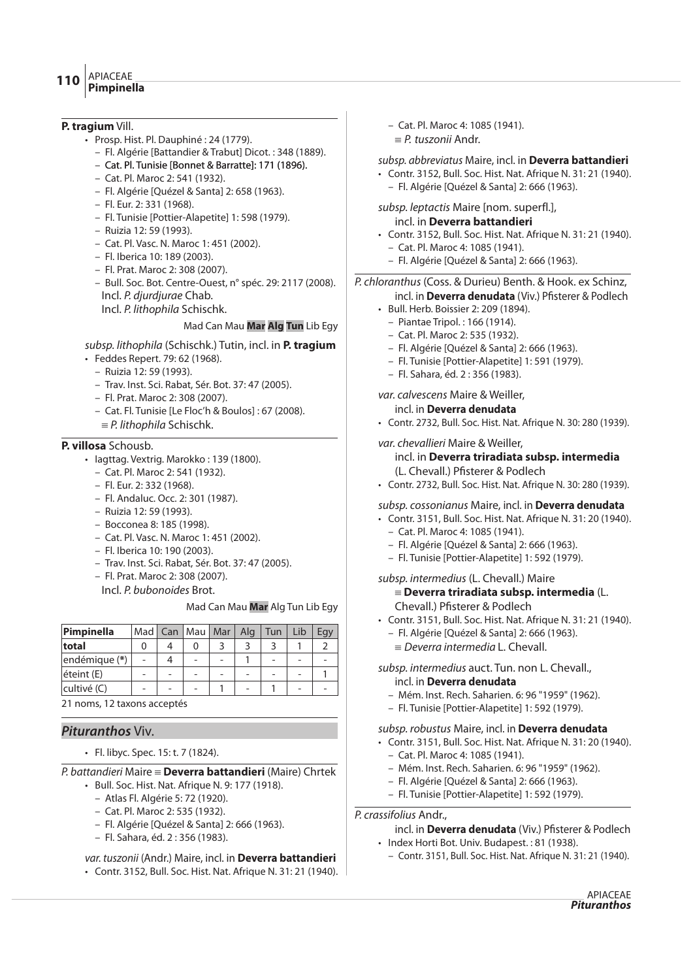- APIACEAE **Pimpinella <sup>110</sup>**
	-

# **P. tragium** Vill.

- Prosp. Hist. Pl. Dauphiné : 24 (1779).
	- Fl. Algérie [Battandier & Trabut] Dicot. : 348 (1889).
	- Cat. Pl. Tunisie [Bonnet & Barratte]: 171 (1896).
	- Cat. Pl. Maroc 2: 541 (1932).
	- Fl. Algérie [Quézel & Santa] 2: 658 (1963).
	- Fl. Eur. 2: 331 (1968).
	- Fl. Tunisie [Pottier-Alapetite] 1: 598 (1979).
	- Ruizia 12: 59 (1993).
	- Cat. Pl. Vasc. N. Maroc 1: 451 (2002).
	- Fl. Iberica 10: 189 (2003).
	- Fl. Prat. Maroc 2: 308 (2007).
	- Bull. Soc. Bot. Centre-Ouest, n° spéc. 29: 2117 (2008). Incl. P. djurdjurae Chab. Incl. P. lithophila Schischk.

# Mad Can Mau **Mar Alg Tun** Lib Egy

- subsp. lithophila (Schischk.) Tutin, incl. in **P. tragium**
- Feddes Repert. 79: 62 (1968).
	- Ruizia 12: 59 (1993).
	- Trav. Inst. Sci. Rabat, Sér. Bot. 37: 47 (2005).
	- Fl. Prat. Maroc 2: 308 (2007).
	- Cat. Fl. Tunisie [Le Floc'h & Boulos] : 67 (2008).  $\equiv$  P. lithophila Schischk.

# **P. villosa** Schousb.

- Iagttag. Vextrig. Marokko : 139 (1800).
	- Cat. Pl. Maroc 2: 541 (1932).
	- Fl. Eur. 2: 332 (1968).
	- Fl. Andaluc. Occ. 2: 301 (1987).
	- Ruizia 12: 59 (1993).
	- Bocconea 8: 185 (1998).
	- Cat. Pl. Vasc. N. Maroc 1: 451 (2002).
	- Fl. Iberica 10: 190 (2003).
	- Trav. Inst. Sci. Rabat, Sér. Bot. 37: 47 (2005).
	- Fl. Prat. Maroc 2: 308 (2007).
	- Incl. P. bubonoides Brot.

#### Mad Can Mau **Mar** Alg Tun Lib Egy

| Pimpinella    | Mad I          | Can   Mau                | Mar                      | Alg | Tun | Lib |  |
|---------------|----------------|--------------------------|--------------------------|-----|-----|-----|--|
| total         |                |                          |                          |     |     |     |  |
| endémique (*) | $\overline{a}$ | $\overline{\phantom{0}}$ | $\overline{\phantom{a}}$ |     | -   |     |  |
| éteint (E)    |                |                          |                          |     |     |     |  |
| cultivé (C)   |                |                          |                          |     |     |     |  |

21 noms, 12 taxons acceptés

# **Pituranthos** Viv.

• Fl. libyc. Spec. 15: t. 7 (1824).

P. battandieri Maire { **Deverra battandieri** (Maire) Chrtek

- Bull. Soc. Hist. Nat. Afrique N. 9: 177 (1918).
	- Atlas Fl. Algérie 5: 72 (1920).
	- Cat. Pl. Maroc 2: 535 (1932).
	- Fl. Algérie [Quézel & Santa] 2: 666 (1963).
	- Fl. Sahara, éd. 2 : 356 (1983).

var. tuszonii (Andr.) Maire, incl. in **Deverra battandieri** • Contr. 3152, Bull. Soc. Hist. Nat. Afrique N. 31: 21 (1940). – Cat. Pl. Maroc 4: 1085 (1941).  $\equiv P$  tuszonii Andr.

subsp. abbreviatus Maire, incl. in **Deverra battandieri**

- Contr. 3152, Bull. Soc. Hist. Nat. Afrique N. 31: 21 (1940). – Fl. Algérie [Quézel & Santa] 2: 666 (1963).
- subsp. leptactis Maire [nom. superfl.], incl. in **Deverra battandieri**
- Contr. 3152, Bull. Soc. Hist. Nat. Afrique N. 31: 21 (1940).
	- Cat. Pl. Maroc 4: 1085 (1941).
	- Fl. Algérie [Quézel & Santa] 2: 666 (1963).

# P. chloranthus (Coss. & Durieu) Benth. & Hook. ex Schinz,

#### incl. in **Deverra denudata** (Viv.) Pfisterer & Podlech • Bull. Herb. Boissier 2: 209 (1894).

- Piantae Tripol. : 166 (1914).
- Cat. Pl. Maroc 2: 535 (1932).
- Fl. Algérie [Quézel & Santa] 2: 666 (1963).
- Fl. Tunisie [Pottier-Alapetite] 1: 591 (1979).
- Fl. Sahara, éd. 2 : 356 (1983).

var. calvescens Maire & Weiller,

incl. in **Deverra denudata** • Contr. 2732, Bull. Soc. Hist. Nat. Afrique N. 30: 280 (1939).

# var. chevallieri Maire & Weiller,

# incl. in **Deverra triradiata subsp. intermedia** (L. Chevall.) Pfisterer & Podlech

• Contr. 2732, Bull. Soc. Hist. Nat. Afrique N. 30: 280 (1939).

#### subsp. cossonianus Maire, incl. in **Deverra denudata**

- Contr. 3151, Bull. Soc. Hist. Nat. Afrique N. 31: 20 (1940).
	- Cat. Pl. Maroc 4: 1085 (1941).
	- Fl. Algérie [Quézel & Santa] 2: 666 (1963).
	- Fl. Tunisie [Pottier-Alapetite] 1: 592 (1979).

#### subsp. intermedius (L. Chevall.) Maire { **Deverra triradiata subsp. intermedia** (L. Chevall.) Pfisterer & Podlech

- Contr. 3151, Bull. Soc. Hist. Nat. Afrique N. 31: 21 (1940).
	- Fl. Algérie [Quézel & Santa] 2: 666 (1963).
	- $\equiv$  Deverra intermedia L. Chevall.

#### subsp. intermedius auct. Tun. non L. Chevall., incl. in **Deverra denudata**

- Mém. Inst. Rech. Saharien. 6: 96 "1959" (1962).
- Fl. Tunisie [Pottier-Alapetite] 1: 592 (1979).

# subsp. robustus Maire, incl. in **Deverra denudata**

- Contr. 3151, Bull. Soc. Hist. Nat. Afrique N. 31: 20 (1940).
	- Cat. Pl. Maroc 4: 1085 (1941).
	- Mém. Inst. Rech. Saharien. 6: 96 "1959" (1962).
	- Fl. Algérie [Quézel & Santa] 2: 666 (1963).
	- Fl. Tunisie [Pottier-Alapetite] 1: 592 (1979).

P. crassifolius Andr.,

# incl. in **Deverra denudata** (Viv.) Pfisterer & Podlech

- Index Horti Bot. Univ. Budapest. : 81 (1938).
	- Contr. 3151, Bull. Soc. Hist. Nat. Afrique N. 31: 21 (1940).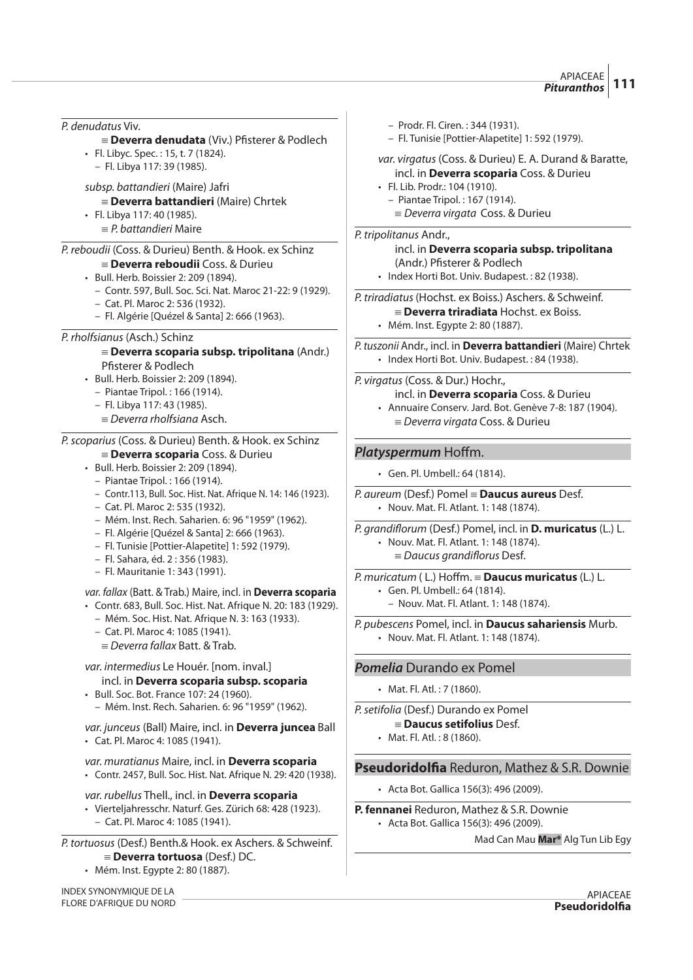APIACEAE **Pituranthos 111**

P. denudatus Viv.  $\equiv$  **Deverra denudata** (Viv.) Pfisterer & Podlech • Fl. Libyc. Spec. : 15, t. 7 (1824). – Fl. Libya 117: 39 (1985). subsp. battandieri (Maire) Jafri { **Deverra battandieri** (Maire) Chrtek • Fl. Libya 117: 40 (1985).  $E = P$ . battandieri Maire P. reboudii (Coss. & Durieu) Benth. & Hook. ex Schinz { **Deverra reboudii** Coss. & Durieu • Bull. Herb. Boissier 2: 209 (1894). – Contr. 597, Bull. Soc. Sci. Nat. Maroc 21-22: 9 (1929). – Cat. Pl. Maroc 2: 536 (1932). – Fl. Algérie [Quézel & Santa] 2: 666 (1963). P. rholfsianus (Asch.) Schinz { **Deverra scoparia subsp. tripolitana** (Andr.) Pfisterer & Podlech • Bull. Herb. Boissier 2: 209 (1894). – Piantae Tripol. : 166 (1914). – Fl. Libya 117: 43 (1985).  $\equiv$  Deverra rholfsiana Asch. P.scoparius (Coss. & Durieu) Benth. & Hook. ex Schinz { **Deverra scoparia** Coss. & Durieu • Bull. Herb. Boissier 2: 209 (1894). – Piantae Tripol. : 166 (1914). – Contr.113, Bull. Soc. Hist. Nat. Afrique N. 14: 146 (1923). – Cat. Pl. Maroc 2: 535 (1932). – Mém. Inst. Rech. Saharien. 6: 96 "1959" (1962). – Fl. Algérie [Quézel & Santa] 2: 666 (1963). – Fl. Tunisie [Pottier-Alapetite] 1: 592 (1979). – Fl. Sahara, éd. 2 : 356 (1983). – Fl. Mauritanie 1: 343 (1991). var. fallax (Batt. & Trab.) Maire, incl. in **Deverra scoparia**  • Contr. 683, Bull. Soc. Hist. Nat. Afrique N. 20: 183 (1929). – Mém. Soc. Hist. Nat. Afrique N. 3: 163 (1933). – Cat. Pl. Maroc 4: 1085 (1941).  $=$  Deverra fallax Batt. & Trab. var. intermedius Le Houér. [nom. inval.] incl. in **Deverra scoparia subsp. scoparia** • Bull. Soc. Bot. France 107: 24 (1960). – Mém. Inst. Rech. Saharien. 6: 96 "1959" (1962). var. junceus (Ball) Maire, incl. in **Deverra juncea** Ball • Cat. Pl. Maroc 4: 1085 (1941). var. muratianus Maire, incl. in **Deverra scoparia** • Contr. 2457, Bull. Soc. Hist. Nat. Afrique N. 29: 420 (1938). var. rubellus Thell., incl. in **Deverra scoparia** • Vierteljahresschr. Naturf. Ges. Zürich 68: 428 (1923).

– Cat. Pl. Maroc 4: 1085 (1941).

P. tortuosus (Desf.) Benth.& Hook. ex Aschers. & Schweinf. { **Deverra tortuosa** (Desf.) DC.

• Mém. Inst. Egypte 2: 80 (1887).

INDEX SYNONYMIQUE DE LA FLORE D'AFRIQUE DU NORD

- Prodr. Fl. Ciren. : 344 (1931).
- Fl. Tunisie [Pottier-Alapetite] 1: 592 (1979).
- var. virgatus (Coss. & Durieu) E. A. Durand & Baratte, incl. in **Deverra scoparia** Coss. & Durieu
- Fl. Lib. Prodr.: 104 (1910). – Piantae Tripol. : 167 (1914).
	- $\equiv$  Deverra virgata Coss. & Durieu

# P. tripolitanus Andr.,

incl. in **Deverra scoparia subsp. tripolitana** (Andr.) Pfisterer & Podlech

• Index Horti Bot. Univ. Budapest. : 82 (1938).

P. triradiatus(Hochst. ex Boiss.) Aschers. & Schweinf.

- { **Deverra triradiata** Hochst. ex Boiss.
- Mém. Inst. Egypte 2: 80 (1887).

P. tuszonii Andr., incl. in **Deverra battandieri** (Maire) Chrtek • Index Horti Bot. Univ. Budapest. : 84 (1938).

P. virgatus (Coss. & Dur.) Hochr.,

- incl. in **Deverra scoparia** Coss. & Durieu
- Annuaire Conserv. Jard. Bot. Genève 7-8: 187 (1904).  $=$  *Deverra virgata* Coss. & Durieu

# **Platyspermum** Hoffm.

- Gen. Pl. Umbell.: 64 (1814).
- P. aureum (Desf.) Pomel { **Daucus aureus** Desf. • Nouv. Mat. Fl. Atlant. 1: 148 (1874).
- P. grandiflorum (Desf.) Pomel, incl. in **D. muricatus** (L.) L.
	- Nouv. Mat. Fl. Atlant. 1: 148 (1874).
		- $\equiv$  Daucus grandiflorus Desf.

P. muricatum (L.) Hoffm.  $\equiv$  **Daucus muricatus** (L.) L. • Gen. Pl. Umbell.: 64 (1814).

– Nouv. Mat. Fl. Atlant. 1: 148 (1874).

P. pubescens Pomel, incl. in **Daucus sahariensis** Murb.

• Nouv. Mat. Fl. Atlant. 1: 148 (1874).

# **Pomelia** Durando ex Pomel

• Mat. Fl. Atl. : 7 (1860).

P.setifolia (Desf.) Durando ex Pomel

- { **Daucus setifolius** Desf.
- Mat. Fl. Atl. : 8 (1860).

# **Pseudoridolfia** Reduron, Mathez & S.R. Downie

• Acta Bot. Gallica 156(3): 496 (2009).

#### **P. fennanei** Reduron, Mathez & S.R. Downie

• Acta Bot. Gallica 156(3): 496 (2009).

Mad Can Mau **Mar\*** Alg Tun Lib Egy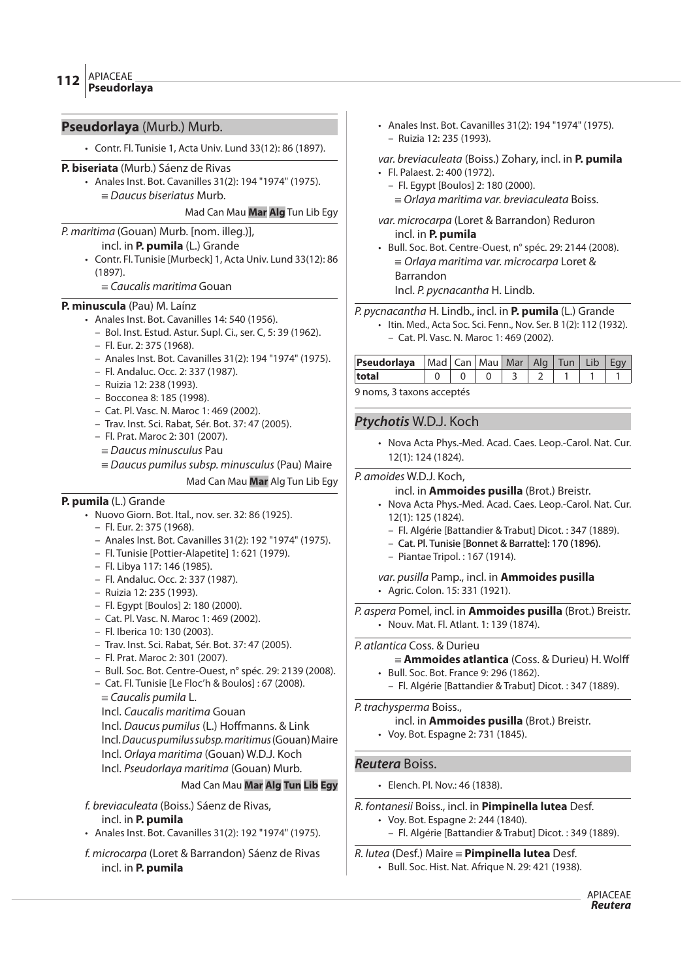# **Pseudorlaya** (Murb.) Murb.

• Contr. Fl. Tunisie 1, Acta Univ. Lund 33(12): 86 (1897).

#### **P. biseriata** (Murb.) Sáenz de Rivas

• Anales Inst. Bot. Cavanilles 31(2): 194 "1974" (1975).  $\equiv$  Daucus biseriatus Murb.

#### Mad Can Mau **Mar Alg** Tun Lib Egy

# P. maritima (Gouan) Murb. [nom. illeg.)],

- incl. in **P. pumila** (L.) Grande
- Contr. Fl. Tunisie [Murbeck] 1, Acta Univ. Lund 33(12): 86 (1897).
	- $\equiv$  Caucalis maritima Gouan

#### **P. minuscula** (Pau) M. Laínz

- Anales Inst. Bot. Cavanilles 14: 540 (1956).
	- Bol. Inst. Estud. Astur. Supl. Ci., ser. C, 5: 39 (1962).
	- Fl. Eur. 2: 375 (1968).
	- Anales Inst. Bot. Cavanilles 31(2): 194 "1974" (1975).
	- Fl. Andaluc. Occ. 2: 337 (1987).
	- Ruizia 12: 238 (1993).
	- Bocconea 8: 185 (1998).
	- Cat. Pl. Vasc. N. Maroc 1: 469 (2002).
	- Trav. Inst. Sci. Rabat, Sér. Bot. 37: 47 (2005).
	- Fl. Prat. Maroc 2: 301 (2007).
	- $\equiv$  Daucus minusculus Pau
	- $\equiv$  Daucus pumilus subsp. minusculus (Pau) Maire
		- Mad Can Mau **Mar** Alg Tun Lib Egy

# **P. pumila** (L.) Grande

- Nuovo Giorn. Bot. Ital., nov. ser. 32: 86 (1925).
	- Fl. Eur. 2: 375 (1968).
	- Anales Inst. Bot. Cavanilles 31(2): 192 "1974" (1975).
	- Fl. Tunisie [Pottier-Alapetite] 1: 621 (1979).
	- Fl. Libya 117: 146 (1985).
	- Fl. Andaluc. Occ. 2: 337 (1987).
	- Ruizia 12: 235 (1993).
	- Fl. Egypt [Boulos] 2: 180 (2000).
	- Cat. Pl. Vasc. N. Maroc 1: 469 (2002).
	- Fl. Iberica 10: 130 (2003).
	- Trav. Inst. Sci. Rabat, Sér. Bot. 37: 47 (2005).
	- Fl. Prat. Maroc 2: 301 (2007).
	- Bull. Soc. Bot. Centre-Ouest, n° spéc. 29: 2139 (2008).
	- Cat. Fl. Tunisie [Le Floc'h & Boulos] : 67 (2008).
	- $=$  Caucalis pumila L.
	- Incl. Caucalis maritima Gouan
	- Incl. Daucus pumilus (L.) Hoffmanns. & Link
	- Incl. Daucuspumilussubsp.maritimus (Gouan) Maire
	- Incl. Orlaya maritima (Gouan) W.D.J. Koch
	- Incl. Pseudorlaya maritima (Gouan) Murb.

# Mad Can Mau **Mar Alg Tun Lib Egy**

f. breviaculeata (Boiss.) Sáenz de Rivas, incl. in **P. pumila**

- Anales Inst. Bot. Cavanilles 31(2): 192 "1974" (1975).
- f. microcarpa (Loret & Barrandon) Sáenz de Rivas incl. in **P. pumila**
- Anales Inst. Bot. Cavanilles 31(2): 194 "1974" (1975). – Ruizia 12: 235 (1993).
- var. breviaculeata (Boiss.) Zohary, incl. in **P. pumila**
- Fl. Palaest. 2: 400 (1972).
	- Fl. Egypt [Boulos] 2: 180 (2000).
		- $=$  Orlaya maritima var. breviaculeata Boiss.
- var. microcarpa (Loret & Barrandon) Reduron incl. in **P. pumila**
- Bull. Soc. Bot. Centre-Ouest, n° spéc. 29: 2144 (2008).  $\equiv$  Orlaya maritima var. microcarpa Loret & Barrandon Incl. P. pycnacantha H. Lindb.
- P. pycnacantha H. Lindb., incl. in **P. pumila** (L.) Grande
	- Itin. Med., Acta Soc. Sci. Fenn., Nov. Ser. B 1(2): 112 (1932). – Cat. Pl. Vasc. N. Maroc 1: 469 (2002).
	-

| <b>Pseudorlaya</b>   Mad   Can   Mau   Mar   Alg   Tun   Lib   Egy |             |  |  |  |  |  |  |  |  |  |  |
|--------------------------------------------------------------------|-------------|--|--|--|--|--|--|--|--|--|--|
| total                                                              | 0 0 0 3 2 1 |  |  |  |  |  |  |  |  |  |  |
|                                                                    |             |  |  |  |  |  |  |  |  |  |  |

9 noms, 3 taxons acceptés

# **Ptychotis** W.D.J. Koch

• Nova Acta Phys.-Med. Acad. Caes. Leop.-Carol. Nat. Cur. 12(1): 124 (1824).

# P. amoides W.D.J. Koch,

#### incl. in **Ammoides pusilla** (Brot.) Breistr.

- Nova Acta Phys.-Med. Acad. Caes. Leop.-Carol. Nat. Cur. 12(1): 125 (1824).
	- Fl. Algérie [Battandier & Trabut] Dicot. : 347 (1889).
	- Cat. Pl. Tunisie [Bonnet & Barratte]: 170 (1896).
	- Piantae Tripol. : 167 (1914).

var. pusilla Pamp., incl. in **Ammoides pusilla** • Agric. Colon. 15: 331 (1921).

P. aspera Pomel, incl. in **Ammoides pusilla** (Brot.) Breistr. • Nouv. Mat. Fl. Atlant. 1: 139 (1874).

#### P. atlantica Coss. & Durieu

- ${\equiv}$  **Ammoides atlantica** (Coss. & Durieu) H. Wolff • Bull. Soc. Bot. France 9: 296 (1862).
	- Fl. Algérie [Battandier & Trabut] Dicot. : 347 (1889).

P. trachysperma Boiss.,

- incl. in **Ammoides pusilla** (Brot.) Breistr.
- Voy. Bot. Espagne 2: 731 (1845).

# **Reutera** Boiss.

- Elench. Pl. Nov.: 46 (1838).
- R. fontanesii Boiss., incl. in **Pimpinella lutea** Desf.
	- Voy. Bot. Espagne 2: 244 (1840). – Fl. Algérie [Battandier & Trabut] Dicot. : 349 (1889).

# R. lutea (Desf.) Maire { **Pimpinella lutea** Desf.

• Bull. Soc. Hist. Nat. Afrique N. 29: 421 (1938).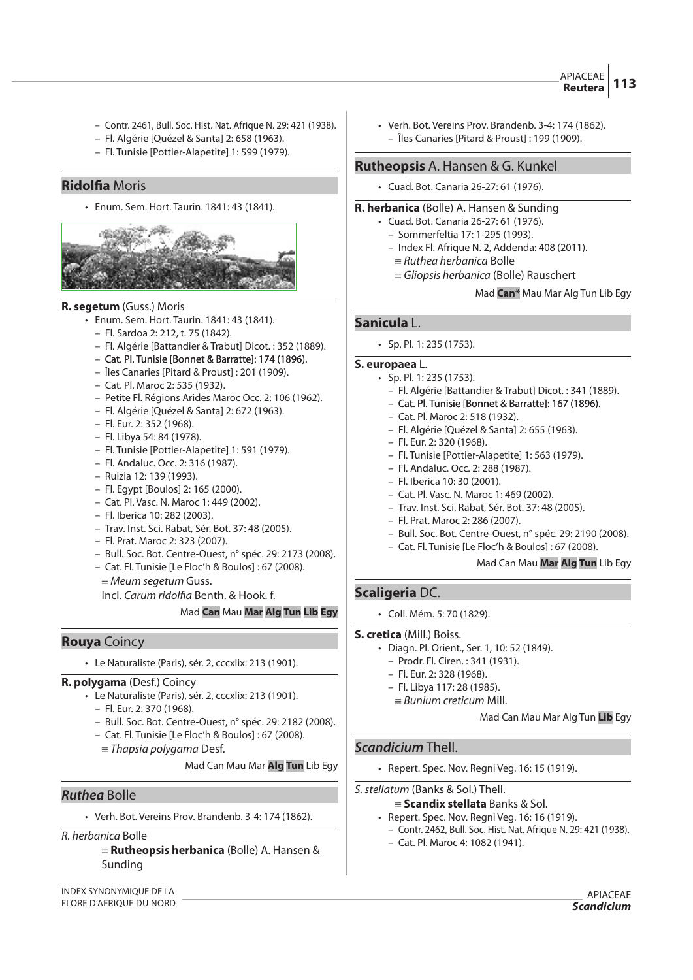- Contr. 2461, Bull. Soc. Hist. Nat. Afrique N. 29: 421 (1938).
- Fl. Algérie [Quézel & Santa] 2: 658 (1963).
- Fl. Tunisie [Pottier-Alapetite] 1: 599 (1979).

# **Ridol#a** Moris

• Enum. Sem. Hort. Taurin. 1841: 43 (1841).



#### **R. segetum** (Guss.) Moris

- Enum. Sem. Hort. Taurin. 1841: 43 (1841).
	- Fl. Sardoa 2: 212, t. 75 (1842).
	- Fl. Algérie [Battandier & Trabut] Dicot. : 352 (1889).
	- Cat. Pl. Tunisie [Bonnet & Barratte]: 174 (1896).
	- Îles Canaries [Pitard & Proust] : 201 (1909).
	- Cat. Pl. Maroc 2: 535 (1932).
	- Petite Fl. Régions Arides Maroc Occ. 2: 106 (1962).
	- Fl. Algérie [Quézel & Santa] 2: 672 (1963).
	- Fl. Eur. 2: 352 (1968).
	- Fl. Libya 54: 84 (1978).
	- Fl. Tunisie [Pottier-Alapetite] 1: 591 (1979).
	- Fl. Andaluc. Occ. 2: 316 (1987).
	- Ruizia 12: 139 (1993).
	- Fl. Egypt [Boulos] 2: 165 (2000).
	- Cat. Pl. Vasc. N. Maroc 1: 449 (2002).
	- Fl. Iberica 10: 282 (2003).
	- Trav. Inst. Sci. Rabat, Sér. Bot. 37: 48 (2005).
	- Fl. Prat. Maroc 2: 323 (2007).
	- Bull. Soc. Bot. Centre-Ouest, n° spéc. 29: 2173 (2008).
	- Cat. Fl. Tunisie [Le Floc'h & Boulos] : 67 (2008).
	- ${\equiv}$  Meum segetum Guss.

Incl. Carum ridolfia Benth. & Hook. f.

#### Mad **Can** Mau **Mar Alg Tun Lib Egy**

# **Rouya** Coincy

• Le Naturaliste (Paris), sér. 2, cccxlix: 213 (1901).

# **R. polygama** (Desf.) Coincy

- Le Naturaliste (Paris), sér. 2, cccxlix: 213 (1901).
	- Fl. Eur. 2: 370 (1968).
	- Bull. Soc. Bot. Centre-Ouest, n° spéc. 29: 2182 (2008).
	- Cat. Fl. Tunisie [Le Floc'h & Boulos] : 67 (2008).
	- ${\equiv}$  Thapsia polygama Desf.

#### Mad Can Mau Mar **Alg Tun** Lib Egy

# **Ruthea** Bolle

- Verh. Bot. Vereins Prov. Brandenb. 3-4: 174 (1862).
- R. herbanica Bolle
	- { **Rutheopsis herbanica** (Bolle) A. Hansen & Sunding
- INDEX SYNONYMIQUE DE LA FLORE D'AFRIQUE DU NORD

• Verh. Bot. Vereins Prov. Brandenb. 3-4: 174 (1862). – Îles Canaries [Pitard & Proust] : 199 (1909).

#### **Rutheopsis** A. Hansen & G. Kunkel

• Cuad. Bot. Canaria 26-27: 61 (1976).

#### **R. herbanica** (Bolle) A. Hansen & Sunding

- Cuad. Bot. Canaria 26-27: 61 (1976).
	- Sommerfeltia 17: 1-295 (1993).
	- Index Fl. Afrique N. 2, Addenda: 408 (2011).
	- $=$  Ruthea herbanica Bolle
	- $\equiv$  Gliopsis herbanica (Bolle) Rauschert

Mad **Can\*** Mau Mar Alg Tun Lib Egy

# **Sanicula** L.

• Sp. Pl. 1: 235 (1753).

**S. europaea** L.

- Sp. Pl. 1: 235 (1753).
	- Fl. Algérie [Battandier & Trabut] Dicot. : 341 (1889).
	- Cat. Pl. Tunisie [Bonnet & Barratte]: 167 (1896).
	- Cat. Pl. Maroc 2: 518 (1932).
	- Fl. Algérie [Quézel & Santa] 2: 655 (1963).
	- Fl. Eur. 2: 320 (1968).
	- Fl. Tunisie [Pottier-Alapetite] 1: 563 (1979).
	- Fl. Andaluc. Occ. 2: 288 (1987).
	- Fl. Iberica 10: 30 (2001).
	- Cat. Pl. Vasc. N. Maroc 1: 469 (2002).
	- Trav. Inst. Sci. Rabat, Sér. Bot. 37: 48 (2005).
	- Fl. Prat. Maroc 2: 286 (2007).
	- Bull. Soc. Bot. Centre-Ouest, n° spéc. 29: 2190 (2008).
	- Cat. Fl. Tunisie [Le Floc'h & Boulos] : 67 (2008).

#### Mad Can Mau **Mar Alg Tun** Lib Egy

# **Scaligeria** DC.

• Coll. Mém. 5: 70 (1829).

# **S. cretica** (Mill.) Boiss.

- Diagn. Pl. Orient., Ser. 1, 10: 52 (1849).
	- Prodr. Fl. Ciren. : 341 (1931).
	- Fl. Eur. 2: 328 (1968).
	- Fl. Libya 117: 28 (1985).
	- $\equiv$  Bunium creticum Mill.

Mad Can Mau Mar Alg Tun **Lib** Egy

# **Scandicium** Thell.

• Repert. Spec. Nov. Regni Veg. 16: 15 (1919).

S.stellatum (Banks & Sol.) Thell.

# { **Scandix stellata** Banks & Sol.

- Repert. Spec. Nov. Regni Veg. 16: 16 (1919). – Contr. 2462, Bull. Soc. Hist. Nat. Afrique N. 29: 421 (1938).
	- Cat. Pl. Maroc 4: 1082 (1941).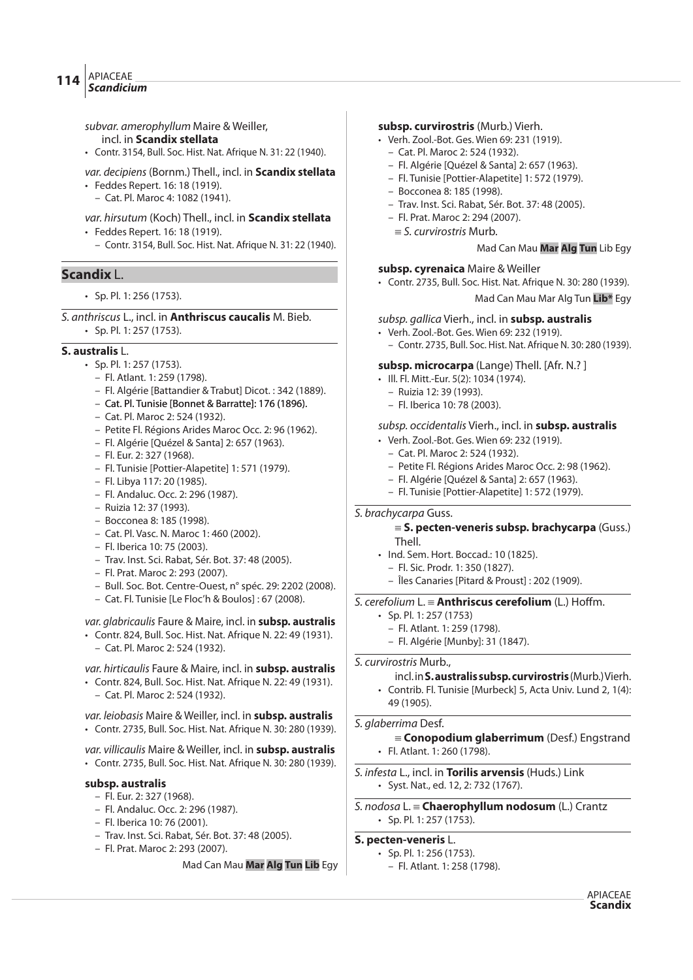# APIACEAE **114**  $\left| \frac{\text{APIACLE}}{\text{Scandicium}} \right|$

- subvar. amerophyllum Maire & Weiller, incl. in **Scandix stellata**
- Contr. 3154, Bull. Soc. Hist. Nat. Afrique N. 31: 22 (1940).
- var. decipiens (Bornm.) Thell., incl. in **Scandix stellata**
- Feddes Repert. 16: 18 (1919).
- Cat. Pl. Maroc 4: 1082 (1941).

# var. hirsutum (Koch) Thell., incl. in **Scandix stellata**

- Feddes Repert. 16: 18 (1919).
	- Contr. 3154, Bull. Soc. Hist. Nat. Afrique N. 31: 22 (1940).

# **Scandix** L.

- Sp. Pl. 1: 256 (1753).
- S. anthriscus L., incl. in **Anthriscus caucalis** M. Bieb. • Sp. Pl. 1: 257 (1753).

# **S. australis** L.

- Sp. Pl. 1: 257 (1753).
	- Fl. Atlant. 1: 259 (1798).
	- Fl. Algérie [Battandier & Trabut] Dicot. : 342 (1889).
	- Cat. Pl. Tunisie [Bonnet & Barratte]: 176 (1896).
	- Cat. Pl. Maroc 2: 524 (1932).
	- Petite Fl. Régions Arides Maroc Occ. 2: 96 (1962).
	- Fl. Algérie [Quézel & Santa] 2: 657 (1963).
	- Fl. Eur. 2: 327 (1968).
	- Fl. Tunisie [Pottier-Alapetite] 1: 571 (1979).
	- Fl. Libya 117: 20 (1985).
	- Fl. Andaluc. Occ. 2: 296 (1987).
	- Ruizia 12: 37 (1993).
	- Bocconea 8: 185 (1998).
	- Cat. Pl. Vasc. N. Maroc 1: 460 (2002).
	- Fl. Iberica 10: 75 (2003).
	- Trav. Inst. Sci. Rabat, Sér. Bot. 37: 48 (2005).
	- Fl. Prat. Maroc 2: 293 (2007).
	- Bull. Soc. Bot. Centre-Ouest, n° spéc. 29: 2202 (2008).
	- Cat. Fl. Tunisie [Le Floc'h & Boulos] : 67 (2008).

# var. glabricaulis Faure & Maire, incl. in **subsp. australis**

• Contr. 824, Bull. Soc. Hist. Nat. Afrique N. 22: 49 (1931). – Cat. Pl. Maroc 2: 524 (1932).

# var. hirticaulis Faure & Maire, incl. in **subsp. australis**

• Contr. 824, Bull. Soc. Hist. Nat. Afrique N. 22: 49 (1931). – Cat. Pl. Maroc 2: 524 (1932).

var. leiobasis Maire & Weiller, incl. in **subsp. australis** • Contr. 2735, Bull. Soc. Hist. Nat. Afrique N. 30: 280 (1939).

# var. villicaulis Maire & Weiller, incl. in **subsp. australis**

• Contr. 2735, Bull. Soc. Hist. Nat. Afrique N. 30: 280 (1939).

# **subsp. australis**

- Fl. Eur. 2: 327 (1968).
- Fl. Andaluc. Occ. 2: 296 (1987).
- Fl. Iberica 10: 76 (2001).
- Trav. Inst. Sci. Rabat, Sér. Bot. 37: 48 (2005).
- Fl. Prat. Maroc 2: 293 (2007).

# Mad Can Mau **Mar Alg Tun Lib** Egy

# **subsp. curvirostris** (Murb.) Vierh.

- Verh. Zool.-Bot. Ges. Wien 69: 231 (1919).
	- Cat. Pl. Maroc 2: 524 (1932).
	- Fl. Algérie [Quézel & Santa] 2: 657 (1963).
	- Fl. Tunisie [Pottier-Alapetite] 1: 572 (1979).
	- Bocconea 8: 185 (1998).
	- Trav. Inst. Sci. Rabat, Sér. Bot. 37: 48 (2005).
	- Fl. Prat. Maroc 2: 294 (2007).
		- $\equiv$  S. curvirostris Murb.

# **subsp. cyrenaica** Maire & Weiller

• Contr. 2735, Bull. Soc. Hist. Nat. Afrique N. 30: 280 (1939).

Mad Can Mau Mar Alg Tun **Lib\*** Egy

Mad Can Mau **Mar Alg Tun** Lib Egy

#### subsp. gallica Vierh., incl. in **subsp. australis**

• Verh. Zool.-Bot. Ges. Wien 69: 232 (1919). – Contr. 2735, Bull. Soc. Hist. Nat. Afrique N. 30: 280 (1939).

#### **subsp. microcarpa** (Lange) Thell. [Afr. N.? ]

- Ill. Fl. Mitt.-Eur. 5(2): 1034 (1974).
	- Ruizia 12: 39 (1993).
	- Fl. Iberica 10: 78 (2003).

# subsp. occidentalis Vierh., incl. in **subsp. australis**

- Verh. Zool.-Bot. Ges. Wien 69: 232 (1919).
	- Cat. Pl. Maroc 2: 524 (1932).
	- Petite Fl. Régions Arides Maroc Occ. 2: 98 (1962).
	- Fl. Algérie [Quézel & Santa] 2: 657 (1963).
- Fl. Tunisie [Pottier-Alapetite] 1: 572 (1979).

#### S. brachycarpa Guss.

#### { **S. pecten-veneris subsp. brachycarpa** (Guss.) Thell.

- Ind. Sem. Hort. Boccad.: 10 (1825).
	- Fl. Sic. Prodr. 1: 350 (1827).
	- Îles Canaries [Pitard & Proust] : 202 (1909).

# S. cerefolium L. = **Anthriscus cerefolium** (L.) Hoffm.

- Sp. Pl. 1: 257 (1753)
	- Fl. Atlant. 1: 259 (1798).
	- Fl. Algérie [Munby]: 31 (1847).

#### S. curvirostris Murb.,

- incl. in **S. australis subsp. curvirostris** (Murb.) Vierh.
- Contrib. Fl. Tunisie [Murbeck] 5, Acta Univ. Lund 2, 1(4): 49 (1905).

# S. glaberrima Desf.

{ **Conopodium glaberrimum** (Desf.) Engstrand • Fl. Atlant. 1: 260 (1798).

# S. infesta L., incl. in **Torilis arvensis** (Huds.) Link

- Syst. Nat., ed. 12, 2: 732 (1767).
- S. nodosa L. { **Chaerophyllum nodosum** (L.) Crantz • Sp. Pl. 1: 257 (1753).

# **S. pecten-veneris** L.

- Sp. Pl. 1: 256 (1753).
- Fl. Atlant. 1: 258 (1798).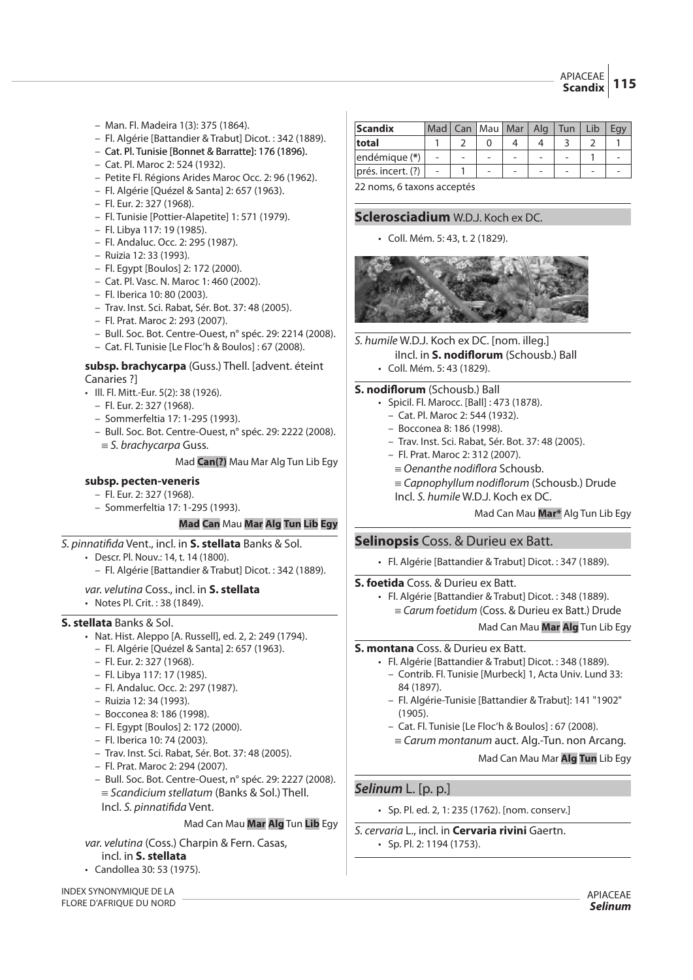- Man. Fl. Madeira 1(3): 375 (1864).
- Fl. Algérie [Battandier & Trabut] Dicot. : 342 (1889).
- Cat. Pl. Tunisie [Bonnet & Barratte]: 176 (1896).
- Cat. Pl. Maroc 2: 524 (1932).
- Petite Fl. Régions Arides Maroc Occ. 2: 96 (1962).
- Fl. Algérie [Quézel & Santa] 2: 657 (1963).
- Fl. Eur. 2: 327 (1968).
- Fl. Tunisie [Pottier-Alapetite] 1: 571 (1979).
- Fl. Libya 117: 19 (1985).
- Fl. Andaluc. Occ. 2: 295 (1987).
- Ruizia 12: 33 (1993).
- Fl. Egypt [Boulos] 2: 172 (2000).
- Cat. Pl. Vasc. N. Maroc 1: 460 (2002).
- Fl. Iberica 10: 80 (2003).
- Trav. Inst. Sci. Rabat, Sér. Bot. 37: 48 (2005).
- Fl. Prat. Maroc 2: 293 (2007).
- Bull. Soc. Bot. Centre-Ouest, n° spéc. 29: 2214 (2008).
- Cat. Fl. Tunisie [Le Floc'h & Boulos] : 67 (2008).

#### **subsp. brachycarpa** (Guss.) Thell. [advent. éteint Canaries ?]

- Ill. Fl. Mitt.-Eur. 5(2): 38 (1926).
	- Fl. Eur. 2: 327 (1968).
	- Sommerfeltia 17: 1-295 (1993).
	- Bull. Soc. Bot. Centre-Ouest, n° spéc. 29: 2222 (2008).
	- $\equiv$  S. brachycarpa Guss.

Mad **Can(?)** Mau Mar Alg Tun Lib Egy

# **subsp. pecten-veneris**

- Fl. Eur. 2: 327 (1968).
- Sommerfeltia 17: 1-295 (1993).

# **Mad Can** Mau **Mar Alg Tun Lib Egy**

# S. pinnati"da Vent., incl. in **S. stellata** Banks & Sol.

- Descr. Pl. Nouv.: 14, t. 14 (1800).
	- Fl. Algérie [Battandier & Trabut] Dicot. : 342 (1889).

# var. velutina Coss., incl. in **S. stellata**

• Notes Pl. Crit. : 38 (1849).

# **S. stellata** Banks & Sol.

- Nat. Hist. Aleppo [A. Russell], ed. 2, 2: 249 (1794).
	- Fl. Algérie [Quézel & Santa] 2: 657 (1963).
	- Fl. Eur. 2: 327 (1968).
	- Fl. Libya 117: 17 (1985).
	- Fl. Andaluc. Occ. 2: 297 (1987).
	- Ruizia 12: 34 (1993).
	- Bocconea 8: 186 (1998).
	- Fl. Egypt [Boulos] 2: 172 (2000).
	- Fl. Iberica 10: 74 (2003).
	- Trav. Inst. Sci. Rabat, Sér. Bot. 37: 48 (2005).
	- Fl. Prat. Maroc 2: 294 (2007).
	- Bull. Soc. Bot. Centre-Ouest, n° spéc. 29: 2227 (2008).  $\equiv$  Scandicium stellatum (Banks & Sol.) Thell. Incl. S. pinnatifida Vent.

# Mad Can Mau **Mar Alg** Tun **Lib** Egy

var. velutina (Coss.) Charpin & Fern. Casas, incl. in **S. stellata**

• Candollea 30: 53 (1975).

INDEX SYNONYMIQUE DE LA FLORE D'AFRIQUE DU NORD

| <b>Scandix</b>    | Mad I                    | Can | $\parallel$ Mau $\parallel$ Mar $\parallel$ | Ala | Tun | Lib |  |
|-------------------|--------------------------|-----|---------------------------------------------|-----|-----|-----|--|
| total             |                          |     |                                             |     |     |     |  |
| endémique (*)     |                          |     |                                             |     |     |     |  |
| prés. incert. (?) | $\overline{\phantom{0}}$ |     |                                             |     |     |     |  |

22 noms, 6 taxons acceptés

# **Sclerosciadium** W.D.J. Koch ex DC.

• Coll. Mém. 5: 43, t. 2 (1829).



S. humile W.D.J. Koch ex DC. [nom. illeg.] iIncl. in **S. nodi"orum** (Schousb.) Ball

• Coll. Mém. 5: 43 (1829).

# **S. nodiflorum** (Schousb.) Ball

- Spicil. Fl. Marocc. [Ball] : 473 (1878).
	- Cat. Pl. Maroc 2: 544 (1932).
	- Bocconea 8: 186 (1998).
	- Trav. Inst. Sci. Rabat, Sér. Bot. 37: 48 (2005).
	- Fl. Prat. Maroc 2: 312 (2007).
	- $=$  Oenanthe nodiflora Schousb.
	- ${\equiv}$  Capnophyllum nodiflorum (Schousb.) Drude
	- Incl. S. humile W.D.J. Koch ex DC.

# Mad Can Mau **Mar\*** Alg Tun Lib Egy

# **Selinopsis** Coss. & Durieu ex Batt.

• Fl. Algérie [Battandier & Trabut] Dicot. : 347 (1889).

**S. foetida** Coss. & Durieu ex Batt.

• Fl. Algérie [Battandier & Trabut] Dicot. : 348 (1889).  $=$  Carum foetidum (Coss. & Durieu ex Batt.) Drude

Mad Can Mau **Mar Alg** Tun Lib Egy

# **S. montana** Coss. & Durieu ex Batt.

- Fl. Algérie [Battandier & Trabut] Dicot. : 348 (1889). – Contrib. Fl. Tunisie [Murbeck] 1, Acta Univ. Lund 33: 84 (1897).
	- Fl. Algérie-Tunisie [Battandier & Trabut]: 141 "1902" (1905).
	- Cat. Fl. Tunisie [Le Floc'h & Boulos] : 67 (2008).
	- ${\equiv}$  Carum montanum auct. Alg.-Tun. non Arcang.

Mad Can Mau Mar **Alg Tun** Lib Egy

# **Selinum** L. [p. p.]

• Sp. Pl. ed. 2, 1: 235 (1762). [nom. conserv.]

# S. cervaria L., incl. in **Cervaria rivini** Gaertn. • Sp. Pl. 2: 1194 (1753).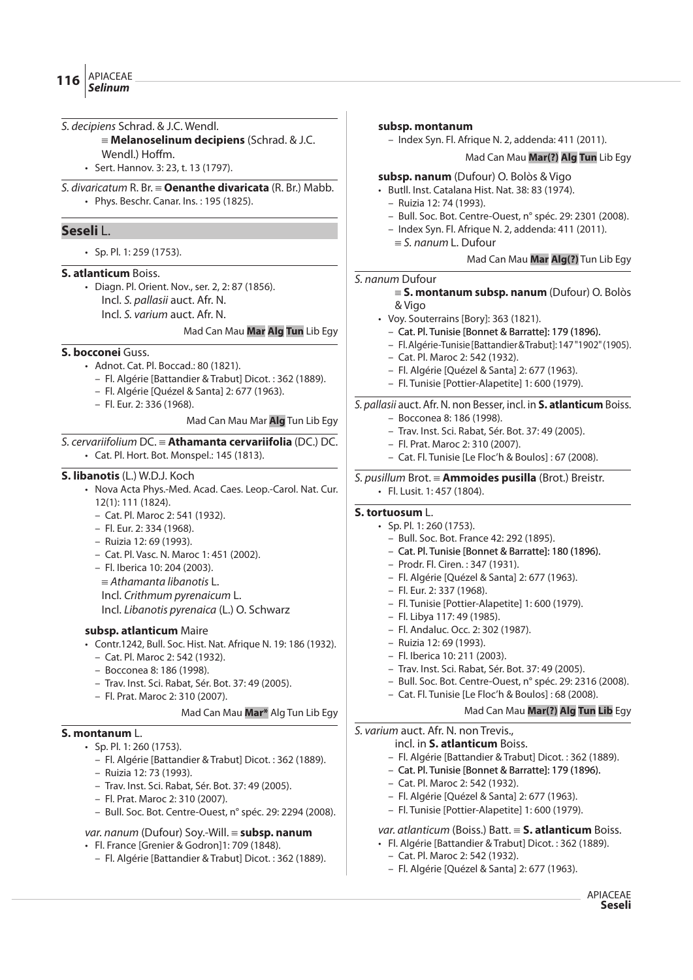- S. decipiens Schrad. & J.C. Wendl. { **Melanoselinum decipiens** (Schrad. & J.C. Wendl.) Hoffm. • Sert. Hannov. 3: 23, t. 13 (1797). S. divaricatum R. Br. { **Oenanthe divaricata** (R. Br.) Mabb. • Phys. Beschr. Canar. Ins. : 195 (1825). **Seseli** L. • Sp. Pl. 1: 259 (1753). **S. atlanticum** Boiss. • Diagn. Pl. Orient. Nov., ser. 2, 2: 87 (1856). Incl. S. pallasii auct. Afr. N. Incl. S. varium auct. Afr. N. Mad Can Mau **Mar Alg Tun** Lib Egy **S. bocconei** Guss. • Adnot. Cat. Pl. Boccad.: 80 (1821). – Fl. Algérie [Battandier & Trabut] Dicot. : 362 (1889). – Fl. Algérie [Quézel & Santa] 2: 677 (1963). – Fl. Eur. 2: 336 (1968). Mad Can Mau Mar **Alg** Tun Lib Egy S. cervariifolium DC. { **Athamanta cervariifolia** (DC.) DC. • Cat. Pl. Hort. Bot. Monspel.: 145 (1813). **S. libanotis** (L.) W.D.J. Koch • Nova Acta Phys.-Med. Acad. Caes. Leop.-Carol. Nat. Cur. 12(1): 111 (1824). – Cat. Pl. Maroc 2: 541 (1932). – Fl. Eur. 2: 334 (1968). – Ruizia 12: 69 (1993). – Cat. Pl. Vasc. N. Maroc 1: 451 (2002). – Fl. Iberica 10: 204 (2003).  $\equiv$  Athamanta libanotis L. Incl. Crithmum pyrenaicum L. Incl. Libanotis pyrenaica (L.) O. Schwarz **subsp. atlanticum** Maire • Contr.1242, Bull. Soc. Hist. Nat. Afrique N. 19: 186 (1932). – Cat. Pl. Maroc 2: 542 (1932). – Bocconea 8: 186 (1998). – Trav. Inst. Sci. Rabat, Sér. Bot. 37: 49 (2005). – Fl. Prat. Maroc 2: 310 (2007). Mad Can Mau **Mar\*** Alg Tun Lib Egy **S. montanum** L. • Sp. Pl. 1: 260 (1753). – Fl. Algérie [Battandier & Trabut] Dicot. : 362 (1889). – Ruizia 12: 73 (1993). **subsp. montanum** – Index Syn. Fl. Afrique N. 2, addenda: 411 (2011). Mad Can Mau **Mar(?) Alg Tun** Lib Egy **subsp. nanum** (Dufour) O. Bolòs & Vigo • Butll. Inst. Catalana Hist. Nat. 38: 83 (1974). – Ruizia 12: 74 (1993). – Bull. Soc. Bot. Centre-Ouest, n° spéc. 29: 2301 (2008). – Index Syn. Fl. Afrique N. 2, addenda: 411 (2011).  $\equiv$  S. nanum L. Dufour Mad Can Mau **Mar Alg(?)** Tun Lib Egy S. nanum Dufour { **S. montanum subsp. nanum** (Dufour) O. Bolòs & Vigo • Voy. Souterrains [Bory]: 363 (1821). – Cat. Pl. Tunisie [Bonnet & Barratte]: 179 (1896). – Fl. Algérie-Tunisie [Battandier & Trabut]: 147 "1902" (1905). – Cat. Pl. Maroc 2: 542 (1932). – Fl. Algérie [Quézel & Santa] 2: 677 (1963). – Fl. Tunisie [Pottier-Alapetite] 1: 600 (1979). S. pallasii auct. Afr. N. non Besser, incl. in **S. atlanticum** Boiss. – Bocconea 8: 186 (1998). – Trav. Inst. Sci. Rabat, Sér. Bot. 37: 49 (2005). – Fl. Prat. Maroc 2: 310 (2007). – Cat. Fl. Tunisie [Le Floc'h & Boulos] : 67 (2008). S. pusillum Brot. { **Ammoides pusilla** (Brot.) Breistr. • Fl. Lusit. 1: 457 (1804). **S. tortuosum** L. • Sp. Pl. 1: 260 (1753). – Bull. Soc. Bot. France 42: 292 (1895). – Cat. Pl. Tunisie [Bonnet & Barratte]: 180 (1896). – Prodr. Fl. Ciren. : 347 (1931). – Fl. Algérie [Quézel & Santa] 2: 677 (1963). – Fl. Eur. 2: 337 (1968). – Fl. Tunisie [Pottier-Alapetite] 1: 600 (1979). – Fl. Libya 117: 49 (1985). – Fl. Andaluc. Occ. 2: 302 (1987). – Ruizia 12: 69 (1993). – Fl. Iberica 10: 211 (2003). – Trav. Inst. Sci. Rabat, Sér. Bot. 37: 49 (2005). – Bull. Soc. Bot. Centre-Ouest, n° spéc. 29: 2316 (2008). – Cat. Fl. Tunisie [Le Floc'h & Boulos] : 68 (2008). Mad Can Mau **Mar(?) Alg Tun Lib** Egy S. varium auct. Afr. N. non Trevis., incl. in **S. atlanticum** Boiss. – Fl. Algérie [Battandier & Trabut] Dicot. : 362 (1889). – Cat. Pl. Tunisie [Bonnet & Barratte]: 179 (1896). – Cat. Pl. Maroc 2: 542 (1932).
	- Trav. Inst. Sci. Rabat, Sér. Bot. 37: 49 (2005).
	- Fl. Prat. Maroc 2: 310 (2007).
	- Bull. Soc. Bot. Centre-Ouest, n° spéc. 29: 2294 (2008).

#### var. nanum (Dufour) Soy.-Will. = subsp. nanum

- Fl. France [Grenier & Godron]1: 709 (1848).
	- Fl. Algérie [Battandier & Trabut] Dicot. : 362 (1889).

#### var. atlanticum (Boiss.) Batt. {**S. atlanticum** Boiss.

- Fl. Algérie [Battandier & Trabut] Dicot. : 362 (1889).
	- Cat. Pl. Maroc 2: 542 (1932).
	- Fl. Algérie [Quézel & Santa] 2: 677 (1963).

– Fl. Algérie [Quézel & Santa] 2: 677 (1963). – Fl. Tunisie [Pottier-Alapetite] 1: 600 (1979).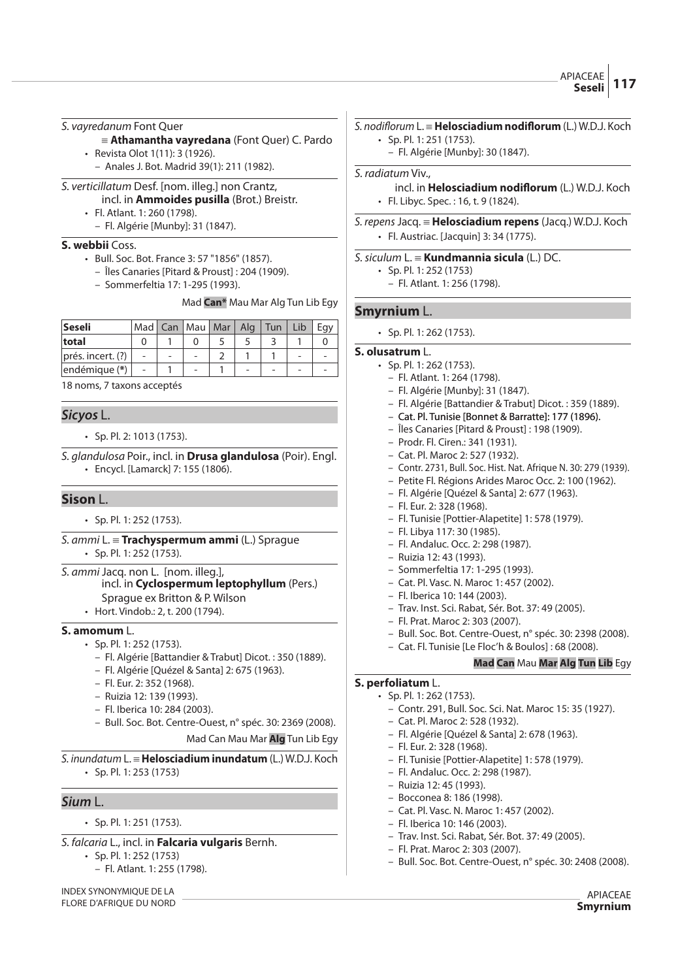# S. vayredanum Font Quer

- {**Athamantha vayredana** (Font Quer) C. Pardo
- Revista Olot 1(11): 3 (1926).
	- Anales J. Bot. Madrid 39(1): 211 (1982).

# S. verticillatum Desf. [nom. illeg.] non Crantz,

incl. in **Ammoides pusilla** (Brot.) Breistr.

- Fl. Atlant. 1: 260 (1798).
	- Fl. Algérie [Munby]: 31 (1847).

# **S. webbii** Coss.

- Bull. Soc. Bot. France 3: 57 "1856" (1857).
	- Îles Canaries [Pitard & Proust] : 204 (1909).
	- Sommerfeltia 17: 1-295 (1993).

Mad **Can\*** Mau Mar Alg Tun Lib Egy

| Seseli            | Mad I          |   | Can   Mau   Mar   Alg    |  | Tun | Lib |  |
|-------------------|----------------|---|--------------------------|--|-----|-----|--|
| total             |                |   |                          |  |     |     |  |
| prés. incert. (?) | $\overline{a}$ | - | $\overline{\phantom{0}}$ |  |     |     |  |
| endémique (*)     |                |   | -                        |  |     |     |  |

18 noms, 7 taxons acceptés

# **Sicyos** L.

#### • Sp. Pl. 2: 1013 (1753).

S. glandulosa Poir., incl. in **Drusa glandulosa** (Poir). Engl. • Encycl. [Lamarck] 7: 155 (1806).

# **Sison** L.

- Sp. Pl. 1: 252 (1753).
- S. ammi L. { **Trachyspermum ammi** (L.) Sprague • Sp. Pl. 1: 252 (1753).
- S. ammi Jacq. non L. [nom. illeg.], incl. in **Cyclospermum leptophyllum** (Pers.)
	- Sprague ex Britton & P. Wilson
	- Hort. Vindob.: 2, t. 200 (1794).

#### **S. amomum** L.

- Sp. Pl. 1: 252 (1753).
	- Fl. Algérie [Battandier & Trabut] Dicot. : 350 (1889).
	- Fl. Algérie [Quézel & Santa] 2: 675 (1963).
	- Fl. Eur. 2: 352 (1968).
	- Ruizia 12: 139 (1993).
	- Fl. Iberica 10: 284 (2003).
	- Bull. Soc. Bot. Centre-Ouest, n° spéc. 30: 2369 (2008).

Mad Can Mau Mar **Alg** Tun Lib Egy

S. inundatum L. { **Helosciadium inundatum** (L.) W.D.J. Koch • Sp. Pl. 1: 253 (1753)

# **Sium** L.

- Sp. Pl. 1: 251 (1753).
- S. falcaria L., incl. in **Falcaria vulgaris** Bernh.
	- Sp. Pl. 1: 252 (1753)
		- Fl. Atlant. 1: 255 (1798).

INDEX SYNONYMIQUE DE LA FLORE D'AFRIQUE DU NORD

#### $S.$  *nodiflorum* L. = **Helosciadium nodiflorum** (L.) W.D.J. Koch • Sp. Pl. 1: 251 (1753).

– Fl. Algérie [Munby]: 30 (1847).

#### S. radiatum Viv.,

- incl. in **Helosciadium nodi"orum** (L.) W.D.J. Koch • Fl. Libyc. Spec. : 16, t. 9 (1824).
- S. repens Jacq. { **Helosciadium repens** (Jacq.) W.D.J. Koch • Fl. Austriac. [Jacquin] 3: 34 (1775).

#### S.siculum L. { **Kundmannia sicula** (L.) DC.

- Sp. Pl. 1: 252 (1753)
	- Fl. Atlant. 1: 256 (1798).

# **Smyrnium** L.

• Sp. Pl. 1: 262 (1753).

#### **S. olusatrum** L.

- Sp. Pl. 1: 262 (1753).
	- Fl. Atlant. 1: 264 (1798).
	- Fl. Algérie [Munby]: 31 (1847).
	- Fl. Algérie [Battandier & Trabut] Dicot. : 359 (1889).
	- Cat. Pl. Tunisie [Bonnet & Barratte]: 177 (1896).
	- Îles Canaries [Pitard & Proust] : 198 (1909).
	- Prodr. Fl. Ciren.: 341 (1931).
	- Cat. Pl. Maroc 2: 527 (1932).
	- Contr. 2731, Bull. Soc. Hist. Nat. Afrique N. 30: 279 (1939).
	- Petite Fl. Régions Arides Maroc Occ. 2: 100 (1962).
	- Fl. Algérie [Quézel & Santa] 2: 677 (1963).
	- Fl. Eur. 2: 328 (1968).
	- Fl. Tunisie [Pottier-Alapetite] 1: 578 (1979).
	- Fl. Libya 117: 30 (1985).
	- Fl. Andaluc. Occ. 2: 298 (1987).
	- Ruizia 12: 43 (1993).
	- Sommerfeltia 17: 1-295 (1993).
	- Cat. Pl. Vasc. N. Maroc 1: 457 (2002).
	- Fl. Iberica 10: 144 (2003).
	- Trav. Inst. Sci. Rabat, Sér. Bot. 37: 49 (2005).
	- Fl. Prat. Maroc 2: 303 (2007).
	- Bull. Soc. Bot. Centre-Ouest, n° spéc. 30: 2398 (2008).
	- Cat. Fl. Tunisie [Le Floc'h & Boulos] : 68 (2008).

# **Mad Can** Mau **Mar Alg Tun Lib** Egy

# **S. perfoliatum** L.

- Sp. Pl. 1: 262 (1753).
	- Contr. 291, Bull. Soc. Sci. Nat. Maroc 15: 35 (1927).
	- Cat. Pl. Maroc 2: 528 (1932).
	- Fl. Algérie [Quézel & Santa] 2: 678 (1963).
	- Fl. Eur. 2: 328 (1968).
	- Fl. Tunisie [Pottier-Alapetite] 1: 578 (1979).
	- Fl. Andaluc. Occ. 2: 298 (1987).
	- Ruizia 12: 45 (1993).
	- Bocconea 8: 186 (1998).
	- Cat. Pl. Vasc. N. Maroc 1: 457 (2002).
	- Fl. Iberica 10: 146 (2003).
	- Trav. Inst. Sci. Rabat, Sér. Bot. 37: 49 (2005).
	- Fl. Prat. Maroc 2: 303 (2007).
	- Bull. Soc. Bot. Centre-Ouest, n° spéc. 30: 2408 (2008).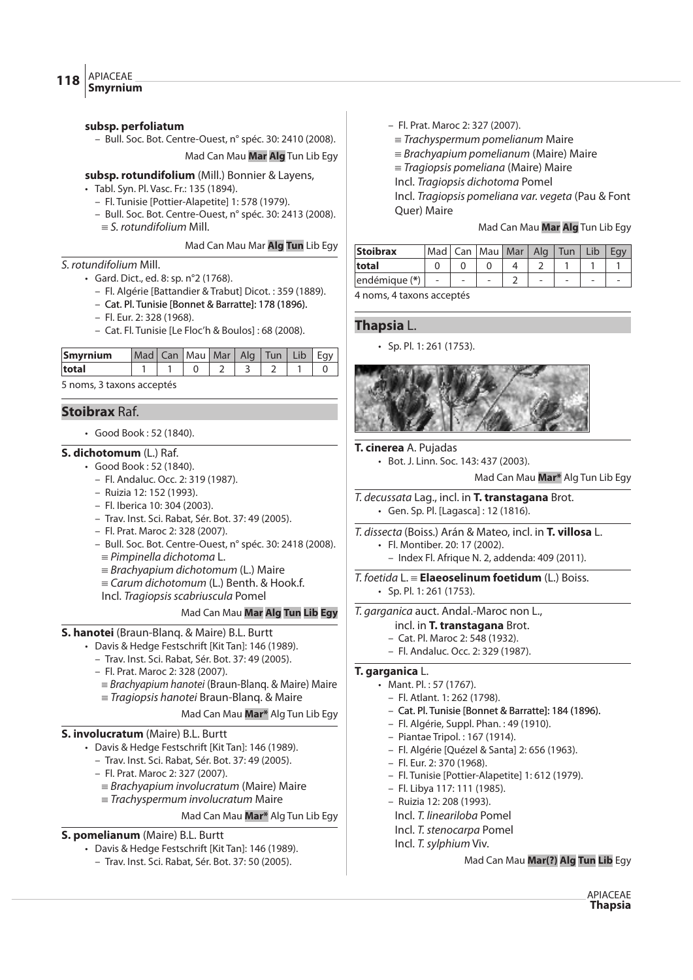#### **subsp. perfoliatum**

– Bull. Soc. Bot. Centre-Ouest, n° spéc. 30: 2410 (2008).

Mad Can Mau **Mar Alg** Tun Lib Egy

**subsp. rotundifolium** (Mill.) Bonnier & Layens,

- Tabl. Syn. Pl. Vasc. Fr.: 135 (1894).
	- Fl. Tunisie [Pottier-Alapetite] 1: 578 (1979).
	- Bull. Soc. Bot. Centre-Ouest, n° spéc. 30: 2413 (2008).  $\equiv$  S. rotundifolium Mill.

Mad Can Mau Mar **Alg Tun** Lib Egy

#### S. rotundifolium Mill.

- Gard. Dict., ed. 8: sp. n°2 (1768).
	- Fl. Algérie [Battandier & Trabut] Dicot. : 359 (1889).
	- Cat. Pl. Tunisie [Bonnet & Barratte]: 178 (1896).
	- Fl. Eur. 2: 328 (1968).
	- Cat. Fl. Tunisie [Le Floc'h & Boulos] : 68 (2008).

| Smyrnium                  | Mad Can Mau Mar Alg Tun Lib |  |  |  | Eav |
|---------------------------|-----------------------------|--|--|--|-----|
| total                     |                             |  |  |  |     |
| 5 noms, 3 taxons acceptés |                             |  |  |  |     |

# **Stoibrax** Raf.

• Good Book : 52 (1840).

#### **S. dichotomum** (L.) Raf.

- Good Book : 52 (1840).
	- Fl. Andaluc. Occ. 2: 319 (1987).
	- Ruizia 12: 152 (1993).
	- Fl. Iberica 10: 304 (2003).
	- Trav. Inst. Sci. Rabat, Sér. Bot. 37: 49 (2005).
	- Fl. Prat. Maroc 2: 328 (2007).
	- Bull. Soc. Bot. Centre-Ouest, n° spéc. 30: 2418 (2008).
	- $\equiv$  Pimpinella dichotoma L.
	- $=$  Brachyapium dichotomum (L.) Maire
	- ${\equiv}$  Carum dichotomum (L.) Benth. & Hook.f.
	- Incl. Tragiopsis scabriuscula Pomel

#### Mad Can Mau **Mar Alg Tun Lib Egy**

# **S. hanotei** (Braun-Blanq. & Maire) B.L. Burtt

- Davis & Hedge Festschrift [Kit Tan]: 146 (1989).
	- Trav. Inst. Sci. Rabat, Sér. Bot. 37: 49 (2005).
	- Fl. Prat. Maroc 2: 328 (2007).
	- $=$  Brachyapium hanotei (Braun-Blang. & Maire) Maire
	- $=$  Tragiopsis hanotei Braun-Blang. & Maire

Mad Can Mau **Mar\*** Alg Tun Lib Egy

# **S. involucratum** (Maire) B.L. Burtt

- Davis & Hedge Festschrift [Kit Tan]: 146 (1989).
	- Trav. Inst. Sci. Rabat, Sér. Bot. 37: 49 (2005).
	- Fl. Prat. Maroc 2: 327 (2007).
	- $=$  Brachyapium involucratum (Maire) Maire
	- ${\equiv}$  Trachyspermum involucratum Maire

Mad Can Mau **Mar\*** Alg Tun Lib Egy

#### **S. pomelianum** (Maire) B.L. Burtt

- Davis & Hedge Festschrift [Kit Tan]: 146 (1989).
	- Trav. Inst. Sci. Rabat, Sér. Bot. 37: 50 (2005).
- Fl. Prat. Maroc 2: 327 (2007).
- $\equiv$  Trachyspermum pomelianum Maire
- $=$  Brachyapium pomelianum (Maire) Maire
- $=$  Tragiopsis pomeliana (Maire) Maire

Incl. Tragiopsis dichotoma Pomel

Incl. Tragiopsis pomeliana var. vegeta (Pau & Font Quer) Maire

### Mad Can Mau **Mar Alg** Tun Lib Egy

| <b>Stoibrax</b> |  | Mad   Can   Mau   Mar   Alg |   | $\vert$ Tun |  |
|-----------------|--|-----------------------------|---|-------------|--|
| total           |  |                             |   |             |  |
| endémique (*)   |  | -                           | - |             |  |

4 noms, 4 taxons acceptés

#### **Thapsia** L.

• Sp. Pl. 1: 261 (1753).



- **T. cinerea** A. Pujadas
	- Bot. J. Linn. Soc. 143: 437 (2003).

Mad Can Mau **Mar\*** Alg Tun Lib Egy

- T. decussata Lag., incl. in **T. transtagana** Brot. • Gen. Sp. Pl. [Lagasca] : 12 (1816).
- T. dissecta (Boiss.) Arán & Mateo, incl. in **T. villosa** L. • Fl. Montiber. 20: 17 (2002).
	- Index Fl. Afrique N. 2, addenda: 409 (2011).
- T. foetida L. { **Elaeoselinum foetidum** (L.) Boiss. • Sp. Pl. 1: 261 (1753).

T. garganica auct. Andal.-Maroc non L.,

- incl. in **T. transtagana** Brot.
- Cat. Pl. Maroc 2: 548 (1932).
- Fl. Andaluc. Occ. 2: 329 (1987).

# **T. garganica** L.

- Mant. Pl. : 57 (1767).
	- Fl. Atlant. 1: 262 (1798).
	- Cat. Pl. Tunisie [Bonnet & Barratte]: 184 (1896).
	- Fl. Algérie, Suppl. Phan. : 49 (1910).
	- Piantae Tripol. : 167 (1914).
	- Fl. Algérie [Quézel & Santa] 2: 656 (1963).
	- Fl. Eur. 2: 370 (1968).
	- Fl. Tunisie [Pottier-Alapetite] 1: 612 (1979).
	- Fl. Libya 117: 111 (1985).
	- Ruizia 12: 208 (1993).
	- Incl. T. lineariloba Pomel
	- Incl. T.stenocarpa Pomel
	- Incl. T.sylphium Viv.

Mad Can Mau **Mar(?) Alg Tun Lib** Egy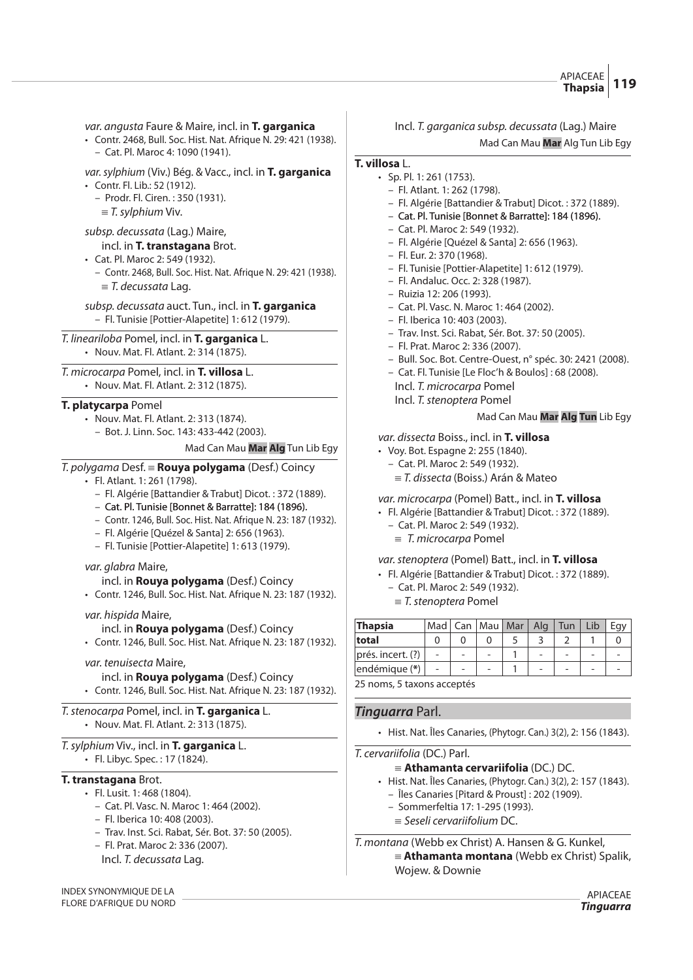#### APIACEAE **Thapsia 119**

var. angusta Faure & Maire, incl. in **T. garganica**

• Contr. 2468, Bull. Soc. Hist. Nat. Afrique N. 29: 421 (1938). – Cat. Pl. Maroc 4: 1090 (1941).

var.sylphium (Viv.) Bég. & Vacc., incl. in **T. garganica** • Contr. Fl. Lib.: 52 (1912).

– Prodr. Fl. Ciren. : 350 (1931).

 $\equiv$  T. sylphium Viv.

# subsp. decussata (Lag.) Maire,

incl. in **T. transtagana** Brot.

- Cat. Pl. Maroc 2: 549 (1932).
	- Contr. 2468, Bull. Soc. Hist. Nat. Afrique N. 29: 421 (1938).  $\equiv$  T. decussata Lag.

subsp. decussata auct. Tun., incl. in **T. garganica** – Fl. Tunisie [Pottier-Alapetite] 1: 612 (1979).

T. lineariloba Pomel, incl. in **T. garganica** L.

• Nouv. Mat. Fl. Atlant. 2: 314 (1875).

T. microcarpa Pomel, incl. in **T. villosa** L. • Nouv. Mat. Fl. Atlant. 2: 312 (1875).

# **T. platycarpa** Pomel

- Nouv. Mat. Fl. Atlant. 2: 313 (1874).
	- Bot. J. Linn. Soc. 143: 433-442 (2003).

Mad Can Mau **Mar Alg** Tun Lib Egy

T. polygama Desf. { **Rouya polygama** (Desf.) Coincy

- Fl. Atlant. 1: 261 (1798).
	- Fl. Algérie [Battandier & Trabut] Dicot. : 372 (1889).
	- Cat. Pl. Tunisie [Bonnet & Barratte]: 184 (1896).
	- Contr. 1246, Bull. Soc. Hist. Nat. Afrique N. 23: 187 (1932).
	- Fl. Algérie [Quézel & Santa] 2: 656 (1963).
	- Fl. Tunisie [Pottier-Alapetite] 1: 613 (1979).

# var. glabra Maire,

incl. in **Rouya polygama** (Desf.) Coincy

• Contr. 1246, Bull. Soc. Hist. Nat. Afrique N. 23: 187 (1932).

var. hispida Maire,

# incl. in **Rouya polygama** (Desf.) Coincy

• Contr. 1246, Bull. Soc. Hist. Nat. Afrique N. 23: 187 (1932).

# var. tenuisecta Maire,

incl. in **Rouya polygama** (Desf.) Coincy • Contr. 1246, Bull. Soc. Hist. Nat. Afrique N. 23: 187 (1932).

# T.stenocarpa Pomel, incl. in **T. garganica** L.

• Nouv. Mat. Fl. Atlant. 2: 313 (1875).

# T.sylphium Viv., incl. in **T. garganica** L.

• Fl. Libyc. Spec. : 17 (1824).

# **T. transtagana** Brot.

- Fl. Lusit. 1: 468 (1804).
	- Cat. Pl. Vasc. N. Maroc 1: 464 (2002).
	- Fl. Iberica 10: 408 (2003).
	- Trav. Inst. Sci. Rabat, Sér. Bot. 37: 50 (2005).
	- Fl. Prat. Maroc 2: 336 (2007).
	- Incl. T. decussata Lag.

INDEX SYNONYMIQUE DE LA FLORE D'AFRIQUE DU NORD

# Incl. T. garganica subsp. decussata (Lag.) Maire Mad Can Mau **Mar** Alg Tun Lib Egy

# **T. villosa** L.

- Sp. Pl. 1: 261 (1753). – Fl. Atlant. 1: 262 (1798).
	- Fl. Algérie [Battandier & Trabut] Dicot. : 372 (1889).
	- Cat. Pl. Tunisie [Bonnet & Barratte]: 184 (1896).
	- Cat. Pl. Maroc 2: 549 (1932).
	- Fl. Algérie [Quézel & Santa] 2: 656 (1963).
	- Fl. Eur. 2: 370 (1968).
	- Fl. Tunisie [Pottier-Alapetite] 1: 612 (1979).
	- Fl. Andaluc. Occ. 2: 328 (1987).
	- Ruizia 12: 206 (1993).
	- Cat. Pl. Vasc. N. Maroc 1: 464 (2002).
	- Fl. Iberica 10: 403 (2003).
	- Trav. Inst. Sci. Rabat, Sér. Bot. 37: 50 (2005).
	- Fl. Prat. Maroc 2: 336 (2007).
	- Bull. Soc. Bot. Centre-Ouest, n° spéc. 30: 2421 (2008).
	- Cat. Fl. Tunisie [Le Floc'h & Boulos] : 68 (2008).
		- Incl. T. microcarpa Pomel
		- Incl. T. stenoptera Pomel

# Mad Can Mau **Mar Alg Tun** Lib Egy

# var. dissecta Boiss., incl. in **T. villosa**

- Voy. Bot. Espagne 2: 255 (1840).
	- Cat. Pl. Maroc 2: 549 (1932).
		- $\equiv$  T. dissecta (Boiss.) Arán & Mateo

# var. microcarpa (Pomel) Batt., incl. in **T. villosa**

- Fl. Algérie [Battandier & Trabut] Dicot. : 372 (1889).
	- Cat. Pl. Maroc 2: 549 (1932).  $\equiv$  T. microcarpa Pomel

# var.stenoptera (Pomel) Batt., incl. in **T. villosa**

- Fl. Algérie [Battandier & Trabut] Dicot. : 372 (1889).
- Cat. Pl. Maroc 2: 549 (1932).
	- $=$  T. stenoptera Pomel

| <b>Thapsia</b>              |  | Mad   Can   Mau   Mar | Alg $\vert$ | Tun | Lib |  |
|-----------------------------|--|-----------------------|-------------|-----|-----|--|
| total                       |  |                       |             |     |     |  |
| prés. incert. (?)           |  |                       |             |     |     |  |
| endémique (*)               |  |                       |             |     |     |  |
| OF papear F tayang aggantán |  |                       |             |     |     |  |

25 noms, 5 taxons acceptés

# **Tinguarra** Parl.

• Hist. Nat. Îles Canaries, (Phytogr. Can.) 3(2), 2: 156 (1843).

# T. cervariifolia (DC.) Parl.

- {**Athamanta cervariifolia** (DC.) DC.
- Hist. Nat. Îles Canaries, (Phytogr. Can.) 3(2), 2: 157 (1843). – Îles Canaries [Pitard & Proust] : 202 (1909).
	- Sommerfeltia 17: 1-295 (1993).
	- $\equiv$  Seseli cervariifolium DC.

T. montana (Webb ex Christ) A. Hansen & G. Kunkel, { **Athamanta montana** (Webb ex Christ) Spalik, Wojew. & Downie

APIACEAE **Tinguarra**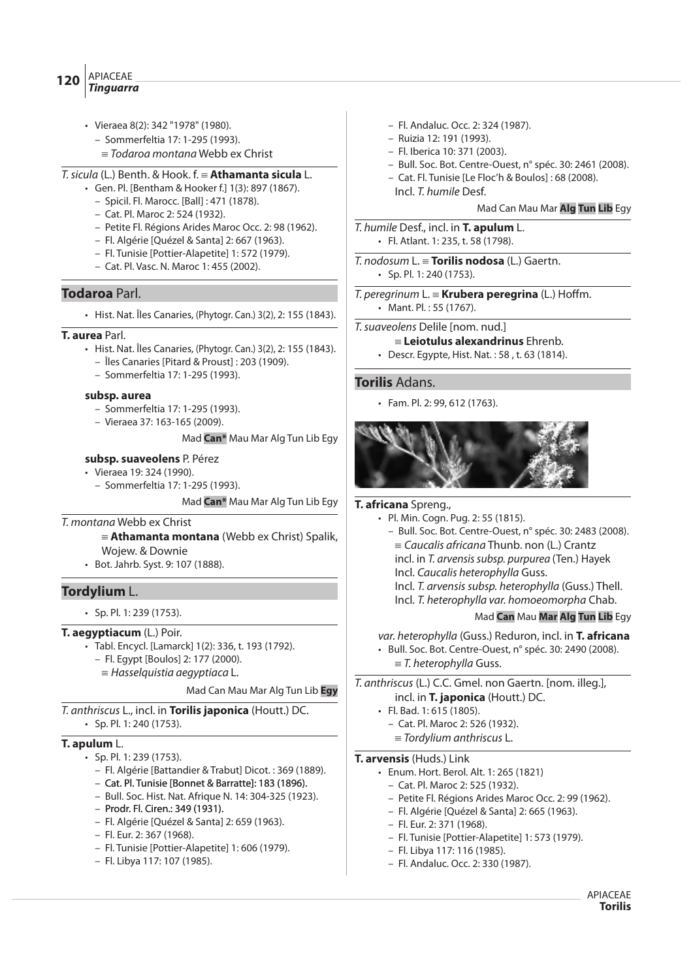#### APIACEAE **Tinguarra <sup>120</sup>**

- Vieraea 8(2): 342 "1978" (1980).
	- Sommerfeltia 17: 1-295 (1993).
	- $\equiv$  Todaroa montana Webb ex Christ
- T.sicula (L.) Benth. & Hook. f. { **Athamanta sicula** L.
	- Gen. Pl. [Bentham & Hooker f.] 1(3): 897 (1867).
		- Spicil. Fl. Marocc. [Ball] : 471 (1878).
		- Cat. Pl. Maroc 2: 524 (1932).
		- Petite Fl. Régions Arides Maroc Occ. 2: 98 (1962).
		- Fl. Algérie [Quézel & Santa] 2: 667 (1963).
		- Fl. Tunisie [Pottier-Alapetite] 1: 572 (1979).
		- Cat. Pl. Vasc. N. Maroc 1: 455 (2002).

# **Todaroa** Parl.

• Hist. Nat. Îles Canaries, (Phytogr. Can.) 3(2), 2: 155 (1843).

# **T. aurea** Parl.

- Hist. Nat. Îles Canaries, (Phytogr. Can.) 3(2), 2: 155 (1843).
	- Îles Canaries [Pitard & Proust] : 203 (1909).
	- Sommerfeltia 17: 1-295 (1993).

# **subsp. aurea**

- Sommerfeltia 17: 1-295 (1993).
- Vieraea 37: 163-165 (2009).

# Mad **Can\*** Mau Mar Alg Tun Lib Egy

# **subsp. suaveolens** P. Pérez

- Vieraea 19: 324 (1990).
	- Sommerfeltia 17: 1-295 (1993).

Mad **Can\*** Mau Mar Alg Tun Lib Egy

# T. montana Webb ex Christ

- { **Athamanta montana** (Webb ex Christ) Spalik, Wojew. & Downie
- Bot. Jahrb. Syst. 9: 107 (1888).

# **Tordylium** L.

• Sp. Pl. 1: 239 (1753).

# **T. aegyptiacum** (L.) Poir.

- Tabl. Encycl. [Lamarck] 1(2): 336, t. 193 (1792).
	- Fl. Egypt [Boulos] 2: 177 (2000).
	- $=$  Hasselquistia aegyptiaca L.

# Mad Can Mau Mar Alg Tun Lib **Egy**

- T. anthriscus L., incl. in **Torilis japonica** (Houtt.) DC.
	- Sp. Pl. 1: 240 (1753).

# **T. apulum** L.

- Sp. Pl. 1: 239 (1753).
	- Fl. Algérie [Battandier & Trabut] Dicot. : 369 (1889).
	- Cat. Pl. Tunisie [Bonnet & Barratte]: 183 (1896).
	- Bull. Soc. Hist. Nat. Afrique N. 14: 304-325 (1923).
	- Prodr. Fl. Ciren.: 349 (1931).
	- Fl. Algérie [Quézel & Santa] 2: 659 (1963).
	- Fl. Eur. 2: 367 (1968).
	- Fl. Tunisie [Pottier-Alapetite] 1: 606 (1979).
	- Fl. Libya 117: 107 (1985).
- Fl. Andaluc. Occ. 2: 324 (1987).
- Ruizia 12: 191 (1993).
- Fl. Iberica 10: 371 (2003).
- Bull. Soc. Bot. Centre-Ouest, n° spéc. 30: 2461 (2008).
- Cat. Fl. Tunisie [Le Floc'h & Boulos] : 68 (2008). Incl. T. humile Desf.

Mad Can Mau Mar **Alg Tun Lib** Egy

T. humile Desf., incl. in **T. apulum** L. • Fl. Atlant. 1: 235, t. 58 (1798).

T. nodosum L. { **Torilis nodosa** (L.) Gaertn. • Sp. Pl. 1: 240 (1753).

 $T.$  peregrinum  $L. \equiv$  **Krubera peregrina** (L.) Hoffm. • Mant. Pl. : 55 (1767).

- T.suaveolens Delile [nom. nud.]
	- { **Leiotulus alexandrinus** Ehrenb.
	- Descr. Egypte, Hist. Nat. : 58 , t. 63 (1814).

# **Torilis** Adans.

• Fam. Pl. 2: 99, 612 (1763).



# **T. africana** Spreng.,

- Pl. Min. Cogn. Pug. 2: 55 (1815).
	- Bull. Soc. Bot. Centre-Ouest, n° spéc. 30: 2483 (2008).
	- $=$  Caucalis africana Thunb. non (L.) Crantz incl. in T. arvensis subsp. purpurea (Ten.) Hayek
	- Incl. Caucalis heterophylla Guss.
	- Incl. T. arvensis subsp. heterophylla (Guss.) Thell.
	- Incl. T. heterophylla var. homoeomorpha Chab.

# Mad **Can** Mau **Mar Alg Tun Lib** Egy

var. heterophylla (Guss.) Reduron, incl. in **T. africana**

- Bull. Soc. Bot. Centre-Ouest, n° spéc. 30: 2490 (2008).
	- $\equiv$  T. heterophylla Guss.

T. anthriscus (L.) C.C. Gmel. non Gaertn. [nom. illeg.], incl. in **T. japonica** (Houtt.) DC.

- Fl. Bad. 1: 615 (1805).
	- Cat. Pl. Maroc 2: 526 (1932).  $\equiv$  Tordylium anthriscus L.
- 

# **T. arvensis** (Huds.) Link

- Enum. Hort. Berol. Alt. 1: 265 (1821)
	- Cat. Pl. Maroc 2: 525 (1932).
	- Petite Fl. Régions Arides Maroc Occ. 2: 99 (1962).
	- Fl. Algérie [Quézel & Santa] 2: 665 (1963).
	- Fl. Eur. 2: 371 (1968).
	- Fl. Tunisie [Pottier-Alapetite] 1: 573 (1979).
	- Fl. Libya 117: 116 (1985).
	- Fl. Andaluc. Occ. 2: 330 (1987).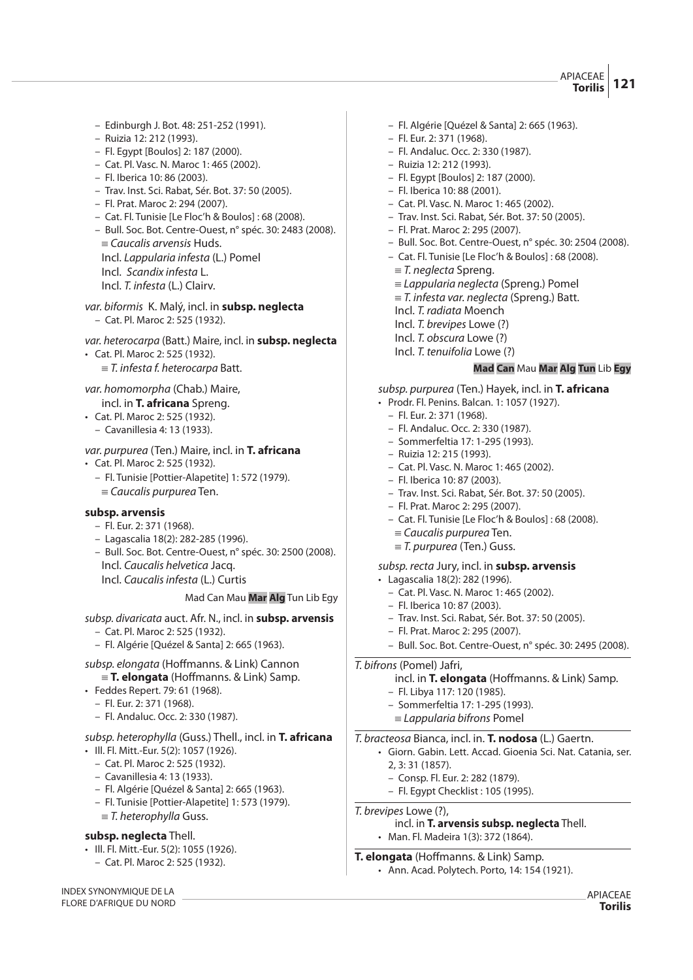APIACEAE **Torilis 121**

- Edinburgh J. Bot. 48: 251-252 (1991).
- Ruizia 12: 212 (1993).
- Fl. Egypt [Boulos] 2: 187 (2000).
- Cat. Pl. Vasc. N. Maroc 1: 465 (2002).
- Fl. Iberica 10: 86 (2003).
- Trav. Inst. Sci. Rabat, Sér. Bot. 37: 50 (2005).
- Fl. Prat. Maroc 2: 294 (2007).
- Cat. Fl. Tunisie [Le Floc'h & Boulos] : 68 (2008).
- Bull. Soc. Bot. Centre-Ouest, n° spéc. 30: 2483 (2008).  $=$  Caucalis arvensis Huds. Incl. Lappularia infesta (L.) Pomel
- Incl. Scandix infesta L.
- Incl. T. infesta (L.) Clairv.
- var. biformis K. Malý, incl. in **subsp. neglecta** – Cat. Pl. Maroc 2: 525 (1932).
- var. heterocarpa (Batt.) Maire, incl. in **subsp. neglecta** • Cat. Pl. Maroc 2: 525 (1932).
	- $=$  T. infesta f. heterocarpa Batt.
- var. homomorpha (Chab.) Maire,
- incl. in **T. africana** Spreng.
- Cat. Pl. Maroc 2: 525 (1932).
- Cavanillesia 4: 13 (1933).

var. purpurea (Ten.) Maire, incl. in **T. africana**

- Cat. Pl. Maroc 2: 525 (1932).
	- Fl. Tunisie [Pottier-Alapetite] 1: 572 (1979).  $=$  Caucalis purpurea Ten.

#### **subsp. arvensis**

- Fl. Eur. 2: 371 (1968).
- Lagascalia 18(2): 282-285 (1996).
- Bull. Soc. Bot. Centre-Ouest, n° spéc. 30: 2500 (2008). Incl. Caucalis helvetica Jacq.
	- Incl. Caucalis infesta (L.) Curtis

#### Mad Can Mau **Mar Alg** Tun Lib Egy

subsp. divaricata auct. Afr. N., incl. in **subsp. arvensis**

- Cat. Pl. Maroc 2: 525 (1932).
- Fl. Algérie [Quézel & Santa] 2: 665 (1963).
- subsp. elongata (Hoffmanns. & Link) Cannon  ${\bf F} = {\bf T}$ . elongata (Hoffmanns. & Link) Samp.
- Feddes Repert. 79: 61 (1968).
	- Fl. Eur. 2: 371 (1968).
	- Fl. Andaluc. Occ. 2: 330 (1987).
- subsp. heterophylla (Guss.) Thell., incl. in **T. africana**
- Ill. Fl. Mitt.-Eur. 5(2): 1057 (1926).
	- Cat. Pl. Maroc 2: 525 (1932).
	- Cavanillesia 4: 13 (1933).
	- Fl. Algérie [Quézel & Santa] 2: 665 (1963).
	- Fl. Tunisie [Pottier-Alapetite] 1: 573 (1979).
	- $\equiv$  T. heterophylla Guss.

#### **subsp. neglecta** Thell.

- Ill. Fl. Mitt.-Eur. 5(2): 1055 (1926).
	- Cat. Pl. Maroc 2: 525 (1932).

INDEX SYNONYMIQUE DE LA FLORE D'AFRIQUE DU NORD

- Fl. Algérie [Quézel & Santa] 2: 665 (1963).
- Fl. Eur. 2: 371 (1968).
- Fl. Andaluc. Occ. 2: 330 (1987).
- Ruizia 12: 212 (1993).
- Fl. Egypt [Boulos] 2: 187 (2000).
- Fl. Iberica 10: 88 (2001).
- Cat. Pl. Vasc. N. Maroc 1: 465 (2002).
- Trav. Inst. Sci. Rabat, Sér. Bot. 37: 50 (2005).
- Fl. Prat. Maroc 2: 295 (2007).
- Bull. Soc. Bot. Centre-Ouest, n° spéc. 30: 2504 (2008).
- Cat. Fl. Tunisie [Le Floc'h & Boulos] : 68 (2008).
	- ${\equiv}$  T. neglecta Spreng.
- $\equiv$  Lappularia neglecta (Spreng.) Pomel
- $=$  T. infesta var. neglecta (Spreng.) Batt.
- Incl. T. radiata Moench
- Incl. T. brevipes Lowe (?)
- Incl. T. obscura Lowe (?)
- Incl. T. tenuifolia Lowe (?)

#### **Mad Can** Mau **Mar Alg Tun** Lib **Egy**

- subsp. purpurea (Ten.) Hayek, incl. in **T. africana**
- Prodr. Fl. Penins. Balcan. 1: 1057 (1927).
	- Fl. Eur. 2: 371 (1968).
	- Fl. Andaluc. Occ. 2: 330 (1987).
	- Sommerfeltia 17: 1-295 (1993).
	- Ruizia 12: 215 (1993).
	- Cat. Pl. Vasc. N. Maroc 1: 465 (2002).
	- Fl. Iberica 10: 87 (2003).
	- Trav. Inst. Sci. Rabat, Sér. Bot. 37: 50 (2005).
	- Fl. Prat. Maroc 2: 295 (2007).
	- Cat. Fl. Tunisie [Le Floc'h & Boulos] : 68 (2008).
		- $=$  Caucalis purpurea Ten.
	- $\equiv$  T. purpurea (Ten.) Guss.

# subsp. recta Jury, incl. in **subsp. arvensis**

- Lagascalia 18(2): 282 (1996).
	- Cat. Pl. Vasc. N. Maroc 1: 465 (2002).
	- Fl. Iberica 10: 87 (2003).
	- Trav. Inst. Sci. Rabat, Sér. Bot. 37: 50 (2005).
	- Fl. Prat. Maroc 2: 295 (2007).
	- Bull. Soc. Bot. Centre-Ouest, n° spéc. 30: 2495 (2008).

#### T. bifrons (Pomel) Jafri,

- incl. in **T. elongata** (Hoffmanns. & Link) Samp. – Fl. Libya 117: 120 (1985).
- 
- Sommerfeltia 17: 1-295 (1993).  $\equiv$  Lappularia bifrons Pomel
- 

# T. bracteosa Bianca, incl. in. **T. nodosa** (L.) Gaertn.

- Giorn. Gabin. Lett. Accad. Gioenia Sci. Nat. Catania, ser. 2, 3: 31 (1857).
	- Consp. Fl. Eur. 2: 282 (1879).
	- Fl. Egypt Checklist : 105 (1995).

T. brevipes Lowe (?),

incl. in **T. arvensis subsp. neglecta** Thell. • Man. Fl. Madeira 1(3): 372 (1864).

# **T. elongata** (Hoffmanns. & Link) Samp.

• Ann. Acad. Polytech. Porto, 14: 154 (1921).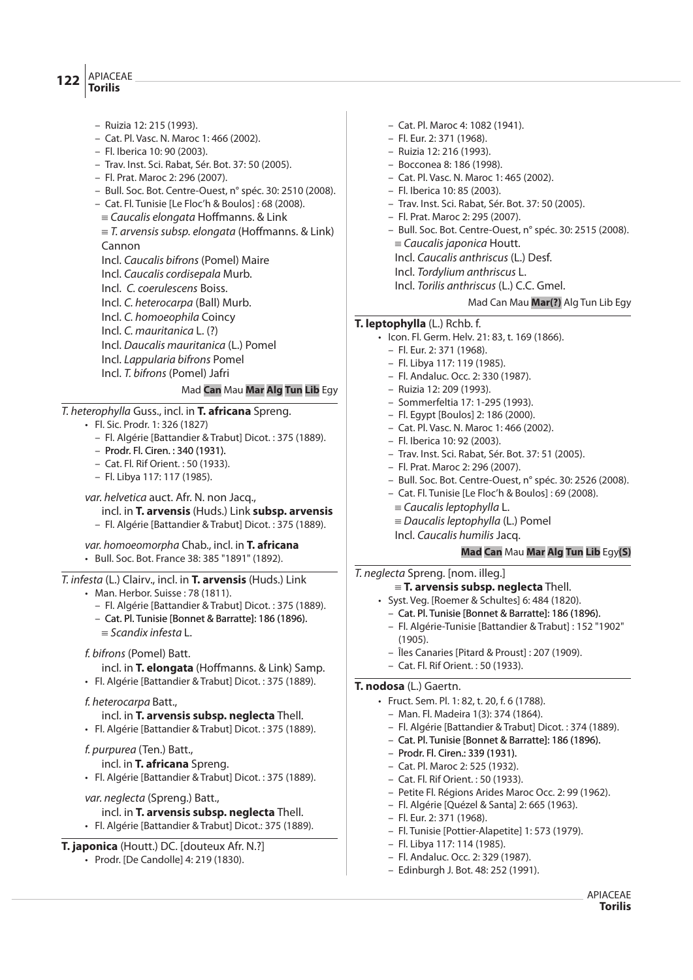#### APIACEAE  $122 \vert^{ATIALC}$

- Ruizia 12: 215 (1993).
- Cat. Pl. Vasc. N. Maroc 1: 466 (2002).
- Fl. Iberica 10: 90 (2003).
- Trav. Inst. Sci. Rabat, Sér. Bot. 37: 50 (2005).
- Fl. Prat. Maroc 2: 296 (2007).
- Bull. Soc. Bot. Centre-Ouest, n° spéc. 30: 2510 (2008).
- Cat. Fl. Tunisie [Le Floc'h & Boulos] : 68 (2008).  $=$  Caucalis elongata Hoffmanns. & Link
- $\equiv$  T. arvensis subsp. elongata (Hoffmanns. & Link) Cannon
- Incl. Caucalis bifrons (Pomel) Maire
- Incl. Caucalis cordisepala Murb.
- Incl. C. coerulescens Boiss.
- Incl. C. heterocarpa (Ball) Murb.
- Incl. C. homoeophila Coincy
- Incl. C. mauritanica L. (?)
- Incl. Daucalis mauritanica (L.) Pomel
- Incl. Lappularia bifrons Pomel
- Incl. T. bifrons (Pomel) Jafri

# Mad **Can** Mau **Mar Alg Tun Lib** Egy

# T. heterophylla Guss., incl. in **T. africana** Spreng.

- Fl. Sic. Prodr. 1: 326 (1827)
	- Fl. Algérie [Battandier & Trabut] Dicot. : 375 (1889).
	- Prodr. Fl. Ciren. : 340 (1931).
	- Cat. Fl. Rif Orient. : 50 (1933).
	- Fl. Libya 117: 117 (1985).

var. helvetica auct. Afr. N. non Jacq., incl. in **T. arvensis** (Huds.) Link **subsp. arvensis** – Fl. Algérie [Battandier & Trabut] Dicot. : 375 (1889).

var. homoeomorpha Chab., incl. in **T. africana**  • Bull. Soc. Bot. France 38: 385 "1891" (1892).

T. infesta (L.) Clairv., incl. in **T. arvensis** (Huds.) Link

- Man. Herbor. Suisse : 78 (1811).
	- Fl. Algérie [Battandier & Trabut] Dicot. : 375 (1889).
	- Cat. Pl. Tunisie [Bonnet & Barratte]: 186 (1896).  $\equiv$  Scandix infesta L.
- f. bifrons (Pomel) Batt.
- incl. in **T. elongata** (Hoffmanns. & Link) Samp.
- Fl. Algérie [Battandier & Trabut] Dicot. : 375 (1889).

# f. heterocarpa Batt.,

- incl. in **T. arvensis subsp. neglecta** Thell.
- Fl. Algérie [Battandier & Trabut] Dicot. : 375 (1889).

#### f. purpurea (Ten.) Batt., incl. in **T. africana** Spreng.

- Fl. Algérie [Battandier & Trabut] Dicot. : 375 (1889).
- var. neglecta (Spreng.) Batt.,
	- incl. in **T. arvensis subsp. neglecta** Thell.
- Fl. Algérie [Battandier & Trabut] Dicot.: 375 (1889).

# **T. japonica** (Houtt.) DC. [douteux Afr. N.?]

• Prodr. [De Candolle] 4: 219 (1830).

- Bocconea 8: 186 (1998). – Cat. Pl. Vasc. N. Maroc 1: 465 (2002). – Fl. Iberica 10: 85 (2003). – Trav. Inst. Sci. Rabat, Sér. Bot. 37: 50 (2005). – Fl. Prat. Maroc 2: 295 (2007). – Bull. Soc. Bot. Centre-Ouest, n° spéc. 30: 2515 (2008).  $=$  Caucalis japonica Houtt. Incl. Caucalis anthriscus (L.) Desf. Incl. Tordylium anthriscus L. Incl. Torilis anthriscus (L.) C.C. Gmel. Mad Can Mau **Mar(?)** Alg Tun Lib Egy **T. leptophylla** (L.) Rchb. f.
	- Icon. Fl. Germ. Helv. 21: 83, t. 169 (1866).
		- Fl. Eur. 2: 371 (1968).
		- Fl. Libya 117: 119 (1985).
		- Fl. Andaluc. Occ. 2: 330 (1987).

– Cat. Pl. Maroc 4: 1082 (1941). – Fl. Eur. 2: 371 (1968). – Ruizia 12: 216 (1993).

- Ruizia 12: 209 (1993).
- Sommerfeltia 17: 1-295 (1993).
- Fl. Egypt [Boulos] 2: 186 (2000).
- Cat. Pl. Vasc. N. Maroc 1: 466 (2002).
- Fl. Iberica 10: 92 (2003).
- Trav. Inst. Sci. Rabat, Sér. Bot. 37: 51 (2005).
- Fl. Prat. Maroc 2: 296 (2007).
- Bull. Soc. Bot. Centre-Ouest, n° spéc. 30: 2526 (2008).
- Cat. Fl. Tunisie [Le Floc'h & Boulos] : 69 (2008).
- $\equiv$  Caucalis leptophylla L.
- $\equiv$  Daucalis leptophylla (L.) Pomel
- Incl. Caucalis humilis Jacq.

# **Mad Can** Mau **Mar Alg Tun Lib** Egy**(S)**

# T. neglecta Spreng. [nom. illeg.]

- { **T. arvensis subsp. neglecta** Thell.
- Syst. Veg. [Roemer & Schultes] 6: 484 (1820).
	- Cat. Pl. Tunisie [Bonnet & Barratte]: 186 (1896).
	- Fl. Algérie-Tunisie [Battandier & Trabut] : 152 "1902" (1905).
	- Îles Canaries [Pitard & Proust] : 207 (1909).
	- Cat. Fl. Rif Orient. : 50 (1933).

# **T. nodosa** (L.) Gaertn.

- Fruct. Sem. Pl. 1: 82, t. 20, f. 6 (1788).
	- Man. Fl. Madeira 1(3): 374 (1864).
	- Fl. Algérie [Battandier & Trabut] Dicot. : 374 (1889).
	- Cat. Pl. Tunisie [Bonnet & Barratte]: 186 (1896).
	- Prodr. Fl. Ciren.: 339 (1931).
	- Cat. Pl. Maroc 2: 525 (1932).
	- Cat. Fl. Rif Orient. : 50 (1933).
	- Petite Fl. Régions Arides Maroc Occ. 2: 99 (1962).
	- Fl. Algérie [Quézel & Santa] 2: 665 (1963).
- Fl. Eur. 2: 371 (1968).
- Fl. Tunisie [Pottier-Alapetite] 1: 573 (1979).
- Fl. Libya 117: 114 (1985).
- Fl. Andaluc. Occ. 2: 329 (1987).
- Edinburgh J. Bot. 48: 252 (1991).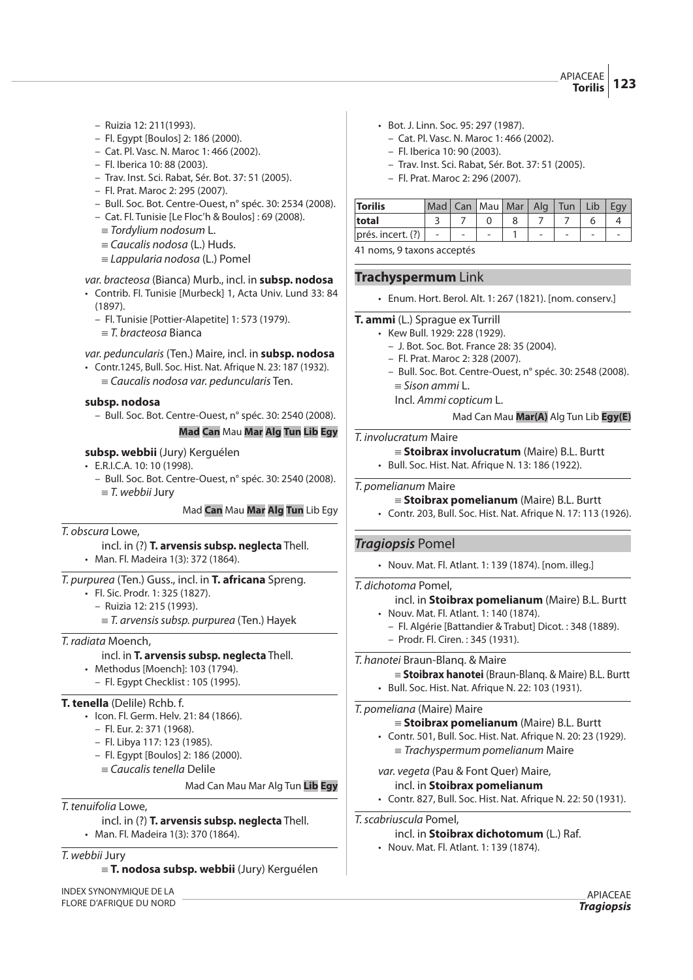APIACEAE **Torilis 123**

- Ruizia 12: 211(1993).
- Fl. Egypt [Boulos] 2: 186 (2000).
- Cat. Pl. Vasc. N. Maroc 1: 466 (2002).
- Fl. Iberica 10: 88 (2003).
- Trav. Inst. Sci. Rabat, Sér. Bot. 37: 51 (2005).
- Fl. Prat. Maroc 2: 295 (2007).
- Bull. Soc. Bot. Centre-Ouest, n° spéc. 30: 2534 (2008).
- Cat. Fl. Tunisie [Le Floc'h & Boulos] : 69 (2008).
	- $\equiv$  Tordylium nodosum L.
	- $\equiv$  Caucalis nodosa (L.) Huds.
	- $\equiv$  Lappularia nodosa (L.) Pomel

#### var. bracteosa (Bianca) Murb., incl. in **subsp. nodosa**

- Contrib. Fl. Tunisie [Murbeck] 1, Acta Univ. Lund 33: 84 (1897).
	- Fl. Tunisie [Pottier-Alapetite] 1: 573 (1979).
		- $\equiv$  T. bracteosa Bianca

### var. peduncularis (Ten.) Maire, incl. in **subsp. nodosa**

• Contr.1245, Bull. Soc. Hist. Nat. Afrique N. 23: 187 (1932).  $=$  Caucalis nodosa var. peduncularis Ten.

#### **subsp. nodosa**

– Bull. Soc. Bot. Centre-Ouest, n° spéc. 30: 2540 (2008).

# **Mad Can** Mau **Mar Alg Tun Lib Egy**

- **subsp. webbii** (Jury) Kerguélen
- E.R.I.C.A. 10: 10 (1998).
	- Bull. Soc. Bot. Centre-Ouest, n° spéc. 30: 2540 (2008).  $\equiv$  T. webbii Jury

# Mad **Can** Mau **Mar Alg Tun** Lib Egy

# T. obscura Lowe,

- incl. in (?) **T. arvensis subsp. neglecta** Thell.
- Man. Fl. Madeira 1(3): 372 (1864).

# T. purpurea (Ten.) Guss., incl. in **T. africana** Spreng.

- Fl. Sic. Prodr. 1: 325 (1827).
	- Ruizia 12: 215 (1993).
	- ${\equiv}$  T. arvensis subsp. purpurea (Ten.) Hayek

# T. radiata Moench,

#### incl. in **T. arvensis subsp. neglecta** Thell.

- Methodus [Moench]: 103 (1794).
	- Fl. Egypt Checklist : 105 (1995).

# **T. tenella** (Delile) Rchb. f.

- Icon. Fl. Germ. Helv. 21: 84 (1866).
	- Fl. Eur. 2: 371 (1968).
	- Fl. Libya 117: 123 (1985).
	- Fl. Egypt [Boulos] 2: 186 (2000).
	- $=$  Caucalis tenella Delile

### Mad Can Mau Mar Alg Tun **Lib Egy**

### T. tenuifolia Lowe,

- incl. in (?) **T. arvensis subsp. neglecta** Thell.
- Man. Fl. Madeira 1(3): 370 (1864).

# T. webbii Jury

{ **T. nodosa subsp. webbii** (Jury) Kerguélen

INDEX SYNONYMIQUE DE LA FLORE D'AFRIQUE DU NORD

- Bot. J. Linn. Soc. 95: 297 (1987).
	- Cat. Pl. Vasc. N. Maroc 1: 466 (2002).
	- Fl. Iberica 10: 90 (2003).
	- Trav. Inst. Sci. Rabat, Sér. Bot. 37: 51 (2005).
	- Fl. Prat. Maroc 2: 296 (2007).

| <b>Torilis</b>           |                           |  | Mad   Can   Mau   Mar   Alg   Tun   Lib |  |  |  |  |  |  |  |  |
|--------------------------|---------------------------|--|-----------------------------------------|--|--|--|--|--|--|--|--|
| total                    |                           |  |                                         |  |  |  |  |  |  |  |  |
| $ $ prés. incert. $(?) $ |                           |  |                                         |  |  |  |  |  |  |  |  |
|                          | 11 nome 0 tavone accontór |  |                                         |  |  |  |  |  |  |  |  |

41 noms, 9 taxons acceptés

# **Trachyspermum** Link

• Enum. Hort. Berol. Alt. 1: 267 (1821). [nom. conserv.]

#### **T. ammi** (L.) Sprague ex Turrill

- Kew Bull. 1929: 228 (1929).
	- J. Bot. Soc. Bot. France 28: 35 (2004).
- Fl. Prat. Maroc 2: 328 (2007).
- Bull. Soc. Bot. Centre-Ouest, n° spéc. 30: 2548 (2008).  $\equiv$  Sison ammi L.
	- Incl. Ammi copticum L.

# Mad Can Mau **Mar(A)** Alg Tun Lib **Egy(E)**

# T. involucratum Maire

- { **Stoibrax involucratum** (Maire) B.L. Burtt
- Bull. Soc. Hist. Nat. Afrique N. 13: 186 (1922).

#### T. pomelianum Maire

- { **Stoibrax pomelianum** (Maire) B.L. Burtt
- Contr. 203, Bull. Soc. Hist. Nat. Afrique N. 17: 113 (1926).

# **Tragiopsis** Pomel

• Nouv. Mat. Fl. Atlant. 1: 139 (1874). [nom. illeg.]

#### T. dichotoma Pomel,

- incl. in **Stoibrax pomelianum** (Maire) B.L. Burtt • Nouv. Mat. Fl. Atlant. 1: 140 (1874).
- Fl. Algérie [Battandier & Trabut] Dicot. : 348 (1889). – Prodr. Fl. Ciren. : 345 (1931).

# T. hanotei Braun-Blanq. & Maire

- { **Stoibrax hanotei** (Braun-Blanq. & Maire) B.L. Burtt
- Bull. Soc. Hist. Nat. Afrique N. 22: 103 (1931).

# T. pomeliana (Maire) Maire

#### { **Stoibrax pomelianum** (Maire) B.L. Burtt

• Contr. 501, Bull. Soc. Hist. Nat. Afrique N. 20: 23 (1929).  $\equiv$  Trachyspermum pomelianum Maire

# var. vegeta (Pau & Font Quer) Maire,

#### incl. in **Stoibrax pomelianum**

• Contr. 827, Bull. Soc. Hist. Nat. Afrique N. 22: 50 (1931).

# T.scabriuscula Pomel,

- incl. in **Stoibrax dichotomum** (L.) Raf.
- Nouv. Mat. Fl. Atlant. 1: 139 (1874).